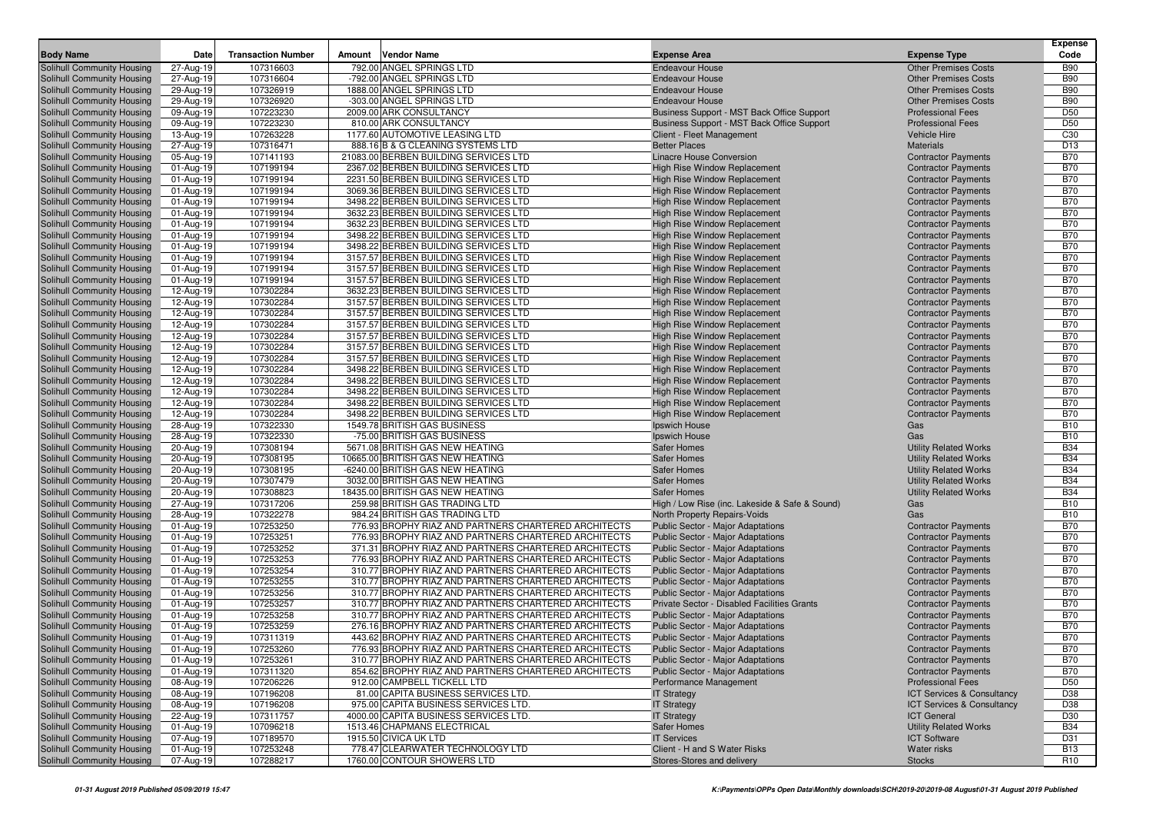|                                                          | Date                   |                           |                                                                  |                                                                                          |                                                      | <b>Expense</b><br>Code        |
|----------------------------------------------------------|------------------------|---------------------------|------------------------------------------------------------------|------------------------------------------------------------------------------------------|------------------------------------------------------|-------------------------------|
| <b>Body Name</b>                                         |                        | <b>Transaction Number</b> | Amount<br><b>Vendor Name</b>                                     | <b>Expense Area</b>                                                                      | <b>Expense Type</b>                                  |                               |
| Solihull Community Housing                               | 27-Aug-19              | 107316603                 | 792.00 ANGEL SPRINGS LTD                                         | <b>Endeavour House</b>                                                                   | <b>Other Premises Costs</b>                          | <b>B90</b>                    |
| Solihull Community Housing                               | 27-Aug-19              | 107316604                 | -792.00 ANGEL SPRINGS LTD                                        | <b>Endeavour House</b>                                                                   | <b>Other Premises Costs</b>                          | <b>B90</b>                    |
| Solihull Community Housing                               | 29-Aug-19              | 107326919                 | 1888.00 ANGEL SPRINGS LTD                                        | <b>Endeavour House</b>                                                                   | <b>Other Premises Costs</b>                          | <b>B90</b>                    |
| Solihull Community Housing                               | 29-Aug-19              | 107326920                 | -303.00 ANGEL SPRINGS LTD<br>2009.00 ARK CONSULTANCY             | <b>Endeavour House</b>                                                                   | <b>Other Premises Costs</b>                          | <b>B90</b><br>D <sub>50</sub> |
| Solihull Community Housing                               | 09-Aug-19              | 107223230<br>107223230    | 810.00 ARK CONSULTANCY                                           | Business Support - MST Back Office Support<br>Business Support - MST Back Office Support | <b>Professional Fees</b><br><b>Professional Fees</b> | D <sub>50</sub>               |
| Solihull Community Housing<br>Solihull Community Housing | 09-Aug-19<br>13-Aug-19 | 107263228                 | 1177.60 AUTOMOTIVE LEASING LTD                                   | Client - Fleet Management                                                                | <b>Vehicle Hire</b>                                  | C <sub>30</sub>               |
| Solihull Community Housing                               | 27-Aug-19              | 107316471                 | 888.16 B & G CLEANING SYSTEMS LTD                                | <b>Better Places</b>                                                                     | <b>Materials</b>                                     | D <sub>13</sub>               |
| Solihull Community Housing                               | 05-Aug-19              | 107141193                 | 21083.00 BERBEN BUILDING SERVICES LTD                            | Linacre House Conversion                                                                 | <b>Contractor Payments</b>                           | <b>B70</b>                    |
| Solihull Community Housing                               | 01-Aug-19              | 107199194                 | 2367.02 BERBEN BUILDING SERVICES LTD                             | <b>High Rise Window Replacement</b>                                                      | <b>Contractor Payments</b>                           | <b>B70</b>                    |
| Solihull Community Housing                               | 01-Aug-19              | 107199194                 | 2231.50 BERBEN BUILDING SERVICES LTD                             | <b>High Rise Window Replacement</b>                                                      | <b>Contractor Payments</b>                           | <b>B70</b>                    |
| Solihull Community Housing                               | 01-Aug-19              | 107199194                 | 3069.36 BERBEN BUILDING SERVICES LTD                             | <b>High Rise Window Replacement</b>                                                      | <b>Contractor Payments</b>                           | <b>B70</b>                    |
| Solihull Community Housing                               | 01-Aug-19              | 107199194                 | 3498.22 BERBEN BUILDING SERVICES LTD                             | <b>High Rise Window Replacement</b>                                                      | <b>Contractor Payments</b>                           | <b>B70</b>                    |
| Solihull Community Housing                               | 01-Aug-19              | 107199194                 | 3632.23 BERBEN BUILDING SERVICES LTD                             | <b>High Rise Window Replacement</b>                                                      | <b>Contractor Payments</b>                           | <b>B70</b>                    |
| Solihull Community Housing                               | 01-Aug-19              | 107199194                 | 3632.23 BERBEN BUILDING SERVICES LTD                             | High Rise Window Replacement                                                             | <b>Contractor Payments</b>                           | <b>B70</b>                    |
| Solihull Community Housing                               | 01-Aug-19              | 107199194                 | 3498.22 BERBEN BUILDING SERVICES LTD                             | <b>High Rise Window Replacement</b>                                                      | <b>Contractor Payments</b>                           | <b>B70</b>                    |
| Solihull Community Housing                               | 01-Aug-19              | 107199194                 | 3498.22 BERBEN BUILDING SERVICES LTD                             | <b>High Rise Window Replacement</b>                                                      | <b>Contractor Payments</b>                           | <b>B70</b>                    |
| Solihull Community Housing                               | 01-Aug-19              | 107199194                 | 3157.57 BERBEN BUILDING SERVICES LTD                             | <b>High Rise Window Replacement</b>                                                      | <b>Contractor Payments</b>                           | <b>B70</b>                    |
| Solihull Community Housing                               | 01-Aug-19              | 107199194                 | 3157.57 BERBEN BUILDING SERVICES LTD                             | <b>High Rise Window Replacement</b>                                                      | <b>Contractor Payments</b>                           | <b>B70</b>                    |
| Solihull Community Housing                               | 01-Aug-19              | 107199194                 | 3157.57 BERBEN BUILDING SERVICES LTD                             | <b>High Rise Window Replacement</b>                                                      | <b>Contractor Payments</b>                           | <b>B70</b>                    |
| Solihull Community Housing                               | 12-Aug-19              | 107302284                 | 3632.23 BERBEN BUILDING SERVICES LTD                             | High Rise Window Replacement                                                             | <b>Contractor Payments</b>                           | <b>B70</b>                    |
| Solihull Community Housing                               | 12-Aug-19              | 107302284                 | 3157.57 BERBEN BUILDING SERVICES LTD                             | High Rise Window Replacement                                                             | <b>Contractor Payments</b>                           | <b>B70</b>                    |
| Solihull Community Housing                               | 12-Aug-19              | 107302284                 | 3157.57 BERBEN BUILDING SERVICES LTD                             | <b>High Rise Window Replacement</b>                                                      | <b>Contractor Payments</b>                           | <b>B70</b>                    |
| Solihull Community Housing                               | 12-Aug-19              | 107302284                 | 3157.57 BERBEN BUILDING SERVICES LTD                             | <b>High Rise Window Replacement</b>                                                      | <b>Contractor Payments</b>                           | <b>B70</b>                    |
| Solihull Community Housing                               | 12-Aug-19              | 107302284                 | 3157.57 BERBEN BUILDING SERVICES LTD                             | <b>High Rise Window Replacement</b>                                                      | <b>Contractor Payments</b>                           | <b>B70</b>                    |
| Solihull Community Housing                               | 12-Aug-19              | 107302284                 | 3157.57 BERBEN BUILDING SERVICES LTD                             | <b>High Rise Window Replacement</b>                                                      | <b>Contractor Payments</b>                           | <b>B70</b>                    |
| Solihull Community Housing                               | 12-Aug-19              | 107302284                 | 3157.57 BERBEN BUILDING SERVICES LTD                             | High Rise Window Replacement                                                             | <b>Contractor Payments</b>                           | <b>B70</b>                    |
| Solihull Community Housing                               | 12-Aug-19              | 107302284                 | 3498.22 BERBEN BUILDING SERVICES LTD                             | <b>High Rise Window Replacement</b>                                                      | <b>Contractor Payments</b>                           | <b>B70</b>                    |
| Solihull Community Housing                               | 12-Aug-19              | 107302284                 | 3498.22 BERBEN BUILDING SERVICES LTD                             | High Rise Window Replacement                                                             | <b>Contractor Payments</b>                           | <b>B70</b>                    |
| Solihull Community Housing                               | 12-Aug-19              | 107302284                 | 3498.22 BERBEN BUILDING SERVICES LTD                             | <b>High Rise Window Replacement</b>                                                      | <b>Contractor Payments</b>                           | <b>B70</b>                    |
| Solihull Community Housing                               | 12-Aug-19              | 107302284                 | 3498.22 BERBEN BUILDING SERVICES LTD                             | <b>High Rise Window Replacement</b>                                                      | <b>Contractor Payments</b>                           | <b>B70</b>                    |
| Solihull Community Housing                               | 12-Aug-19              | 107302284                 | 3498.22 BERBEN BUILDING SERVICES LTD                             | <b>High Rise Window Replacement</b>                                                      | <b>Contractor Payments</b>                           | <b>B70</b>                    |
| Solihull Community Housing                               | 28-Aug-19              | 107322330                 | 1549.78 BRITISH GAS BUSINESS                                     | Ipswich House                                                                            | Gas                                                  | <b>B10</b>                    |
| Solihull Community Housing                               | 28-Aug-19              | 107322330                 | -75.00 BRITISH GAS BUSINESS                                      | Ipswich House                                                                            | Gas                                                  | <b>B10</b>                    |
| Solihull Community Housing                               | 20-Aug-19              | 107308194                 | 5671.08 BRITISH GAS NEW HEATING                                  | Safer Homes                                                                              | <b>Utility Related Works</b>                         | <b>B34</b>                    |
| Solihull Community Housing                               | 20-Aug-19              | 107308195                 | 10665.00 BRITISH GAS NEW HEATING                                 | <b>Safer Homes</b>                                                                       | <b>Utility Related Works</b>                         | <b>B34</b>                    |
| Solihull Community Housing                               | 20-Aug-19              | 107308195                 | -6240.00 BRITISH GAS NEW HEATING                                 | <b>Safer Homes</b>                                                                       | <b>Utility Related Works</b>                         | <b>B34</b>                    |
| Solihull Community Housing                               | 20-Aug-19              | 107307479                 | 3032.00 BRITISH GAS NEW HEATING                                  | <b>Safer Homes</b>                                                                       | <b>Utility Related Works</b>                         | <b>B34</b>                    |
| Solihull Community Housing                               | 20-Aug-19              | 107308823                 | 18435.00 BRITISH GAS NEW HEATING                                 | <b>Safer Homes</b>                                                                       | <b>Utility Related Works</b>                         | <b>B34</b>                    |
| Solihull Community Housing                               | 27-Aug-19              | 107317206                 | 259.98 BRITISH GAS TRADING LTD<br>984.24 BRITISH GAS TRADING LTD | High / Low Rise (inc. Lakeside & Safe & Sound)                                           | Gas                                                  | <b>B10</b><br><b>B10</b>      |
| Solihull Community Housing<br>Solihull Community Housing | 28-Aug-19              | 107322278<br>107253250    | 776.93 BROPHY RIAZ AND PARTNERS CHARTERED ARCHITECTS             | North Property Repairs-Voids<br>Public Sector - Major Adaptations                        | Gas<br><b>Contractor Payments</b>                    | <b>B70</b>                    |
| Solihull Community Housing                               | 01-Aug-19<br>01-Aug-19 | 107253251                 | 776.93 BROPHY RIAZ AND PARTNERS CHARTERED ARCHITECTS             | Public Sector - Major Adaptations                                                        | <b>Contractor Payments</b>                           | <b>B70</b>                    |
| Solihull Community Housing                               | 01-Aug-19              | 107253252                 | 371.31 BROPHY RIAZ AND PARTNERS CHARTERED ARCHITECTS             | Public Sector - Major Adaptations                                                        | <b>Contractor Payments</b>                           | <b>B70</b>                    |
| Solihull Community Housing                               | 01-Aug-19              | 107253253                 | 776.93 BROPHY RIAZ AND PARTNERS CHARTERED ARCHITECTS             | <b>Public Sector - Major Adaptations</b>                                                 | <b>Contractor Payments</b>                           | <b>B70</b>                    |
| Solihull Community Housing                               | 01-Aug-19              | 107253254                 | 310.77 BROPHY RIAZ AND PARTNERS CHARTERED ARCHITECTS             | Public Sector - Major Adaptations                                                        | <b>Contractor Payments</b>                           | <b>B70</b>                    |
| Solihull Community Housing                               | 01-Aug-19              | 107253255                 | 310.77 BROPHY RIAZ AND PARTNERS CHARTERED ARCHITECTS             | Public Sector - Major Adaptations                                                        | <b>Contractor Payments</b>                           | <b>B70</b>                    |
| Solihull Community Housing                               | 01-Aug-19              | 107253256                 | 310.77 BROPHY RIAZ AND PARTNERS CHARTERED ARCHITECTS             | Public Sector - Major Adaptations                                                        | <b>Contractor Payments</b>                           | <b>B70</b>                    |
| Solihull Community Housing                               | 01-Aug-19              | 107253257                 | 310.77 BROPHY RIAZ AND PARTNERS CHARTERED ARCHITECTS             | Private Sector - Disabled Facilities Grants                                              | <b>Contractor Payments</b>                           | <b>B70</b>                    |
| Solihull Community Housing                               | 01-Aug-19              | 107253258                 | 310.77 BROPHY RIAZ AND PARTNERS CHARTERED ARCHITECTS             | <b>Public Sector - Major Adaptations</b>                                                 | <b>Contractor Payments</b>                           | <b>B70</b>                    |
| Solihull Community Housing                               | 01-Aug-19              | 107253259                 | 276.16 BROPHY RIAZ AND PARTNERS CHARTERED ARCHITECTS             | Public Sector - Major Adaptations                                                        | <b>Contractor Payments</b>                           | <b>B70</b>                    |
| Solihull Community Housing                               | 01-Aug-19              | 107311319                 | 443.62 BROPHY RIAZ AND PARTNERS CHARTERED ARCHITECTS             | <b>Public Sector - Major Adaptations</b>                                                 | <b>Contractor Payments</b>                           | <b>B70</b>                    |
| Solihull Community Housing                               | 01-Aug-19              | 107253260                 | 776.93 BROPHY RIAZ AND PARTNERS CHARTERED ARCHITECTS             | <b>Public Sector - Major Adaptations</b>                                                 | <b>Contractor Payments</b>                           | <b>B70</b>                    |
| Solihull Community Housing                               | 01-Aug-19              | 107253261                 | 310.77 BROPHY RIAZ AND PARTNERS CHARTERED ARCHITECTS             | <b>Public Sector - Major Adaptations</b>                                                 | <b>Contractor Payments</b>                           | <b>B70</b>                    |
| Solihull Community Housing                               | 01-Aug-19              | 107311320                 | 854.62 BROPHY RIAZ AND PARTNERS CHARTERED ARCHITECTS             | Public Sector - Major Adaptations                                                        | <b>Contractor Payments</b>                           | <b>B70</b>                    |
| Solihull Community Housing                               | 08-Aug-19              | 107206226                 | 912.00 CAMPBELL TICKELL LTD                                      | Performance Management                                                                   | <b>Professional Fees</b>                             | D <sub>50</sub>               |
| Solihull Community Housing                               | 08-Aug-19              | 107196208                 | 81.00 CAPITA BUSINESS SERVICES LTD.                              | <b>IT Strategy</b>                                                                       | ICT Services & Consultancy                           | D38                           |
| Solihull Community Housing                               | 08-Aug-19              | 107196208                 | 975.00 CAPITA BUSINESS SERVICES LTD.                             | <b>IT Strategy</b>                                                                       | ICT Services & Consultancy                           | D38                           |
| Solihull Community Housing                               | 22-Aug-19              | 107311757                 | 4000.00 CAPITA BUSINESS SERVICES LTD.                            | <b>IT Strategy</b>                                                                       | <b>ICT General</b>                                   | D30                           |
| Solihull Community Housing                               | 01-Aug-19              | 107096218                 | 1513.46 CHAPMANS ELECTRICAL                                      | Safer Homes                                                                              | <b>Utility Related Works</b>                         | <b>B34</b>                    |
| Solihull Community Housing                               | 07-Aug-19              | 107189570                 | 1915.50 CIVICA UK LTD                                            | <b>IT Services</b>                                                                       | <b>ICT Software</b>                                  | D31                           |
| Solihull Community Housing                               | 01-Aug-19              | 107253248                 | 778.47 CLEARWATER TECHNOLOGY LTD                                 | Client - H and S Water Risks                                                             | Water risks                                          | <b>B13</b>                    |
| Solihull Community Housing                               | 07-Aug-19              | 107288217                 | 1760.00 CONTOUR SHOWERS LTD                                      | Stores-Stores and delivery                                                               | <b>Stocks</b>                                        | <b>R10</b>                    |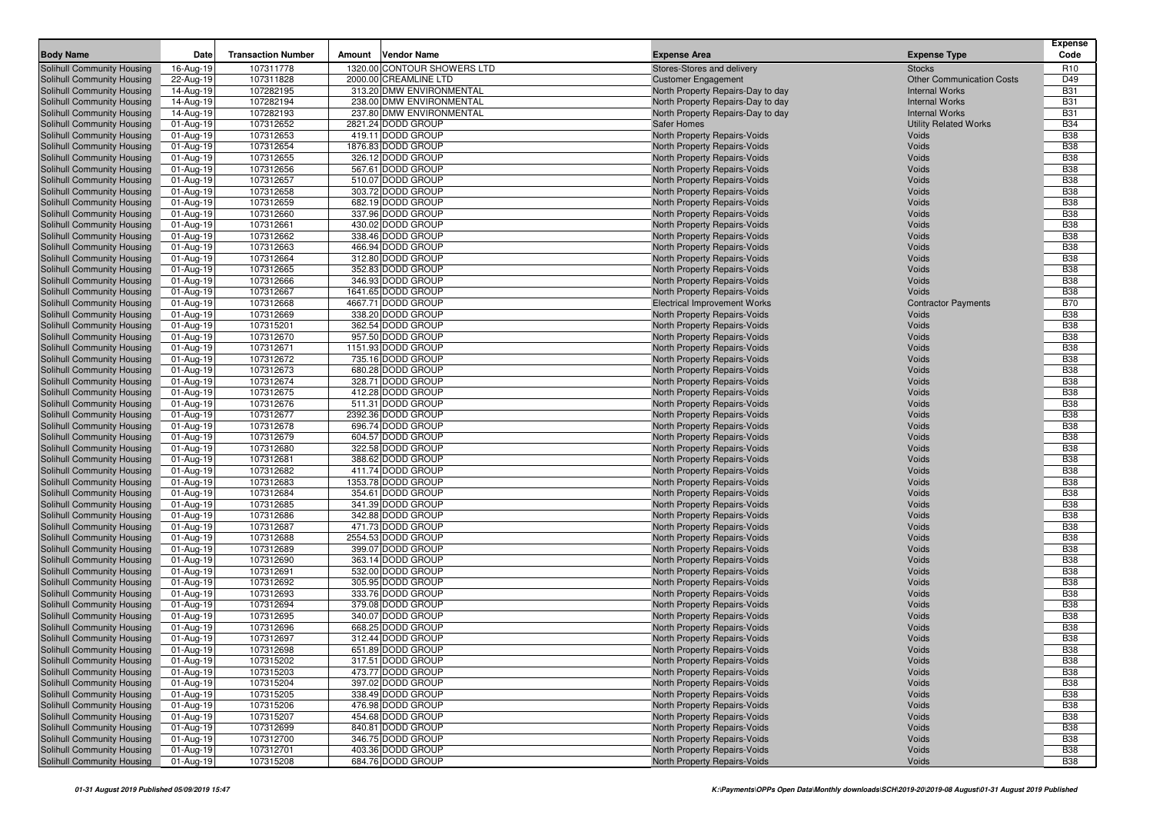| <b>Body Name</b>                                         | Date                    | <b>Transaction Number</b> | Amount | <b>Vendor Name</b>                      | <b>Expense Area</b>                                          | <b>Expense Type</b>                               | <b>Expense</b><br>Code   |
|----------------------------------------------------------|-------------------------|---------------------------|--------|-----------------------------------------|--------------------------------------------------------------|---------------------------------------------------|--------------------------|
|                                                          |                         | 107311778                 |        | 1320.00 CONTOUR SHOWERS LTD             |                                                              |                                                   |                          |
| Solihull Community Housing<br>Solihull Community Housing | 16-Aug-19<br>22-Aug-19  | 107311828                 |        | 2000.00 CREAMLINE LTD                   | Stores-Stores and delivery<br><b>Customer Engagement</b>     | <b>Stocks</b><br><b>Other Communication Costs</b> | R <sub>10</sub><br>D49   |
| Solihull Community Housing                               | 14-Aug-19               | 107282195                 |        | 313.20 DMW ENVIRONMENTAL                | North Property Repairs-Day to day                            | <b>Internal Works</b>                             | <b>B31</b>               |
| Solihull Community Housing                               | 14-Aug-19               | 107282194                 |        | 238.00 DMW ENVIRONMENTAL                | North Property Repairs-Day to day                            | <b>Internal Works</b>                             | <b>B31</b>               |
| Solihull Community Housing                               | 14-Aug-19               | 107282193                 |        | 237.80 DMW ENVIRONMENTAL                | North Property Repairs-Day to day                            | <b>Internal Works</b>                             | <b>B31</b>               |
| Solihull Community Housing                               | 01-Aug-19               | 107312652                 |        | 2821.24 DODD GROUP                      | <b>Safer Homes</b>                                           | <b>Utility Related Works</b>                      | <b>B34</b>               |
| Solihull Community Housing                               | 01-Aug-19               | 107312653                 |        | 419.11 DODD GROUP                       | North Property Repairs-Voids                                 | Voids                                             | <b>B38</b>               |
| Solihull Community Housing                               | 01-Aug-19               | 107312654                 |        | 1876.83 DODD GROUP                      | North Property Repairs-Voids                                 | Voids                                             | <b>B38</b>               |
| Solihull Community Housing                               | 01-Aug-19               | 107312655                 |        | 326.12 DODD GROUP                       | North Property Repairs-Voids                                 | Voids                                             | <b>B38</b>               |
| Solihull Community Housing                               | 01-Aug-19               | 107312656                 |        | 567.61 DODD GROUP                       | North Property Repairs-Voids                                 | Voids                                             | <b>B38</b>               |
| Solihull Community Housing                               | 01-Aug-19               | 107312657                 |        | 510.07 DODD GROUP                       | North Property Repairs-Voids                                 | Voids                                             | <b>B38</b>               |
| Solihull Community Housing                               | 01-Aug-19               | 107312658                 |        | 303.72 DODD GROUP                       | North Property Repairs-Voids                                 | Voids                                             | <b>B38</b>               |
| Solihull Community Housing                               | 01-Aug-19               | 107312659                 |        | 682.19 DODD GROUP                       | North Property Repairs-Voids                                 | Voids                                             | <b>B38</b>               |
| Solihull Community Housing                               | 01-Aug-19               | 107312660                 |        | 337.96 DODD GROUP                       | North Property Repairs-Voids                                 | Voids                                             | <b>B38</b>               |
| Solihull Community Housing                               | 01-Aug-19               | 107312661                 |        | 430.02 DODD GROUP                       | North Property Repairs-Voids                                 | Voids                                             | <b>B38</b>               |
| Solihull Community Housing                               | 01-Aug-19               | 107312662                 |        | 338.46 DODD GROUP                       | North Property Repairs-Voids                                 | Voids                                             | <b>B38</b>               |
| Solihull Community Housing                               | 01-Aug-19               | 107312663                 |        | 466.94 DODD GROUP                       | North Property Repairs-Voids                                 | Voids                                             | <b>B38</b>               |
| Solihull Community Housing                               | 01-Aug-19               | 107312664                 |        | 312.80 DODD GROUP                       | North Property Repairs-Voids                                 | Voids                                             | <b>B38</b>               |
| Solihull Community Housing                               | 01-Aug-19               | 107312665                 |        | 352.83 DODD GROUP                       | North Property Repairs-Voids                                 | Voids                                             | <b>B38</b>               |
| Solihull Community Housing                               | 01-Aug-19               | 107312666                 |        | 346.93 DODD GROUP                       | North Property Repairs-Voids                                 | Voids                                             | <b>B38</b>               |
| Solihull Community Housing                               | 01-Aug-19               | 107312667                 |        | 1641.65 DODD GROUP                      | North Property Repairs-Voids                                 | Voids                                             | <b>B38</b>               |
| Solihull Community Housing                               | 01-Aug-19               | 107312668                 |        | 4667.71 DODD GROUP                      | <b>Electrical Improvement Works</b>                          | <b>Contractor Payments</b>                        | <b>B70</b>               |
| Solihull Community Housing                               | 01-Aug-19               | 107312669                 |        | 338.20 DODD GROUP                       | North Property Repairs-Voids                                 | Voids                                             | <b>B38</b>               |
| Solihull Community Housing                               | 01-Aug-19               | 107315201                 |        | 362.54 DODD GROUP                       | North Property Repairs-Voids                                 | Voids                                             | <b>B38</b>               |
| Solihull Community Housing                               | 01-Aug-19               | 107312670                 |        | 957.50 DODD GROUP                       | North Property Repairs-Voids                                 | Voids                                             | <b>B38</b>               |
| Solihull Community Housing                               | 01-Aug-19               | 107312671                 |        | 1151.93 DODD GROUP                      | North Property Repairs-Voids                                 | Voids                                             | <b>B38</b>               |
| Solihull Community Housing                               | 01-Aug-19               | 107312672                 |        | 735.16 DODD GROUP                       | North Property Repairs-Voids                                 | Voids                                             | <b>B38</b>               |
| Solihull Community Housing                               | 01-Aug-19               | 107312673                 |        | 680.28 DODD GROUP                       | North Property Repairs-Voids                                 | Voids                                             | <b>B38</b>               |
| Solihull Community Housing                               | 01-Aug-19               | 107312674                 |        | 328.71 DODD GROUP                       | North Property Repairs-Voids                                 | Voids                                             | <b>B38</b>               |
| Solihull Community Housing                               | 01-Aug-19               | 107312675                 |        | 412.28 DODD GROUP                       | North Property Repairs-Voids                                 | Voids<br>Voids                                    | <b>B38</b><br><b>B38</b> |
| Solihull Community Housing<br>Solihull Community Housing | 01-Aug-19               | 107312676<br>107312677    |        | 511.31 DODD GROUP<br>2392.36 DODD GROUP | North Property Repairs-Voids                                 | Voids                                             | <b>B38</b>               |
| Solihull Community Housing                               | 01-Aug-19<br>01-Aug-19  | 107312678                 |        | 696.74 DODD GROUP                       | North Property Repairs-Voids<br>North Property Repairs-Voids | Voids                                             | <b>B38</b>               |
| Solihull Community Housing                               | 01-Aug-19               | 107312679                 |        | 604.57 DODD GROUP                       | North Property Repairs-Voids                                 | Voids                                             | <b>B38</b>               |
| Solihull Community Housing                               | 01-Aug-19               | 107312680                 |        | 322.58 DODD GROUP                       | North Property Repairs-Voids                                 | Voids                                             | <b>B38</b>               |
| Solihull Community Housing                               | 01-Aug-19               | 107312681                 |        | 388.62 DODD GROUP                       | North Property Repairs-Voids                                 | Voids                                             | <b>B38</b>               |
| Solihull Community Housing                               | 01-Aug-19               | 107312682                 |        | 411.74 DODD GROUP                       | North Property Repairs-Voids                                 | Voids                                             | <b>B38</b>               |
| Solihull Community Housing                               | 01-Aug-19               | 107312683                 |        | 1353.78 DODD GROUP                      | North Property Repairs-Voids                                 | Voids                                             | <b>B38</b>               |
| Solihull Community Housing                               | 01-Aug-19               | 107312684                 |        | 354.61 DODD GROUP                       | North Property Repairs-Voids                                 | Voids                                             | <b>B38</b>               |
| Solihull Community Housing                               | 01-Aug-19               | 107312685                 |        | 341.39 DODD GROUP                       | North Property Repairs-Voids                                 | Voids                                             | <b>B38</b>               |
| Solihull Community Housing                               | 01-Aug-19               | 107312686                 |        | 342.88 DODD GROUP                       | North Property Repairs-Voids                                 | Voids                                             | <b>B38</b>               |
| Solihull Community Housing                               | 01-Aug-19               | 107312687                 |        | 471.73 DODD GROUP                       | North Property Repairs-Voids                                 | Voids                                             | <b>B38</b>               |
| Solihull Community Housing                               | 01-Aug-19               | 107312688                 |        | 2554.53 DODD GROUP                      | North Property Repairs-Voids                                 | Voids                                             | <b>B38</b>               |
| Solihull Community Housing                               | 01-Aug-19               | 107312689                 |        | 399.07 DODD GROUP                       | North Property Repairs-Voids                                 | Voids                                             | <b>B38</b>               |
| Solihull Community Housing                               | 01-Aug-19               | 107312690                 |        | 363.14 DODD GROUP                       | North Property Repairs-Voids                                 | Voids                                             | <b>B38</b>               |
| Solihull Community Housing                               | 01-Aug-19               | 107312691                 |        | 532.00 DODD GROUP                       | North Property Repairs-Voids                                 | Voids                                             | <b>B38</b>               |
| Solihull Community Housing                               | 01-Aug-19               | 107312692                 |        | 305.95 DODD GROUP                       | North Property Repairs-Voids                                 | Voids                                             | <b>B38</b>               |
| Solihull Community Housing                               | 01-Aug-19               | 107312693                 |        | 333.76 DODD GROUP                       | North Property Repairs-Voids                                 | Voids                                             | <b>B38</b>               |
| Solihull Community Housing                               | 01-Aug-19               | 107312694                 |        | 379.08 DODD GROUP                       | North Property Repairs-Voids                                 | Voids                                             | <b>B38</b>               |
| Solihull Community Housing                               | 01-Aug-19               | 107312695                 |        | 340.07 DODD GROUP                       | North Property Repairs-Voids                                 | Voids                                             | <b>B38</b>               |
| Solihull Community Housing                               | 01-Aug-19               | 107312696                 |        | 668.25 DODD GROUP                       | North Property Repairs-Voids                                 | Voids                                             | <b>B38</b>               |
| <b>Solihull Community Housing</b>                        | 01-Aug-19               | 107312697                 |        | 312.44 DODD GROUP                       | North Property Repairs-Voids                                 | Voids                                             | <b>B38</b>               |
| Solihull Community Housing                               | $\overline{01-Aug}$ -19 | 107312698                 |        | 651.89 DODD GROUP                       | North Property Repairs-Voids                                 | Voids                                             | <b>B38</b>               |
| <b>Solihull Community Housing</b>                        | 01-Aug-19               | 107315202                 |        | 317.51 DODD GROUP                       | North Property Repairs-Voids                                 | Voids                                             | <b>B38</b>               |
| Solihull Community Housing                               | 01-Aug-19               | 107315203                 |        | 473.77 DODD GROUP                       | North Property Repairs-Voids                                 | Voids                                             | <b>B38</b>               |
| Solihull Community Housing                               | 01-Aug-19               | 107315204                 |        | 397.02 DODD GROUP                       | North Property Repairs-Voids                                 | Voids                                             | <b>B38</b>               |
| Solihull Community Housing                               | 01-Aug-19               | 107315205                 |        | 338.49 DODD GROUP                       | North Property Repairs-Voids                                 | Voids                                             | <b>B38</b>               |
| Solihull Community Housing                               | 01-Aug-19               | 107315206                 |        | 476.98 DODD GROUP                       | North Property Repairs-Voids                                 | Voids                                             | <b>B38</b>               |
| Solihull Community Housing                               | 01-Aug-19               | 107315207                 |        | 454.68 DODD GROUP                       | North Property Repairs-Voids                                 | Voids                                             | <b>B38</b>               |
| Solihull Community Housing                               | 01-Aug-19               | 107312699                 |        | 840.81 DODD GROUP                       | North Property Repairs-Voids                                 | Voids                                             | <b>B38</b>               |
| Solihull Community Housing                               | 01-Aug-19               | 107312700                 |        | 346.75 DODD GROUP                       | North Property Repairs-Voids                                 | Voids                                             | <b>B38</b>               |
| Solihull Community Housing                               | 01-Aug-19               | 107312701                 |        | 403.36 DODD GROUP                       | North Property Repairs-Voids                                 | Voids                                             | <b>B38</b>               |
| Solihull Community Housing                               | 01-Aug-19               | 107315208                 |        | 684.76 DODD GROUP                       | North Property Repairs-Voids                                 | Voids                                             | <b>B38</b>               |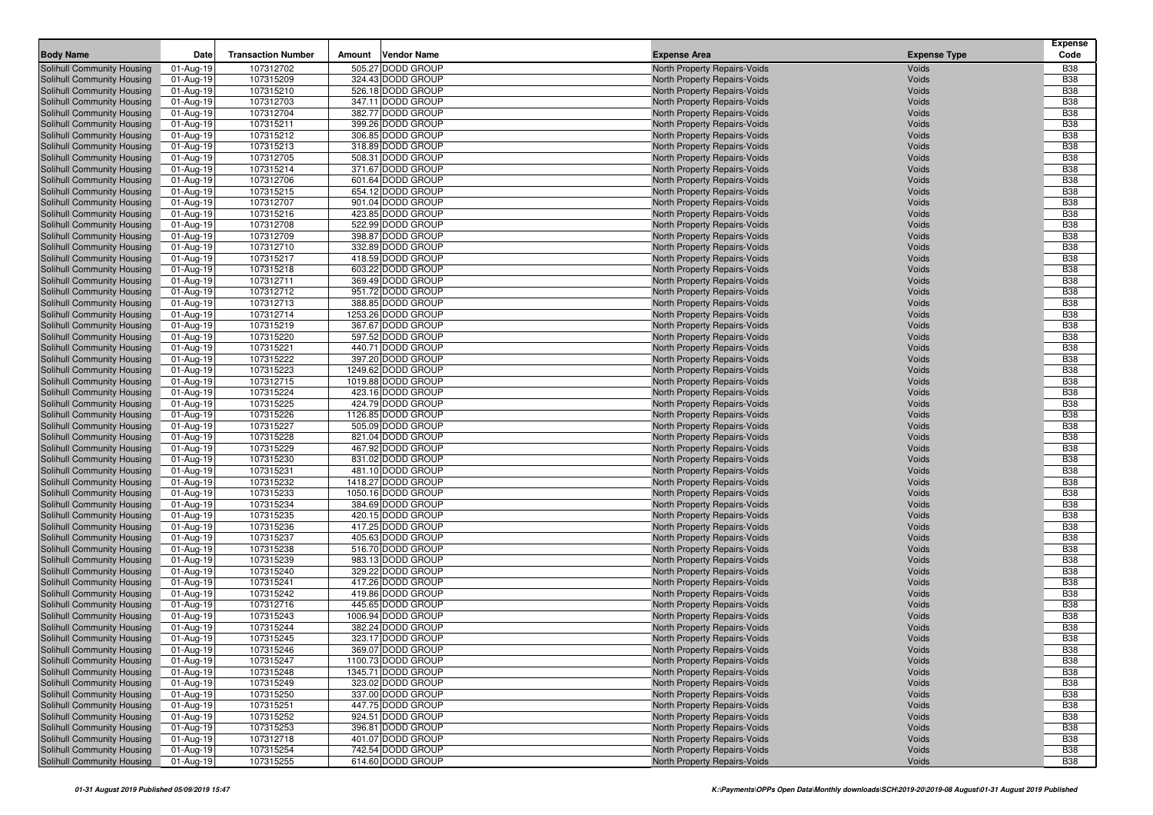| <b>Body Name</b>                                         | Date                    | <b>Transaction Number</b> | Amount | <b>Vendor Name</b>                     | <b>Expense Area</b>                                          | <b>Expense Type</b> | <b>Expense</b><br>Code   |
|----------------------------------------------------------|-------------------------|---------------------------|--------|----------------------------------------|--------------------------------------------------------------|---------------------|--------------------------|
| Solihull Community Housing                               | 01-Aug-19               | 107312702                 |        | 505.27 DODD GROUP                      | North Property Repairs-Voids                                 | Voids               | <b>B38</b>               |
| Solihull Community Housing                               | 01-Aug-19               | 107315209                 |        | 324.43 DODD GROUP                      | North Property Repairs-Voids                                 | Voids               | <b>B38</b>               |
| Solihull Community Housing                               | 01-Aug-19               | 107315210                 |        | 526.18 DODD GROUP                      | North Property Repairs-Voids                                 | Voids               | <b>B38</b>               |
| Solihull Community Housing                               | 01-Aug-19               | 107312703                 |        | 347.11 DODD GROUP                      | North Property Repairs-Voids                                 | Voids               | <b>B38</b>               |
| Solihull Community Housing                               | 01-Aug-19               | 107312704                 |        | 382.77 DODD GROUP                      | North Property Repairs-Voids                                 | Voids               | <b>B38</b>               |
| Solihull Community Housing                               | 01-Aug-19               | 107315211                 |        | 399.26 DODD GROUP                      | North Property Repairs-Voids                                 | Voids               | <b>B38</b>               |
| Solihull Community Housing                               | 01-Aug-19               | 107315212                 |        | 306.85 DODD GROUP                      | North Property Repairs-Voids                                 | Voids               | <b>B38</b>               |
| Solihull Community Housing                               | 01-Aug-19               | 107315213                 |        | 318.89 DODD GROUP                      | North Property Repairs-Voids                                 | Voids               | <b>B38</b>               |
| Solihull Community Housing                               | 01-Aug-19               | 107312705                 |        | 508.31 DODD GROUP                      | North Property Repairs-Voids                                 | Voids               | <b>B38</b>               |
| Solihull Community Housing                               | 01-Aug-19               | 107315214                 |        | 371.67 DODD GROUP                      | North Property Repairs-Voids                                 | Voids               | <b>B38</b>               |
| Solihull Community Housing                               | 01-Aug-19               | 107312706                 |        | 601.64 DODD GROUP                      | North Property Repairs-Voids                                 | Voids               | <b>B38</b>               |
| Solihull Community Housing                               | 01-Aug-19               | 107315215                 |        | 654.12 DODD GROUP                      | North Property Repairs-Voids                                 | Voids               | <b>B38</b>               |
| Solihull Community Housing                               | 01-Aug-19               | 107312707                 |        | 901.04 DODD GROUP                      | North Property Repairs-Voids                                 | Voids               | <b>B38</b>               |
| Solihull Community Housing                               | 01-Aug-19               | 107315216                 |        | 423.85 DODD GROUP                      | North Property Repairs-Voids                                 | Voids               | <b>B38</b>               |
| Solihull Community Housing                               | 01-Aug-19               | 107312708                 |        | 522.99 DODD GROUP                      | North Property Repairs-Voids                                 | Voids               | <b>B38</b>               |
| Solihull Community Housing                               | 01-Aug-19               | 107312709                 |        | 398.87 DODD GROUP                      | North Property Repairs-Voids                                 | Voids               | <b>B38</b>               |
| Solihull Community Housing                               | 01-Aug-19               | 107312710                 |        | 332.89 DODD GROUP                      | North Property Repairs-Voids                                 | Voids               | <b>B38</b>               |
| Solihull Community Housing                               | 01-Aug-19               | 107315217                 |        | 418.59 DODD GROUP                      | North Property Repairs-Voids                                 | Voids               | <b>B38</b>               |
| Solihull Community Housing                               | 01-Aug-19               | 107315218                 |        | 603.22 DODD GROUP                      | North Property Repairs-Voids                                 | Voids               | <b>B38</b>               |
| Solihull Community Housing                               | 01-Aug-19               | 107312711                 |        | 369.49 DODD GROUP                      | North Property Repairs-Voids                                 | Voids               | <b>B38</b>               |
| Solihull Community Housing                               | 01-Aug-19               | 107312712                 |        | 951.72 DODD GROUP                      | North Property Repairs-Voids                                 | Voids               | <b>B38</b>               |
| Solihull Community Housing                               | 01-Aug-19               | 107312713                 |        | 388.85 DODD GROUP                      | North Property Repairs-Voids                                 | Voids               | <b>B38</b>               |
| Solihull Community Housing                               | 01-Aug-19               | 107312714                 |        | 1253.26 DODD GROUP                     | North Property Repairs-Voids                                 | Voids               | <b>B38</b>               |
| Solihull Community Housing                               | 01-Aug-19               | 107315219                 |        | 367.67 DODD GROUP                      | North Property Repairs-Voids                                 | Voids               | <b>B38</b>               |
| Solihull Community Housing                               | 01-Aug-19               | 107315220                 |        | 597.52 DODD GROUP                      | North Property Repairs-Voids                                 | Voids               | <b>B38</b>               |
| Solihull Community Housing                               | 01-Aug-19               | 107315221                 |        | 440.71 DODD GROUP                      | North Property Repairs-Voids                                 | Voids               | <b>B38</b>               |
| Solihull Community Housing                               | 01-Aug-19               | 107315222                 |        | 397.20 DODD GROUP                      | North Property Repairs-Voids                                 | Voids               | <b>B38</b>               |
| Solihull Community Housing                               | 01-Aug-19               | 107315223                 |        | 1249.62 DODD GROUP                     | North Property Repairs-Voids                                 | Voids               | <b>B38</b>               |
| Solihull Community Housing                               | 01-Aug-19               | 107312715                 |        | 1019.88 DODD GROUP                     | North Property Repairs-Voids                                 | Voids               | <b>B38</b>               |
| Solihull Community Housing                               | 01-Aug-19               | 107315224                 |        | 423.16 DODD GROUP                      | North Property Repairs-Voids                                 | Voids               | <b>B38</b>               |
| Solihull Community Housing                               | 01-Aug-19               | 107315225                 |        | 424.79 DODD GROUP                      | North Property Repairs-Voids                                 | Voids               | <b>B38</b>               |
| Solihull Community Housing                               | 01-Aug-19               | 107315226                 |        | 1126.85 DODD GROUP                     | North Property Repairs-Voids                                 | Voids               | <b>B38</b>               |
| Solihull Community Housing                               | 01-Aug-19               | 107315227                 |        | 505.09 DODD GROUP                      | North Property Repairs-Voids                                 | Voids               | <b>B38</b>               |
| Solihull Community Housing                               | 01-Aug-19               | 107315228                 |        | 821.04 DODD GROUP                      | North Property Repairs-Voids                                 | Voids               | <b>B38</b>               |
| Solihull Community Housing                               | 01-Aug-19               | 107315229                 |        | 467.92 DODD GROUP                      | North Property Repairs-Voids                                 | Voids               | <b>B38</b>               |
| Solihull Community Housing                               | 01-Aug-19               | 107315230                 |        | 831.02 DODD GROUP                      | North Property Repairs-Voids                                 | Voids               | <b>B38</b>               |
| Solihull Community Housing                               | 01-Aug-19               | 107315231                 |        | 481.10 DODD GROUP                      | North Property Repairs-Voids                                 | Voids               | <b>B38</b>               |
| Solihull Community Housing                               | 01-Aug-19               | 107315232                 |        | 1418.27 DODD GROUP                     | North Property Repairs-Voids                                 | Voids               | <b>B38</b>               |
| Solihull Community Housing                               | 01-Aug-19               | 107315233                 |        | 1050.16 DODD GROUP                     | North Property Repairs-Voids                                 | Voids               | <b>B38</b>               |
| Solihull Community Housing                               | 01-Aug-19               | 107315234                 |        | 384.69 DODD GROUP                      | North Property Repairs-Voids                                 | Voids               | <b>B38</b>               |
| Solihull Community Housing                               | 01-Aug-19               | 107315235                 |        | 420.15 DODD GROUP                      | North Property Repairs-Voids                                 | Voids               | <b>B38</b>               |
| Solihull Community Housing                               | 01-Aug-19               | 107315236                 |        | 417.25 DODD GROUP                      | North Property Repairs-Voids                                 | Voids               | <b>B38</b>               |
| Solihull Community Housing                               | 01-Aug-19               | 107315237                 |        | 405.63 DODD GROUP                      | North Property Repairs-Voids                                 | Voids               | <b>B38</b>               |
| Solihull Community Housing                               | 01-Aug-19               | 107315238                 |        | 516.70 DODD GROUP                      | North Property Repairs-Voids                                 | Voids               | <b>B38</b>               |
| Solihull Community Housing                               | 01-Aug-19               | 107315239                 |        | 983.13 DODD GROUP                      | North Property Repairs-Voids                                 | Voids               | <b>B38</b>               |
| Solihull Community Housing                               | 01-Aug-19               | 107315240                 |        | 329.22 DODD GROUP                      | North Property Repairs-Voids                                 | Voids               | <b>B38</b>               |
| Solihull Community Housing                               | 01-Aug-19               | 107315241                 |        | 417.26 DODD GROUP                      | North Property Repairs-Voids                                 | Voids               | <b>B38</b>               |
| Solihull Community Housing                               | 01-Aug-19               | 107315242                 |        | 419.86 DODD GROUP                      | North Property Repairs-Voids                                 | Voids               | <b>B38</b>               |
| Solihull Community Housing                               | 01-Aug-19               | 107312716                 |        | 445.65 DODD GROUP                      | North Property Repairs-Voids                                 | Voids               | <b>B38</b>               |
| Solihull Community Housing                               | 01-Aug-19               | 107315243                 |        | 1006.94 DODD GROUP                     | North Property Repairs-Voids                                 | Voids               | <b>B38</b>               |
| Solihull Community Housing                               | 01-Aug-19               | 107315244                 |        | 382.24 DODD GROUP                      | North Property Repairs-Voids                                 | Voids               | <b>B38</b>               |
| Solihull Community Housing                               | 01-Aug-19               | 107315245                 |        | 323.17 DODD GROUP                      | North Property Repairs-Voids                                 | Voids               | <b>B38</b>               |
| Solihull Community Housing                               | $\overline{01-Aug}$ -19 | 107315246                 |        | 369.07 DODD GROUP                      | North Property Repairs-Voids                                 | Voids               | <b>B38</b>               |
| Solihull Community Housing                               | 01-Aug-19               | 107315247                 |        | 1100.73 DODD GROUP                     | North Property Repairs-Voids                                 | Voids               | <b>B38</b>               |
| Solihull Community Housing                               | 01-Aug-19               | 107315248                 |        | 1345.71 DODD GROUP                     | North Property Repairs-Voids                                 | Voids               | <b>B38</b>               |
| Solihull Community Housing                               | 01-Aug-19               | 107315249                 |        | 323.02 DODD GROUP                      | North Property Repairs-Voids                                 | Voids               | <b>B38</b>               |
| Solihull Community Housing                               | 01-Aug-19               | 107315250                 |        | 337.00 DODD GROUP                      | North Property Repairs-Voids                                 | Voids               | <b>B38</b>               |
| Solihull Community Housing                               | 01-Aug-19               | 107315251                 |        | 447.75 DODD GROUP                      | North Property Repairs-Voids                                 | Voids               | <b>B38</b>               |
| Solihull Community Housing                               | 01-Aug-19               | 107315252                 |        | 924.51 DODD GROUP                      | North Property Repairs-Voids                                 | Voids               | <b>B38</b>               |
| Solihull Community Housing                               | 01-Aug-19               | 107315253                 |        | 396.81 DODD GROUP<br>401.07 DODD GROUP | North Property Repairs-Voids                                 | Voids               | <b>B38</b>               |
| Solihull Community Housing<br>Solihull Community Housing | 01-Aug-19<br>01-Aug-19  | 107312718                 |        | 742.54 DODD GROUP                      | North Property Repairs-Voids<br>North Property Repairs-Voids | Voids<br>Voids      | <b>B38</b><br><b>B38</b> |
|                                                          |                         | 107315254                 |        |                                        |                                                              |                     |                          |
| Solihull Community Housing                               | 01-Aug-19               | 107315255                 |        | 614.60 DODD GROUP                      | North Property Repairs-Voids                                 | Voids               | <b>B38</b>               |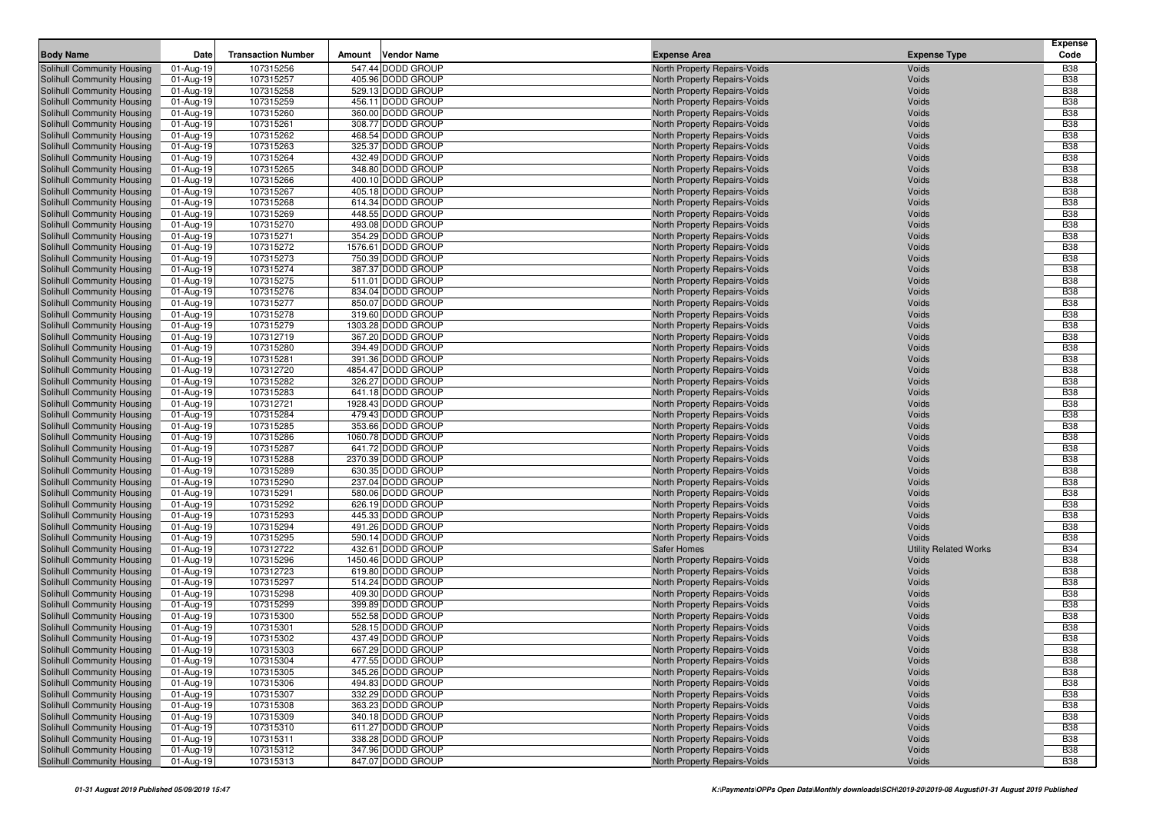| <b>Body Name</b>                                         | <b>Date</b>            | <b>Transaction Number</b> | Amount | <b>Vendor Name</b>                      | <b>Expense Area</b>                                          | <b>Expense Type</b>          | <b>Expense</b><br>Code   |
|----------------------------------------------------------|------------------------|---------------------------|--------|-----------------------------------------|--------------------------------------------------------------|------------------------------|--------------------------|
| Solihull Community Housing                               | 01-Aug-19              | 107315256                 |        | 547.44 DODD GROUP                       | North Property Repairs-Voids                                 | Voids                        | <b>B38</b>               |
| Solihull Community Housing                               | 01-Aug-19              | 107315257                 |        | 405.96 DODD GROUP                       | North Property Repairs-Voids                                 | Voids                        | <b>B38</b>               |
| Solihull Community Housing                               | 01-Aug-19              | 107315258                 |        | 529.13 DODD GROUP                       | North Property Repairs-Voids                                 | Voids                        | <b>B38</b>               |
| Solihull Community Housing                               | 01-Aug-19              | 107315259                 |        | 456.11 DODD GROUP                       | North Property Repairs-Voids                                 | Voids                        | <b>B38</b>               |
| Solihull Community Housing                               | 01-Aug-19              | 107315260                 |        | 360.00 DODD GROUP                       | North Property Repairs-Voids                                 | Voids                        | <b>B38</b>               |
| Solihull Community Housing                               | 01-Aug-19              | 107315261                 |        | 308.77 DODD GROUP                       | North Property Repairs-Voids                                 | Voids                        | <b>B38</b>               |
| Solihull Community Housing                               | 01-Aug-19              | 107315262                 |        | 468.54 DODD GROUP                       | North Property Repairs-Voids                                 | Voids                        | <b>B38</b>               |
| Solihull Community Housing                               | 01-Aug-19              | 107315263                 |        | 325.37 DODD GROUP                       | North Property Repairs-Voids                                 | Voids                        | <b>B38</b>               |
| Solihull Community Housing                               | 01-Aug-19              | 107315264                 |        | 432.49 DODD GROUP                       | North Property Repairs-Voids                                 | Voids                        | <b>B38</b>               |
| Solihull Community Housing                               | 01-Aug-19              | 107315265                 |        | 348.80 DODD GROUP                       | North Property Repairs-Voids                                 | Voids                        | <b>B38</b>               |
| Solihull Community Housing                               | 01-Aug-19              | 107315266                 |        | 400.10 DODD GROUP                       | North Property Repairs-Voids                                 | Voids                        | <b>B38</b>               |
| Solihull Community Housing                               | 01-Aug-19              | 107315267                 |        | 405.18 DODD GROUP                       | North Property Repairs-Voids                                 | Voids                        | <b>B38</b>               |
| Solihull Community Housing                               | 01-Aug-19              | 107315268                 |        | 614.34 DODD GROUP                       | North Property Repairs-Voids                                 | Voids                        | <b>B38</b>               |
| Solihull Community Housing                               | 01-Aug-19              | 107315269                 |        | 448.55 DODD GROUP                       | North Property Repairs-Voids                                 | Voids                        | <b>B38</b>               |
| Solihull Community Housing                               | 01-Aug-19              | 107315270                 |        | 493.08 DODD GROUP                       | North Property Repairs-Voids                                 | Voids                        | <b>B38</b>               |
| Solihull Community Housing                               | 01-Aug-19              | 107315271                 |        | 354.29 DODD GROUP                       | North Property Repairs-Voids                                 | Voids                        | <b>B38</b>               |
| Solihull Community Housing                               | 01-Aug-19              | 107315272                 |        | 1576.61 DODD GROUP                      | North Property Repairs-Voids                                 | Voids                        | <b>B38</b>               |
| Solihull Community Housing                               | 01-Aug-19              | 107315273                 |        | 750.39 DODD GROUP                       | North Property Repairs-Voids                                 | Voids                        | <b>B38</b>               |
| Solihull Community Housing                               | 01-Aug-19              | 107315274                 |        | 387.37 DODD GROUP                       | North Property Repairs-Voids                                 | Voids                        | <b>B38</b>               |
| Solihull Community Housing                               | 01-Aug-19              | 107315275                 |        | 511.01 DODD GROUP                       | North Property Repairs-Voids                                 | Voids                        | <b>B38</b>               |
| Solihull Community Housing                               | 01-Aug-19              | 107315276                 |        | 834.04 DODD GROUP                       | North Property Repairs-Voids                                 | Voids                        | <b>B38</b>               |
| Solihull Community Housing                               | 01-Aug-19              | 107315277                 |        | 850.07 DODD GROUP                       | North Property Repairs-Voids                                 | Voids                        | <b>B38</b>               |
| Solihull Community Housing                               | 01-Aug-19              | 107315278                 |        | 319.60 DODD GROUP                       | North Property Repairs-Voids                                 | Voids                        | <b>B38</b>               |
| Solihull Community Housing                               | 01-Aug-19              | 107315279                 |        | 1303.28 DODD GROUP                      | North Property Repairs-Voids                                 | Voids                        | <b>B38</b>               |
| Solihull Community Housing                               | 01-Aug-19              | 107312719                 |        | 367.20 DODD GROUP                       | North Property Repairs-Voids                                 | Voids                        | <b>B38</b>               |
| Solihull Community Housing                               | 01-Aug-19              | 107315280                 |        | 394.49 DODD GROUP                       | North Property Repairs-Voids                                 | Voids                        | <b>B38</b>               |
| Solihull Community Housing                               | 01-Aug-19              | 107315281                 |        | 391.36 DODD GROUP                       | North Property Repairs-Voids                                 | Voids                        | <b>B38</b>               |
| Solihull Community Housing                               | 01-Aug-19              | 107312720                 |        | 4854.47 DODD GROUP                      | North Property Repairs-Voids                                 | Voids                        | <b>B38</b>               |
| Solihull Community Housing                               | 01-Aug-19              | 107315282                 |        | 326.27 DODD GROUP                       | North Property Repairs-Voids                                 | Voids                        | <b>B38</b>               |
| Solihull Community Housing                               | 01-Aug-19              | 107315283                 |        | 641.18 DODD GROUP                       | North Property Repairs-Voids                                 | Voids                        | <b>B38</b>               |
| Solihull Community Housing                               | 01-Aug-19              | 107312721                 |        | 1928.43 DODD GROUP                      | North Property Repairs-Voids                                 | Voids                        | <b>B38</b>               |
| Solihull Community Housing                               | 01-Aug-19              | 107315284                 |        | 479.43 DODD GROUP                       | North Property Repairs-Voids                                 | Voids                        | <b>B38</b>               |
| Solihull Community Housing                               | 01-Aug-19              | 107315285                 |        | 353.66 DODD GROUP                       | North Property Repairs-Voids                                 | Voids                        | <b>B38</b>               |
| Solihull Community Housing                               | 01-Aug-19              | 107315286                 |        | 1060.78 DODD GROUP                      | North Property Repairs-Voids                                 | Voids                        | <b>B38</b>               |
| Solihull Community Housing                               | 01-Aug-19              | 107315287                 |        | 641.72 DODD GROUP                       | North Property Repairs-Voids                                 | Voids<br>Voids               | <b>B38</b><br><b>B38</b> |
| Solihull Community Housing<br>Solihull Community Housing | 01-Aug-19              | 107315288<br>107315289    |        | 2370.39 DODD GROUP<br>630.35 DODD GROUP | North Property Repairs-Voids                                 | Voids                        | <b>B38</b>               |
| Solihull Community Housing                               | 01-Aug-19<br>01-Aug-19 | 107315290                 |        | 237.04 DODD GROUP                       | North Property Repairs-Voids<br>North Property Repairs-Voids | Voids                        | <b>B38</b>               |
| Solihull Community Housing                               | 01-Aug-19              | 107315291                 |        | 580.06 DODD GROUP                       | North Property Repairs-Voids                                 | Voids                        | <b>B38</b>               |
| Solihull Community Housing                               | 01-Aug-19              | 107315292                 |        | 626.19 DODD GROUP                       | North Property Repairs-Voids                                 | Voids                        | <b>B38</b>               |
| Solihull Community Housing                               | 01-Aug-19              | 107315293                 |        | 445.33 DODD GROUP                       | North Property Repairs-Voids                                 | Voids                        | <b>B38</b>               |
| Solihull Community Housing                               | 01-Aug-19              | 107315294                 |        | 491.26 DODD GROUP                       | North Property Repairs-Voids                                 | Voids                        | <b>B38</b>               |
| Solihull Community Housing                               | 01-Aug-19              | 107315295                 |        | 590.14 DODD GROUP                       | North Property Repairs-Voids                                 | Voids                        | <b>B38</b>               |
| Solihull Community Housing                               | 01-Aug-19              | 107312722                 |        | 432.61 DODD GROUP                       | Safer Homes                                                  | <b>Utility Related Works</b> | <b>B34</b>               |
| Solihull Community Housing                               | 01-Aug-19              | 107315296                 |        | 1450.46 DODD GROUP                      | North Property Repairs-Voids                                 | Voids                        | <b>B38</b>               |
| Solihull Community Housing                               | 01-Aug-19              | 107312723                 |        | 619.80 DODD GROUP                       | North Property Repairs-Voids                                 | Voids                        | <b>B38</b>               |
| Solihull Community Housing                               | 01-Aug-19              | 107315297                 |        | 514.24 DODD GROUP                       | North Property Repairs-Voids                                 | Voids                        | <b>B38</b>               |
| Solihull Community Housing                               | 01-Aug-19              | 107315298                 |        | 409.30 DODD GROUP                       | North Property Repairs-Voids                                 | Voids                        | <b>B38</b>               |
| Solihull Community Housing                               | 01-Aug-19              | 107315299                 |        | 399.89 DODD GROUP                       | North Property Repairs-Voids                                 | Voids                        | <b>B38</b>               |
| Solihull Community Housing                               | 01-Aug-19              | 107315300                 |        | 552.58 DODD GROUP                       | North Property Repairs-Voids                                 | Voids                        | <b>B38</b>               |
| Solihull Community Housing                               | 01-Aug-19              | 107315301                 |        | 528.15 DODD GROUP                       | <b>North Property Repairs-Voids</b>                          | Voids                        | <b>B38</b>               |
| Solihull Community Housing                               | 01-Aug-19              | 107315302                 |        | 437.49 DODD GROUP                       | North Property Repairs-Voids                                 | Voids                        | <b>B38</b>               |
| Solihull Community Housing                               | 01-Aug-19              | 107315303                 |        | 667.29 DODD GROUP                       | North Property Repairs-Voids                                 | Voids                        | <b>B38</b>               |
| Solihull Community Housing                               | 01-Aug-19              | 107315304                 |        | 477.55 DODD GROUP                       | North Property Repairs-Voids                                 | Voids                        | <b>B38</b>               |
| Solihull Community Housing                               | 01-Aug-19              | 107315305                 |        | 345.26 DODD GROUP                       | North Property Repairs-Voids                                 | Voids                        | <b>B38</b>               |
| Solihull Community Housing                               | 01-Aug-19              | 107315306                 |        | 494.83 DODD GROUP                       | North Property Repairs-Voids                                 | Voids                        | <b>B38</b>               |
| <b>Solihull Community Housing</b>                        | 01-Aug-19              | 107315307                 |        | 332.29 DODD GROUP                       | North Property Repairs-Voids                                 | Voids                        | <b>B38</b>               |
| Solihull Community Housing                               | 01-Aug-19              | 107315308                 |        | 363.23 DODD GROUP                       | North Property Repairs-Voids                                 | Voids                        | <b>B38</b>               |
| Solihull Community Housing                               | 01-Aug-19              | 107315309                 |        | 340.18 DODD GROUP                       | North Property Repairs-Voids                                 | Voids                        | <b>B38</b>               |
| Solihull Community Housing                               | 01-Aug-19              | 107315310                 |        | 611.27 DODD GROUP                       | North Property Repairs-Voids                                 | Voids                        | <b>B38</b>               |
| Solihull Community Housing                               | 01-Aug-19              | 107315311                 |        | 338.28 DODD GROUP                       | North Property Repairs-Voids                                 | Voids                        | <b>B38</b>               |
| Solihull Community Housing                               | 01-Aug-19              | 107315312                 |        | 347.96 DODD GROUP                       | North Property Repairs-Voids                                 | Voids                        | <b>B38</b>               |
| Solihull Community Housing                               | 01-Aug-19              | 107315313                 |        | 847.07 DODD GROUP                       | North Property Repairs-Voids                                 | Voids                        | <b>B38</b>               |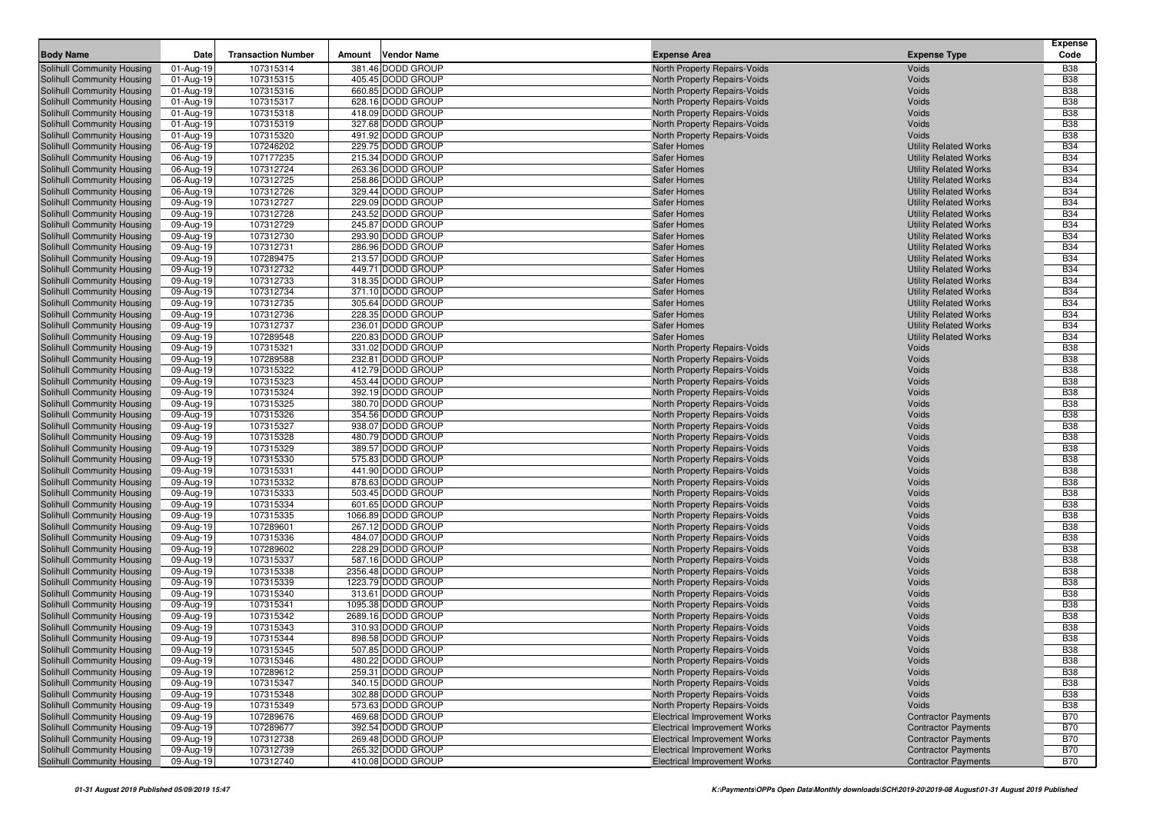| <b>Body Name</b>                                         | Date                   | <b>Transaction Number</b> | Amount | <b>Vendor Name</b>                     | <b>Expense Area</b>                                          | <b>Expense Type</b>                                          | <b>Expense</b><br>Code   |
|----------------------------------------------------------|------------------------|---------------------------|--------|----------------------------------------|--------------------------------------------------------------|--------------------------------------------------------------|--------------------------|
| Solihull Community Housing                               | 01-Aug-19              | 107315314                 |        | 381.46 DODD GROUP                      | North Property Repairs-Voids                                 | Voids                                                        | <b>B38</b>               |
| Solihull Community Housing                               | 01-Aug-19              | 107315315                 |        | 405.45 DODD GROUP                      | North Property Repairs-Voids                                 | Voids                                                        | <b>B38</b>               |
| Solihull Community Housing                               | 01-Aug-19              | 107315316                 |        | 660.85 DODD GROUP                      | North Property Repairs-Voids                                 | Voids                                                        | <b>B38</b>               |
| Solihull Community Housing                               | 01-Aug-19              | 107315317                 |        | 628.16 DODD GROUP                      | North Property Repairs-Voids                                 | Voids                                                        | <b>B38</b>               |
| Solihull Community Housing                               | 01-Aug-19              | 107315318                 |        | 418.09 DODD GROUP                      | North Property Repairs-Voids                                 | Voids                                                        | <b>B38</b>               |
| Solihull Community Housing                               | 01-Aug-19              | 107315319                 |        | 327.68 DODD GROUP                      | North Property Repairs-Voids                                 | Voids                                                        | <b>B38</b>               |
| Solihull Community Housing                               | 01-Aug-19              | 107315320                 |        | 491.92 DODD GROUP                      | North Property Repairs-Voids                                 | Voids                                                        | <b>B38</b>               |
| Solihull Community Housing                               | 06-Aug-19              | 107246202                 |        | 229.75 DODD GROUP                      | Safer Homes                                                  | <b>Utility Related Works</b>                                 | <b>B34</b>               |
| Solihull Community Housing                               | 06-Aug-19              | 107177235                 |        | 215.34 DODD GROUP                      | <b>Safer Homes</b>                                           | <b>Utility Related Works</b>                                 | <b>B34</b>               |
| Solihull Community Housing                               | 06-Aug-19              | 107312724                 |        | 263.36 DODD GROUP                      | <b>Safer Homes</b>                                           | <b>Utility Related Works</b>                                 | <b>B34</b>               |
| Solihull Community Housing                               | 06-Aug-19              | 107312725                 |        | 258.86 DODD GROUP                      | <b>Safer Homes</b>                                           | <b>Utility Related Works</b>                                 | <b>B34</b>               |
| Solihull Community Housing                               | 06-Aug-19              | 107312726                 |        | 329.44 DODD GROUP                      | <b>Safer Homes</b>                                           | <b>Utility Related Works</b>                                 | <b>B34</b>               |
| Solihull Community Housing<br>Solihull Community Housing | 09-Aug-19              | 107312727                 |        | 229.09 DODD GROUP<br>243.52 DODD GROUP | <b>Safer Homes</b><br>Safer Homes                            | <b>Utility Related Works</b>                                 | <b>B34</b><br><b>B34</b> |
| Solihull Community Housing                               | 09-Aug-19<br>09-Aug-19 | 107312728<br>107312729    |        | 245.87 DODD GROUP                      | <b>Safer Homes</b>                                           | <b>Utility Related Works</b><br><b>Utility Related Works</b> | <b>B34</b>               |
| Solihull Community Housing                               | 09-Aug-19              | 107312730                 |        | 293.90 DODD GROUP                      | <b>Safer Homes</b>                                           | <b>Utility Related Works</b>                                 | <b>B34</b>               |
| Solihull Community Housing                               | 09-Aug-19              | 107312731                 |        | 286.96 DODD GROUP                      | <b>Safer Homes</b>                                           | <b>Utility Related Works</b>                                 | <b>B34</b>               |
| Solihull Community Housing                               | 09-Aug-19              | 107289475                 |        | 213.57 DODD GROUP                      | <b>Safer Homes</b>                                           | <b>Utility Related Works</b>                                 | <b>B34</b>               |
| Solihull Community Housing                               | 09-Aug-19              | 107312732                 |        | 449.71 DODD GROUP                      | <b>Safer Homes</b>                                           | <b>Utility Related Works</b>                                 | <b>B34</b>               |
| Solihull Community Housing                               | 09-Aug-19              | 107312733                 |        | 318.35 DODD GROUP                      | <b>Safer Homes</b>                                           | <b>Utility Related Works</b>                                 | <b>B34</b>               |
| Solihull Community Housing                               | 09-Aug-19              | 107312734                 |        | 371.10 DODD GROUP                      | <b>Safer Homes</b>                                           | <b>Utility Related Works</b>                                 | <b>B34</b>               |
| Solihull Community Housing                               | 09-Aug-19              | 107312735                 |        | 305.64 DODD GROUP                      | Safer Homes                                                  | <b>Utility Related Works</b>                                 | <b>B34</b>               |
| Solihull Community Housing                               | 09-Aug-19              | 107312736                 |        | 228.35 DODD GROUP                      | <b>Safer Homes</b>                                           | <b>Utility Related Works</b>                                 | <b>B34</b>               |
| Solihull Community Housing                               | 09-Aug-19              | 107312737                 |        | 236.01 DODD GROUP                      | <b>Safer Homes</b>                                           | <b>Utility Related Works</b>                                 | <b>B34</b>               |
| Solihull Community Housing                               | 09-Aug-19              | 107289548                 |        | 220.83 DODD GROUP                      | <b>Safer Homes</b>                                           | <b>Utility Related Works</b>                                 | <b>B34</b>               |
| Solihull Community Housing                               | 09-Aug-19              | 107315321                 |        | 331.02 DODD GROUP                      | North Property Repairs-Voids                                 | Voids                                                        | <b>B38</b>               |
| Solihull Community Housing                               | 09-Aug-19              | 107289588                 |        | 232.81 DODD GROUP                      | North Property Repairs-Voids                                 | Voids                                                        | <b>B38</b>               |
| Solihull Community Housing                               | 09-Aug-19              | 107315322                 |        | 412.79 DODD GROUP                      | North Property Repairs-Voids                                 | Voids                                                        | <b>B38</b>               |
| Solihull Community Housing                               | 09-Aug-19              | 107315323                 |        | 453.44 DODD GROUP                      | North Property Repairs-Voids                                 | Voids                                                        | <b>B38</b>               |
| Solihull Community Housing                               | 09-Aug-19              | 107315324                 |        | 392.19 DODD GROUP                      | North Property Repairs-Voids                                 | Voids                                                        | <b>B38</b>               |
| Solihull Community Housing                               | 09-Aug-19              | 107315325                 |        | 380.70 DODD GROUP                      | North Property Repairs-Voids                                 | Voids                                                        | <b>B38</b>               |
| Solihull Community Housing                               | 09-Aug-19              | 107315326                 |        | 354.56 DODD GROUP                      | North Property Repairs-Voids                                 | Voids                                                        | <b>B38</b>               |
| Solihull Community Housing                               | 09-Aug-19              | 107315327                 |        | 938.07 DODD GROUP                      | North Property Repairs-Voids                                 | Voids                                                        | <b>B38</b>               |
| Solihull Community Housing                               | 09-Aug-19              | 107315328                 |        | 480.79 DODD GROUP                      | North Property Repairs-Voids                                 | Voids                                                        | <b>B38</b>               |
| Solihull Community Housing                               | 09-Aug-19              | 107315329                 |        | 389.57 DODD GROUP                      | North Property Repairs-Voids                                 | Voids                                                        | <b>B38</b>               |
| Solihull Community Housing                               | 09-Aug-19              | 107315330                 |        | 575.83 DODD GROUP                      | North Property Repairs-Voids                                 | Voids                                                        | <b>B38</b>               |
| Solihull Community Housing                               | 09-Aug-19              | 107315331                 |        | 441.90 DODD GROUP                      | North Property Repairs-Voids                                 | Voids                                                        | <b>B38</b>               |
| Solihull Community Housing                               | 09-Aug-19              | 107315332                 |        | 878.63 DODD GROUP                      | North Property Repairs-Voids                                 | Voids                                                        | <b>B38</b>               |
| Solihull Community Housing<br>Solihull Community Housing | 09-Aug-19<br>09-Aug-19 | 107315333<br>107315334    |        | 503.45 DODD GROUP<br>601.65 DODD GROUP | North Property Repairs-Voids                                 | Voids<br>Voids                                               | <b>B38</b><br><b>B38</b> |
| Solihull Community Housing                               | 09-Aug-19              | 107315335                 |        | 1066.89 DODD GROUP                     | North Property Repairs-Voids<br>North Property Repairs-Voids | Voids                                                        | <b>B38</b>               |
| Solihull Community Housing                               | 09-Aug-19              | 107289601                 |        | 267.12 DODD GROUP                      | North Property Repairs-Voids                                 | Voids                                                        | <b>B38</b>               |
| Solihull Community Housing                               | 09-Aug-19              | 107315336                 |        | 484.07 DODD GROUP                      | North Property Repairs-Voids                                 | Voids                                                        | <b>B38</b>               |
| Solihull Community Housing                               | 09-Aug-19              | 107289602                 |        | 228.29 DODD GROUP                      | North Property Repairs-Voids                                 | Voids                                                        | <b>B38</b>               |
| Solihull Community Housing                               | 09-Aug-19              | 107315337                 |        | 587.16 DODD GROUP                      | North Property Repairs-Voids                                 | Voids                                                        | <b>B38</b>               |
| Solihull Community Housing                               | 09-Aug-19              | 107315338                 |        | 2356.48 DODD GROUP                     | North Property Repairs-Voids                                 | Voids                                                        | <b>B38</b>               |
| Solihull Community Housing                               | 09-Aug-19              | 107315339                 |        | 1223.79 DODD GROUP                     | North Property Repairs-Voids                                 | Voids                                                        | <b>B38</b>               |
| Solihull Community Housing                               | 09-Aug-19              | 107315340                 |        | 313.61 DODD GROUP                      | North Property Repairs-Voids                                 | Voids                                                        | <b>B38</b>               |
| Solihull Community Housing                               | 09-Aug-19              | 107315341                 |        | 1095.38 DODD GROUP                     | North Property Repairs-Voids                                 | Voids                                                        | <b>B38</b>               |
| Solihull Community Housing                               | 09-Aug-19              | 107315342                 |        | 2689.16 DODD GROUP                     | North Property Repairs-Voids                                 | Voids                                                        | <b>B38</b>               |
| Solihull Community Housing                               | 09-Aug-19              | 107315343                 |        | 310.93 DODD GROUP                      | North Property Repairs-Voids                                 | Voids                                                        | <b>B38</b>               |
| Solihull Community Housing                               | 09-Aug-19              | 107315344                 |        | 898.58 DODD GROUP                      | North Property Repairs-Voids                                 | Voids                                                        | <b>B38</b>               |
| Solihull Community Housing                               | 09-Aug-19              | 107315345                 |        | 507.85 DODD GROUP                      | North Property Repairs-Voids                                 | Voids                                                        | <b>B38</b>               |
| Solihull Community Housing                               | 09-Aug-19              | 107315346                 |        | 480.22 DODD GROUP                      | North Property Repairs-Voids                                 | Voids                                                        | <b>B38</b>               |
| Solihull Community Housing                               | 09-Aug-19              | 107289612                 |        | 259.31 DODD GROUP                      | North Property Repairs-Voids                                 | Voids                                                        | <b>B38</b>               |
| Solihull Community Housing                               | 09-Aug-19              | 107315347                 |        | 340.15 DODD GROUP                      | North Property Repairs-Voids                                 | Voids                                                        | <b>B38</b>               |
| Solihull Community Housing                               | 09-Aug-19              | 107315348                 |        | 302.88 DODD GROUP                      | North Property Repairs-Voids                                 | Voids                                                        | <b>B38</b>               |
| Solihull Community Housing                               | 09-Aug-19              | 107315349                 |        | 573.63 DODD GROUP                      | North Property Repairs-Voids                                 | Voids                                                        | <b>B38</b>               |
| Solihull Community Housing                               | 09-Aug-19              | 107289676                 |        | 469.68 DODD GROUP                      | <b>Electrical Improvement Works</b>                          | <b>Contractor Payments</b>                                   | <b>B70</b>               |
| Solihull Community Housing                               | 09-Aug-19              | 107289677                 |        | 392.54 DODD GROUP                      | <b>Electrical Improvement Works</b>                          | <b>Contractor Payments</b>                                   | <b>B70</b>               |
| Solihull Community Housing                               | 09-Aug-19              | 107312738                 |        | 269.48 DODD GROUP                      | <b>Electrical Improvement Works</b>                          | <b>Contractor Payments</b>                                   | <b>B70</b>               |
| Solihull Community Housing                               | 09-Aug-19              | 107312739                 |        | 265.32 DODD GROUP                      | <b>Electrical Improvement Works</b>                          | <b>Contractor Payments</b>                                   | <b>B70</b>               |
| Solihull Community Housing                               | 09-Aug-19              | 107312740                 |        | 410.08 DODD GROUP                      | <b>Electrical Improvement Works</b>                          | <b>Contractor Payments</b>                                   | <b>B70</b>               |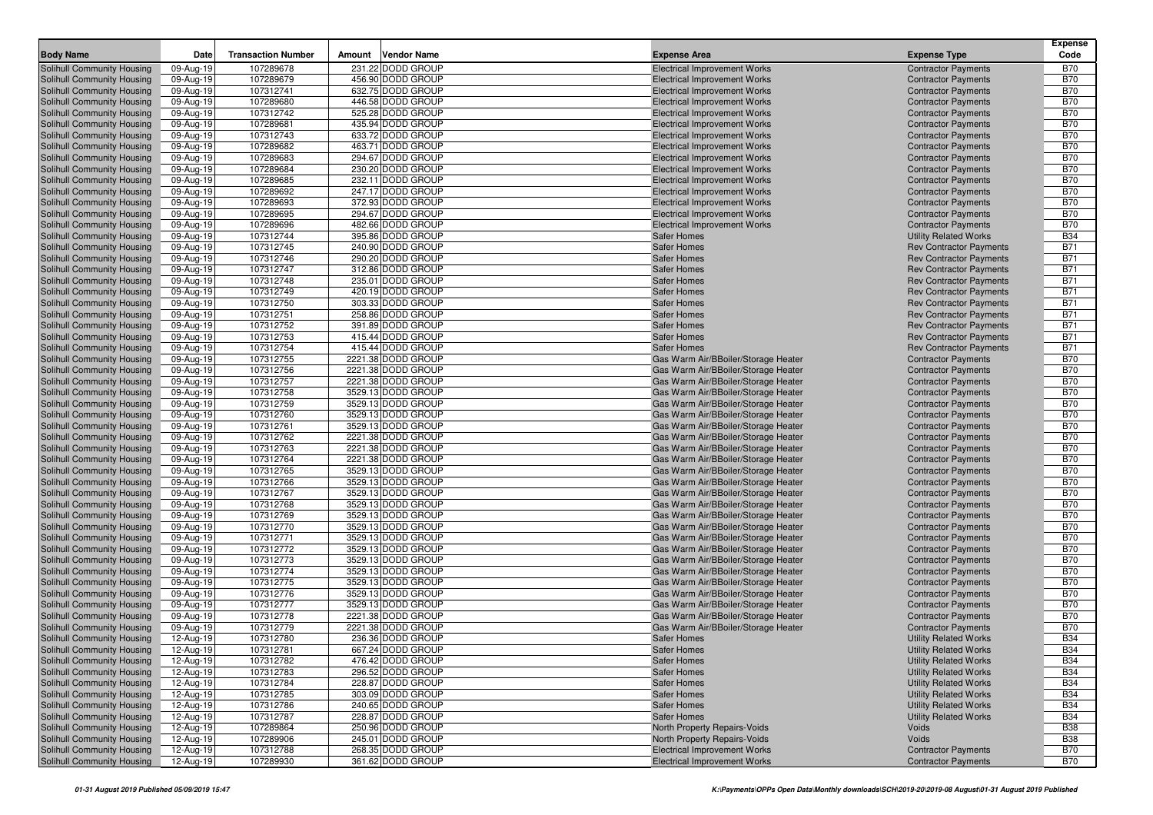|                                                          |                        |                           |        |                                          |                                                                            |                                                          | <b>Expense</b>           |
|----------------------------------------------------------|------------------------|---------------------------|--------|------------------------------------------|----------------------------------------------------------------------------|----------------------------------------------------------|--------------------------|
| <b>Body Name</b>                                         | Date                   | <b>Transaction Number</b> | Amount | <b>Vendor Name</b>                       | <b>Expense Area</b>                                                        | <b>Expense Type</b>                                      | Code                     |
| Solihull Community Housing                               | 09-Aug-19              | 107289678                 |        | 231.22 DODD GROUP                        | <b>Electrical Improvement Works</b>                                        | <b>Contractor Payments</b>                               | <b>B70</b>               |
| Solihull Community Housing                               | 09-Aug-19              | 107289679                 |        | 456.90 DODD GROUP                        | <b>Electrical Improvement Works</b>                                        | <b>Contractor Payments</b>                               | <b>B70</b>               |
| Solihull Community Housing                               | 09-Aug-19              | 107312741                 |        | 632.75 DODD GROUP                        | <b>Electrical Improvement Works</b>                                        | <b>Contractor Payments</b>                               | <b>B70</b>               |
| Solihull Community Housing                               | 09-Aug-19              | 107289680                 |        | 446.58 DODD GROUP                        | <b>Electrical Improvement Works</b>                                        | <b>Contractor Payments</b>                               | <b>B70</b>               |
| Solihull Community Housing                               | 09-Aug-19              | 107312742                 |        | 525.28 DODD GROUP                        | <b>Electrical Improvement Works</b>                                        | <b>Contractor Payments</b>                               | <b>B70</b>               |
| Solihull Community Housing                               | 09-Aug-19              | 107289681                 |        | 435.94 DODD GROUP                        | <b>Electrical Improvement Works</b>                                        | <b>Contractor Payments</b>                               | <b>B70</b>               |
| Solihull Community Housing<br>Solihull Community Housing | 09-Aug-19              | 107312743<br>107289682    |        | 633.72 DODD GROUP<br>463.71 DODD GROUP   | <b>Electrical Improvement Works</b>                                        | <b>Contractor Payments</b>                               | <b>B70</b><br><b>B70</b> |
| Solihull Community Housing                               | 09-Aug-19<br>09-Aug-19 | 107289683                 |        | 294.67 DODD GROUP                        | <b>Electrical Improvement Works</b><br><b>Electrical Improvement Works</b> | <b>Contractor Payments</b><br><b>Contractor Payments</b> | <b>B70</b>               |
| Solihull Community Housing                               | 09-Aug-19              | 107289684                 |        | 230.20 DODD GROUP                        | <b>Electrical Improvement Works</b>                                        | <b>Contractor Payments</b>                               | <b>B70</b>               |
| Solihull Community Housing                               | 09-Aug-19              | 107289685                 |        | 232.11 DODD GROUP                        | <b>Electrical Improvement Works</b>                                        | <b>Contractor Payments</b>                               | <b>B70</b>               |
| Solihull Community Housing                               | 09-Aug-19              | 107289692                 |        | 247.17 DODD GROUP                        | <b>Electrical Improvement Works</b>                                        | <b>Contractor Payments</b>                               | <b>B70</b>               |
| Solihull Community Housing                               | 09-Aug-19              | 107289693                 |        | 372.93 DODD GROUP                        | <b>Electrical Improvement Works</b>                                        | <b>Contractor Payments</b>                               | <b>B70</b>               |
| Solihull Community Housing                               | 09-Aug-19              | 107289695                 |        | 294.67 DODD GROUP                        | <b>Electrical Improvement Works</b>                                        | <b>Contractor Payments</b>                               | <b>B70</b>               |
| Solihull Community Housing                               | 09-Aug-19              | 107289696                 |        | 482.66 DODD GROUP                        | <b>Electrical Improvement Works</b>                                        | <b>Contractor Payments</b>                               | <b>B70</b>               |
| Solihull Community Housing                               | 09-Aug-19              | 107312744                 |        | 395.86 DODD GROUP                        | <b>Safer Homes</b>                                                         | <b>Utility Related Works</b>                             | <b>B34</b>               |
| Solihull Community Housing                               | 09-Aug-19              | 107312745                 |        | 240.90 DODD GROUP                        | <b>Safer Homes</b>                                                         | <b>Rev Contractor Payments</b>                           | <b>B71</b>               |
| Solihull Community Housing                               | 09-Aug-19              | 107312746                 |        | 290.20 DODD GROUP                        | <b>Safer Homes</b>                                                         | <b>Rev Contractor Payments</b>                           | <b>B71</b>               |
| Solihull Community Housing                               | 09-Aug-19              | 107312747                 |        | 312.86 DODD GROUP                        | <b>Safer Homes</b>                                                         | <b>Rev Contractor Payments</b>                           | <b>B71</b>               |
| Solihull Community Housing                               | 09-Aug-19              | 107312748                 |        | 235.01 DODD GROUP                        | <b>Safer Homes</b>                                                         | <b>Rev Contractor Payments</b>                           | <b>B71</b>               |
| Solihull Community Housing                               | 09-Aug-19              | 107312749                 |        | 420.19 DODD GROUP                        | <b>Safer Homes</b>                                                         | <b>Rev Contractor Payments</b>                           | <b>B71</b>               |
| Solihull Community Housing                               | 09-Aug-19              | 107312750                 |        | 303.33 DODD GROUP                        | <b>Safer Homes</b>                                                         | <b>Rev Contractor Payments</b>                           | <b>B71</b>               |
| Solihull Community Housing                               | 09-Aug-19              | 107312751                 |        | 258.86 DODD GROUP                        | <b>Safer Homes</b>                                                         | <b>Rev Contractor Payments</b>                           | <b>B71</b>               |
| Solihull Community Housing                               | 09-Aug-19              | 107312752                 |        | 391.89 DODD GROUP                        | <b>Safer Homes</b>                                                         | <b>Rev Contractor Payments</b>                           | <b>B71</b>               |
| Solihull Community Housing                               | 09-Aug-19              | 107312753                 |        | 415.44 DODD GROUP                        | <b>Safer Homes</b>                                                         | <b>Rev Contractor Payments</b>                           | <b>B71</b>               |
| Solihull Community Housing                               | 09-Aug-19              | 107312754                 |        | 415.44 DODD GROUP                        | <b>Safer Homes</b>                                                         | <b>Rev Contractor Payments</b>                           | <b>B71</b>               |
| Solihull Community Housing                               | 09-Aug-19              | 107312755                 |        | 2221.38 DODD GROUP                       | Gas Warm Air/BBoiler/Storage Heater                                        | <b>Contractor Payments</b>                               | <b>B70</b>               |
| Solihull Community Housing                               | 09-Aug-19              | 107312756                 |        | 2221.38 DODD GROUP                       | Gas Warm Air/BBoiler/Storage Heater                                        | <b>Contractor Payments</b>                               | <b>B70</b>               |
| Solihull Community Housing                               | 09-Aug-19              | 107312757                 |        | 2221.38 DODD GROUP                       | Gas Warm Air/BBoiler/Storage Heater                                        | <b>Contractor Payments</b>                               | <b>B70</b>               |
| Solihull Community Housing                               | 09-Aug-19              | 107312758                 |        | 3529.13 DODD GROUP                       | Gas Warm Air/BBoiler/Storage Heater                                        | <b>Contractor Payments</b>                               | <b>B70</b>               |
| Solihull Community Housing                               | 09-Aug-19              | 107312759                 |        | 3529.13 DODD GROUP                       | Gas Warm Air/BBoiler/Storage Heater                                        | <b>Contractor Payments</b>                               | <b>B70</b>               |
| Solihull Community Housing                               | 09-Aug-19              | 107312760                 |        | 3529.13 DODD GROUP                       | Gas Warm Air/BBoiler/Storage Heater                                        | <b>Contractor Payments</b>                               | <b>B70</b>               |
| Solihull Community Housing                               | 09-Aug-19              | 107312761                 |        | 3529.13 DODD GROUP                       | Gas Warm Air/BBoiler/Storage Heater                                        | <b>Contractor Payments</b>                               | <b>B70</b>               |
| Solihull Community Housing                               | 09-Aug-19              | 107312762                 |        | 2221.38 DODD GROUP                       | Gas Warm Air/BBoiler/Storage Heater                                        | <b>Contractor Payments</b>                               | <b>B70</b>               |
| Solihull Community Housing                               | 09-Aug-19              | 107312763                 |        | 2221.38 DODD GROUP                       | Gas Warm Air/BBoiler/Storage Heater                                        | <b>Contractor Payments</b>                               | <b>B70</b>               |
| Solihull Community Housing                               | 09-Aug-19              | 107312764                 |        | 2221.38 DODD GROUP                       | Gas Warm Air/BBoiler/Storage Heater                                        | <b>Contractor Payments</b>                               | <b>B70</b>               |
| Solihull Community Housing                               | 09-Aug-19              | 107312765                 |        | 3529.13 DODD GROUP                       | Gas Warm Air/BBoiler/Storage Heater                                        | <b>Contractor Payments</b>                               | <b>B70</b>               |
| Solihull Community Housing                               | 09-Aug-19              | 107312766                 |        | 3529.13 DODD GROUP                       | Gas Warm Air/BBoiler/Storage Heater                                        | <b>Contractor Payments</b>                               | <b>B70</b>               |
| <b>Solihull Community Housing</b>                        | 09-Aug-19              | 107312767                 |        | 3529.13 DODD GROUP                       | Gas Warm Air/BBoiler/Storage Heater                                        | <b>Contractor Payments</b>                               | <b>B70</b><br><b>B70</b> |
| Solihull Community Housing<br>Solihull Community Housing | 09-Aug-19              | 107312768<br>107312769    |        | 3529.13 DODD GROUP<br>3529.13 DODD GROUP | Gas Warm Air/BBoiler/Storage Heater<br>Gas Warm Air/BBoiler/Storage Heater | <b>Contractor Payments</b>                               | <b>B70</b>               |
|                                                          | 09-Aug-19              | 107312770                 |        | 3529.13 DODD GROUP                       | Gas Warm Air/BBoiler/Storage Heater                                        | <b>Contractor Payments</b>                               | <b>B70</b>               |
| Solihull Community Housing<br>Solihull Community Housing | 09-Aug-19<br>09-Aug-19 | 107312771                 |        | 3529.13 DODD GROUP                       | Gas Warm Air/BBoiler/Storage Heater                                        | <b>Contractor Payments</b><br><b>Contractor Payments</b> | <b>B70</b>               |
| Solihull Community Housing                               | 09-Aug-19              | 107312772                 |        | 3529.13 DODD GROUP                       | Gas Warm Air/BBoiler/Storage Heater                                        | <b>Contractor Payments</b>                               | <b>B70</b>               |
| Solihull Community Housing                               | 09-Aug-19              | 107312773                 |        | 3529.13 DODD GROUP                       | Gas Warm Air/BBoiler/Storage Heater                                        | <b>Contractor Payments</b>                               | <b>B70</b>               |
| Solihull Community Housing                               | 09-Aug-19              | 107312774                 |        | 3529.13 DODD GROUP                       | Gas Warm Air/BBoiler/Storage Heater                                        | <b>Contractor Payments</b>                               | <b>B70</b>               |
| Solihull Community Housing                               | 09-Aug-19              | 107312775                 |        | 3529.13 DODD GROUP                       | Gas Warm Air/BBoiler/Storage Heater                                        | <b>Contractor Payments</b>                               | <b>B70</b>               |
| Solihull Community Housing                               | 09-Aug-19              | 107312776                 |        | 3529.13 DODD GROUP                       | Gas Warm Air/BBoiler/Storage Heater                                        | <b>Contractor Payments</b>                               | <b>B70</b>               |
| Solihull Community Housing                               | 09-Aug-19              | 107312777                 |        | 3529.13 DODD GROUP                       | Gas Warm Air/BBoiler/Storage Heater                                        | <b>Contractor Payments</b>                               | <b>B70</b>               |
| Solihull Community Housing                               | 09-Aug-19              | 107312778                 |        | 2221.38 DODD GROUP                       | Gas Warm Air/BBoiler/Storage Heater                                        | <b>Contractor Payments</b>                               | <b>B70</b>               |
| Solihull Community Housing                               | 09-Aug-19              | 107312779                 |        | 2221.38 DODD GROUP                       | Gas Warm Air/BBoiler/Storage Heater                                        | <b>Contractor Payments</b>                               | <b>B70</b>               |
| Solihull Community Housing                               | 12-Aug-19              | 107312780                 |        | 236.36 DODD GROUP                        | <b>Safer Homes</b>                                                         | <b>Utility Related Works</b>                             | <b>B34</b>               |
| Solihull Community Housing                               | 12-Aug-19              | 107312781                 |        | 667.24 DODD GROUP                        | <b>Safer Homes</b>                                                         | <b>Utility Related Works</b>                             | <b>B34</b>               |
| Solihull Community Housing                               | 12-Aug-19              | 107312782                 |        | 476.42 DODD GROUP                        | <b>Safer Homes</b>                                                         | <b>Utility Related Works</b>                             | <b>B34</b>               |
| Solihull Community Housing                               | 12-Aug-19              | 107312783                 |        | 296.52 DODD GROUP                        | <b>Safer Homes</b>                                                         | <b>Utility Related Works</b>                             | <b>B34</b>               |
| Solihull Community Housing                               | 12-Aug-19              | 107312784                 |        | 228.87 DODD GROUP                        | <b>Safer Homes</b>                                                         | <b>Utility Related Works</b>                             | <b>B34</b>               |
| Solihull Community Housing                               | 12-Aug-19              | 107312785                 |        | 303.09 DODD GROUP                        | <b>Safer Homes</b>                                                         | <b>Utility Related Works</b>                             | <b>B34</b>               |
| Solihull Community Housing                               | 12-Aug-19              | 107312786                 |        | 240.65 DODD GROUP                        | <b>Safer Homes</b>                                                         | <b>Utility Related Works</b>                             | <b>B34</b>               |
| Solihull Community Housing                               | 12-Aug-19              | 107312787                 |        | 228.87 DODD GROUP                        | <b>Safer Homes</b>                                                         | <b>Utility Related Works</b>                             | <b>B34</b>               |
| Solihull Community Housing                               | 12-Aug-19              | 107289864                 |        | 250.96 DODD GROUP                        | North Property Repairs-Voids                                               | Voids                                                    | <b>B38</b>               |
| Solihull Community Housing                               | 12-Aug-19              | 107289906                 |        | 245.01 DODD GROUP                        | North Property Repairs-Voids                                               | Voids                                                    | <b>B38</b>               |
| Solihull Community Housing                               | 12-Aug-19              | 107312788                 |        | 268.35 DODD GROUP                        | <b>Electrical Improvement Works</b>                                        | <b>Contractor Payments</b>                               | <b>B70</b>               |
| Solihull Community Housing                               | 12-Aug-19              | 107289930                 |        | 361.62 DODD GROUP                        | <b>Electrical Improvement Works</b>                                        | <b>Contractor Payments</b>                               | <b>B70</b>               |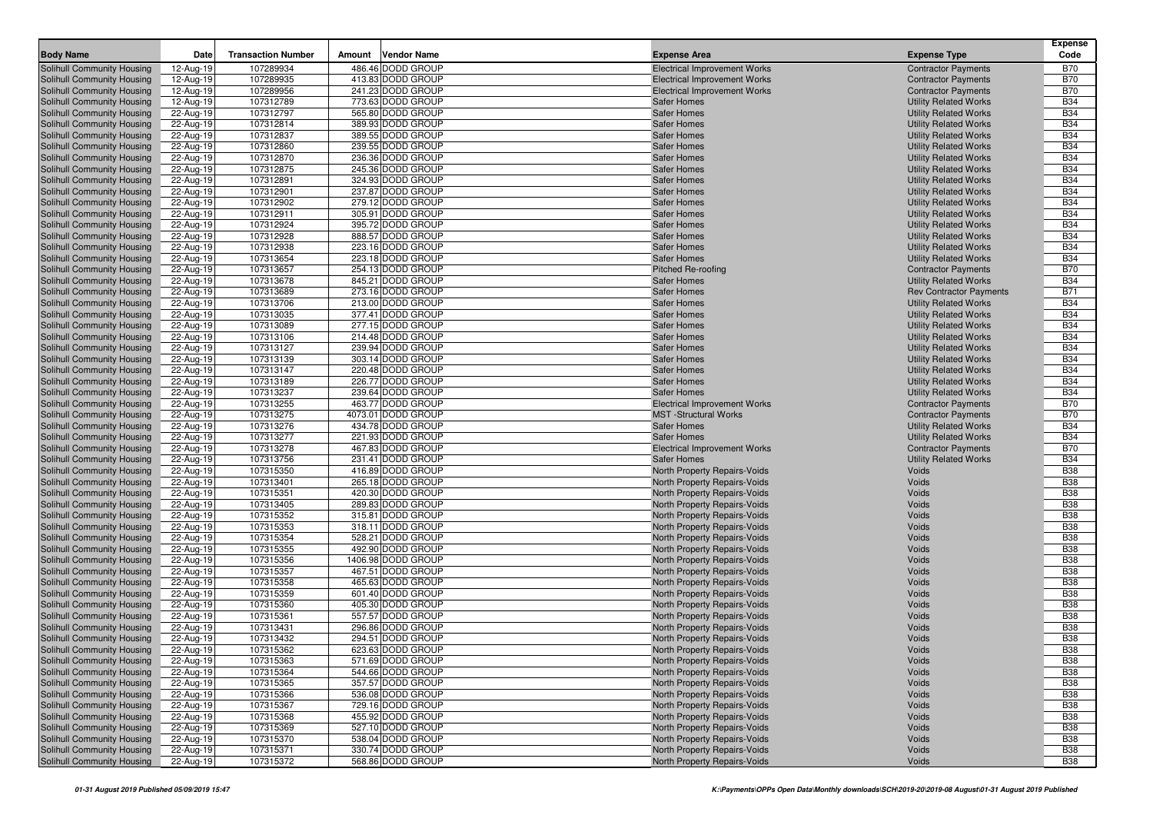| <b>Body Name</b>                                         | Date                    | <b>Transaction Number</b> | Amount | <b>Vendor Name</b>                     |                                                                     |                                                              | Expense<br>Code          |
|----------------------------------------------------------|-------------------------|---------------------------|--------|----------------------------------------|---------------------------------------------------------------------|--------------------------------------------------------------|--------------------------|
|                                                          |                         |                           |        |                                        | <b>Expense Area</b>                                                 | <b>Expense Type</b>                                          |                          |
| Solihull Community Housing                               | 12-Aug-19               | 107289934                 |        | 486.46 DODD GROUP                      | <b>Electrical Improvement Works</b>                                 | <b>Contractor Payments</b>                                   | <b>B70</b>               |
| Solihull Community Housing                               | 12-Aug-19               | 107289935<br>107289956    |        | 413.83 DODD GROUP<br>241.23 DODD GROUP | <b>Electrical Improvement Works</b>                                 | <b>Contractor Payments</b>                                   | <b>B70</b><br><b>B70</b> |
| Solihull Community Housing<br>Solihull Community Housing | 12-Aug-19<br>12-Aug-19  | 107312789                 |        | 773.63 DODD GROUP                      | <b>Electrical Improvement Works</b><br><b>Safer Homes</b>           | <b>Contractor Payments</b><br><b>Utility Related Works</b>   | <b>B34</b>               |
| Solihull Community Housing                               | 22-Aug-19               | 107312797                 |        | 565.80 DODD GROUP                      | <b>Safer Homes</b>                                                  | <b>Utility Related Works</b>                                 | <b>B34</b>               |
| Solihull Community Housing                               | 22-Aug-19               | 107312814                 |        | 389.93 DODD GROUP                      | <b>Safer Homes</b>                                                  | <b>Utility Related Works</b>                                 | <b>B34</b>               |
| Solihull Community Housing                               | 22-Aug-19               | 107312837                 |        | 389.55 DODD GROUP                      | <b>Safer Homes</b>                                                  | <b>Utility Related Works</b>                                 | <b>B34</b>               |
| Solihull Community Housing                               | 22-Aug-19               | 107312860                 |        | 239.55 DODD GROUP                      | <b>Safer Homes</b>                                                  | <b>Utility Related Works</b>                                 | <b>B34</b>               |
| Solihull Community Housing                               | 22-Aug-19               | 107312870                 |        | 236.36 DODD GROUP                      | <b>Safer Homes</b>                                                  | <b>Utility Related Works</b>                                 | <b>B34</b>               |
| Solihull Community Housing                               | 22-Aug-19               | 107312875                 |        | 245.36 DODD GROUP                      | <b>Safer Homes</b>                                                  | <b>Utility Related Works</b>                                 | <b>B34</b>               |
| Solihull Community Housing                               | 22-Aug-19               | 107312891                 |        | 324.93 DODD GROUP                      | <b>Safer Homes</b>                                                  | <b>Utility Related Works</b>                                 | <b>B34</b>               |
| Solihull Community Housing                               | 22-Aug-19               | 107312901                 |        | 237.87 DODD GROUP                      | <b>Safer Homes</b>                                                  | <b>Utility Related Works</b>                                 | <b>B34</b>               |
| Solihull Community Housing                               | 22-Aug-19               | 107312902                 |        | 279.12 DODD GROUP                      | <b>Safer Homes</b>                                                  | <b>Utility Related Works</b>                                 | <b>B34</b>               |
| Solihull Community Housing                               | 22-Aug-19               | 107312911                 |        | 305.91 DODD GROUP                      | <b>Safer Homes</b>                                                  | <b>Utility Related Works</b>                                 | <b>B34</b>               |
| Solihull Community Housing                               | 22-Aug-19               | 107312924                 |        | 395.72 DODD GROUP                      | <b>Safer Homes</b>                                                  | <b>Utility Related Works</b>                                 | <b>B34</b>               |
| Solihull Community Housing                               | 22-Aug-19               | 107312928                 |        | 888.57 DODD GROUP                      | <b>Safer Homes</b>                                                  | <b>Utility Related Works</b>                                 | <b>B34</b>               |
| Solihull Community Housing                               | 22-Aug-19               | 107312938                 |        | 223.16 DODD GROUP                      | <b>Safer Homes</b>                                                  | <b>Utility Related Works</b>                                 | <b>B34</b>               |
| Solihull Community Housing                               | 22-Aug-19               | 107313654                 |        | 223.18 DODD GROUP                      | <b>Safer Homes</b>                                                  | <b>Utility Related Works</b>                                 | <b>B34</b>               |
| Solihull Community Housing                               | 22-Aug-19               | 107313657                 |        | 254.13 DODD GROUP                      | Pitched Re-roofing                                                  | <b>Contractor Payments</b>                                   | <b>B70</b>               |
| Solihull Community Housing                               | 22-Aug-19               | 107313678                 |        | 845.21 DODD GROUP                      | <b>Safer Homes</b>                                                  | <b>Utility Related Works</b>                                 | <b>B34</b>               |
| Solihull Community Housing                               | 22-Aug-19               | 107313689                 |        | 273.16 DODD GROUP                      | <b>Safer Homes</b>                                                  | <b>Rev Contractor Payments</b>                               | <b>B71</b>               |
| Solihull Community Housing                               | 22-Aug-19               | 107313706                 |        | 213.00 DODD GROUP                      | <b>Safer Homes</b>                                                  | <b>Utility Related Works</b>                                 | <b>B34</b>               |
| Solihull Community Housing                               | 22-Aug-19               | 107313035                 |        | 377.41 DODD GROUP                      | <b>Safer Homes</b>                                                  | <b>Utility Related Works</b>                                 | <b>B34</b>               |
| Solihull Community Housing                               | 22-Aug-19               | 107313089                 |        | 277.15 DODD GROUP                      | <b>Safer Homes</b>                                                  | <b>Utility Related Works</b>                                 | <b>B34</b>               |
| Solihull Community Housing                               | 22-Aug-19               | 107313106                 |        | 214.48 DODD GROUP                      | <b>Safer Homes</b>                                                  | <b>Utility Related Works</b>                                 | <b>B34</b>               |
| Solihull Community Housing                               | 22-Aug-19               | 107313127                 |        | 239.94 DODD GROUP                      | <b>Safer Homes</b>                                                  | <b>Utility Related Works</b>                                 | <b>B34</b>               |
| Solihull Community Housing                               | 22-Aug-19               | 107313139                 |        | 303.14 DODD GROUP<br>220.48 DODD GROUP | Safer Homes                                                         | <b>Utility Related Works</b>                                 | <b>B34</b><br><b>B34</b> |
| Solihull Community Housing<br>Solihull Community Housing | 22-Aug-19               | 107313147<br>107313189    |        | 226.77 DODD GROUP                      | <b>Safer Homes</b>                                                  | <b>Utility Related Works</b>                                 | <b>B34</b>               |
| Solihull Community Housing                               | 22-Aug-19<br>22-Aug-19  | 107313237                 |        | 239.64 DODD GROUP                      | <b>Safer Homes</b><br>Safer Homes                                   | <b>Utility Related Works</b><br><b>Utility Related Works</b> | <b>B34</b>               |
| Solihull Community Housing                               | 22-Aug-19               | 107313255                 |        | 463.77 DODD GROUP                      | Electrical Improvement Works                                        | <b>Contractor Payments</b>                                   | <b>B70</b>               |
| Solihull Community Housing                               | 22-Aug-19               | 107313275                 |        | 4073.01 DODD GROUP                     | <b>MST</b> -Structural Works                                        | <b>Contractor Payments</b>                                   | <b>B70</b>               |
| Solihull Community Housing                               | 22-Aug-19               | 107313276                 |        | 434.78 DODD GROUP                      | <b>Safer Homes</b>                                                  | <b>Utility Related Works</b>                                 | <b>B34</b>               |
| Solihull Community Housing                               | 22-Aug-19               | 107313277                 |        | 221.93 DODD GROUP                      | <b>Safer Homes</b>                                                  | <b>Utility Related Works</b>                                 | <b>B34</b>               |
| Solihull Community Housing                               | 22-Aug-19               | 107313278                 |        | 467.83 DODD GROUP                      | <b>Electrical Improvement Works</b>                                 | <b>Contractor Payments</b>                                   | <b>B70</b>               |
| Solihull Community Housing                               | 22-Aug-19               | 107313756                 |        | 231.41 DODD GROUP                      | <b>Safer Homes</b>                                                  | <b>Utility Related Works</b>                                 | <b>B34</b>               |
| Solihull Community Housing                               | 22-Aug-19               | 107315350                 |        | 416.89 DODD GROUP                      | North Property Repairs-Voids                                        | Voids                                                        | <b>B38</b>               |
| Solihull Community Housing                               | 22-Aug-19               | 107313401                 |        | 265.18 DODD GROUP                      | North Property Repairs-Voids                                        | Voids                                                        | <b>B38</b>               |
| Solihull Community Housing                               | 22-Aug-19               | 107315351                 |        | 420.30 DODD GROUP                      | North Property Repairs-Voids                                        | Voids                                                        | <b>B38</b>               |
| Solihull Community Housing                               | 22-Aug-19               | 107313405                 |        | 289.83 DODD GROUP                      | North Property Repairs-Voids                                        | Voids                                                        | <b>B38</b>               |
| Solihull Community Housing                               | 22-Aug-19               | 107315352                 |        | 315.81 DODD GROUP                      | North Property Repairs-Voids                                        | Voids                                                        | <b>B38</b>               |
| Solihull Community Housing                               | 22-Aug-19               | 107315353                 |        | 318.11 DODD GROUP                      | North Property Repairs-Voids                                        | Voids                                                        | <b>B38</b>               |
| Solihull Community Housing                               | 22-Aug-19               | 107315354                 |        | 528.21 DODD GROUP                      | North Property Repairs-Voids                                        | Voids                                                        | <b>B38</b>               |
| Solihull Community Housing                               | 22-Aug-19               | 107315355                 |        | 492.90 DODD GROUP                      | North Property Repairs-Voids                                        | Voids                                                        | <b>B38</b>               |
| Solihull Community Housing                               | 22-Aug-19               | 107315356                 |        | 1406.98 DODD GROUP                     | North Property Repairs-Voids                                        | Voids                                                        | <b>B38</b>               |
| Solihull Community Housing                               | 22-Aug-19               | 107315357                 |        | 467.51 DODD GROUP                      | North Property Repairs-Voids                                        | Voids                                                        | <b>B38</b>               |
| Solihull Community Housing                               | 22-Aug-19               | 107315358                 |        | 465.63 DODD GROUP                      | North Property Repairs-Voids                                        | Voids                                                        | <b>B38</b>               |
| Solihull Community Housing                               | 22-Aug-19               | 107315359                 |        | 601.40 DODD GROUP                      | North Property Repairs-Voids                                        | Voids                                                        | <b>B38</b>               |
| Solihull Community Housing                               | 22-Aug-19               | 107315360                 |        | 405.30 DODD GROUP                      | North Property Repairs-Voids                                        | Voids                                                        | <b>B38</b>               |
| Solihull Community Housing                               | 22-Aug-19               | 107315361                 |        | 557.57 DODD GROUP                      | North Property Repairs-Voids                                        | Voids                                                        | <b>B38</b>               |
| Solihull Community Housing                               | 22-Aug-19               | 107313431                 |        | 296.86 DODD GROUP                      | North Property Repairs-Voids                                        | Voids                                                        | <b>B38</b>               |
| Solihull Community Housing<br>Solihull Community Housing | 22-Aug-19<br>22-Aug-19  | 107313432<br>107315362    |        | 294.51 DODD GROUP<br>623.63 DODD GROUP | <b>North Property Repairs-Voids</b><br>North Property Repairs-Voids | Voids<br>Voids                                               | <b>B38</b><br><b>B38</b> |
|                                                          |                         | 107315363                 |        | 571.69 DODD GROUP                      | North Property Repairs-Voids                                        | Voids                                                        | <b>B38</b>               |
| Solihull Community Housing<br>Solihull Community Housing | 22-Aug-19<br>22-Aug-19  | 107315364                 |        | 544.66 DODD GROUP                      | North Property Repairs-Voids                                        | Voids                                                        | <b>B38</b>               |
| Solihull Community Housing                               | 22-Aug-19               | 107315365                 |        | 357.57 DODD GROUP                      | North Property Repairs-Voids                                        | Voids                                                        | <b>B38</b>               |
| <b>Solihull Community Housing</b>                        | 22-Aug-19               | 107315366                 |        | 536.08 DODD GROUP                      | North Property Repairs-Voids                                        | Voids                                                        | <b>B38</b>               |
| Solihull Community Housing                               | 22-Aug-19               | 107315367                 |        | 729.16 DODD GROUP                      | North Property Repairs-Voids                                        | Voids                                                        | <b>B38</b>               |
| Solihull Community Housing                               | 22-Aug-19               | 107315368                 |        | 455.92 DODD GROUP                      | North Property Repairs-Voids                                        | Voids                                                        | <b>B38</b>               |
| Solihull Community Housing                               | 22-Aug-19               | 107315369                 |        | 527.10 DODD GROUP                      | North Property Repairs-Voids                                        | Voids                                                        | <b>B38</b>               |
| Solihull Community Housing                               | 22-Aug-19               | 107315370                 |        | 538.04 DODD GROUP                      | North Property Repairs-Voids                                        | Voids                                                        | <b>B38</b>               |
| Solihull Community Housing                               | $\overline{22}$ -Aug-19 | 107315371                 |        | 330.74 DODD GROUP                      | North Property Repairs-Voids                                        | Voids                                                        | <b>B38</b>               |
| Solihull Community Housing                               | 22-Aug-19               | 107315372                 |        | 568.86 DODD GROUP                      | North Property Repairs-Voids                                        | Voids                                                        | <b>B38</b>               |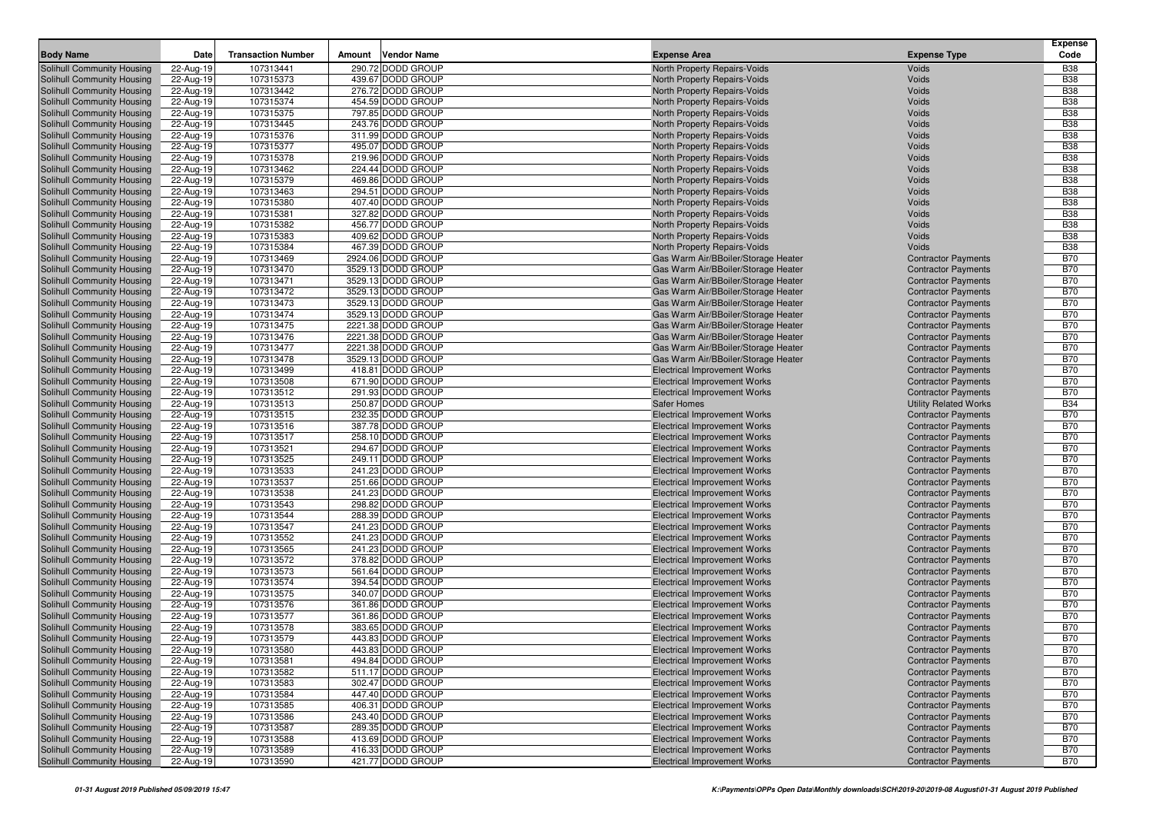| <b>Body Name</b>                                         | Date                   | <b>Transaction Number</b> | Amount | <b>Vendor Name</b>                     | <b>Expense Area</b>                                                        | <b>Expense Type</b>                                      | Expense<br>Code          |
|----------------------------------------------------------|------------------------|---------------------------|--------|----------------------------------------|----------------------------------------------------------------------------|----------------------------------------------------------|--------------------------|
| Solihull Community Housing                               | 22-Aug-19              | 107313441                 |        | 290.72 DODD GROUP                      | North Property Repairs-Voids                                               | Voids                                                    | <b>B38</b>               |
| Solihull Community Housing                               | 22-Aug-19              | 107315373                 |        | 439.67 DODD GROUP                      | North Property Repairs-Voids                                               | Voids                                                    | <b>B38</b>               |
| Solihull Community Housing                               | 22-Aug-19              | 107313442                 |        | 276.72 DODD GROUP                      | North Property Repairs-Voids                                               | Voids                                                    | <b>B38</b>               |
| Solihull Community Housing                               | 22-Aug-19              | 107315374                 |        | 454.59 DODD GROUP                      | North Property Repairs-Voids                                               | Voids                                                    | <b>B38</b>               |
| Solihull Community Housing                               | 22-Aug-19              | 107315375                 |        | 797.85 DODD GROUP                      | North Property Repairs-Voids                                               | Voids                                                    | <b>B38</b>               |
| Solihull Community Housing                               | 22-Aug-19              | 107313445                 |        | 243.76 DODD GROUP                      | North Property Repairs-Voids                                               | Voids                                                    | <b>B38</b>               |
| Solihull Community Housing                               | 22-Aug-19              | 107315376                 |        | 311.99 DODD GROUP                      | North Property Repairs-Voids                                               | Voids                                                    | <b>B38</b>               |
| Solihull Community Housing                               | 22-Aug-19              | 107315377                 |        | 495.07 DODD GROUP                      | North Property Repairs-Voids                                               | Voids                                                    | <b>B38</b>               |
| Solihull Community Housing                               | 22-Aug-19              | 107315378                 |        | 219.96 DODD GROUP                      | North Property Repairs-Voids                                               | Voids                                                    | <b>B38</b>               |
| Solihull Community Housing                               | 22-Aug-19              | 107313462                 |        | 224.44 DODD GROUP                      | North Property Repairs-Voids                                               | Voids                                                    | <b>B38</b>               |
| Solihull Community Housing                               | 22-Aug-19              | 107315379                 |        | 469.86 DODD GROUP                      | North Property Repairs-Voids                                               | Voids                                                    | <b>B38</b>               |
| Solihull Community Housing                               | 22-Aug-19              | 107313463                 |        | 294.51 DODD GROUP                      | North Property Repairs-Voids                                               | Voids                                                    | <b>B38</b>               |
| Solihull Community Housing                               | 22-Aug-19              | 107315380                 |        | 407.40 DODD GROUP                      | North Property Repairs-Voids                                               | Voids                                                    | <b>B38</b>               |
| Solihull Community Housing                               | 22-Aug-19              | 107315381                 |        | 327.82 DODD GROUP                      | North Property Repairs-Voids                                               | Voids                                                    | <b>B38</b>               |
| Solihull Community Housing                               | 22-Aug-19              | 107315382                 |        | 456.77 DODD GROUP                      | North Property Repairs-Voids                                               | Voids                                                    | <b>B38</b>               |
| Solihull Community Housing                               | 22-Aug-19              | 107315383<br>107315384    |        | 409.62 DODD GROUP<br>467.39 DODD GROUP | North Property Repairs-Voids                                               | Voids<br>Voids                                           | <b>B38</b><br><b>B38</b> |
| Solihull Community Housing<br>Solihull Community Housing | 22-Aug-19<br>22-Aug-19 | 107313469                 |        | 2924.06 DODD GROUP                     | North Property Repairs-Voids<br>Gas Warm Air/BBoiler/Storage Heater        | <b>Contractor Payments</b>                               | <b>B70</b>               |
| Solihull Community Housing                               | 22-Aug-19              | 107313470                 |        | 3529.13 DODD GROUP                     | Gas Warm Air/BBoiler/Storage Heater                                        | <b>Contractor Payments</b>                               | <b>B70</b>               |
| Solihull Community Housing                               | 22-Aug-19              | 107313471                 |        | 3529.13 DODD GROUP                     | Gas Warm Air/BBoiler/Storage Heater                                        | <b>Contractor Payments</b>                               | <b>B70</b>               |
| Solihull Community Housing                               | 22-Aug-19              | 107313472                 |        | 3529.13 DODD GROUP                     | Gas Warm Air/BBoiler/Storage Heater                                        | <b>Contractor Payments</b>                               | <b>B70</b>               |
| Solihull Community Housing                               | 22-Aug-19              | 107313473                 |        | 3529.13 DODD GROUP                     | Gas Warm Air/BBoiler/Storage Heater                                        | <b>Contractor Payments</b>                               | <b>B70</b>               |
| Solihull Community Housing                               | 22-Aug-19              | 107313474                 |        | 3529.13 DODD GROUP                     | Gas Warm Air/BBoiler/Storage Heater                                        | <b>Contractor Payments</b>                               | <b>B70</b>               |
| Solihull Community Housing                               | 22-Aug-19              | 107313475                 |        | 2221.38 DODD GROUP                     | Gas Warm Air/BBoiler/Storage Heater                                        | <b>Contractor Payments</b>                               | <b>B70</b>               |
| Solihull Community Housing                               | 22-Aug-19              | 107313476                 |        | 2221.38 DODD GROUP                     | Gas Warm Air/BBoiler/Storage Heater                                        | <b>Contractor Payments</b>                               | <b>B70</b>               |
| Solihull Community Housing                               | 22-Aug-19              | 107313477                 |        | 2221.38 DODD GROUP                     | Gas Warm Air/BBoiler/Storage Heater                                        | <b>Contractor Payments</b>                               | <b>B70</b>               |
| Solihull Community Housing                               | 22-Aug-19              | 107313478                 |        | 3529.13 DODD GROUP                     | Gas Warm Air/BBoiler/Storage Heater                                        | <b>Contractor Payments</b>                               | <b>B70</b>               |
| Solihull Community Housing                               | 22-Aug-19              | 107313499                 |        | 418.81 DODD GROUP                      | <b>Electrical Improvement Works</b>                                        | <b>Contractor Payments</b>                               | <b>B70</b>               |
| Solihull Community Housing                               | 22-Aug-19              | 107313508                 |        | 671.90 DODD GROUP                      | Electrical Improvement Works                                               | <b>Contractor Payments</b>                               | <b>B70</b>               |
| Solihull Community Housing                               | 22-Aug-19              | 107313512                 |        | 291.93 DODD GROUP                      | <b>Electrical Improvement Works</b>                                        | <b>Contractor Payments</b>                               | <b>B70</b>               |
| Solihull Community Housing                               | 22-Aug-19              | 107313513                 |        | 250.87 DODD GROUP                      | <b>Safer Homes</b>                                                         | <b>Utility Related Works</b>                             | <b>B34</b>               |
| Solihull Community Housing                               | 22-Aug-19              | 107313515                 |        | 232.35 DODD GROUP                      | <b>Electrical Improvement Works</b>                                        | <b>Contractor Payments</b>                               | <b>B70</b>               |
| Solihull Community Housing                               | 22-Aug-19              | 107313516                 |        | 387.78 DODD GROUP                      | <b>Electrical Improvement Works</b>                                        | <b>Contractor Payments</b>                               | <b>B70</b>               |
| Solihull Community Housing                               | 22-Aug-19              | 107313517                 |        | 258.10 DODD GROUP                      | <b>Electrical Improvement Works</b>                                        | <b>Contractor Payments</b>                               | <b>B70</b>               |
| Solihull Community Housing<br>Solihull Community Housing | 22-Aug-19<br>22-Aug-19 | 107313521<br>107313525    |        | 294.67 DODD GROUP<br>249.11 DODD GROUP | <b>Electrical Improvement Works</b><br>Electrical Improvement Works        | <b>Contractor Payments</b><br><b>Contractor Payments</b> | <b>B70</b><br><b>B70</b> |
| Solihull Community Housing                               | 22-Aug-19              | 107313533                 |        | 241.23 DODD GROUP                      | <b>Electrical Improvement Works</b>                                        | <b>Contractor Payments</b>                               | <b>B70</b>               |
| Solihull Community Housing                               | 22-Aug-19              | 107313537                 |        | 251.66 DODD GROUP                      | <b>Electrical Improvement Works</b>                                        | <b>Contractor Payments</b>                               | <b>B70</b>               |
| Solihull Community Housing                               | 22-Aug-19              | 107313538                 |        | 241.23 DODD GROUP                      | <b>Electrical Improvement Works</b>                                        | <b>Contractor Payments</b>                               | <b>B70</b>               |
| Solihull Community Housing                               | 22-Aug-19              | 107313543                 |        | 298.82 DODD GROUP                      | <b>Electrical Improvement Works</b>                                        | <b>Contractor Payments</b>                               | <b>B70</b>               |
| Solihull Community Housing                               | 22-Aug-19              | 107313544                 |        | 288.39 DODD GROUP                      | <b>Electrical Improvement Works</b>                                        | <b>Contractor Payments</b>                               | <b>B70</b>               |
| Solihull Community Housing                               | 22-Aug-19              | 107313547                 |        | 241.23 DODD GROUP                      | <b>Electrical Improvement Works</b>                                        | <b>Contractor Payments</b>                               | <b>B70</b>               |
| Solihull Community Housing                               | 22-Aug-19              | 107313552                 |        | 241.23 DODD GROUP                      | <b>Electrical Improvement Works</b>                                        | <b>Contractor Payments</b>                               | <b>B70</b>               |
| Solihull Community Housing                               | 22-Aug-19              | 107313565                 |        | 241.23 DODD GROUP                      | <b>Electrical Improvement Works</b>                                        | <b>Contractor Payments</b>                               | <b>B70</b>               |
| Solihull Community Housing                               | 22-Aug-19              | 107313572                 |        | 378.82 DODD GROUP                      | <b>Electrical Improvement Works</b>                                        | <b>Contractor Payments</b>                               | <b>B70</b>               |
| Solihull Community Housing                               | 22-Aug-19              | 107313573                 |        | 561.64 DODD GROUP                      | <b>Electrical Improvement Works</b>                                        | <b>Contractor Payments</b>                               | <b>B70</b>               |
| Solihull Community Housing                               | 22-Aug-19              | 107313574                 |        | 394.54 DODD GROUP                      | <b>Electrical Improvement Works</b>                                        | <b>Contractor Payments</b>                               | <b>B70</b>               |
| Solihull Community Housing                               | 22-Aug-19              | 107313575                 |        | 340.07 DODD GROUP                      | <b>Electrical Improvement Works</b>                                        | <b>Contractor Payments</b>                               | <b>B70</b>               |
| Solihull Community Housing                               | 22-Aug-19              | 107313576                 |        | 361.86 DODD GROUP                      | <b>Electrical Improvement Works</b>                                        | <b>Contractor Payments</b>                               | <b>B70</b>               |
| Solihull Community Housing                               | 22-Aug-19              | 107313577                 |        | 361.86 DODD GROUP                      | <b>Electrical Improvement Works</b>                                        | <b>Contractor Payments</b>                               | <b>B70</b>               |
| Solihull Community Housing                               | 22-Aug-19              | 107313578                 |        | 383.65 DODD GROUP                      | <b>Electrical Improvement Works</b>                                        | <b>Contractor Payments</b>                               | <b>B70</b>               |
| Solihull Community Housing                               | 22-Aug-19              | 107313579                 |        | 443.83 DODD GROUP                      | <b>Electrical Improvement Works</b>                                        | <b>Contractor Payments</b>                               | <b>B70</b><br><b>B70</b> |
| Solihull Community Housing<br>Solihull Community Housing | 22-Aug-19<br>22-Aug-19 | 107313580<br>107313581    |        | 443.83 DODD GROUP<br>494.84 DODD GROUP | <b>Electrical Improvement Works</b><br><b>Electrical Improvement Works</b> | <b>Contractor Payments</b><br><b>Contractor Payments</b> | <b>B70</b>               |
| Solihull Community Housing                               | 22-Aug-19              | 107313582                 |        | 511.17 DODD GROUP                      | <b>Electrical Improvement Works</b>                                        | <b>Contractor Payments</b>                               | <b>B70</b>               |
| Solihull Community Housing                               | 22-Aug-19              | 107313583                 |        | 302.47 DODD GROUP                      | <b>Electrical Improvement Works</b>                                        | <b>Contractor Payments</b>                               | <b>B70</b>               |
| Solihull Community Housing                               | 22-Aug-19              | 107313584                 |        | 447.40 DODD GROUP                      | Electrical Improvement Works                                               | <b>Contractor Payments</b>                               | <b>B70</b>               |
| Solihull Community Housing                               | 22-Aug-19              | 107313585                 |        | 406.31 DODD GROUP                      | <b>Electrical Improvement Works</b>                                        | <b>Contractor Payments</b>                               | <b>B70</b>               |
| Solihull Community Housing                               | 22-Aug-19              | 107313586                 |        | 243.40 DODD GROUP                      | <b>Electrical Improvement Works</b>                                        | <b>Contractor Payments</b>                               | <b>B70</b>               |
| Solihull Community Housing                               | 22-Aug-19              | 107313587                 |        | 289.35 DODD GROUP                      | <b>Electrical Improvement Works</b>                                        | <b>Contractor Payments</b>                               | <b>B70</b>               |
| Solihull Community Housing                               | 22-Aug-19              | 107313588                 |        | 413.69 DODD GROUP                      | Electrical Improvement Works                                               | <b>Contractor Payments</b>                               | <b>B70</b>               |
| Solihull Community Housing                               | 22-Aug-19              | 107313589                 |        | 416.33 DODD GROUP                      | <b>Electrical Improvement Works</b>                                        | <b>Contractor Payments</b>                               | <b>B70</b>               |
| Solihull Community Housing                               | 22-Aug-19              | 107313590                 |        | 421.77 DODD GROUP                      | <b>Electrical Improvement Works</b>                                        | <b>Contractor Payments</b>                               | <b>B70</b>               |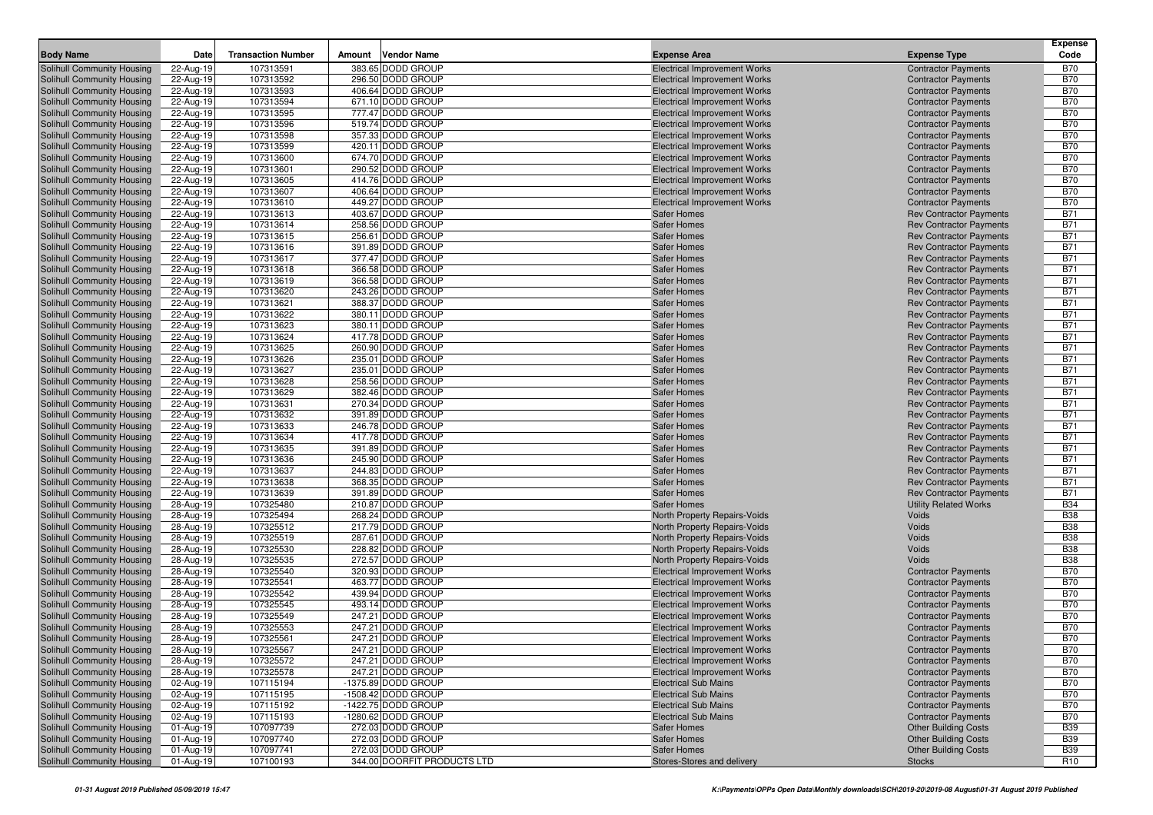|                                                          |                        |                           |                                        |                                                                            |                                                                  | <b>Expense</b>           |
|----------------------------------------------------------|------------------------|---------------------------|----------------------------------------|----------------------------------------------------------------------------|------------------------------------------------------------------|--------------------------|
| <b>Body Name</b>                                         | Date                   | <b>Transaction Number</b> | Amount<br><b>Vendor Name</b>           | <b>Expense Area</b>                                                        | <b>Expense Type</b>                                              | Code                     |
| Solihull Community Housing                               | 22-Aug-19              | 107313591                 | 383.65 DODD GROUP                      | <b>Electrical Improvement Works</b>                                        | <b>Contractor Payments</b>                                       | <b>B70</b>               |
| Solihull Community Housing                               | 22-Aug-19              | 107313592                 | 296.50 DODD GROUP                      | <b>Electrical Improvement Works</b>                                        | <b>Contractor Payments</b>                                       | <b>B70</b>               |
| Solihull Community Housing                               | 22-Aug-19              | 107313593                 | 406.64 DODD GROUP                      | <b>Electrical Improvement Works</b>                                        | <b>Contractor Payments</b>                                       | <b>B70</b>               |
| Solihull Community Housing                               | 22-Aug-19              | 107313594                 | 671.10 DODD GROUP                      | <b>Electrical Improvement Works</b>                                        | <b>Contractor Payments</b>                                       | <b>B70</b>               |
| Solihull Community Housing                               | 22-Aug-19              | 107313595                 | 777.47 DODD GROUP                      | <b>Electrical Improvement Works</b>                                        | <b>Contractor Payments</b>                                       | <b>B70</b>               |
| Solihull Community Housing                               | 22-Aug-19              | 107313596                 | 519.74 DODD GROUP                      | Electrical Improvement Works                                               | <b>Contractor Payments</b>                                       | <b>B70</b>               |
| Solihull Community Housing                               | 22-Aug-19              | 107313598                 | 357.33 DODD GROUP                      | <b>Electrical Improvement Works</b>                                        | <b>Contractor Payments</b>                                       | <b>B70</b>               |
| Solihull Community Housing                               | 22-Aug-19              | 107313599                 | 420.11 DODD GROUP                      | <b>Electrical Improvement Works</b>                                        | <b>Contractor Payments</b>                                       | <b>B70</b>               |
| Solihull Community Housing                               | 22-Aug-19              | 107313600                 | 674.70 DODD GROUP<br>290.52 DODD GROUP | <b>Electrical Improvement Works</b>                                        | <b>Contractor Payments</b>                                       | <b>B70</b><br><b>B70</b> |
| Solihull Community Housing<br>Solihull Community Housing | 22-Aug-19              | 107313601<br>107313605    | 414.76 DODD GROUP                      | <b>Electrical Improvement Works</b><br><b>Electrical Improvement Works</b> | <b>Contractor Payments</b>                                       | <b>B70</b>               |
| Solihull Community Housing                               | 22-Aug-19<br>22-Aug-19 | 107313607                 | 406.64 DODD GROUP                      | <b>Electrical Improvement Works</b>                                        | <b>Contractor Payments</b><br><b>Contractor Payments</b>         | <b>B70</b>               |
| Solihull Community Housing                               | 22-Aug-19              | 107313610                 | 449.27 DODD GROUP                      | <b>Electrical Improvement Works</b>                                        | <b>Contractor Payments</b>                                       | <b>B70</b>               |
| Solihull Community Housing                               | 22-Aug-19              | 107313613                 | 403.67 DODD GROUP                      | <b>Safer Homes</b>                                                         | <b>Rev Contractor Payments</b>                                   | <b>B71</b>               |
| Solihull Community Housing                               | 22-Aug-19              | 107313614                 | 258.56 DODD GROUP                      | <b>Safer Homes</b>                                                         | <b>Rev Contractor Payments</b>                                   | <b>B71</b>               |
| Solihull Community Housing                               | 22-Aug-19              | 107313615                 | 256.61 DODD GROUP                      | <b>Safer Homes</b>                                                         | <b>Rev Contractor Payments</b>                                   | <b>B71</b>               |
| Solihull Community Housing                               | 22-Aug-19              | 107313616                 | 391.89 DODD GROUP                      | <b>Safer Homes</b>                                                         | <b>Rev Contractor Payments</b>                                   | <b>B71</b>               |
| Solihull Community Housing                               | 22-Aug-19              | 107313617                 | 377.47 DODD GROUP                      | <b>Safer Homes</b>                                                         | <b>Rev Contractor Payments</b>                                   | <b>B71</b>               |
| Solihull Community Housing                               | 22-Aug-19              | 107313618                 | 366.58 DODD GROUP                      | <b>Safer Homes</b>                                                         | <b>Rev Contractor Payments</b>                                   | <b>B71</b>               |
| Solihull Community Housing                               | 22-Aug-19              | 107313619                 | 366.58 DODD GROUP                      | <b>Safer Homes</b>                                                         | <b>Rev Contractor Payments</b>                                   | <b>B71</b>               |
| Solihull Community Housing                               | 22-Aug-19              | 107313620                 | 243.26 DODD GROUP                      | <b>Safer Homes</b>                                                         | <b>Rev Contractor Payments</b>                                   | <b>B71</b>               |
| Solihull Community Housing                               | 22-Aug-19              | 107313621                 | 388.37 DODD GROUP                      | <b>Safer Homes</b>                                                         | <b>Rev Contractor Payments</b>                                   | <b>B71</b>               |
| Solihull Community Housing                               | 22-Aug-19              | 107313622                 | 380.11 DODD GROUP                      | Safer Homes                                                                | <b>Rev Contractor Payments</b>                                   | <b>B71</b>               |
| Solihull Community Housing                               | 22-Aug-19              | 107313623                 | 380.11 DODD GROUP                      | <b>Safer Homes</b>                                                         | <b>Rev Contractor Payments</b>                                   | <b>B71</b>               |
| Solihull Community Housing                               | 22-Aug-19              | 107313624                 | 417.78 DODD GROUP                      | <b>Safer Homes</b>                                                         | <b>Rev Contractor Payments</b>                                   | <b>B71</b>               |
| Solihull Community Housing                               | 22-Aug-19              | 107313625                 | 260.90 DODD GROUP                      | <b>Safer Homes</b>                                                         | <b>Rev Contractor Payments</b>                                   | <b>B71</b>               |
| Solihull Community Housing                               | 22-Aug-19              | 107313626                 | 235.01 DODD GROUP                      | Safer Homes                                                                | <b>Rev Contractor Payments</b>                                   | <b>B71</b>               |
| Solihull Community Housing                               | 22-Aug-19              | 107313627                 | 235.01 DODD GROUP                      | <b>Safer Homes</b>                                                         | <b>Rev Contractor Payments</b>                                   | <b>B71</b>               |
| Solihull Community Housing                               | 22-Aug-19              | 107313628                 | 258.56 DODD GROUP                      | <b>Safer Homes</b>                                                         | <b>Rev Contractor Payments</b>                                   | <b>B71</b>               |
| Solihull Community Housing                               | 22-Aug-19              | 107313629                 | 382.46 DODD GROUP                      | <b>Safer Homes</b>                                                         | <b>Rev Contractor Payments</b>                                   | <b>B71</b>               |
| Solihull Community Housing                               | 22-Aug-19              | 107313631                 | 270.34 DODD GROUP                      | <b>Safer Homes</b>                                                         | <b>Rev Contractor Payments</b>                                   | <b>B71</b>               |
| Solihull Community Housing                               | 22-Aug-19              | 107313632                 | 391.89 DODD GROUP                      | <b>Safer Homes</b>                                                         | <b>Rev Contractor Payments</b>                                   | <b>B71</b>               |
| Solihull Community Housing                               | 22-Aug-19              | 107313633                 | 246.78 DODD GROUP                      | <b>Safer Homes</b>                                                         | <b>Rev Contractor Payments</b>                                   | <b>B71</b>               |
| Solihull Community Housing                               | 22-Aug-19              | 107313634                 | 417.78 DODD GROUP                      | <b>Safer Homes</b>                                                         | <b>Rev Contractor Payments</b>                                   | <b>B71</b>               |
| Solihull Community Housing<br>Solihull Community Housing | 22-Aug-19              | 107313635<br>107313636    | 391.89 DODD GROUP<br>245.90 DODD GROUP | <b>Safer Homes</b><br><b>Safer Homes</b>                                   | <b>Rev Contractor Payments</b>                                   | <b>B71</b><br><b>B71</b> |
| Solihull Community Housing                               | 22-Aug-19<br>22-Aug-19 | 107313637                 | 244.83 DODD GROUP                      | Safer Homes                                                                | <b>Rev Contractor Payments</b><br><b>Rev Contractor Payments</b> | <b>B71</b>               |
| Solihull Community Housing                               | 22-Aug-19              | 107313638                 | 368.35 DODD GROUP                      | <b>Safer Homes</b>                                                         | <b>Rev Contractor Payments</b>                                   | <b>B71</b>               |
| Solihull Community Housing                               | 22-Aug-19              | 107313639                 | 391.89 DODD GROUP                      | <b>Safer Homes</b>                                                         | <b>Rev Contractor Payments</b>                                   | <b>B71</b>               |
| Solihull Community Housing                               | 28-Aug-19              | 107325480                 | 210.87 DODD GROUP                      | <b>Safer Homes</b>                                                         | <b>Utility Related Works</b>                                     | <b>B34</b>               |
| Solihull Community Housing                               | 28-Aug-19              | 107325494                 | 268.24 DODD GROUP                      | North Property Repairs-Voids                                               | Voids                                                            | <b>B38</b>               |
| Solihull Community Housing                               | 28-Aug-19              | 107325512                 | 217.79 DODD GROUP                      | North Property Repairs-Voids                                               | Voids                                                            | <b>B38</b>               |
| Solihull Community Housing                               | 28-Aug-19              | 107325519                 | 287.61 DODD GROUP                      | North Property Repairs-Voids                                               | Voids                                                            | <b>B38</b>               |
| Solihull Community Housing                               | 28-Aug-19              | 107325530                 | 228.82 DODD GROUP                      | North Property Repairs-Voids                                               | Voids                                                            | <b>B38</b>               |
| Solihull Community Housing                               | 28-Aug-19              | 107325535                 | 272.57 DODD GROUP                      | North Property Repairs-Voids                                               | Voids                                                            | <b>B38</b>               |
| Solihull Community Housing                               | 28-Aug-19              | 107325540                 | 320.93 DODD GROUP                      | <b>Electrical Improvement Works</b>                                        | <b>Contractor Payments</b>                                       | <b>B70</b>               |
| Solihull Community Housing                               | 28-Aug-19              | 107325541                 | 463.77 DODD GROUP                      | <b>Electrical Improvement Works</b>                                        | <b>Contractor Payments</b>                                       | <b>B70</b>               |
| Solihull Community Housing                               | 28-Aug-19              | 107325542                 | 439.94 DODD GROUP                      | <b>Electrical Improvement Works</b>                                        | <b>Contractor Payments</b>                                       | <b>B70</b>               |
| Solihull Community Housing                               | 28-Aug-19              | 107325545                 | 493.14 DODD GROUP                      | <b>Electrical Improvement Works</b>                                        | <b>Contractor Payments</b>                                       | <b>B70</b>               |
| Solihull Community Housing                               | 28-Aug-19              | 107325549                 | 247.21 DODD GROUP                      | <b>Electrical Improvement Works</b>                                        | <b>Contractor Payments</b>                                       | <b>B70</b>               |
| Solihull Community Housing                               | 28-Aug-19              | 107325553                 | 247.21 DODD GROUP                      | <b>Electrical Improvement Works</b>                                        | <b>Contractor Payments</b>                                       | <b>B70</b>               |
| Solihull Community Housing                               | 28-Aug-19              | 107325561                 | 247.21 DODD GROUP                      | <b>Electrical Improvement Works</b>                                        | <b>Contractor Payments</b>                                       | <b>B70</b>               |
| Solihull Community Housing                               | 28-Aug-19              | 107325567                 | 247.21 DODD GROUP                      | Electrical Improvement Works                                               | <b>Contractor Payments</b>                                       | <b>B70</b>               |
| Solihull Community Housing                               | 28-Aug-19              | 107325572                 | 247.21 DODD GROUP                      | <b>Electrical Improvement Works</b>                                        | <b>Contractor Payments</b>                                       | <b>B70</b>               |
| Solihull Community Housing                               | 28-Aug-19              | 107325578                 | 247.21 DODD GROUP                      | <b>Electrical Improvement Works</b>                                        | <b>Contractor Payments</b>                                       | <b>B70</b>               |
| Solihull Community Housing                               | 02-Aug-19              | 107115194                 | -1375.89 DODD GROUP                    | <b>Electrical Sub Mains</b>                                                | <b>Contractor Payments</b>                                       | <b>B70</b>               |
| Solihull Community Housing                               | 02-Aug-19              | 107115195                 | -1508.42 DODD GROUP                    | <b>Electrical Sub Mains</b>                                                | <b>Contractor Payments</b>                                       | <b>B70</b>               |
| Solihull Community Housing                               | 02-Aug-19              | 107115192                 | -1422.75 DODD GROUP                    | <b>Electrical Sub Mains</b>                                                | <b>Contractor Payments</b>                                       | <b>B70</b>               |
| Solihull Community Housing                               | 02-Aug-19              | 107115193                 | -1280.62 DODD GROUP                    | <b>Electrical Sub Mains</b>                                                | <b>Contractor Payments</b>                                       | <b>B70</b>               |
| Solihull Community Housing                               | 01-Aug-19              | 107097739                 | 272.03 DODD GROUP                      | <b>Safer Homes</b>                                                         | <b>Other Building Costs</b>                                      | <b>B39</b>               |
| Solihull Community Housing                               | 01-Aug-19              | 107097740                 | 272.03 DODD GROUP                      | Safer Homes                                                                | <b>Other Building Costs</b>                                      | <b>B39</b>               |
| Solihull Community Housing                               | 01-Aug-19              | 107097741                 | 272.03 DODD GROUP                      | <b>Safer Homes</b>                                                         | <b>Other Building Costs</b>                                      | <b>B39</b>               |
| Solihull Community Housing                               | 01-Aug-19              | 107100193                 | 344.00 DOORFIT PRODUCTS LTD            | Stores-Stores and delivery                                                 | Stocks                                                           | R <sub>10</sub>          |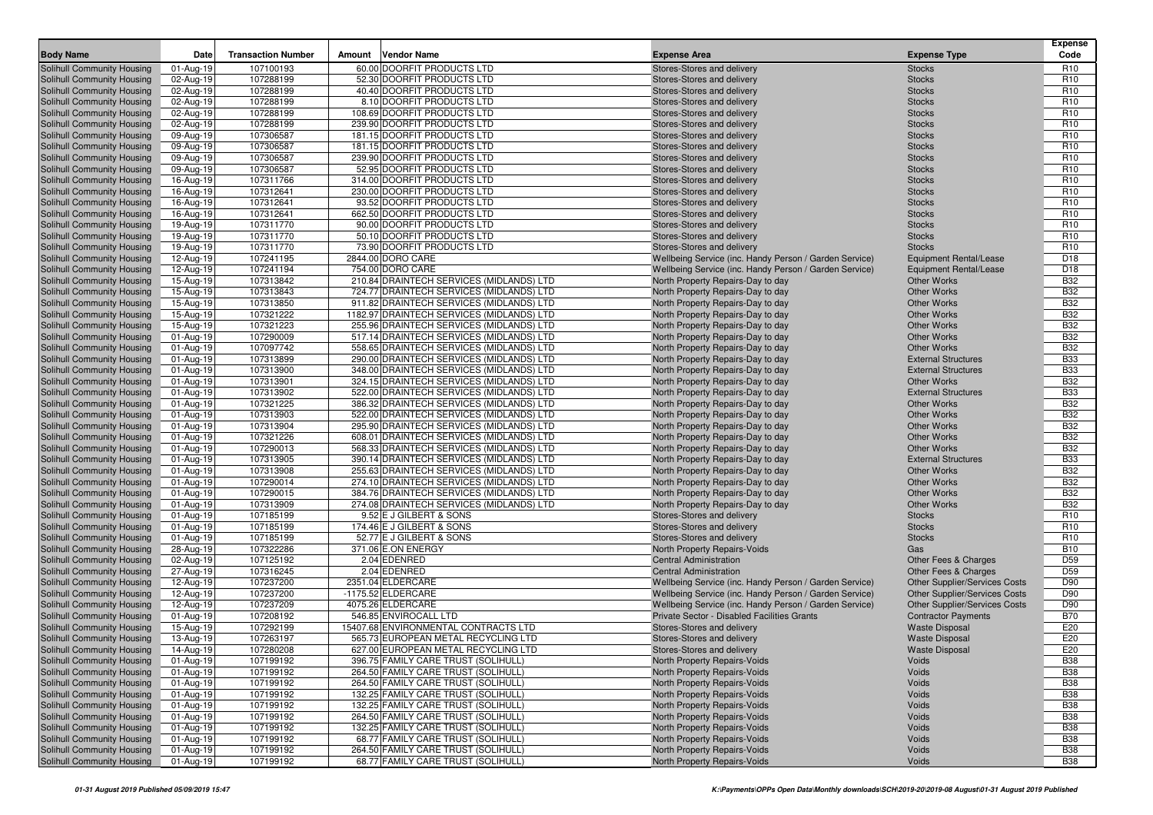| <b>Body Name</b>                                         | Date                   | <b>Transaction Number</b> | <b>Vendor Name</b><br>Amount                                                         | <b>Expense Area</b>                                                                                              | <b>Expense Type</b>                                            | <b>Expense</b><br>Code             |
|----------------------------------------------------------|------------------------|---------------------------|--------------------------------------------------------------------------------------|------------------------------------------------------------------------------------------------------------------|----------------------------------------------------------------|------------------------------------|
| Solihull Community Housing                               | 01-Aug-19              | 107100193                 | 60.00 DOORFIT PRODUCTS LTD                                                           | Stores-Stores and delivery                                                                                       | <b>Stocks</b>                                                  | R <sub>10</sub>                    |
| Solihull Community Housing                               | 02-Aug-19              | 107288199                 | 52.30 DOORFIT PRODUCTS LTD                                                           | Stores-Stores and delivery                                                                                       | <b>Stocks</b>                                                  | R <sub>10</sub>                    |
| Solihull Community Housing                               | 02-Aug-19              | 107288199                 | 40.40 DOORFIT PRODUCTS LTD                                                           | Stores-Stores and delivery                                                                                       | <b>Stocks</b>                                                  | R <sub>10</sub>                    |
| Solihull Community Housing                               | 02-Aug-19              | 107288199                 | 8.10 DOORFIT PRODUCTS LTD                                                            | Stores-Stores and delivery                                                                                       | <b>Stocks</b>                                                  | R <sub>10</sub>                    |
| Solihull Community Housing                               | 02-Aug-19              | 107288199                 | 108.69 DOORFIT PRODUCTS LTD                                                          | Stores-Stores and delivery                                                                                       | <b>Stocks</b>                                                  | R <sub>10</sub>                    |
| Solihull Community Housing                               | 02-Aug-19              | 107288199                 | 239.90 DOORFIT PRODUCTS LTD                                                          | Stores-Stores and delivery                                                                                       | <b>Stocks</b>                                                  | R <sub>10</sub>                    |
| Solihull Community Housing                               | 09-Aug-19              | 107306587                 | 181.15 DOORFIT PRODUCTS LTD                                                          | Stores-Stores and delivery                                                                                       | <b>Stocks</b>                                                  | R <sub>10</sub>                    |
| Solihull Community Housing                               | 09-Aug-19              | 107306587                 | 181.15 DOORFIT PRODUCTS LTD                                                          | Stores-Stores and delivery                                                                                       | <b>Stocks</b>                                                  | R <sub>10</sub>                    |
| Solihull Community Housing                               | 09-Aug-19              | 107306587                 | 239.90 DOORFIT PRODUCTS LTD                                                          | Stores-Stores and delivery                                                                                       | <b>Stocks</b>                                                  | R <sub>10</sub>                    |
| Solihull Community Housing                               | 09-Aug-19              | 107306587                 | 52.95 DOORFIT PRODUCTS LTD                                                           | Stores-Stores and delivery                                                                                       | <b>Stocks</b>                                                  | R <sub>10</sub>                    |
| Solihull Community Housing                               | 16-Aug-19              | 107311766                 | 314.00 DOORFIT PRODUCTS LTD                                                          | Stores-Stores and delivery                                                                                       | <b>Stocks</b>                                                  | R <sub>10</sub>                    |
| Solihull Community Housing                               | 16-Aug-19              | 107312641                 | 230.00 DOORFIT PRODUCTS LTD                                                          | Stores-Stores and delivery                                                                                       | <b>Stocks</b>                                                  | R <sub>10</sub>                    |
| <b>Solihull Community Housing</b>                        | 16-Aug-19              | 107312641                 | 93.52 DOORFIT PRODUCTS LTD                                                           | Stores-Stores and delivery                                                                                       | <b>Stocks</b>                                                  | R <sub>10</sub>                    |
| Solihull Community Housing                               | 16-Aug-19              | 107312641                 | 662.50 DOORFIT PRODUCTS LTD                                                          | Stores-Stores and delivery                                                                                       | <b>Stocks</b>                                                  | R <sub>10</sub>                    |
| Solihull Community Housing                               | 19-Aug-19              | 107311770                 | 90.00 DOORFIT PRODUCTS LTD                                                           | Stores-Stores and delivery                                                                                       | <b>Stocks</b>                                                  | R <sub>10</sub>                    |
| Solihull Community Housing                               | 19-Aug-19              | 107311770                 | 50.10 DOORFIT PRODUCTS LTD                                                           | Stores-Stores and delivery                                                                                       | <b>Stocks</b>                                                  | R <sub>10</sub>                    |
| Solihull Community Housing<br>Solihull Community Housing | 19-Aug-19              | 107311770<br>107241195    | 73.90 DOORFIT PRODUCTS LTD<br>2844.00 DORO CARE                                      | Stores-Stores and delivery                                                                                       | <b>Stocks</b>                                                  | R <sub>10</sub><br>D <sub>18</sub> |
| Solihull Community Housing                               | 12-Aug-19<br>12-Aug-19 | 107241194                 | 754.00 DORO CARE                                                                     | Wellbeing Service (inc. Handy Person / Garden Service)<br>Wellbeing Service (inc. Handy Person / Garden Service) | <b>Equipment Rental/Lease</b><br><b>Equipment Rental/Lease</b> | D <sub>18</sub>                    |
| Solihull Community Housing                               | 15-Aug-19              | 107313842                 | 210.84 DRAINTECH SERVICES (MIDLANDS) LTD                                             | North Property Repairs-Day to day                                                                                | <b>Other Works</b>                                             | <b>B32</b>                         |
| Solihull Community Housing                               | 15-Aug-19              | 107313843                 | 724.77 DRAINTECH SERVICES (MIDLANDS) LTD                                             | North Property Repairs-Day to day                                                                                | <b>Other Works</b>                                             | <b>B32</b>                         |
| Solihull Community Housing                               | 15-Aug-19              | 107313850                 | 911.82 DRAINTECH SERVICES (MIDLANDS) LTD                                             | North Property Repairs-Day to day                                                                                | <b>Other Works</b>                                             | <b>B32</b>                         |
| Solihull Community Housing                               | 15-Aug-19              | 107321222                 | 1182.97 DRAINTECH SERVICES (MIDLANDS) LTD                                            | North Property Repairs-Day to day                                                                                | <b>Other Works</b>                                             | <b>B32</b>                         |
| Solihull Community Housing                               | 15-Aug-19              | 107321223                 | 255.96 DRAINTECH SERVICES (MIDLANDS) LTD                                             | North Property Repairs-Day to day                                                                                | <b>Other Works</b>                                             | <b>B32</b>                         |
| Solihull Community Housing                               | 01-Aug-19              | 107290009                 | 517.14 DRAINTECH SERVICES (MIDLANDS) LTD                                             | North Property Repairs-Day to day                                                                                | <b>Other Works</b>                                             | <b>B32</b>                         |
| Solihull Community Housing                               | 01-Aug-19              | 107097742                 | 558.65 DRAINTECH SERVICES (MIDLANDS) LTD                                             | North Property Repairs-Day to day                                                                                | <b>Other Works</b>                                             | <b>B32</b>                         |
| Solihull Community Housing                               | 01-Aug-19              | 107313899                 | 290.00 DRAINTECH SERVICES (MIDLANDS) LTD                                             | North Property Repairs-Day to day                                                                                | <b>External Structures</b>                                     | <b>B33</b>                         |
| Solihull Community Housing                               | 01-Aug-19              | 107313900                 | 348.00 DRAINTECH SERVICES (MIDLANDS) LTD                                             | North Property Repairs-Day to day                                                                                | <b>External Structures</b>                                     | <b>B33</b>                         |
| Solihull Community Housing                               | 01-Aug-19              | 107313901                 | 324.15 DRAINTECH SERVICES (MIDLANDS) LTD                                             | North Property Repairs-Day to day                                                                                | <b>Other Works</b>                                             | <b>B32</b>                         |
| Solihull Community Housing                               | 01-Aug-19              | 107313902                 | 522.00 DRAINTECH SERVICES (MIDLANDS) LTD                                             | North Property Repairs-Day to day                                                                                | <b>External Structures</b>                                     | <b>B33</b>                         |
| Solihull Community Housing                               | 01-Aug-19              | 107321225                 | 386.32 DRAINTECH SERVICES (MIDLANDS) LTD                                             | North Property Repairs-Day to day                                                                                | <b>Other Works</b>                                             | <b>B32</b>                         |
| Solihull Community Housing                               | 01-Aug-19              | 107313903                 | 522.00 DRAINTECH SERVICES (MIDLANDS) LTD                                             | North Property Repairs-Day to day                                                                                | <b>Other Works</b>                                             | <b>B32</b>                         |
| Solihull Community Housing                               | 01-Aug-19              | 107313904                 | 295.90 DRAINTECH SERVICES (MIDLANDS) LTD                                             | North Property Repairs-Day to day                                                                                | <b>Other Works</b>                                             | <b>B32</b>                         |
| Solihull Community Housing                               | 01-Aug-19              | 107321226                 | 608.01 DRAINTECH SERVICES (MIDLANDS) LTD                                             | North Property Repairs-Day to day                                                                                | <b>Other Works</b>                                             | <b>B32</b>                         |
| Solihull Community Housing                               | 01-Aug-19              | 107290013                 | 568.33 DRAINTECH SERVICES (MIDLANDS) LTD                                             | North Property Repairs-Day to day                                                                                | <b>Other Works</b>                                             | <b>B32</b>                         |
| Solihull Community Housing                               | 01-Aug-19              | 107313905                 | 390.14 DRAINTECH SERVICES (MIDLANDS) LTD                                             | North Property Repairs-Day to day                                                                                | <b>External Structures</b>                                     | <b>B33</b>                         |
| Solihull Community Housing                               | 01-Aug-19              | 107313908                 | 255.63 DRAINTECH SERVICES (MIDLANDS) LTD                                             | North Property Repairs-Day to day                                                                                | <b>Other Works</b>                                             | <b>B32</b>                         |
| Solihull Community Housing                               | 01-Aug-19              | 107290014                 | 274.10 DRAINTECH SERVICES (MIDLANDS) LTD                                             | North Property Repairs-Day to day                                                                                | <b>Other Works</b>                                             | <b>B32</b>                         |
| Solihull Community Housing                               | 01-Aug-19              | 107290015<br>107313909    | 384.76 DRAINTECH SERVICES (MIDLANDS) LTD<br>274.08 DRAINTECH SERVICES (MIDLANDS) LTD | North Property Repairs-Day to day                                                                                | <b>Other Works</b><br><b>Other Works</b>                       | <b>B32</b><br><b>B32</b>           |
| Solihull Community Housing<br>Solihull Community Housing | 01-Aug-19              | 107185199                 | 9.52 E J GILBERT & SONS                                                              | North Property Repairs-Day to day<br>Stores-Stores and delivery                                                  | <b>Stocks</b>                                                  | R <sub>10</sub>                    |
| Solihull Community Housing                               | 01-Aug-19<br>01-Aug-19 | 107185199                 | 174.46 E J GILBERT & SONS                                                            | Stores-Stores and delivery                                                                                       | <b>Stocks</b>                                                  | R <sub>10</sub>                    |
| Solihull Community Housing                               | 01-Aug-19              | 107185199                 | 52.77 E J GILBERT & SONS                                                             | Stores-Stores and delivery                                                                                       | <b>Stocks</b>                                                  | R <sub>10</sub>                    |
| Solihull Community Housing                               | 28-Aug-19              | 107322286                 | 371.06 E.ON ENERGY                                                                   | North Property Repairs-Voids                                                                                     | Gas                                                            | <b>B10</b>                         |
| Solihull Community Housing                               | 02-Aug-19              | 107125192                 | 2.04 EDENRED                                                                         | <b>Central Administration</b>                                                                                    | Other Fees & Charges                                           | D <sub>59</sub>                    |
| Solihull Community Housing                               | 27-Aug-19              | 107316245                 | 2.04 EDENRED                                                                         | <b>Central Administration</b>                                                                                    | Other Fees & Charges                                           | D <sub>59</sub>                    |
| Solihull Community Housing                               | 12-Aug-19              | 107237200                 | 2351.04 ELDERCARE                                                                    | Wellbeing Service (inc. Handy Person / Garden Service)                                                           | Other Supplier/Services Costs                                  | D90                                |
| Solihull Community Housing                               | 12-Aug-19              | 107237200                 | -1175.52 ELDERCARE                                                                   | Wellbeing Service (inc. Handy Person / Garden Service)                                                           | Other Supplier/Services Costs                                  | D90                                |
| Solihull Community Housing                               | 12-Aug-19              | 107237209                 | 4075.26 ELDERCARE                                                                    | Wellbeing Service (inc. Handy Person / Garden Service)                                                           | Other Supplier/Services Costs                                  | D90                                |
| Solihull Community Housing                               | 01-Aug-19              | 107208192                 | 546.85 ENVIROCALL LTD                                                                | Private Sector - Disabled Facilities Grants                                                                      | <b>Contractor Payments</b>                                     | <b>B70</b>                         |
| Solihull Community Housing                               | 15-Aug-19              | 107292199                 | 15407.68 ENVIRONMENTAL CONTRACTS LTD                                                 | Stores-Stores and delivery                                                                                       | <b>Waste Disposal</b>                                          | E20                                |
| Solihull Community Housing                               | 13-Aug-19              | 107263197                 | 565.73 EUROPEAN METAL RECYCLING LTD                                                  | Stores-Stores and delivery                                                                                       | <b>Waste Disposal</b>                                          | E20                                |
| Solihull Community Housing                               | $14-Aug-19$            | 107280208                 | 627.00 EUROPEAN METAL RECYCLING LTD                                                  | Stores-Stores and delivery                                                                                       | <b>Waste Disposal</b>                                          | E20                                |
| Solihull Community Housing                               | 01-Aug-19              | 107199192                 | 396.75 FAMILY CARE TRUST (SOLIHULL)                                                  | North Property Repairs-Voids                                                                                     | Voids                                                          | <b>B38</b>                         |
| Solihull Community Housing                               | 01-Aug-19              | 107199192                 | 264.50 FAMILY CARE TRUST (SOLIHULL)                                                  | North Property Repairs-Voids                                                                                     | Voids                                                          | <b>B38</b>                         |
| Solihull Community Housing                               | 01-Aug-19              | 107199192                 | 264.50 FAMILY CARE TRUST (SOLIHULL)                                                  | North Property Repairs-Voids                                                                                     | Voids                                                          | <b>B38</b>                         |
| Solihull Community Housing                               | 01-Aug-19              | 107199192                 | 132.25 FAMILY CARE TRUST (SOLIHULL)                                                  | North Property Repairs-Voids                                                                                     | Voids                                                          | <b>B38</b>                         |
| Solihull Community Housing                               | 01-Aug-19              | 107199192                 | 132.25 FAMILY CARE TRUST (SOLIHULL)                                                  | North Property Repairs-Voids                                                                                     | Voids                                                          | <b>B38</b>                         |
| Solihull Community Housing                               | 01-Aug-19              | 107199192                 | 264.50 FAMILY CARE TRUST (SOLIHULL)                                                  | North Property Repairs-Voids                                                                                     | Voids                                                          | <b>B38</b>                         |
| Solihull Community Housing                               | 01-Aug-19              | 107199192                 | 132.25 FAMILY CARE TRUST (SOLIHULL)                                                  | North Property Repairs-Voids                                                                                     | Voids                                                          | <b>B38</b>                         |
| Solihull Community Housing                               | 01-Aug-19              | 107199192                 | 68.77 FAMILY CARE TRUST (SOLIHULL)                                                   | North Property Repairs-Voids                                                                                     | Voids                                                          | <b>B38</b>                         |
| Solihull Community Housing                               | 01-Aug-19              | 107199192                 | 264.50 FAMILY CARE TRUST (SOLIHULL)                                                  | North Property Repairs-Voids                                                                                     | Voids                                                          | <b>B38</b>                         |
| Solihull Community Housing                               | 01-Aug-19              | 107199192                 | 68.77 FAMILY CARE TRUST (SOLIHULL)                                                   | North Property Repairs-Voids                                                                                     | Voids                                                          | <b>B38</b>                         |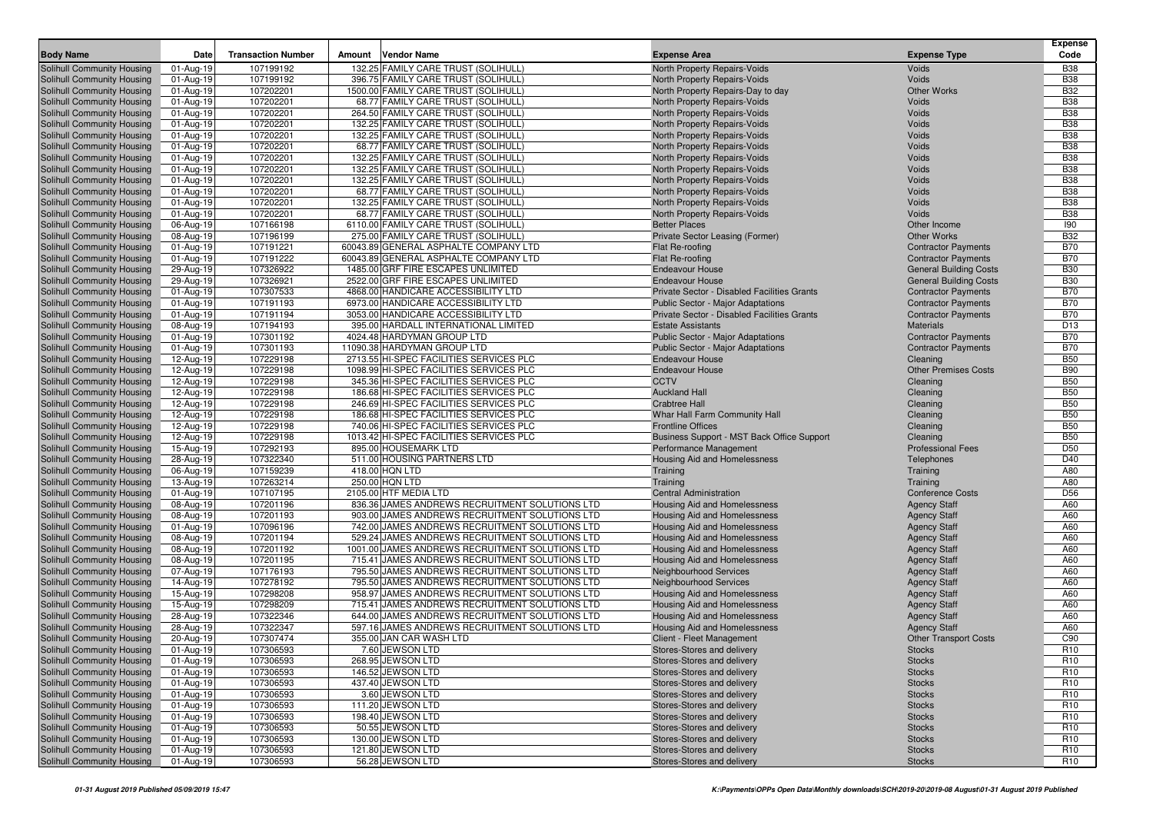| <b>Body Name</b>                                         | Date                   | <b>Transaction Number</b> | Amount | <b>Vendor Name</b>                                                         | <b>Expense Area</b>                                                                            | <b>Expense Type</b>                                      | Expense<br>Code                    |
|----------------------------------------------------------|------------------------|---------------------------|--------|----------------------------------------------------------------------------|------------------------------------------------------------------------------------------------|----------------------------------------------------------|------------------------------------|
| <b>Solihull Community Housing</b>                        | 01-Aug-19              | 107199192                 |        | 132.25 FAMILY CARE TRUST (SOLIHULL)                                        | North Property Repairs-Voids                                                                   | Voids                                                    | <b>B38</b>                         |
| Solihull Community Housing                               | 01-Aug-19              | 107199192                 |        | 396.75 FAMILY CARE TRUST (SOLIHULL)                                        | North Property Repairs-Voids                                                                   | Voids                                                    | <b>B38</b>                         |
| Solihull Community Housing                               | 01-Aug-19              | 107202201                 |        | 1500.00 FAMILY CARE TRUST (SOLIHULL)                                       | North Property Repairs-Day to day                                                              | <b>Other Works</b>                                       | <b>B32</b>                         |
| Solihull Community Housing                               | 01-Aug-19              | 107202201                 |        | 68.77 FAMILY CARE TRUST (SOLIHULL)                                         | North Property Repairs-Voids                                                                   | Voids                                                    | <b>B38</b>                         |
| Solihull Community Housing                               | 01-Aug-19              | 107202201                 |        | 264.50 FAMILY CARE TRUST (SOLIHULL)                                        | North Property Repairs-Voids                                                                   | Voids                                                    | <b>B38</b>                         |
| Solihull Community Housing                               | 01-Aug-19              | 107202201                 |        | 132.25 FAMILY CARE TRUST (SOLIHULL)                                        | North Property Repairs-Voids                                                                   | Voids                                                    | <b>B38</b>                         |
| Solihull Community Housing                               | 01-Aug-19              | 107202201                 |        | 132.25 FAMILY CARE TRUST (SOLIHULL)                                        | North Property Repairs-Voids                                                                   | Voids                                                    | <b>B38</b>                         |
| Solihull Community Housing                               | 01-Aug-19              | 107202201                 |        | 68.77 FAMILY CARE TRUST (SOLIHULL)                                         | North Property Repairs-Voids                                                                   | Voids                                                    | <b>B38</b>                         |
| Solihull Community Housing                               | 01-Aug-19              | 107202201                 |        | 132.25 FAMILY CARE TRUST (SOLIHULL)                                        | North Property Repairs-Voids                                                                   | Voids                                                    | <b>B38</b>                         |
| Solihull Community Housing                               | 01-Aug-19              | 107202201                 |        | 132.25 FAMILY CARE TRUST (SOLIHULL)                                        | North Property Repairs-Voids                                                                   | Voids                                                    | <b>B38</b>                         |
| Solihull Community Housing                               | 01-Aug-19              | 107202201                 |        | 132.25 FAMILY CARE TRUST (SOLIHULL)                                        | North Property Repairs-Voids                                                                   | Voids                                                    | <b>B38</b>                         |
| Solihull Community Housing                               | 01-Aug-19              | 107202201                 |        | 68.77 FAMILY CARE TRUST (SOLIHULL)                                         | North Property Repairs-Voids                                                                   | Voids                                                    | <b>B38</b>                         |
| Solihull Community Housing                               | 01-Aug-19              | 107202201                 |        | 132.25 FAMILY CARE TRUST (SOLIHULL)                                        | North Property Repairs-Voids                                                                   | Voids                                                    | <b>B38</b>                         |
| Solihull Community Housing                               | 01-Aug-19              | 107202201                 |        | 68.77 FAMILY CARE TRUST (SOLIHULL)                                         | North Property Repairs-Voids                                                                   | Voids                                                    | <b>B38</b>                         |
| Solihull Community Housing                               | 06-Aug-19              | 107166198                 |        | 6110.00 FAMILY CARE TRUST (SOLIHULL)                                       | <b>Better Places</b>                                                                           | Other Income                                             | 190                                |
| Solihull Community Housing                               | 08-Aug-19              | 107196199                 |        | 275.00 FAMILY CARE TRUST (SOLIHULL)                                        | Private Sector Leasing (Former)                                                                | <b>Other Works</b>                                       | <b>B32</b>                         |
| Solihull Community Housing                               | 01-Aug-19              | 107191221                 |        | 60043.89 GENERAL ASPHALTE COMPANY LTD                                      | Flat Re-roofing                                                                                | <b>Contractor Payments</b>                               | <b>B70</b>                         |
| Solihull Community Housing                               | 01-Aug-19              | 107191222                 |        | 60043.89 GENERAL ASPHALTE COMPANY LTD                                      | Flat Re-roofing                                                                                | <b>Contractor Payments</b>                               | <b>B70</b>                         |
| Solihull Community Housing                               | 29-Aug-19              | 107326922                 |        | 1485.00 GRF FIRE ESCAPES UNLIMITED                                         | <b>Endeavour House</b>                                                                         | <b>General Building Costs</b>                            | <b>B30</b>                         |
| Solihull Community Housing                               | 29-Aug-19              | 107326921                 |        | 2522.00 GRF FIRE ESCAPES UNLIMITED                                         | <b>Endeavour House</b>                                                                         | <b>General Building Costs</b>                            | <b>B30</b>                         |
| Solihull Community Housing<br>Solihull Community Housing | 01-Aug-19              | 107307533                 |        | 4868.00 HANDICARE ACCESSIBILITY LTD<br>6973.00 HANDICARE ACCESSIBILITY LTD | Private Sector - Disabled Facilities Grants                                                    | <b>Contractor Payments</b><br><b>Contractor Payments</b> | <b>B70</b><br><b>B70</b>           |
|                                                          | 01-Aug-19              | 107191193<br>107191194    |        | 3053.00 HANDICARE ACCESSIBILITY LTD                                        | <b>Public Sector - Major Adaptations</b><br><b>Private Sector - Disabled Facilities Grants</b> | <b>Contractor Payments</b>                               | <b>B70</b>                         |
| Solihull Community Housing<br>Solihull Community Housing | 01-Aug-19<br>08-Aug-19 | 107194193                 |        | 395.00 HARDALL INTERNATIONAL LIMITED                                       | <b>Estate Assistants</b>                                                                       | <b>Materials</b>                                         | D <sub>13</sub>                    |
| Solihull Community Housing                               | 01-Aug-19              | 107301192                 |        | 4024.48 HARDYMAN GROUP LTD                                                 | Public Sector - Major Adaptations                                                              | <b>Contractor Payments</b>                               | <b>B70</b>                         |
| Solihull Community Housing                               | 01-Aug-19              | 107301193                 |        | 11090.38 HARDYMAN GROUP LTD                                                | Public Sector - Major Adaptations                                                              | <b>Contractor Payments</b>                               | <b>B70</b>                         |
| Solihull Community Housing                               | 12-Aug-19              | 107229198                 |        | 2713.55 HI-SPEC FACILITIES SERVICES PLC                                    | <b>Endeavour House</b>                                                                         | Cleaning                                                 | <b>B50</b>                         |
| Solihull Community Housing                               | 12-Aug-19              | 107229198                 |        | 1098.99 HI-SPEC FACILITIES SERVICES PLC                                    | <b>Endeavour House</b>                                                                         | <b>Other Premises Costs</b>                              | <b>B90</b>                         |
| Solihull Community Housing                               | 12-Aug-19              | 107229198                 |        | 345.36 HI-SPEC FACILITIES SERVICES PLC                                     | <b>CCTV</b>                                                                                    | Cleaning                                                 | <b>B50</b>                         |
| Solihull Community Housing                               | 12-Aug-19              | 107229198                 |        | 186.68 HI-SPEC FACILITIES SERVICES PLC                                     | <b>Auckland Hall</b>                                                                           | Cleaning                                                 | <b>B50</b>                         |
| Solihull Community Housing                               | 12-Aug-19              | 107229198                 |        | 246.69 HI-SPEC FACILITIES SERVICES PLC                                     | <b>Crabtree Hall</b>                                                                           | Cleaning                                                 | <b>B50</b>                         |
| Solihull Community Housing                               | 12-Aug-19              | 107229198                 |        | 186.68 HI-SPEC FACILITIES SERVICES PLC                                     | Whar Hall Farm Community Hall                                                                  | Cleaning                                                 | <b>B50</b>                         |
| Solihull Community Housing                               | 12-Aug-19              | 107229198                 |        | 740.06 HI-SPEC FACILITIES SERVICES PLC                                     | <b>Frontline Offices</b>                                                                       | Cleaning                                                 | <b>B50</b>                         |
| Solihull Community Housing                               | 12-Aug-19              | 107229198                 |        | 1013.42 HI-SPEC FACILITIES SERVICES PLC                                    | Business Support - MST Back Office Support                                                     | Cleaning                                                 | <b>B50</b>                         |
| Solihull Community Housing                               | 15-Aug-19              | 107292193                 |        | 895.00 HOUSEMARK LTD                                                       | Performance Management                                                                         | <b>Professional Fees</b>                                 | D <sub>50</sub>                    |
| Solihull Community Housing                               | 28-Aug-19              | 107322340                 |        | 511.00 HOUSING PARTNERS LTD                                                | Housing Aid and Homelessness                                                                   | Telephones                                               | D40                                |
| Solihull Community Housing                               | 06-Aug-19              | 107159239                 |        | 418.00 HQN LTD                                                             | Training                                                                                       | Training                                                 | A80                                |
| Solihull Community Housing                               | 13-Aug-19              | 107263214                 |        | 250.00 HQN LTD                                                             | Training                                                                                       | Training                                                 | A80                                |
| Solihull Community Housing                               | 01-Aug-19              | 107107195                 |        | 2105.00 HTF MEDIA LTD                                                      | Central Administration                                                                         | <b>Conference Costs</b>                                  | D <sub>56</sub>                    |
| Solihull Community Housing                               | 08-Aug-19              | 107201196                 |        | 836.36 JAMES ANDREWS RECRUITMENT SOLUTIONS LTD                             | Housing Aid and Homelessness                                                                   | <b>Agency Staff</b>                                      | A60                                |
| Solihull Community Housing                               | 08-Aug-19              | 107201193                 |        | 903.00 JAMES ANDREWS RECRUITMENT SOLUTIONS LTD                             | Housing Aid and Homelessness                                                                   | <b>Agency Staff</b>                                      | A60                                |
| Solihull Community Housing                               | 01-Aug-19              | 107096196                 |        | 742.00 JAMES ANDREWS RECRUITMENT SOLUTIONS LTD                             | Housing Aid and Homelessness                                                                   | <b>Agency Staff</b>                                      | A60                                |
| Solihull Community Housing                               | 08-Aug-19              | 107201194                 |        | 529.24 JAMES ANDREWS RECRUITMENT SOLUTIONS LTD                             | Housing Aid and Homelessness                                                                   | <b>Agency Staff</b>                                      | A60                                |
| Solihull Community Housing                               | 08-Aug-19              | 107201192                 |        | 1001.00 JAMES ANDREWS RECRUITMENT SOLUTIONS LTD                            | Housing Aid and Homelessness                                                                   | <b>Agency Staff</b>                                      | A60                                |
| Solihull Community Housing                               | 08-Aug-19              | 107201195                 |        | 715.41 JAMES ANDREWS RECRUITMENT SOLUTIONS LTD                             | Housing Aid and Homelessness                                                                   | <b>Agency Staff</b>                                      | A60                                |
| Solihull Community Housing                               | 07-Aug-19              | 107176193                 |        | 795.50 JAMES ANDREWS RECRUITMENT SOLUTIONS LTD                             | <b>Neighbourhood Services</b>                                                                  | <b>Agency Staff</b>                                      | A60                                |
| Solihull Community Housing                               | 14-Aug-19              | 107278192                 |        | 795.50 JAMES ANDREWS RECRUITMENT SOLUTIONS LTD                             | <b>Neighbourhood Services</b>                                                                  | <b>Agency Staff</b>                                      | A60                                |
| Solihull Community Housing                               | 15-Aug-19              | 107298208                 |        | 958.97 JAMES ANDREWS RECRUITMENT SOLUTIONS LTD                             | <b>Housing Aid and Homelessness</b>                                                            | <b>Agency Staff</b>                                      | A60                                |
| Solihull Community Housing                               | 15-Aug-19              | 107298209                 |        | 715.41 JAMES ANDREWS RECRUITMENT SOLUTIONS LTD                             | <b>Housing Aid and Homelessness</b>                                                            | <b>Agency Staff</b>                                      | A60                                |
| Solihull Community Housing                               | 28-Aug-19              | 107322346                 |        | 644.00 JAMES ANDREWS RECRUITMENT SOLUTIONS LTD                             | Housing Aid and Homelessness                                                                   | <b>Agency Staff</b>                                      | A60                                |
| Solihull Community Housing                               | 28-Aug-19              | 107322347                 |        | 597.16 JAMES ANDREWS RECRUITMENT SOLUTIONS LTD                             | <b>Housing Aid and Homelessness</b>                                                            | <b>Agency Staff</b>                                      | A60                                |
| Solihull Community Housing                               | 20-Aug-19              | 107307474                 |        | 355.00 JAN CAR WASH LTD                                                    | Client - Fleet Management                                                                      | <b>Other Transport Costs</b>                             | C90                                |
| Solihull Community Housing                               | $01-Aug-19$            | 107306593                 |        | 7.60 JEWSON LTD                                                            | Stores-Stores and delivery                                                                     | Stocks                                                   | R <sub>10</sub>                    |
| Solihull Community Housing                               | 01-Aug-19              | 107306593                 |        | 268.95 JEWSON LTD                                                          | Stores-Stores and delivery<br>Stores-Stores and delivery                                       | <b>Stocks</b>                                            | R <sub>10</sub>                    |
| Solihull Community Housing                               | 01-Aug-19              | 107306593                 |        | 146.52 JEWSON LTD                                                          |                                                                                                | <b>Stocks</b>                                            | R <sub>10</sub>                    |
| Solihull Community Housing<br>Solihull Community Housing | 01-Aug-19<br>01-Aug-19 | 107306593<br>107306593    |        | 437.40 JEWSON LTD<br>3.60 JEWSON LTD                                       | Stores-Stores and delivery<br>Stores-Stores and delivery                                       | <b>Stocks</b><br><b>Stocks</b>                           | R <sub>10</sub><br>R <sub>10</sub> |
| Solihull Community Housing                               | 01-Aug-19              | 107306593                 |        | 111.20 JEWSON LTD                                                          | Stores-Stores and delivery                                                                     | <b>Stocks</b>                                            | R <sub>10</sub>                    |
| Solihull Community Housing                               | 01-Aug-19              | 107306593                 |        | 198.40 JEWSON LTD                                                          | Stores-Stores and delivery                                                                     | <b>Stocks</b>                                            | R <sub>10</sub>                    |
| Solihull Community Housing                               | 01-Aug-19              | 107306593                 |        | 50.55 JEWSON LTD                                                           | Stores-Stores and delivery                                                                     | <b>Stocks</b>                                            | R <sub>10</sub>                    |
| Solihull Community Housing                               | 01-Aug-19              | 107306593                 |        | 130.00 JEWSON LTD                                                          | Stores-Stores and delivery                                                                     | <b>Stocks</b>                                            | R <sub>10</sub>                    |
| Solihull Community Housing                               | 01-Aug-19              | 107306593                 |        | 121.80 JEWSON LTD                                                          | Stores-Stores and delivery                                                                     | <b>Stocks</b>                                            | R <sub>10</sub>                    |
| Solihull Community Housing                               | 01-Aug-19              | 107306593                 |        | 56.28 JEWSON LTD                                                           | Stores-Stores and delivery                                                                     | <b>Stocks</b>                                            | R <sub>10</sub>                    |
|                                                          |                        |                           |        |                                                                            |                                                                                                |                                                          |                                    |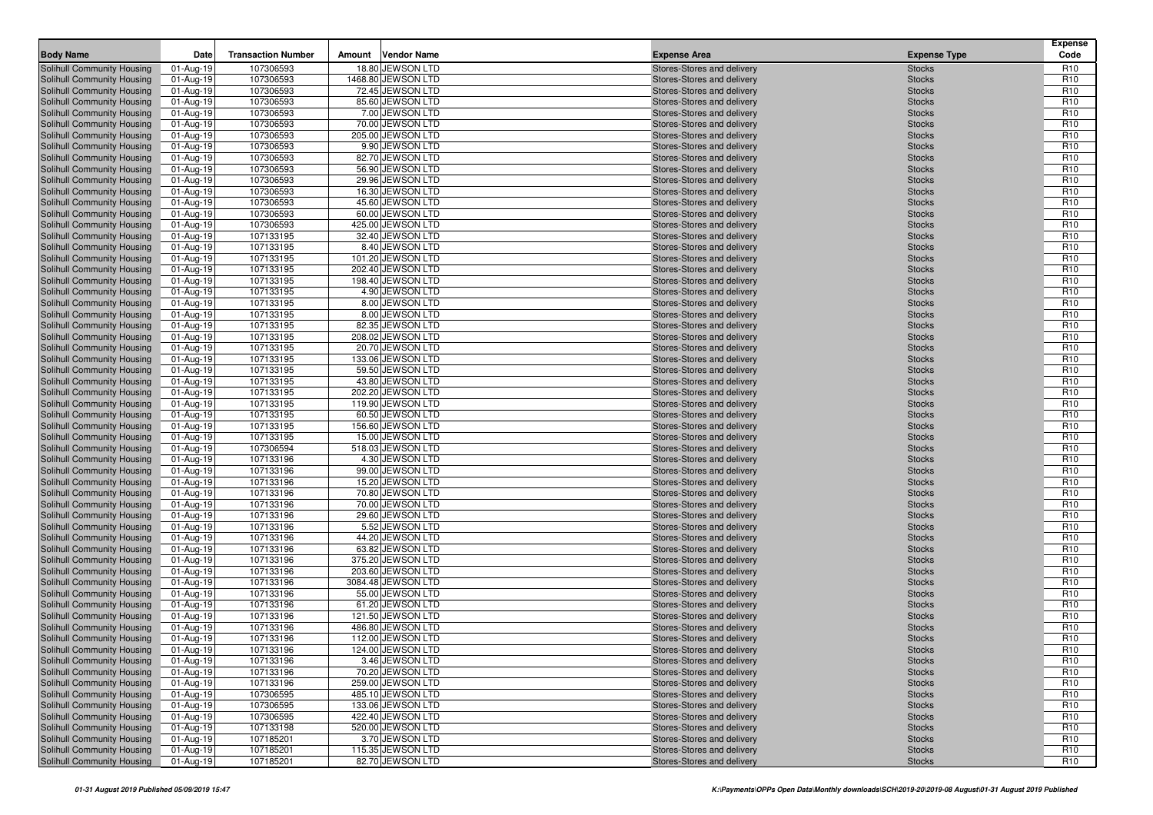| <b>Body Name</b>                                         | Date                   | <b>Transaction Number</b> | Amount | <b>Vendor Name</b>                     | <b>Expense Area</b>                                      | <b>Expense Type</b>            | <b>Expense</b><br>Code             |
|----------------------------------------------------------|------------------------|---------------------------|--------|----------------------------------------|----------------------------------------------------------|--------------------------------|------------------------------------|
| Solihull Community Housing                               | 01-Aug-19              | 107306593                 |        | 18.80 JEWSON LTD                       | Stores-Stores and delivery                               | <b>Stocks</b>                  | R <sub>10</sub>                    |
| Solihull Community Housing                               | 01-Aug-19              | 107306593                 |        | 1468.80 JEWSON LTD                     | Stores-Stores and delivery                               | <b>Stocks</b>                  | R <sub>10</sub>                    |
| Solihull Community Housing                               | 01-Aug-19              | 107306593                 |        | 72.45 JEWSON LTD                       | Stores-Stores and delivery                               | <b>Stocks</b>                  | R <sub>10</sub>                    |
| Solihull Community Housing                               | 01-Aug-19              | 107306593                 |        | 85.60 JEWSON LTD                       | Stores-Stores and delivery                               | <b>Stocks</b>                  | R <sub>10</sub>                    |
| Solihull Community Housing                               | 01-Aug-19              | 107306593                 |        | 7.00 JEWSON LTD                        | Stores-Stores and delivery                               | <b>Stocks</b>                  | R <sub>10</sub>                    |
| Solihull Community Housing                               | 01-Aug-19              | 107306593                 |        | 70.00 JEWSON LTD                       | Stores-Stores and delivery                               | <b>Stocks</b>                  | R <sub>10</sub>                    |
| Solihull Community Housing                               | 01-Aug-19              | 107306593                 |        | 205.00 JEWSON LTD                      | Stores-Stores and delivery                               | <b>Stocks</b>                  | R <sub>10</sub>                    |
| Solihull Community Housing                               | 01-Aug-19              | 107306593                 |        | 9.90 JEWSON LTD                        | Stores-Stores and delivery                               | <b>Stocks</b>                  | R <sub>10</sub>                    |
| Solihull Community Housing                               | 01-Aug-19              | 107306593                 |        | 82.70 JEWSON LTD                       | Stores-Stores and delivery                               | <b>Stocks</b>                  | R <sub>10</sub>                    |
| Solihull Community Housing                               | 01-Aug-19              | 107306593                 |        | 56.90 JEWSON LTD                       | Stores-Stores and delivery                               | <b>Stocks</b>                  | R <sub>10</sub>                    |
| Solihull Community Housing                               | 01-Aug-19              | 107306593                 |        | 29.96 JEWSON LTD                       | Stores-Stores and delivery                               | <b>Stocks</b>                  | R <sub>10</sub>                    |
| Solihull Community Housing                               | 01-Aug-19              | 107306593                 |        | 16.30 JEWSON LTD                       | Stores-Stores and delivery                               | <b>Stocks</b>                  | R <sub>10</sub>                    |
| Solihull Community Housing                               | 01-Aug-19              | 107306593                 |        | 45.60 JEWSON LTD                       | Stores-Stores and delivery                               | <b>Stocks</b>                  | R <sub>10</sub>                    |
| <b>Solihull Community Housing</b>                        | 01-Aug-19              | 107306593                 |        | 60.00 JEWSON LTD                       | Stores-Stores and delivery                               | <b>Stocks</b>                  | R <sub>10</sub>                    |
| Solihull Community Housing                               | 01-Aug-19              | 107306593                 |        | 425.00 JEWSON LTD                      | Stores-Stores and delivery                               | <b>Stocks</b>                  | R <sub>10</sub>                    |
| Solihull Community Housing                               | 01-Aug-19              | 107133195                 |        | 32.40 JEWSON LTD                       | Stores-Stores and delivery                               | <b>Stocks</b>                  | R <sub>10</sub>                    |
| Solihull Community Housing                               | 01-Aug-19              | 107133195                 |        | 8.40 JEWSON LTD                        | Stores-Stores and delivery                               | <b>Stocks</b>                  | R <sub>10</sub>                    |
| Solihull Community Housing                               | 01-Aug-19              | 107133195                 |        | 101.20 JEWSON LTD                      | Stores-Stores and delivery                               | <b>Stocks</b>                  | R <sub>10</sub>                    |
| Solihull Community Housing                               | 01-Aug-19              | 107133195                 |        | 202.40 JEWSON LTD                      | Stores-Stores and delivery                               | <b>Stocks</b>                  | R <sub>10</sub>                    |
| Solihull Community Housing                               | 01-Aug-19              | 107133195                 |        | 198.40 JEWSON LTD                      | Stores-Stores and delivery                               | <b>Stocks</b>                  | R <sub>10</sub>                    |
| Solihull Community Housing                               | 01-Aug-19              | 107133195                 |        | 4.90 JEWSON LTD                        | Stores-Stores and delivery                               | <b>Stocks</b>                  | R <sub>10</sub>                    |
| Solihull Community Housing                               | 01-Aug-19              | 107133195                 |        | 8.00 JEWSON LTD                        | Stores-Stores and delivery                               | <b>Stocks</b>                  | R <sub>10</sub>                    |
| <b>Solihull Community Housing</b>                        | 01-Aug-19              | 107133195                 |        | 8.00 JEWSON LTD                        | Stores-Stores and delivery                               | <b>Stocks</b>                  | R <sub>10</sub>                    |
| Solihull Community Housing                               | 01-Aug-19              | 107133195                 |        | 82.35 JEWSON LTD                       | Stores-Stores and delivery                               | <b>Stocks</b>                  | R <sub>10</sub>                    |
| Solihull Community Housing                               | 01-Aug-19              | 107133195                 |        | 208.02 JEWSON LTD                      | Stores-Stores and delivery                               | <b>Stocks</b>                  | R <sub>10</sub>                    |
| Solihull Community Housing                               | 01-Aug-19              | 107133195                 |        | 20.70 JEWSON LTD                       | Stores-Stores and delivery                               | <b>Stocks</b>                  | R <sub>10</sub>                    |
| Solihull Community Housing                               | 01-Aug-19              | 107133195                 |        | 133.06 JEWSON LTD                      | Stores-Stores and delivery                               | <b>Stocks</b>                  | R <sub>10</sub>                    |
| Solihull Community Housing                               | 01-Aug-19              | 107133195                 |        | 59.50 JEWSON LTD                       | Stores-Stores and delivery                               | <b>Stocks</b>                  | R <sub>10</sub>                    |
| Solihull Community Housing                               | 01-Aug-19              | 107133195                 |        | 43.80 JEWSON LTD                       | Stores-Stores and delivery                               | <b>Stocks</b>                  | R <sub>10</sub>                    |
| Solihull Community Housing                               | 01-Aug-19              | 107133195                 |        | 202.20 JEWSON LTD                      | Stores-Stores and delivery                               | <b>Stocks</b>                  | R <sub>10</sub>                    |
| Solihull Community Housing                               | 01-Aug-19              | 107133195                 |        | 119.90 JEWSON LTD                      | Stores-Stores and delivery                               | <b>Stocks</b>                  | R <sub>10</sub>                    |
| Solihull Community Housing                               | 01-Aug-19              | 107133195                 |        | 60.50 JEWSON LTD                       | Stores-Stores and delivery                               | <b>Stocks</b>                  | R <sub>10</sub>                    |
| Solihull Community Housing                               | 01-Aug-19              | 107133195                 |        | 156.60 JEWSON LTD                      | Stores-Stores and delivery                               | <b>Stocks</b>                  | R <sub>10</sub>                    |
| Solihull Community Housing                               | 01-Aug-19              | 107133195                 |        | 15.00 JEWSON LTD                       | Stores-Stores and delivery                               | <b>Stocks</b>                  | R <sub>10</sub>                    |
| Solihull Community Housing                               | 01-Aug-19              | 107306594                 |        | 518.03 JEWSON LTD                      | Stores-Stores and delivery                               | <b>Stocks</b>                  | R <sub>10</sub>                    |
| Solihull Community Housing                               | 01-Aug-19              | 107133196                 |        | 4.30 JEWSON LTD                        | Stores-Stores and delivery                               | <b>Stocks</b>                  | R <sub>10</sub>                    |
| Solihull Community Housing                               | 01-Aug-19              | 107133196                 |        | 99.00 JEWSON LTD                       | Stores-Stores and delivery                               | <b>Stocks</b>                  | R <sub>10</sub>                    |
| Solihull Community Housing                               | 01-Aug-19              | 107133196                 |        | 15.20 JEWSON LTD                       | Stores-Stores and delivery                               | <b>Stocks</b>                  | R <sub>10</sub>                    |
| Solihull Community Housing                               | 01-Aug-19              | 107133196                 |        | 70.80 JEWSON LTD                       | Stores-Stores and delivery                               | <b>Stocks</b>                  | R <sub>10</sub>                    |
| Solihull Community Housing                               | 01-Aug-19              | 107133196                 |        | 70.00 JEWSON LTD                       | Stores-Stores and delivery                               | <b>Stocks</b>                  | R <sub>10</sub>                    |
| Solihull Community Housing                               | 01-Aug-19              | 107133196                 |        | 29.60 JEWSON LTD                       | Stores-Stores and delivery                               | <b>Stocks</b>                  | R <sub>10</sub>                    |
| Solihull Community Housing                               | 01-Aug-19              | 107133196                 |        | 5.52 JEWSON LTD                        | Stores-Stores and delivery                               | <b>Stocks</b>                  | R <sub>10</sub>                    |
| Solihull Community Housing                               | 01-Aug-19              | 107133196                 |        | 44.20 JEWSON LTD                       | Stores-Stores and delivery                               | <b>Stocks</b>                  | R <sub>10</sub>                    |
| Solihull Community Housing                               | 01-Aug-19              | 107133196                 |        | 63.82 JEWSON LTD                       | Stores-Stores and delivery                               | <b>Stocks</b>                  | R <sub>10</sub>                    |
| Solihull Community Housing                               | 01-Aug-19              | 107133196                 |        | 375.20 JEWSON LTD<br>203.60 JEWSON LTD | Stores-Stores and delivery                               | <b>Stocks</b>                  | R <sub>10</sub>                    |
| Solihull Community Housing                               | 01-Aug-19              | 107133196                 |        |                                        | Stores-Stores and delivery                               | <b>Stocks</b>                  | R <sub>10</sub>                    |
| Solihull Community Housing<br>Solihull Community Housing | 01-Aug-19              | 107133196<br>107133196    |        | 3084.48 JEWSON LTD<br>55.00 JEWSON LTD | Stores-Stores and delivery<br>Stores-Stores and delivery | <b>Stocks</b><br><b>Stocks</b> | R <sub>10</sub><br>R <sub>10</sub> |
| Solihull Community Housing                               | 01-Aug-19<br>01-Aug-19 | 107133196                 |        | 61.20 JEWSON LTD                       | Stores-Stores and delivery                               | <b>Stocks</b>                  | R <sub>10</sub>                    |
| Solihull Community Housing                               | 01-Aug-19              | 107133196                 |        | 121.50 JEWSON LTD                      | Stores-Stores and delivery                               | <b>Stocks</b>                  | R <sub>10</sub>                    |
| Solihull Community Housing                               | 01-Aug-19              | 107133196                 |        | 486.80 JEWSON LTD                      | Stores-Stores and delivery                               | <b>Stocks</b>                  | R <sub>10</sub>                    |
| Solihull Community Housing                               | 01-Aug-19              | 107133196                 |        | 112.00 JEWSON LTD                      | Stores-Stores and delivery                               | <b>Stocks</b>                  | R <sub>10</sub>                    |
| Solihull Community Housing                               | 01-Aug-19              | 107133196                 |        | 124.00 JEWSON LTD                      | Stores-Stores and delivery                               | <b>Stocks</b>                  | R <sub>10</sub>                    |
| Solihull Community Housing                               | 01-Aug-19              | 107133196                 |        | 3.46 JEWSON LTD                        | Stores-Stores and delivery                               | <b>Stocks</b>                  | R <sub>10</sub>                    |
| Solihull Community Housing                               | 01-Aug-19              | 107133196                 |        | 70.20 JEWSON LTD                       | Stores-Stores and delivery                               | <b>Stocks</b>                  | R <sub>10</sub>                    |
| Solihull Community Housing                               | 01-Aug-19              | 107133196                 |        | 259.00 JEWSON LTD                      | Stores-Stores and delivery                               | <b>Stocks</b>                  | R <sub>10</sub>                    |
| Solihull Community Housing                               | 01-Aug-19              | 107306595                 |        | 485.10 JEWSON LTD                      | Stores-Stores and delivery                               | <b>Stocks</b>                  | R <sub>10</sub>                    |
| Solihull Community Housing                               | 01-Aug-19              | 107306595                 |        | 133.06 JEWSON LTD                      | Stores-Stores and delivery                               | <b>Stocks</b>                  | R <sub>10</sub>                    |
| Solihull Community Housing                               | 01-Aug-19              | 107306595                 |        | 422.40 JEWSON LTD                      | Stores-Stores and delivery                               | <b>Stocks</b>                  | R <sub>10</sub>                    |
| Solihull Community Housing                               | 01-Aug-19              | 107133198                 |        | 520.00 JEWSON LTD                      | Stores-Stores and delivery                               | <b>Stocks</b>                  | R <sub>10</sub>                    |
| Solihull Community Housing                               | 01-Aug-19              | 107185201                 |        | 3.70 JEWSON LTD                        | Stores-Stores and delivery                               | <b>Stocks</b>                  | R <sub>10</sub>                    |
| Solihull Community Housing                               | 01-Aug-19              | 107185201                 |        | 115.35 JEWSON LTD                      | Stores-Stores and delivery                               | <b>Stocks</b>                  | R <sub>10</sub>                    |
| Solihull Community Housing                               | 01-Aug-19              | 107185201                 |        | 82.70 JEWSON LTD                       | Stores-Stores and delivery                               | <b>Stocks</b>                  | R <sub>10</sub>                    |
|                                                          |                        |                           |        |                                        |                                                          |                                |                                    |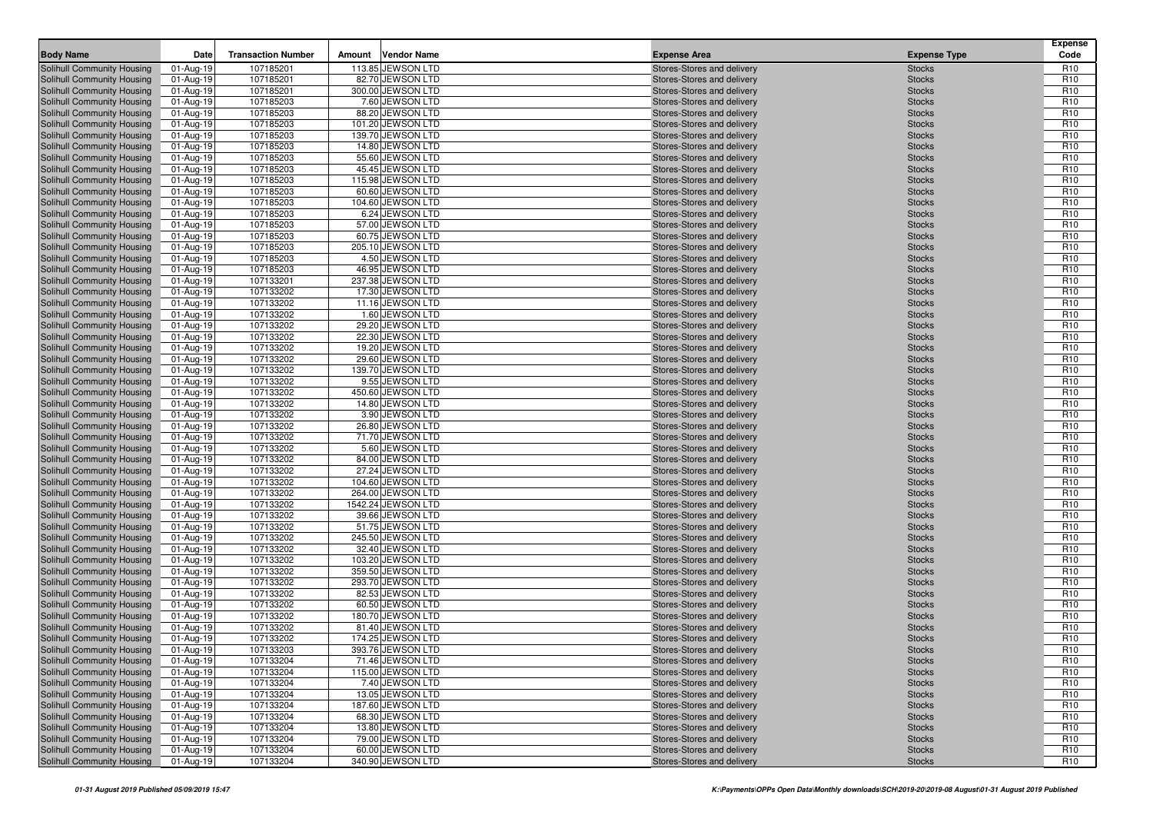| <b>Body Name</b>                                         | Date                   | <b>Transaction Number</b> | Amount | <b>Vendor Name</b>                    | <b>Expense Area</b>                                      | <b>Expense Type</b>            | <b>Expense</b><br>Code             |
|----------------------------------------------------------|------------------------|---------------------------|--------|---------------------------------------|----------------------------------------------------------|--------------------------------|------------------------------------|
| Solihull Community Housing                               | 01-Aug-19              | 107185201                 |        | 113.85 JEWSON LTD                     | Stores-Stores and delivery                               | <b>Stocks</b>                  | R <sub>10</sub>                    |
| Solihull Community Housing                               | 01-Aug-19              | 107185201                 |        | 82.70 JEWSON LTD                      | Stores-Stores and delivery                               | <b>Stocks</b>                  | R <sub>10</sub>                    |
| Solihull Community Housing                               | 01-Aug-19              | 107185201                 |        | 300.00 JEWSON LTD                     | Stores-Stores and delivery                               | <b>Stocks</b>                  | R <sub>10</sub>                    |
| Solihull Community Housing                               | 01-Aug-19              | 107185203                 |        | 7.60 JEWSON LTD                       | Stores-Stores and delivery                               | <b>Stocks</b>                  | R <sub>10</sub>                    |
| Solihull Community Housing                               | 01-Aug-19              | 107185203                 |        | 88.20 JEWSON LTD                      | Stores-Stores and delivery                               | <b>Stocks</b>                  | R <sub>10</sub>                    |
| Solihull Community Housing                               | 01-Aug-19              | 107185203                 |        | 101.20 JEWSON LTD                     | Stores-Stores and delivery                               | <b>Stocks</b>                  | R <sub>10</sub>                    |
| Solihull Community Housing                               | 01-Aug-19              | 107185203                 |        | 139.70 JEWSON LTD                     | Stores-Stores and delivery                               | <b>Stocks</b>                  | R <sub>10</sub>                    |
| Solihull Community Housing                               | 01-Aug-19              | 107185203                 |        | 14.80 JEWSON LTD                      | Stores-Stores and delivery                               | <b>Stocks</b>                  | R <sub>10</sub>                    |
| Solihull Community Housing                               | 01-Aug-19              | 107185203                 |        | 55.60 JEWSON LTD                      | Stores-Stores and delivery                               | <b>Stocks</b>                  | R <sub>10</sub>                    |
| Solihull Community Housing                               | 01-Aug-19              | 107185203                 |        | 45.45 JEWSON LTD                      | Stores-Stores and delivery                               | <b>Stocks</b>                  | R <sub>10</sub>                    |
| Solihull Community Housing                               | 01-Aug-19              | 107185203                 |        | 115.98 JEWSON LTD                     | Stores-Stores and delivery                               | <b>Stocks</b>                  | R <sub>10</sub>                    |
| Solihull Community Housing                               | 01-Aug-19              | 107185203                 |        | 60.60 JEWSON LTD                      | Stores-Stores and delivery                               | <b>Stocks</b>                  | R <sub>10</sub>                    |
| Solihull Community Housing                               | 01-Aug-19              | 107185203                 |        | 104.60 JEWSON LTD                     | Stores-Stores and delivery                               | <b>Stocks</b>                  | R <sub>10</sub>                    |
| Solihull Community Housing                               | 01-Aug-19              | 107185203                 |        | 6.24 JEWSON LTD                       | Stores-Stores and delivery                               | <b>Stocks</b>                  | R <sub>10</sub>                    |
| Solihull Community Housing                               | 01-Aug-19              | 107185203                 |        | 57.00 JEWSON LTD                      | Stores-Stores and delivery                               | <b>Stocks</b>                  | R <sub>10</sub>                    |
| Solihull Community Housing                               | 01-Aug-19              | 107185203                 |        | 60.75 JEWSON LTD                      | Stores-Stores and delivery                               | <b>Stocks</b>                  | R <sub>10</sub>                    |
| Solihull Community Housing                               | 01-Aug-19              | 107185203                 |        | 205.10 JEWSON LTD                     | Stores-Stores and delivery                               | <b>Stocks</b>                  | R <sub>10</sub>                    |
| Solihull Community Housing                               | 01-Aug-19              | 107185203                 |        | 4.50 JEWSON LTD                       | Stores-Stores and delivery                               | <b>Stocks</b>                  | R <sub>10</sub>                    |
| Solihull Community Housing                               | 01-Aug-19              | 107185203                 |        | 46.95 JEWSON LTD                      | Stores-Stores and delivery                               | <b>Stocks</b>                  | R <sub>10</sub>                    |
| Solihull Community Housing                               | 01-Aug-19              | 107133201                 |        | 237.38 JEWSON LTD                     | Stores-Stores and delivery                               | <b>Stocks</b>                  | R <sub>10</sub>                    |
| Solihull Community Housing                               | 01-Aug-19              | 107133202                 |        | 17.30 JEWSON LTD                      | Stores-Stores and delivery                               | <b>Stocks</b>                  | R <sub>10</sub>                    |
| Solihull Community Housing                               | 01-Aug-19<br>01-Aug-19 | 107133202<br>107133202    |        | 11.16 JEWSON LTD<br>1.60 JEWSON LTD   | Stores-Stores and delivery<br>Stores-Stores and delivery | <b>Stocks</b><br><b>Stocks</b> | R <sub>10</sub><br>R <sub>10</sub> |
| Solihull Community Housing<br>Solihull Community Housing | 01-Aug-19              | 107133202                 |        | 29.20 JEWSON LTD                      | Stores-Stores and delivery                               | <b>Stocks</b>                  | R <sub>10</sub>                    |
| Solihull Community Housing                               | 01-Aug-19              | 107133202                 |        | 22.30 JEWSON LTD                      | Stores-Stores and delivery                               | <b>Stocks</b>                  | R <sub>10</sub>                    |
| Solihull Community Housing                               | 01-Aug-19              | 107133202                 |        | 19.20 JEWSON LTD                      | Stores-Stores and delivery                               | <b>Stocks</b>                  | R <sub>10</sub>                    |
| Solihull Community Housing                               | 01-Aug-19              | 107133202                 |        | 29.60 JEWSON LTD                      | Stores-Stores and delivery                               | <b>Stocks</b>                  | R <sub>10</sub>                    |
| Solihull Community Housing                               | 01-Aug-19              | 107133202                 |        | 139.70 JEWSON LTD                     | Stores-Stores and delivery                               | <b>Stocks</b>                  | R <sub>10</sub>                    |
| Solihull Community Housing                               | 01-Aug-19              | 107133202                 |        | 9.55 JEWSON LTD                       | Stores-Stores and delivery                               | <b>Stocks</b>                  | R <sub>10</sub>                    |
| Solihull Community Housing                               | 01-Aug-19              | 107133202                 |        | 450.60 JEWSON LTD                     | Stores-Stores and delivery                               | <b>Stocks</b>                  | R <sub>10</sub>                    |
| Solihull Community Housing                               | 01-Aug-19              | 107133202                 |        | 14.80 JEWSON LTD                      | Stores-Stores and delivery                               | <b>Stocks</b>                  | R <sub>10</sub>                    |
| Solihull Community Housing                               | 01-Aug-19              | 107133202                 |        | 3.90 JEWSON LTD                       | Stores-Stores and delivery                               | <b>Stocks</b>                  | R <sub>10</sub>                    |
| Solihull Community Housing                               | 01-Aug-19              | 107133202                 |        | 26.80 JEWSON LTD                      | Stores-Stores and delivery                               | <b>Stocks</b>                  | R <sub>10</sub>                    |
| Solihull Community Housing                               | 01-Aug-19              | 107133202                 |        | 71.70 JEWSON LTD                      | Stores-Stores and delivery                               | <b>Stocks</b>                  | R <sub>10</sub>                    |
| Solihull Community Housing                               | 01-Aug-19              | 107133202                 |        | 5.60 JEWSON LTD                       | Stores-Stores and delivery                               | <b>Stocks</b>                  | R <sub>10</sub>                    |
| Solihull Community Housing                               | 01-Aug-19              | 107133202                 |        | 84.00 JEWSON LTD                      | Stores-Stores and delivery                               | <b>Stocks</b>                  | R <sub>10</sub>                    |
| Solihull Community Housing                               | 01-Aug-19              | 107133202                 |        | 27.24 JEWSON LTD                      | Stores-Stores and delivery                               | <b>Stocks</b>                  | R <sub>10</sub>                    |
| Solihull Community Housing                               | 01-Aug-19              | 107133202                 |        | 104.60 JEWSON LTD                     | Stores-Stores and delivery                               | <b>Stocks</b>                  | R <sub>10</sub>                    |
| Solihull Community Housing                               | 01-Aug-19              | 107133202                 |        | 264.00 JEWSON LTD                     | Stores-Stores and delivery                               | <b>Stocks</b>                  | R <sub>10</sub>                    |
| Solihull Community Housing                               | 01-Aug-19              | 107133202                 |        | 1542.24 JEWSON LTD                    | Stores-Stores and delivery                               | <b>Stocks</b>                  | R <sub>10</sub>                    |
| Solihull Community Housing                               | 01-Aug-19              | 107133202                 |        | 39.66 JEWSON LTD                      | Stores-Stores and delivery                               | <b>Stocks</b>                  | R <sub>10</sub>                    |
| Solihull Community Housing                               | 01-Aug-19              | 107133202                 |        | 51.75 JEWSON LTD                      | Stores-Stores and delivery                               | <b>Stocks</b>                  | R <sub>10</sub>                    |
| Solihull Community Housing                               | 01-Aug-19              | 107133202                 |        | 245.50 JEWSON LTD                     | Stores-Stores and delivery                               | <b>Stocks</b>                  | R <sub>10</sub>                    |
| Solihull Community Housing                               | 01-Aug-19              | 107133202                 |        | 32.40 JEWSON LTD                      | Stores-Stores and delivery                               | <b>Stocks</b>                  | R <sub>10</sub>                    |
| Solihull Community Housing                               | 01-Aug-19              | 107133202                 |        | 103.20 JEWSON LTD                     | Stores-Stores and delivery                               | <b>Stocks</b>                  | R <sub>10</sub>                    |
| Solihull Community Housing                               | 01-Aug-19              | 107133202                 |        | 359.50 JEWSON LTD                     | Stores-Stores and delivery                               | <b>Stocks</b>                  | R <sub>10</sub>                    |
| Solihull Community Housing                               | 01-Aug-19              | 107133202                 |        | 293.70 JEWSON LTD                     | Stores-Stores and delivery                               | <b>Stocks</b>                  | R <sub>10</sub>                    |
| Solihull Community Housing                               | 01-Aug-19              | 107133202                 |        | 82.53 JEWSON LTD                      | Stores-Stores and delivery                               | <b>Stocks</b>                  | R <sub>10</sub>                    |
| Solihull Community Housing                               | 01-Aug-19              | 107133202                 |        | 60.50 JEWSON LTD                      | Stores-Stores and delivery                               | <b>Stocks</b>                  | R <sub>10</sub>                    |
| Solihull Community Housing                               | 01-Aug-19              | 107133202                 |        | 180.70 JEWSON LTD                     | Stores-Stores and delivery                               | <b>Stocks</b>                  | R <sub>10</sub>                    |
| Solihull Community Housing                               | 01-Aug-19              | 107133202                 |        | 81.40 JEWSON LTD                      | Stores-Stores and delivery                               | <b>Stocks</b>                  | R <sub>10</sub>                    |
| Solihull Community Housing                               | 01-Aug-19              | 107133202                 |        | 174.25 JEWSON LTD                     | Stores-Stores and delivery                               | <b>Stocks</b>                  | R <sub>10</sub>                    |
| Solihull Community Housing                               | 01-Aug-19              | 107133203                 |        | 393.76 JEWSON LTD                     | Stores-Stores and delivery                               | <b>Stocks</b>                  | R <sub>10</sub>                    |
| Solihull Community Housing                               | 01-Aug-19              | 107133204<br>107133204    |        | 71.46 JEWSON LTD<br>115.00 JEWSON LTD | Stores-Stores and delivery                               | <b>Stocks</b>                  | R <sub>10</sub><br>R <sub>10</sub> |
| Solihull Community Housing                               | 01-Aug-19              |                           |        |                                       | Stores-Stores and delivery                               | <b>Stocks</b>                  |                                    |
| Solihull Community Housing<br>Solihull Community Housing | 01-Aug-19<br>01-Aug-19 | 107133204<br>107133204    |        | 7.40 JEWSON LTD<br>13.05 JEWSON LTD   | Stores-Stores and delivery<br>Stores-Stores and delivery | <b>Stocks</b><br><b>Stocks</b> | R <sub>10</sub><br>R <sub>10</sub> |
| Solihull Community Housing                               | 01-Aug-19              | 107133204                 |        | 187.60 JEWSON LTD                     | Stores-Stores and delivery                               | <b>Stocks</b>                  | R <sub>10</sub>                    |
| Solihull Community Housing                               | 01-Aug-19              | 107133204                 |        | 68.30 JEWSON LTD                      | Stores-Stores and delivery                               | <b>Stocks</b>                  | R <sub>10</sub>                    |
| Solihull Community Housing                               | 01-Aug-19              | 107133204                 |        | 13.80 JEWSON LTD                      | Stores-Stores and delivery                               | <b>Stocks</b>                  | R <sub>10</sub>                    |
| Solihull Community Housing                               | 01-Aug-19              | 107133204                 |        | 79.00 JEWSON LTD                      | Stores-Stores and delivery                               | <b>Stocks</b>                  | R <sub>10</sub>                    |
| <b>Solihull Community Housing</b>                        | 01-Aug-19              | 107133204                 |        | 60.00 JEWSON LTD                      | Stores-Stores and delivery                               | <b>Stocks</b>                  | R <sub>10</sub>                    |
| Solihull Community Housing                               | 01-Aug-19              | 107133204                 |        | 340.90 JEWSON LTD                     | Stores-Stores and delivery                               | <b>Stocks</b>                  | R <sub>10</sub>                    |
|                                                          |                        |                           |        |                                       |                                                          |                                |                                    |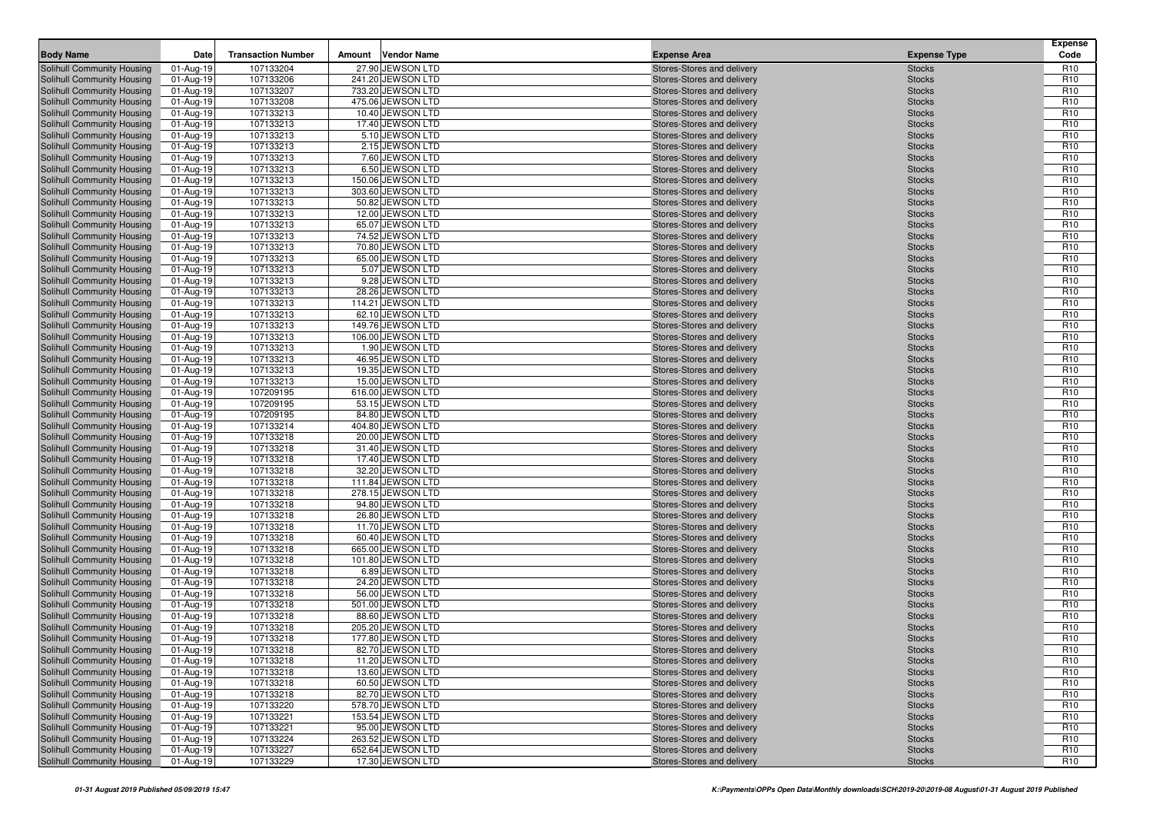| <b>Body Name</b>                                         | Date                   | <b>Transaction Number</b> | Amount | <b>Vendor Name</b>                    | <b>Expense Area</b>                                      | <b>Expense Type</b>            | <b>Expense</b><br>Code             |
|----------------------------------------------------------|------------------------|---------------------------|--------|---------------------------------------|----------------------------------------------------------|--------------------------------|------------------------------------|
| Solihull Community Housing                               | 01-Aug-19              | 107133204                 |        | 27.90 JEWSON LTD                      | Stores-Stores and delivery                               | <b>Stocks</b>                  | R <sub>10</sub>                    |
| Solihull Community Housing                               | 01-Aug-19              | 107133206                 |        | 241.20 JEWSON LTD                     | Stores-Stores and delivery                               | <b>Stocks</b>                  | R <sub>10</sub>                    |
| Solihull Community Housing                               | 01-Aug-19              | 107133207                 |        | 733.20 JEWSON LTD                     | Stores-Stores and delivery                               | <b>Stocks</b>                  | R <sub>10</sub>                    |
| Solihull Community Housing                               | 01-Aug-19              | 107133208                 |        | 475.06 JEWSON LTD                     | Stores-Stores and delivery                               | <b>Stocks</b>                  | R <sub>10</sub>                    |
| Solihull Community Housing                               | 01-Aug-19              | 107133213                 |        | 10.40 JEWSON LTD                      | Stores-Stores and delivery                               | <b>Stocks</b>                  | R <sub>10</sub>                    |
| Solihull Community Housing                               | 01-Aug-19              | 107133213                 |        | 17.40 JEWSON LTD                      | Stores-Stores and delivery                               | <b>Stocks</b>                  | R <sub>10</sub>                    |
| Solihull Community Housing                               | 01-Aug-19              | 107133213                 |        | 5.10 JEWSON LTD                       | Stores-Stores and delivery                               | <b>Stocks</b>                  | R <sub>10</sub>                    |
| Solihull Community Housing                               | 01-Aug-19              | 107133213                 |        | 2.15 JEWSON LTD                       | Stores-Stores and delivery                               | <b>Stocks</b>                  | R <sub>10</sub>                    |
| Solihull Community Housing                               | 01-Aug-19              | 107133213                 |        | 7.60 JEWSON LTD                       | Stores-Stores and delivery                               | <b>Stocks</b>                  | R <sub>10</sub>                    |
| Solihull Community Housing                               | 01-Aug-19              | 107133213                 |        | 6.50 JEWSON LTD                       | Stores-Stores and delivery                               | <b>Stocks</b>                  | R <sub>10</sub>                    |
| Solihull Community Housing                               | 01-Aug-19              | 107133213                 |        | 150.06 JEWSON LTD                     | Stores-Stores and delivery                               | <b>Stocks</b>                  | R <sub>10</sub>                    |
| Solihull Community Housing                               | 01-Aug-19              | 107133213                 |        | 303.60 JEWSON LTD                     | Stores-Stores and delivery                               | <b>Stocks</b>                  | R <sub>10</sub>                    |
| Solihull Community Housing                               | 01-Aug-19              | 107133213                 |        | 50.82 JEWSON LTD                      | Stores-Stores and delivery                               | <b>Stocks</b>                  | R <sub>10</sub>                    |
| <b>Solihull Community Housing</b>                        | 01-Aug-19              | 107133213                 |        | 12.00 JEWSON LTD                      | Stores-Stores and delivery                               | <b>Stocks</b>                  | R <sub>10</sub>                    |
| Solihull Community Housing                               | 01-Aug-19              | 107133213                 |        | 65.07 JEWSON LTD                      | Stores-Stores and delivery                               | <b>Stocks</b>                  | R <sub>10</sub>                    |
| Solihull Community Housing                               | 01-Aug-19              | 107133213                 |        | 74.52 JEWSON LTD                      | Stores-Stores and delivery                               | <b>Stocks</b>                  | R <sub>10</sub>                    |
| Solihull Community Housing                               | 01-Aug-19              | 107133213                 |        | 70.80 JEWSON LTD                      | Stores-Stores and delivery                               | <b>Stocks</b>                  | R <sub>10</sub>                    |
| Solihull Community Housing                               | 01-Aug-19              | 107133213                 |        | 65.00 JEWSON LTD                      | Stores-Stores and delivery                               | <b>Stocks</b>                  | R <sub>10</sub>                    |
| Solihull Community Housing                               | 01-Aug-19              | 107133213                 |        | 5.07 JEWSON LTD                       | Stores-Stores and delivery                               | <b>Stocks</b>                  | R <sub>10</sub>                    |
| Solihull Community Housing                               | 01-Aug-19              | 107133213                 |        | 9.28 JEWSON LTD                       | Stores-Stores and delivery                               | <b>Stocks</b>                  | R <sub>10</sub>                    |
| Solihull Community Housing                               | 01-Aug-19              | 107133213                 |        | 28.26 JEWSON LTD                      | Stores-Stores and delivery                               | <b>Stocks</b>                  | R <sub>10</sub>                    |
| Solihull Community Housing                               | 01-Aug-19              | 107133213                 |        | 114.21 JEWSON LTD                     | Stores-Stores and delivery                               | <b>Stocks</b>                  | R <sub>10</sub>                    |
| <b>Solihull Community Housing</b>                        | 01-Aug-19              | 107133213                 |        | 62.10 JEWSON LTD                      | Stores-Stores and delivery                               | <b>Stocks</b>                  | R <sub>10</sub>                    |
| Solihull Community Housing                               | 01-Aug-19              | 107133213                 |        | 149.76 JEWSON LTD                     | Stores-Stores and delivery                               | <b>Stocks</b>                  | R <sub>10</sub>                    |
| Solihull Community Housing                               | 01-Aug-19              | 107133213                 |        | 106.00 JEWSON LTD                     | Stores-Stores and delivery                               | <b>Stocks</b>                  | R <sub>10</sub>                    |
| Solihull Community Housing                               | 01-Aug-19              | 107133213                 |        | 1.90 JEWSON LTD<br>46.95 JEWSON LTD   | Stores-Stores and delivery                               | <b>Stocks</b>                  | R <sub>10</sub>                    |
| Solihull Community Housing                               | 01-Aug-19              | 107133213                 |        |                                       | Stores-Stores and delivery<br>Stores-Stores and delivery | <b>Stocks</b>                  | R <sub>10</sub>                    |
| Solihull Community Housing                               | 01-Aug-19              | 107133213                 |        | 19.35 JEWSON LTD                      |                                                          | <b>Stocks</b>                  | R <sub>10</sub><br>R <sub>10</sub> |
| Solihull Community Housing                               | 01-Aug-19              | 107133213                 |        | 15.00 JEWSON LTD<br>616.00 JEWSON LTD | Stores-Stores and delivery                               | <b>Stocks</b>                  | R <sub>10</sub>                    |
| Solihull Community Housing<br>Solihull Community Housing | 01-Aug-19<br>01-Aug-19 | 107209195<br>107209195    |        | 53.15 JEWSON LTD                      | Stores-Stores and delivery<br>Stores-Stores and delivery | <b>Stocks</b><br><b>Stocks</b> | R <sub>10</sub>                    |
| Solihull Community Housing                               | 01-Aug-19              | 107209195                 |        | 84.80 JEWSON LTD                      | Stores-Stores and delivery                               | <b>Stocks</b>                  | R <sub>10</sub>                    |
| Solihull Community Housing                               | 01-Aug-19              | 107133214                 |        | 404.80 JEWSON LTD                     | Stores-Stores and delivery                               | <b>Stocks</b>                  | R <sub>10</sub>                    |
| Solihull Community Housing                               | 01-Aug-19              | 107133218                 |        | 20.00 JEWSON LTD                      | Stores-Stores and delivery                               | <b>Stocks</b>                  | R <sub>10</sub>                    |
| Solihull Community Housing                               | 01-Aug-19              | 107133218                 |        | 31.40 JEWSON LTD                      | Stores-Stores and delivery                               | <b>Stocks</b>                  | R <sub>10</sub>                    |
| Solihull Community Housing                               | 01-Aug-19              | 107133218                 |        | 17.40 JEWSON LTD                      | Stores-Stores and delivery                               | <b>Stocks</b>                  | R <sub>10</sub>                    |
| Solihull Community Housing                               | 01-Aug-19              | 107133218                 |        | 32.20 JEWSON LTD                      | Stores-Stores and delivery                               | <b>Stocks</b>                  | R <sub>10</sub>                    |
| Solihull Community Housing                               | 01-Aug-19              | 107133218                 |        | 111.84 JEWSON LTD                     | Stores-Stores and delivery                               | <b>Stocks</b>                  | R <sub>10</sub>                    |
| Solihull Community Housing                               | 01-Aug-19              | 107133218                 |        | 278.15 JEWSON LTD                     | Stores-Stores and delivery                               | <b>Stocks</b>                  | R <sub>10</sub>                    |
| Solihull Community Housing                               | 01-Aug-19              | 107133218                 |        | 94.80 JEWSON LTD                      | Stores-Stores and delivery                               | <b>Stocks</b>                  | R <sub>10</sub>                    |
| Solihull Community Housing                               | 01-Aug-19              | 107133218                 |        | 26.80 JEWSON LTD                      | Stores-Stores and delivery                               | <b>Stocks</b>                  | R <sub>10</sub>                    |
| Solihull Community Housing                               | 01-Aug-19              | 107133218                 |        | 11.70 JEWSON LTD                      | Stores-Stores and delivery                               | <b>Stocks</b>                  | R <sub>10</sub>                    |
| Solihull Community Housing                               | 01-Aug-19              | 107133218                 |        | 60.40 JEWSON LTD                      | Stores-Stores and delivery                               | <b>Stocks</b>                  | R <sub>10</sub>                    |
| Solihull Community Housing                               | 01-Aug-19              | 107133218                 |        | 665.00 JEWSON LTD                     | Stores-Stores and delivery                               | <b>Stocks</b>                  | R <sub>10</sub>                    |
| Solihull Community Housing                               | 01-Aug-19              | 107133218                 |        | 101.80 JEWSON LTD                     | Stores-Stores and delivery                               | <b>Stocks</b>                  | R <sub>10</sub>                    |
| Solihull Community Housing                               | 01-Aug-19              | 107133218                 |        | 6.89 JEWSON LTD                       | Stores-Stores and delivery                               | <b>Stocks</b>                  | R <sub>10</sub>                    |
| Solihull Community Housing                               | 01-Aug-19              | 107133218                 |        | 24.20 JEWSON LTD                      | Stores-Stores and delivery                               | <b>Stocks</b>                  | R <sub>10</sub>                    |
| Solihull Community Housing                               | 01-Aug-19              | 107133218                 |        | 56.00 JEWSON LTD                      | Stores-Stores and delivery                               | <b>Stocks</b>                  | R <sub>10</sub>                    |
| Solihull Community Housing                               | 01-Aug-19              | 107133218                 |        | 501.00 JEWSON LTD                     | Stores-Stores and delivery                               | <b>Stocks</b>                  | R <sub>10</sub>                    |
| Solihull Community Housing                               | 01-Aug-19              | 107133218                 |        | 88.60 JEWSON LTD                      | Stores-Stores and delivery                               | <b>Stocks</b>                  | R <sub>10</sub>                    |
| Solihull Community Housing                               | 01-Aug-19              | 107133218                 |        | 205.20 JEWSON LTD                     | Stores-Stores and delivery                               | <b>Stocks</b>                  | R <sub>10</sub>                    |
| Solihull Community Housing                               | 01-Aug-19              | 107133218                 |        | 177.80 JEWSON LTD                     | Stores-Stores and delivery                               | <b>Stocks</b>                  | R <sub>10</sub>                    |
| Solihull Community Housing                               | 01-Aug-19              | 107133218                 |        | 82.70 JEWSON LTD                      | Stores-Stores and delivery                               | <b>Stocks</b>                  | R <sub>10</sub>                    |
| Solihull Community Housing                               | 01-Aug-19              | 107133218                 |        | 11.20 JEWSON LTD                      | Stores-Stores and delivery                               | <b>Stocks</b>                  | R <sub>10</sub>                    |
| Solihull Community Housing                               | 01-Aug-19              | 107133218                 |        | 13.60 JEWSON LTD                      | Stores-Stores and delivery                               | <b>Stocks</b>                  | R <sub>10</sub>                    |
| Solihull Community Housing                               | 01-Aug-19              | 107133218                 |        | 60.50 JEWSON LTD                      | Stores-Stores and delivery                               | <b>Stocks</b>                  | R <sub>10</sub>                    |
| Solihull Community Housing                               | 01-Aug-19              | 107133218                 |        | 82.70 JEWSON LTD                      | Stores-Stores and delivery                               | <b>Stocks</b>                  | R <sub>10</sub>                    |
| Solihull Community Housing                               | 01-Aug-19              | 107133220                 |        | 578.70 JEWSON LTD                     | Stores-Stores and delivery                               | <b>Stocks</b>                  | R <sub>10</sub>                    |
| Solihull Community Housing                               | 01-Aug-19              | 107133221                 |        | 153.54 JEWSON LTD                     | Stores-Stores and delivery                               | <b>Stocks</b>                  | R <sub>10</sub>                    |
| Solihull Community Housing                               | 01-Aug-19              | 107133221                 |        | 95.00 JEWSON LTD                      | Stores-Stores and delivery                               | <b>Stocks</b>                  | R <sub>10</sub>                    |
| Solihull Community Housing                               | 01-Aug-19              | 107133224                 |        | 263.52 JEWSON LTD                     | Stores-Stores and delivery                               | <b>Stocks</b>                  | R <sub>10</sub>                    |
| Solihull Community Housing                               | 01-Aug-19              | 107133227                 |        | 652.64 JEWSON LTD                     | Stores-Stores and delivery                               | <b>Stocks</b>                  | R <sub>10</sub>                    |
| Solihull Community Housing                               | 01-Aug-19              | 107133229                 |        | 17.30 JEWSON LTD                      | Stores-Stores and delivery                               | <b>Stocks</b>                  | R <sub>10</sub>                    |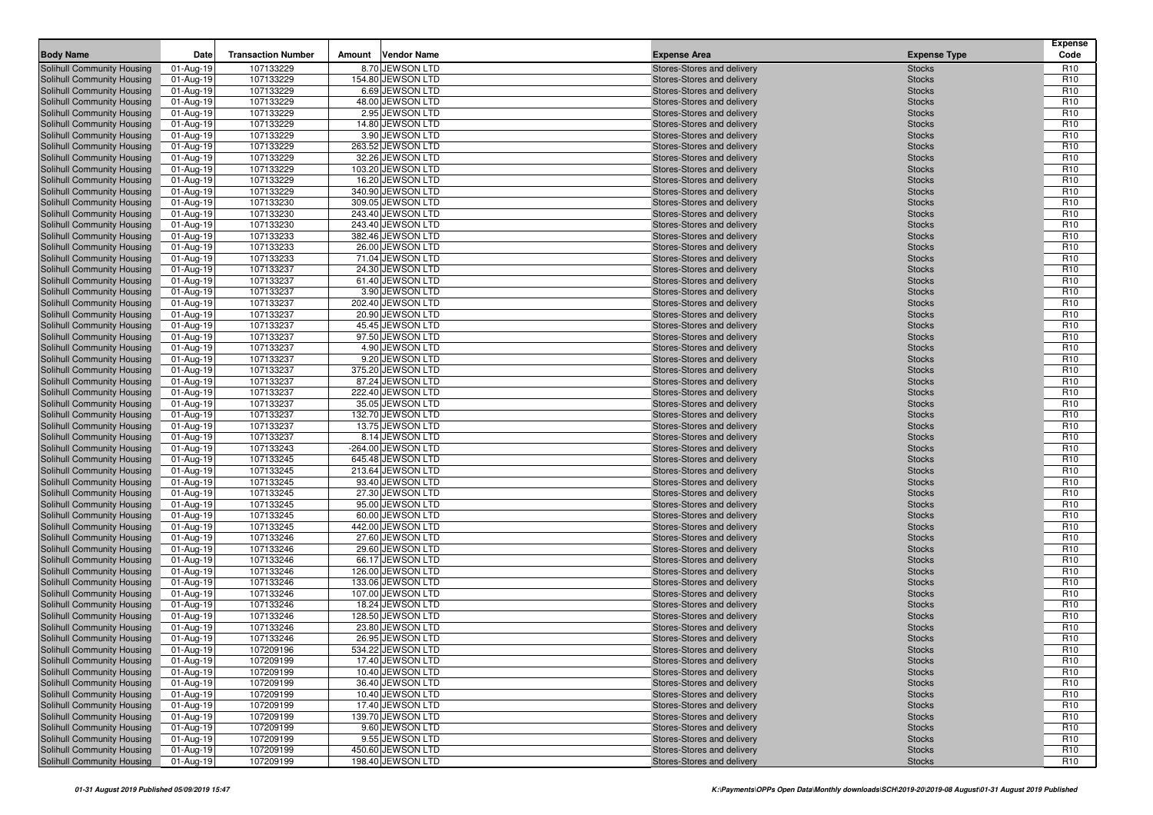| <b>Body Name</b>                  | Date      | <b>Transaction Number</b> | Amount | <b>Vendor Name</b> | <b>Expense Area</b>        | <b>Expense Type</b> | <b>Expense</b><br>Code |
|-----------------------------------|-----------|---------------------------|--------|--------------------|----------------------------|---------------------|------------------------|
| Solihull Community Housing        | 01-Aug-19 | 107133229                 |        | 8.70 JEWSON LTD    | Stores-Stores and delivery | <b>Stocks</b>       | R <sub>10</sub>        |
| Solihull Community Housing        | 01-Aug-19 | 107133229                 |        | 154.80 JEWSON LTD  | Stores-Stores and delivery | <b>Stocks</b>       | R <sub>10</sub>        |
| Solihull Community Housing        | 01-Aug-19 | 107133229                 |        | 6.69 JEWSON LTD    | Stores-Stores and delivery | <b>Stocks</b>       | R <sub>10</sub>        |
| Solihull Community Housing        | 01-Aug-19 | 107133229                 |        | 48.00 JEWSON LTD   | Stores-Stores and delivery | <b>Stocks</b>       | R <sub>10</sub>        |
| Solihull Community Housing        | 01-Aug-19 | 107133229                 |        | 2.95 JEWSON LTD    | Stores-Stores and delivery | <b>Stocks</b>       | R <sub>10</sub>        |
| Solihull Community Housing        | 01-Aug-19 | 107133229                 |        | 14.80 JEWSON LTD   | Stores-Stores and delivery | <b>Stocks</b>       | R <sub>10</sub>        |
| Solihull Community Housing        | 01-Aug-19 | 107133229                 |        | 3.90 JEWSON LTD    | Stores-Stores and delivery | <b>Stocks</b>       | R <sub>10</sub>        |
| Solihull Community Housing        | 01-Aug-19 | 107133229                 |        | 263.52 JEWSON LTD  | Stores-Stores and delivery | <b>Stocks</b>       | R <sub>10</sub>        |
| Solihull Community Housing        | 01-Aug-19 | 107133229                 |        | 32.26 JEWSON LTD   | Stores-Stores and delivery | <b>Stocks</b>       | R <sub>10</sub>        |
| Solihull Community Housing        | 01-Aug-19 | 107133229                 |        | 103.20 JEWSON LTD  | Stores-Stores and delivery | <b>Stocks</b>       | R <sub>10</sub>        |
| Solihull Community Housing        | 01-Aug-19 | 107133229                 |        | 16.20 JEWSON LTD   | Stores-Stores and delivery | <b>Stocks</b>       | R <sub>10</sub>        |
| Solihull Community Housing        | 01-Aug-19 | 107133229                 |        | 340.90 JEWSON LTD  | Stores-Stores and delivery | <b>Stocks</b>       | R <sub>10</sub>        |
| Solihull Community Housing        | 01-Aug-19 | 107133230                 |        | 309.05 JEWSON LTD  | Stores-Stores and delivery | <b>Stocks</b>       | R <sub>10</sub>        |
| <b>Solihull Community Housing</b> | 01-Aug-19 | 107133230                 |        | 243.40 JEWSON LTD  | Stores-Stores and delivery | <b>Stocks</b>       | R <sub>10</sub>        |
| Solihull Community Housing        | 01-Aug-19 | 107133230                 |        | 243.40 JEWSON LTD  | Stores-Stores and delivery | <b>Stocks</b>       | R <sub>10</sub>        |
| Solihull Community Housing        | 01-Aug-19 | 107133233                 |        | 382.46 JEWSON LTD  | Stores-Stores and delivery | <b>Stocks</b>       | R <sub>10</sub>        |
| Solihull Community Housing        | 01-Aug-19 | 107133233                 |        | 26.00 JEWSON LTD   | Stores-Stores and delivery | <b>Stocks</b>       | R <sub>10</sub>        |
| Solihull Community Housing        | 01-Aug-19 | 107133233                 |        | 71.04 JEWSON LTD   | Stores-Stores and delivery | <b>Stocks</b>       | R <sub>10</sub>        |
| Solihull Community Housing        | 01-Aug-19 | 107133237                 |        | 24.30 JEWSON LTD   | Stores-Stores and delivery | <b>Stocks</b>       | R <sub>10</sub>        |
| Solihull Community Housing        | 01-Aug-19 | 107133237                 |        | 61.40 JEWSON LTD   | Stores-Stores and delivery | <b>Stocks</b>       | R <sub>10</sub>        |
| Solihull Community Housing        | 01-Aug-19 | 107133237                 |        | 3.90 JEWSON LTD    | Stores-Stores and delivery | <b>Stocks</b>       | R <sub>10</sub>        |
| Solihull Community Housing        | 01-Aug-19 | 107133237                 |        | 202.40 JEWSON LTD  | Stores-Stores and delivery | <b>Stocks</b>       | R <sub>10</sub>        |
| Solihull Community Housing        | 01-Aug-19 | 107133237                 |        | 20.90 JEWSON LTD   | Stores-Stores and delivery | <b>Stocks</b>       | R <sub>10</sub>        |
| Solihull Community Housing        | 01-Aug-19 | 107133237                 |        | 45.45 JEWSON LTD   | Stores-Stores and delivery | <b>Stocks</b>       | R <sub>10</sub>        |
| Solihull Community Housing        | 01-Aug-19 | 107133237                 |        | 97.50 JEWSON LTD   | Stores-Stores and delivery | <b>Stocks</b>       | R <sub>10</sub>        |
| Solihull Community Housing        | 01-Aug-19 | 107133237                 |        | 4.90 JEWSON LTD    | Stores-Stores and delivery | <b>Stocks</b>       | R <sub>10</sub>        |
| Solihull Community Housing        | 01-Aug-19 | 107133237                 |        | 9.20 JEWSON LTD    | Stores-Stores and delivery | <b>Stocks</b>       | R <sub>10</sub>        |
| Solihull Community Housing        | 01-Aug-19 | 107133237                 |        | 375.20 JEWSON LTD  | Stores-Stores and delivery | <b>Stocks</b>       | R <sub>10</sub>        |
| Solihull Community Housing        | 01-Aug-19 | 107133237                 |        | 87.24 JEWSON LTD   | Stores-Stores and delivery | <b>Stocks</b>       | R <sub>10</sub>        |
| Solihull Community Housing        | 01-Aug-19 | 107133237                 |        | 222.40 JEWSON LTD  | Stores-Stores and delivery | <b>Stocks</b>       | R <sub>10</sub>        |
| Solihull Community Housing        | 01-Aug-19 | 107133237                 |        | 35.05 JEWSON LTD   | Stores-Stores and delivery | <b>Stocks</b>       | R <sub>10</sub>        |
| Solihull Community Housing        | 01-Aug-19 | 107133237                 |        | 132.70 JEWSON LTD  | Stores-Stores and delivery | <b>Stocks</b>       | R <sub>10</sub>        |
| Solihull Community Housing        | 01-Aug-19 | 107133237                 |        | 13.75 JEWSON LTD   | Stores-Stores and delivery | <b>Stocks</b>       | R <sub>10</sub>        |
| Solihull Community Housing        | 01-Aug-19 | 107133237                 |        | 8.14 JEWSON LTD    | Stores-Stores and delivery | <b>Stocks</b>       | R <sub>10</sub>        |
| Solihull Community Housing        | 01-Aug-19 | 107133243                 |        | -264.00 JEWSON LTD | Stores-Stores and delivery | <b>Stocks</b>       | R <sub>10</sub>        |
| Solihull Community Housing        | 01-Aug-19 | 107133245                 |        | 645.48 JEWSON LTD  | Stores-Stores and delivery | <b>Stocks</b>       | R <sub>10</sub>        |
| Solihull Community Housing        | 01-Aug-19 | 107133245                 |        | 213.64 JEWSON LTD  | Stores-Stores and delivery | <b>Stocks</b>       | R <sub>10</sub>        |
| Solihull Community Housing        | 01-Aug-19 | 107133245                 |        | 93.40 JEWSON LTD   | Stores-Stores and delivery | <b>Stocks</b>       | R <sub>10</sub>        |
| Solihull Community Housing        | 01-Aug-19 | 107133245                 |        | 27.30 JEWSON LTD   | Stores-Stores and delivery | <b>Stocks</b>       | R <sub>10</sub>        |
| Solihull Community Housing        | 01-Aug-19 | 107133245                 |        | 95.00 JEWSON LTD   | Stores-Stores and delivery | <b>Stocks</b>       | R <sub>10</sub>        |
| Solihull Community Housing        | 01-Aug-19 | 107133245                 |        | 60.00 JEWSON LTD   | Stores-Stores and delivery | <b>Stocks</b>       | R <sub>10</sub>        |
| Solihull Community Housing        | 01-Aug-19 | 107133245                 |        | 442.00 JEWSON LTD  | Stores-Stores and delivery | <b>Stocks</b>       | R <sub>10</sub>        |
| Solihull Community Housing        | 01-Aug-19 | 107133246                 |        | 27.60 JEWSON LTD   | Stores-Stores and delivery | <b>Stocks</b>       | R <sub>10</sub>        |
| Solihull Community Housing        | 01-Aug-19 | 107133246                 |        | 29.60 JEWSON LTD   | Stores-Stores and delivery | <b>Stocks</b>       | R <sub>10</sub>        |
| Solihull Community Housing        | 01-Aug-19 | 107133246                 |        | 66.17 JEWSON LTD   | Stores-Stores and delivery | <b>Stocks</b>       | R <sub>10</sub>        |
| Solihull Community Housing        | 01-Aug-19 | 107133246                 |        | 126.00 JEWSON LTD  | Stores-Stores and delivery | <b>Stocks</b>       | R <sub>10</sub>        |
| Solihull Community Housing        | 01-Aug-19 | 107133246                 |        | 133.06 JEWSON LTD  | Stores-Stores and delivery | <b>Stocks</b>       | R <sub>10</sub>        |
| Solihull Community Housing        | 01-Aug-19 | 107133246                 |        | 107.00 JEWSON LTD  | Stores-Stores and delivery | <b>Stocks</b>       | R <sub>10</sub>        |
| Solihull Community Housing        | 01-Aug-19 | 107133246                 |        | 18.24 JEWSON LTD   | Stores-Stores and delivery | <b>Stocks</b>       | R <sub>10</sub>        |
| Solihull Community Housing        | 01-Aug-19 | 107133246                 |        | 128.50 JEWSON LTD  | Stores-Stores and delivery | <b>Stocks</b>       | R <sub>10</sub>        |
| Solihull Community Housing        | 01-Aug-19 | 107133246                 |        | 23.80 JEWSON LTD   | Stores-Stores and delivery | <b>Stocks</b>       | R <sub>10</sub>        |
| Solihull Community Housing        | 01-Aug-19 | 107133246                 |        | 26.95 JEWSON LTD   | Stores-Stores and delivery | <b>Stocks</b>       | R <sub>10</sub>        |
| Solihull Community Housing        | 01-Aug-19 | 107209196                 |        | 534.22 JEWSON LTD  | Stores-Stores and delivery | <b>Stocks</b>       | R <sub>10</sub>        |
| Solihull Community Housing        | 01-Aug-19 | 107209199                 |        | 17.40 JEWSON LTD   | Stores-Stores and delivery | <b>Stocks</b>       | R <sub>10</sub>        |
| Solihull Community Housing        | 01-Aug-19 | 107209199                 |        | 10.40 JEWSON LTD   | Stores-Stores and delivery | <b>Stocks</b>       | R <sub>10</sub>        |
| Solihull Community Housing        | 01-Aug-19 | 107209199                 |        | 36.40 JEWSON LTD   | Stores-Stores and delivery | <b>Stocks</b>       | R <sub>10</sub>        |
| Solihull Community Housing        | 01-Aug-19 | 107209199                 |        | 10.40 JEWSON LTD   | Stores-Stores and delivery | <b>Stocks</b>       | R <sub>10</sub>        |
| Solihull Community Housing        | 01-Aug-19 | 107209199                 |        | 17.40 JEWSON LTD   | Stores-Stores and delivery | <b>Stocks</b>       | R <sub>10</sub>        |
| Solihull Community Housing        | 01-Aug-19 | 107209199                 |        | 139.70 JEWSON LTD  | Stores-Stores and delivery | <b>Stocks</b>       | R <sub>10</sub>        |
| Solihull Community Housing        | 01-Aug-19 | 107209199                 |        | 9.60 JEWSON LTD    | Stores-Stores and delivery | <b>Stocks</b>       | R <sub>10</sub>        |
| Solihull Community Housing        | 01-Aug-19 | 107209199                 |        | 9.55 JEWSON LTD    | Stores-Stores and delivery | <b>Stocks</b>       | R <sub>10</sub>        |
| Solihull Community Housing        | 01-Aug-19 | 107209199                 |        | 450.60 JEWSON LTD  | Stores-Stores and delivery | <b>Stocks</b>       | R <sub>10</sub>        |
| Solihull Community Housing        | 01-Aug-19 | 107209199                 |        | 198.40 JEWSON LTD  | Stores-Stores and delivery | <b>Stocks</b>       | R <sub>10</sub>        |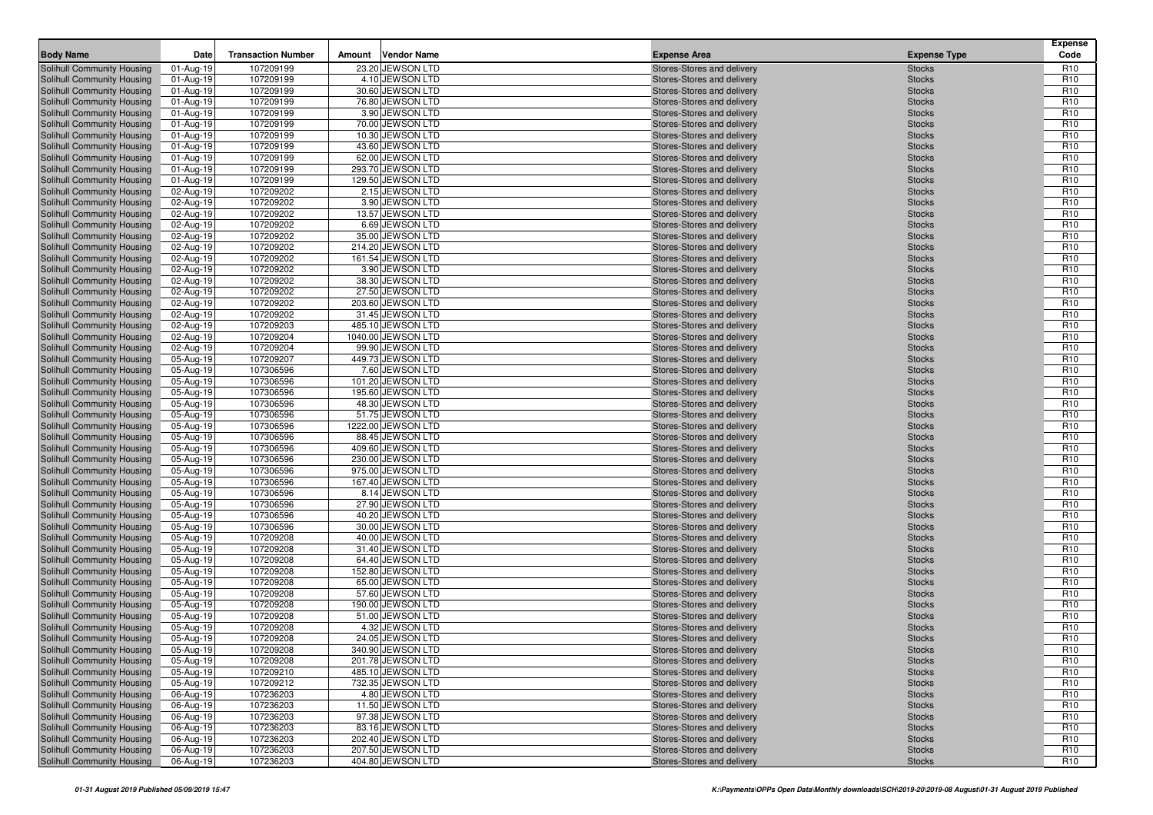| <b>Body Name</b>                                         | Date                   | <b>Transaction Number</b> | Amount | <b>Vendor Name</b>                  | <b>Expense Area</b>                                      | <b>Expense Type</b>            | <b>Expense</b><br>Code             |
|----------------------------------------------------------|------------------------|---------------------------|--------|-------------------------------------|----------------------------------------------------------|--------------------------------|------------------------------------|
| Solihull Community Housing                               | 01-Aug-19              | 107209199                 |        | 23.20 JEWSON LTD                    | Stores-Stores and delivery                               | <b>Stocks</b>                  | R <sub>10</sub>                    |
| Solihull Community Housing                               | 01-Aug-19              | 107209199                 |        | 4.10 JEWSON LTD                     | Stores-Stores and delivery                               | <b>Stocks</b>                  | R <sub>10</sub>                    |
| Solihull Community Housing                               | 01-Aug-19              | 107209199                 |        | 30.60 JEWSON LTD                    | Stores-Stores and delivery                               | <b>Stocks</b>                  | R <sub>10</sub>                    |
| Solihull Community Housing                               | 01-Aug-19              | 107209199                 |        | 76.80 JEWSON LTD                    | Stores-Stores and delivery                               | <b>Stocks</b>                  | R <sub>10</sub>                    |
| Solihull Community Housing                               | 01-Aug-19              | 107209199                 |        | 3.90 JEWSON LTD                     | Stores-Stores and delivery                               | <b>Stocks</b>                  | R <sub>10</sub>                    |
| Solihull Community Housing                               | 01-Aug-19              | 107209199                 |        | 70.00 JEWSON LTD                    | Stores-Stores and delivery                               | <b>Stocks</b>                  | R <sub>10</sub>                    |
| Solihull Community Housing                               | 01-Aug-19              | 107209199                 |        | 10.30 JEWSON LTD                    | Stores-Stores and delivery                               | <b>Stocks</b>                  | R <sub>10</sub>                    |
| Solihull Community Housing                               | 01-Aug-19              | 107209199                 |        | 43.60 JEWSON LTD                    | Stores-Stores and delivery                               | <b>Stocks</b>                  | R <sub>10</sub>                    |
| Solihull Community Housing                               | 01-Aug-19              | 107209199                 |        | 62.00 JEWSON LTD                    | Stores-Stores and delivery                               | <b>Stocks</b>                  | R <sub>10</sub>                    |
| Solihull Community Housing                               | 01-Aug-19              | 107209199                 |        | 293.70 JEWSON LTD                   | Stores-Stores and delivery                               | <b>Stocks</b>                  | R <sub>10</sub>                    |
| Solihull Community Housing                               | 01-Aug-19              | 107209199                 |        | 129.50 JEWSON LTD                   | Stores-Stores and delivery                               | <b>Stocks</b>                  | R <sub>10</sub>                    |
| Solihull Community Housing                               | 02-Aug-19              | 107209202                 |        | 2.15 JEWSON LTD                     | Stores-Stores and delivery                               | <b>Stocks</b>                  | R <sub>10</sub>                    |
| Solihull Community Housing                               | 02-Aug-19              | 107209202                 |        | 3.90 JEWSON LTD<br>13.57 JEWSON LTD | Stores-Stores and delivery                               | <b>Stocks</b>                  | R <sub>10</sub><br>R <sub>10</sub> |
| Solihull Community Housing<br>Solihull Community Housing | 02-Aug-19<br>02-Aug-19 | 107209202<br>107209202    |        | 6.69 JEWSON LTD                     | Stores-Stores and delivery<br>Stores-Stores and delivery | <b>Stocks</b><br><b>Stocks</b> | R <sub>10</sub>                    |
| Solihull Community Housing                               | 02-Aug-19              | 107209202                 |        | 35.00 JEWSON LTD                    | Stores-Stores and delivery                               | <b>Stocks</b>                  | R <sub>10</sub>                    |
| Solihull Community Housing                               | 02-Aug-19              | 107209202                 |        | 214.20 JEWSON LTD                   | Stores-Stores and delivery                               | <b>Stocks</b>                  | R <sub>10</sub>                    |
| Solihull Community Housing                               | 02-Aug-19              | 107209202                 |        | 161.54 JEWSON LTD                   | Stores-Stores and delivery                               | <b>Stocks</b>                  | R <sub>10</sub>                    |
| Solihull Community Housing                               | 02-Aug-19              | 107209202                 |        | 3.90 JEWSON LTD                     | Stores-Stores and delivery                               | <b>Stocks</b>                  | R <sub>10</sub>                    |
| Solihull Community Housing                               | 02-Aug-19              | 107209202                 |        | 38.30 JEWSON LTD                    | Stores-Stores and delivery                               | <b>Stocks</b>                  | R <sub>10</sub>                    |
| Solihull Community Housing                               | 02-Aug-19              | 107209202                 |        | 27.50 JEWSON LTD                    | Stores-Stores and delivery                               | <b>Stocks</b>                  | R <sub>10</sub>                    |
| Solihull Community Housing                               | 02-Aug-19              | 107209202                 |        | 203.60 JEWSON LTD                   | Stores-Stores and delivery                               | <b>Stocks</b>                  | R <sub>10</sub>                    |
| Solihull Community Housing                               | 02-Aug-19              | 107209202                 |        | 31.45 JEWSON LTD                    | Stores-Stores and delivery                               | <b>Stocks</b>                  | R <sub>10</sub>                    |
| Solihull Community Housing                               | 02-Aug-19              | 107209203                 |        | 485.10 JEWSON LTD                   | Stores-Stores and delivery                               | <b>Stocks</b>                  | R <sub>10</sub>                    |
| Solihull Community Housing                               | 02-Aug-19              | 107209204                 |        | 1040.00 JEWSON LTD                  | Stores-Stores and delivery                               | <b>Stocks</b>                  | R <sub>10</sub>                    |
| Solihull Community Housing                               | 02-Aug-19              | 107209204                 |        | 99.90 JEWSON LTD                    | Stores-Stores and delivery                               | <b>Stocks</b>                  | R <sub>10</sub>                    |
| Solihull Community Housing                               | 05-Aug-19              | 107209207                 |        | 449.73 JEWSON LTD                   | Stores-Stores and delivery                               | <b>Stocks</b>                  | R <sub>10</sub>                    |
| Solihull Community Housing                               | 05-Aug-19              | 107306596                 |        | 7.60 JEWSON LTD                     | Stores-Stores and delivery                               | <b>Stocks</b>                  | R <sub>10</sub>                    |
| Solihull Community Housing                               | 05-Aug-19              | 107306596                 |        | 101.20 JEWSON LTD                   | Stores-Stores and delivery                               | <b>Stocks</b>                  | R <sub>10</sub>                    |
| Solihull Community Housing                               | 05-Aug-19              | 107306596                 |        | 195.60 JEWSON LTD                   | Stores-Stores and delivery                               | <b>Stocks</b>                  | R <sub>10</sub>                    |
| Solihull Community Housing                               | 05-Aug-19              | 107306596                 |        | 48.30 JEWSON LTD                    | Stores-Stores and delivery                               | <b>Stocks</b>                  | R <sub>10</sub>                    |
| Solihull Community Housing                               | 05-Aug-19              | 107306596                 |        | 51.75 JEWSON LTD                    | Stores-Stores and delivery                               | <b>Stocks</b>                  | R <sub>10</sub>                    |
| Solihull Community Housing                               | 05-Aug-19              | 107306596                 |        | 1222.00 JEWSON LTD                  | Stores-Stores and delivery                               | <b>Stocks</b>                  | R <sub>10</sub>                    |
| Solihull Community Housing                               | 05-Aug-19              | 107306596                 |        | 88.45 JEWSON LTD                    | Stores-Stores and delivery                               | <b>Stocks</b>                  | R <sub>10</sub>                    |
| Solihull Community Housing                               | 05-Aug-19              | 107306596                 |        | 409.60 JEWSON LTD                   | Stores-Stores and delivery                               | <b>Stocks</b>                  | R <sub>10</sub>                    |
| Solihull Community Housing                               | 05-Aug-19              | 107306596                 |        | 230.00 JEWSON LTD                   | Stores-Stores and delivery                               | <b>Stocks</b>                  | R <sub>10</sub>                    |
| Solihull Community Housing                               | 05-Aug-19              | 107306596                 |        | 975.00 JEWSON LTD                   | Stores-Stores and delivery                               | <b>Stocks</b>                  | R <sub>10</sub>                    |
| Solihull Community Housing                               | 05-Aug-19              | 107306596                 |        | 167.40 JEWSON LTD                   | Stores-Stores and delivery                               | <b>Stocks</b>                  | R <sub>10</sub>                    |
| Solihull Community Housing<br>Solihull Community Housing | 05-Aug-19<br>05-Aug-19 | 107306596<br>107306596    |        | 8.14 JEWSON LTD<br>27.90 JEWSON LTD | Stores-Stores and delivery<br>Stores-Stores and delivery | <b>Stocks</b><br><b>Stocks</b> | R <sub>10</sub><br>R <sub>10</sub> |
| Solihull Community Housing                               | 05-Aug-19              | 107306596                 |        | 40.20 JEWSON LTD                    | Stores-Stores and delivery                               | <b>Stocks</b>                  | R <sub>10</sub>                    |
| Solihull Community Housing                               | 05-Aug-19              | 107306596                 |        | 30.00 JEWSON LTD                    | Stores-Stores and delivery                               | <b>Stocks</b>                  | R <sub>10</sub>                    |
| Solihull Community Housing                               | 05-Aug-19              | 107209208                 |        | 40.00 JEWSON LTD                    | Stores-Stores and delivery                               | <b>Stocks</b>                  | R <sub>10</sub>                    |
| Solihull Community Housing                               | 05-Aug-19              | 107209208                 |        | 31.40 JEWSON LTD                    | Stores-Stores and delivery                               | <b>Stocks</b>                  | R <sub>10</sub>                    |
| Solihull Community Housing                               | 05-Aug-19              | 107209208                 |        | 64.40 JEWSON LTD                    | Stores-Stores and delivery                               | <b>Stocks</b>                  | R <sub>10</sub>                    |
| Solihull Community Housing                               | 05-Aug-19              | 107209208                 |        | 152.80 JEWSON LTD                   | Stores-Stores and delivery                               | <b>Stocks</b>                  | R <sub>10</sub>                    |
| Solihull Community Housing                               | 05-Aug-19              | 107209208                 |        | 65.00 JEWSON LTD                    | Stores-Stores and delivery                               | <b>Stocks</b>                  | R <sub>10</sub>                    |
| Solihull Community Housing                               | 05-Aug-19              | 107209208                 |        | 57.60 JEWSON LTD                    | Stores-Stores and delivery                               | <b>Stocks</b>                  | R <sub>10</sub>                    |
| Solihull Community Housing                               | 05-Aug-19              | 107209208                 |        | 190.00 JEWSON LTD                   | Stores-Stores and delivery                               | <b>Stocks</b>                  | R <sub>10</sub>                    |
| Solihull Community Housing                               | 05-Aug-19              | 107209208                 |        | 51.00 JEWSON LTD                    | Stores-Stores and delivery                               | <b>Stocks</b>                  | R <sub>10</sub>                    |
| Solihull Community Housing                               | 05-Aug-19              | 107209208                 |        | 4.32 JEWSON LTD                     | Stores-Stores and delivery                               | <b>Stocks</b>                  | R <sub>10</sub>                    |
| Solihull Community Housing                               | 05-Aug-19              | 107209208                 |        | 24.05 JEWSON LTD                    | Stores-Stores and delivery                               | <b>Stocks</b>                  | R <sub>10</sub>                    |
| Solihull Community Housing                               | $05-Aug-19$            | 107209208                 |        | 340.90 JEWSON LTD                   | Stores-Stores and delivery                               | <b>Stocks</b>                  | R <sub>10</sub>                    |
| Solihull Community Housing                               | 05-Aug-19              | 107209208                 |        | 201.78 JEWSON LTD                   | Stores-Stores and delivery                               | <b>Stocks</b>                  | R <sub>10</sub>                    |
| Solihull Community Housing                               | 05-Aug-19              | 107209210                 |        | 485.10 JEWSON LTD                   | Stores-Stores and delivery                               | <b>Stocks</b>                  | R <sub>10</sub>                    |
| Solihull Community Housing                               | 05-Aug-19              | 107209212                 |        | 732.35 JEWSON LTD                   | Stores-Stores and delivery                               | <b>Stocks</b>                  | R <sub>10</sub>                    |
| Solihull Community Housing                               | 06-Aug-19              | 107236203                 |        | 4.80 JEWSON LTD                     | Stores-Stores and delivery                               | <b>Stocks</b>                  | R <sub>10</sub>                    |
| Solihull Community Housing                               | 06-Aug-19              | 107236203                 |        | 11.50 JEWSON LTD                    | Stores-Stores and delivery                               | <b>Stocks</b>                  | R <sub>10</sub>                    |
| Solihull Community Housing                               | 06-Aug-19              | 107236203                 |        | 97.38 JEWSON LTD                    | Stores-Stores and delivery                               | <b>Stocks</b>                  | R <sub>10</sub>                    |
| Solihull Community Housing                               | 06-Aug-19              | 107236203                 |        | 83.16 JEWSON LTD                    | Stores-Stores and delivery                               | <b>Stocks</b>                  | R <sub>10</sub>                    |
| Solihull Community Housing                               | 06-Aug-19              | 107236203                 |        | 202.40 JEWSON LTD                   | Stores-Stores and delivery                               | <b>Stocks</b>                  | R <sub>10</sub>                    |
| Solihull Community Housing                               | 06-Aug-19              | 107236203                 |        | 207.50 JEWSON LTD                   | Stores-Stores and delivery                               | <b>Stocks</b>                  | R <sub>10</sub>                    |
| Solihull Community Housing                               | 06-Aug-19              | 107236203                 |        | 404.80 JEWSON LTD                   | Stores-Stores and delivery                               | <b>Stocks</b>                  | R <sub>10</sub>                    |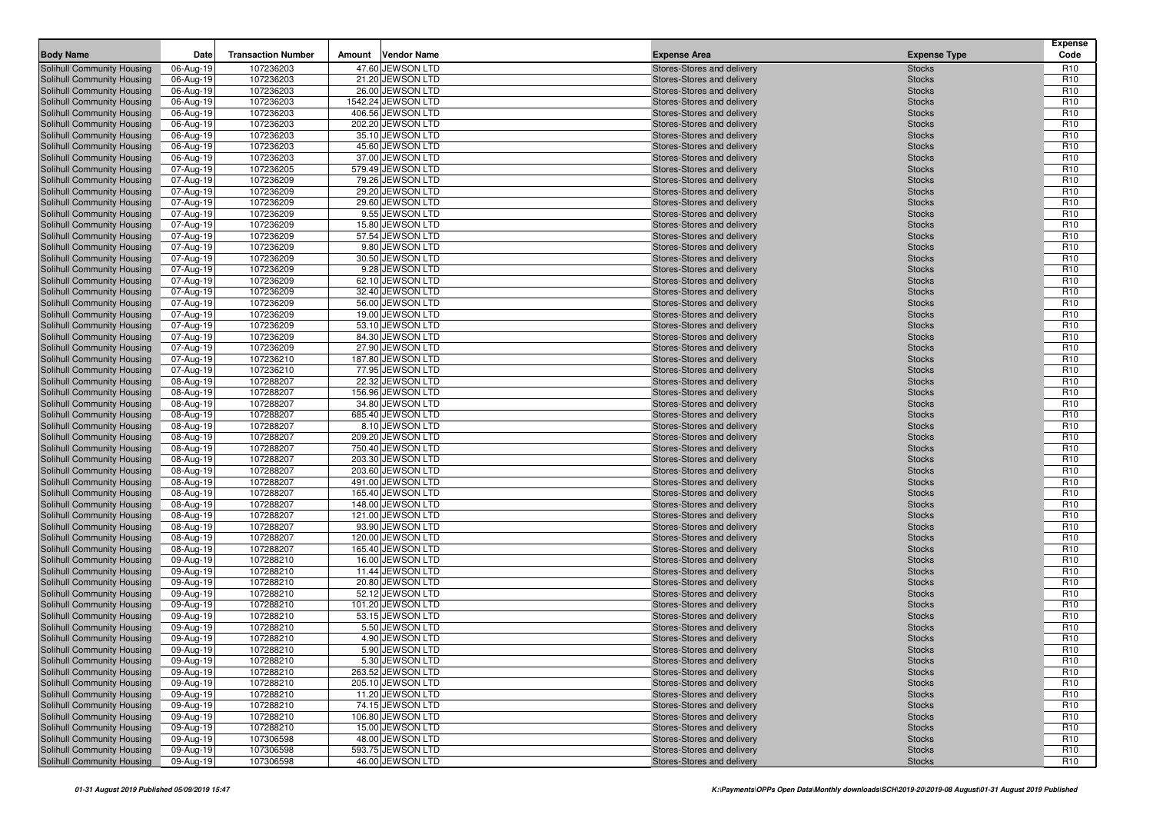| <b>Body Name</b>                                         | Date                   | <b>Transaction Number</b> | Amount | <b>Vendor Name</b>                    | <b>Expense Area</b>                                      | <b>Expense Type</b>            | <b>Expense</b><br>Code             |
|----------------------------------------------------------|------------------------|---------------------------|--------|---------------------------------------|----------------------------------------------------------|--------------------------------|------------------------------------|
| Solihull Community Housing                               | 06-Aug-19              | 107236203                 |        | 47.60 JEWSON LTD                      | Stores-Stores and delivery                               | <b>Stocks</b>                  | R <sub>10</sub>                    |
| Solihull Community Housing                               | 06-Aug-19              | 107236203                 |        | 21.20 JEWSON LTD                      | Stores-Stores and delivery                               | <b>Stocks</b>                  | R <sub>10</sub>                    |
| Solihull Community Housing                               | 06-Aug-19              | 107236203                 |        | 26.00 JEWSON LTD                      | Stores-Stores and delivery                               | <b>Stocks</b>                  | R <sub>10</sub>                    |
| Solihull Community Housing                               | 06-Aug-19              | 107236203                 |        | 1542.24 JEWSON LTD                    | Stores-Stores and delivery                               | <b>Stocks</b>                  | R <sub>10</sub>                    |
| Solihull Community Housing                               | 06-Aug-19              | 107236203                 |        | 406.56 JEWSON LTD                     | Stores-Stores and delivery                               | <b>Stocks</b>                  | R <sub>10</sub>                    |
| Solihull Community Housing                               | 06-Aug-19              | 107236203                 |        | 202.20 JEWSON LTD                     | Stores-Stores and delivery                               | <b>Stocks</b>                  | R <sub>10</sub>                    |
| Solihull Community Housing                               | 06-Aug-19              | 107236203                 |        | 35.10 JEWSON LTD                      | Stores-Stores and delivery                               | <b>Stocks</b>                  | R <sub>10</sub>                    |
| Solihull Community Housing                               | 06-Aug-19              | 107236203                 |        | 45.60 JEWSON LTD                      | Stores-Stores and delivery                               | <b>Stocks</b>                  | R <sub>10</sub>                    |
| Solihull Community Housing                               | 06-Aug-19              | 107236203                 |        | 37.00 JEWSON LTD                      | Stores-Stores and delivery                               | <b>Stocks</b>                  | R <sub>10</sub>                    |
| Solihull Community Housing                               | 07-Aug-19              | 107236205                 |        | 579.49 JEWSON LTD                     | Stores-Stores and delivery                               | <b>Stocks</b>                  | R <sub>10</sub>                    |
| Solihull Community Housing                               | 07-Aug-19              | 107236209                 |        | 79.26 JEWSON LTD                      | Stores-Stores and delivery                               | <b>Stocks</b>                  | R <sub>10</sub>                    |
| Solihull Community Housing                               | 07-Aug-19              | 107236209                 |        | 29.20 JEWSON LTD                      | Stores-Stores and delivery                               | <b>Stocks</b>                  | R <sub>10</sub>                    |
| Solihull Community Housing                               | 07-Aug-19              | 107236209                 |        | 29.60 JEWSON LTD                      | Stores-Stores and delivery                               | <b>Stocks</b>                  | R <sub>10</sub>                    |
| Solihull Community Housing                               | 07-Aug-19              | 107236209                 |        | 9.55 JEWSON LTD                       | Stores-Stores and delivery                               | <b>Stocks</b>                  | R <sub>10</sub>                    |
| Solihull Community Housing                               | 07-Aug-19              | 107236209                 |        | 15.80 JEWSON LTD                      | Stores-Stores and delivery                               | <b>Stocks</b>                  | R <sub>10</sub>                    |
| Solihull Community Housing                               | 07-Aug-19              | 107236209                 |        | 57.54 JEWSON LTD                      | Stores-Stores and delivery                               | <b>Stocks</b>                  | R <sub>10</sub>                    |
| Solihull Community Housing                               | 07-Aug-19              | 107236209                 |        | 9.80 JEWSON LTD                       | Stores-Stores and delivery                               | <b>Stocks</b>                  | R <sub>10</sub>                    |
| Solihull Community Housing                               | 07-Aug-19              | 107236209                 |        | 30.50 JEWSON LTD                      | Stores-Stores and delivery                               | <b>Stocks</b>                  | R <sub>10</sub>                    |
| Solihull Community Housing                               | 07-Aug-19              | 107236209                 |        | 9.28 JEWSON LTD                       | Stores-Stores and delivery                               | <b>Stocks</b>                  | R <sub>10</sub>                    |
| Solihull Community Housing                               | 07-Aug-19              | 107236209                 |        | 62.10 JEWSON LTD                      | Stores-Stores and delivery                               | <b>Stocks</b>                  | R <sub>10</sub>                    |
| Solihull Community Housing                               | 07-Aug-19              | 107236209                 |        | 32.40 JEWSON LTD                      | Stores-Stores and delivery                               | <b>Stocks</b>                  | R <sub>10</sub>                    |
| Solihull Community Housing<br>Solihull Community Housing | 07-Aug-19<br>07-Aug-19 | 107236209<br>107236209    |        | 56.00 JEWSON LTD<br>19.00 JEWSON LTD  | Stores-Stores and delivery<br>Stores-Stores and delivery | <b>Stocks</b><br><b>Stocks</b> | R <sub>10</sub><br>R <sub>10</sub> |
| Solihull Community Housing                               | 07-Aug-19              | 107236209                 |        | 53.10 JEWSON LTD                      | Stores-Stores and delivery                               | <b>Stocks</b>                  | R <sub>10</sub>                    |
| Solihull Community Housing                               | 07-Aug-19              | 107236209                 |        | 84.30 JEWSON LTD                      | Stores-Stores and delivery                               | <b>Stocks</b>                  | R <sub>10</sub>                    |
| Solihull Community Housing                               | 07-Aug-19              | 107236209                 |        | 27.90 JEWSON LTD                      | Stores-Stores and delivery                               | <b>Stocks</b>                  | R <sub>10</sub>                    |
| Solihull Community Housing                               | 07-Aug-19              | 107236210                 |        | 187.80 JEWSON LTD                     | Stores-Stores and delivery                               | <b>Stocks</b>                  | R <sub>10</sub>                    |
| Solihull Community Housing                               | 07-Aug-19              | 107236210                 |        | 77.95 JEWSON LTD                      | Stores-Stores and delivery                               | <b>Stocks</b>                  | R <sub>10</sub>                    |
| Solihull Community Housing                               | 08-Aug-19              | 107288207                 |        | 22.32 JEWSON LTD                      | Stores-Stores and delivery                               | <b>Stocks</b>                  | R <sub>10</sub>                    |
| Solihull Community Housing                               | 08-Aug-19              | 107288207                 |        | 156.96 JEWSON LTD                     | Stores-Stores and delivery                               | <b>Stocks</b>                  | R <sub>10</sub>                    |
| Solihull Community Housing                               | 08-Aug-19              | 107288207                 |        | 34.80 JEWSON LTD                      | Stores-Stores and delivery                               | <b>Stocks</b>                  | R <sub>10</sub>                    |
| Solihull Community Housing                               | 08-Aug-19              | 107288207                 |        | 685.40 JEWSON LTD                     | Stores-Stores and delivery                               | <b>Stocks</b>                  | R <sub>10</sub>                    |
| Solihull Community Housing                               | 08-Aug-19              | 107288207                 |        | 8.10 JEWSON LTD                       | Stores-Stores and delivery                               | <b>Stocks</b>                  | R <sub>10</sub>                    |
| Solihull Community Housing                               | 08-Aug-19              | 107288207                 |        | 209.20 JEWSON LTD                     | Stores-Stores and delivery                               | <b>Stocks</b>                  | R <sub>10</sub>                    |
| Solihull Community Housing                               | 08-Aug-19              | 107288207                 |        | 750.40 JEWSON LTD                     | Stores-Stores and delivery                               | <b>Stocks</b>                  | R <sub>10</sub>                    |
| Solihull Community Housing                               | 08-Aug-19              | 107288207                 |        | 203.30 JEWSON LTD                     | Stores-Stores and delivery                               | <b>Stocks</b>                  | R <sub>10</sub>                    |
| Solihull Community Housing                               | 08-Aug-19              | 107288207                 |        | 203.60 JEWSON LTD                     | Stores-Stores and delivery                               | <b>Stocks</b>                  | R <sub>10</sub>                    |
| Solihull Community Housing                               | 08-Aug-19              | 107288207                 |        | 491.00 JEWSON LTD                     | Stores-Stores and delivery                               | <b>Stocks</b>                  | R <sub>10</sub>                    |
| Solihull Community Housing                               | 08-Aug-19              | 107288207                 |        | 165.40 JEWSON LTD                     | Stores-Stores and delivery                               | <b>Stocks</b>                  | R <sub>10</sub>                    |
| Solihull Community Housing                               | 08-Aug-19              | 107288207                 |        | 148.00 JEWSON LTD                     | Stores-Stores and delivery                               | <b>Stocks</b>                  | R <sub>10</sub>                    |
| Solihull Community Housing                               | 08-Aug-19              | 107288207                 |        | 121.00 JEWSON LTD                     | Stores-Stores and delivery                               | <b>Stocks</b>                  | R <sub>10</sub>                    |
| Solihull Community Housing                               | 08-Aug-19              | 107288207                 |        | 93.90 JEWSON LTD                      | Stores-Stores and delivery                               | <b>Stocks</b>                  | R <sub>10</sub>                    |
| Solihull Community Housing                               | 08-Aug-19              | 107288207                 |        | 120.00 JEWSON LTD                     | Stores-Stores and delivery                               | <b>Stocks</b>                  | R <sub>10</sub>                    |
| Solihull Community Housing                               | 08-Aug-19              | 107288207                 |        | 165.40 JEWSON LTD                     | Stores-Stores and delivery                               | <b>Stocks</b>                  | R <sub>10</sub>                    |
| Solihull Community Housing                               | 09-Aug-19              | 107288210                 |        | 16.00 JEWSON LTD                      | Stores-Stores and delivery                               | <b>Stocks</b>                  | R <sub>10</sub>                    |
| Solihull Community Housing                               | 09-Aug-19              | 107288210                 |        | 11.44 JEWSON LTD                      | Stores-Stores and delivery                               | <b>Stocks</b>                  | R <sub>10</sub>                    |
| Solihull Community Housing                               | 09-Aug-19              | 107288210                 |        | 20.80 JEWSON LTD                      | Stores-Stores and delivery                               | <b>Stocks</b>                  | R <sub>10</sub>                    |
| Solihull Community Housing                               | 09-Aug-19              | 107288210                 |        | 52.12 JEWSON LTD                      | Stores-Stores and delivery                               | <b>Stocks</b>                  | R <sub>10</sub>                    |
| Solihull Community Housing                               | 09-Aug-19              | 107288210                 |        | 101.20 JEWSON LTD                     | Stores-Stores and delivery                               | <b>Stocks</b>                  | R <sub>10</sub>                    |
| Solihull Community Housing                               | 09-Aug-19              | 107288210                 |        | 53.15 JEWSON LTD                      | Stores-Stores and delivery                               | <b>Stocks</b>                  | R <sub>10</sub>                    |
| Solihull Community Housing                               | 09-Aug-19              | 107288210                 |        | 5.50 JEWSON LTD                       | Stores-Stores and delivery                               | <b>Stocks</b>                  | R <sub>10</sub>                    |
| Solihull Community Housing                               | 09-Aug-19              | 107288210                 |        | 4.90 JEWSON LTD                       | Stores-Stores and delivery                               | <b>Stocks</b>                  | R <sub>10</sub>                    |
| Solihull Community Housing                               | 09-Aug-19              | 107288210                 |        | 5.90 JEWSON LTD                       | Stores-Stores and delivery                               | <b>Stocks</b>                  | R <sub>10</sub>                    |
| Solihull Community Housing                               | 09-Aug-19              | 107288210                 |        | 5.30 JEWSON LTD                       | Stores-Stores and delivery                               | <b>Stocks</b>                  | R <sub>10</sub>                    |
| Solihull Community Housing                               | 09-Aug-19              | 107288210                 |        | 263.52 JEWSON LTD                     | Stores-Stores and delivery                               | <b>Stocks</b>                  | R <sub>10</sub>                    |
| Solihull Community Housing<br>Solihull Community Housing | 09-Aug-19<br>09-Aug-19 | 107288210<br>107288210    |        | 205.10 JEWSON LTD<br>11.20 JEWSON LTD | Stores-Stores and delivery<br>Stores-Stores and delivery | <b>Stocks</b><br><b>Stocks</b> | R <sub>10</sub><br>R <sub>10</sub> |
| Solihull Community Housing                               | 09-Aug-19              | 107288210                 |        | 74.15 JEWSON LTD                      | Stores-Stores and delivery                               | <b>Stocks</b>                  | R <sub>10</sub>                    |
| Solihull Community Housing                               | 09-Aug-19              | 107288210                 |        | 106.80 JEWSON LTD                     | Stores-Stores and delivery                               | <b>Stocks</b>                  | R <sub>10</sub>                    |
| Solihull Community Housing                               | 09-Aug-19              | 107288210                 |        | 15.00 JEWSON LTD                      | Stores-Stores and delivery                               | <b>Stocks</b>                  | R <sub>10</sub>                    |
| Solihull Community Housing                               | 09-Aug-19              | 107306598                 |        | 48.00 JEWSON LTD                      | Stores-Stores and delivery                               | <b>Stocks</b>                  | R <sub>10</sub>                    |
| Solihull Community Housing                               | 09-Aug-19              | 107306598                 |        | 593.75 JEWSON LTD                     | Stores-Stores and delivery                               | <b>Stocks</b>                  | R <sub>10</sub>                    |
| Solihull Community Housing                               | 09-Aug-19              | 107306598                 |        | 46.00 JEWSON LTD                      | Stores-Stores and delivery                               | <b>Stocks</b>                  | R <sub>10</sub>                    |
|                                                          |                        |                           |        |                                       |                                                          |                                |                                    |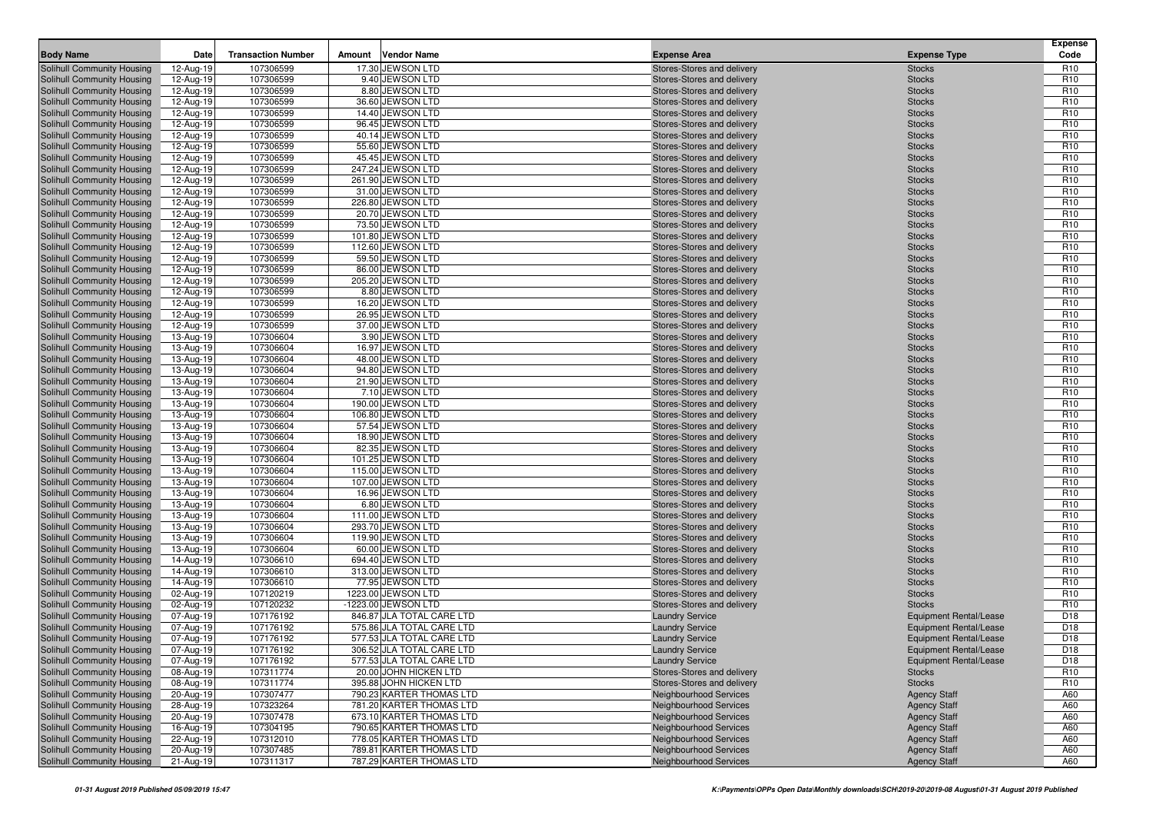| <b>Body Name</b>                                         | Date                   | <b>Transaction Number</b> | Amount | <b>Vendor Name</b>                                   | <b>Expense Area</b>                                      | <b>Expense Type</b>            | <b>Expense</b><br>Code             |
|----------------------------------------------------------|------------------------|---------------------------|--------|------------------------------------------------------|----------------------------------------------------------|--------------------------------|------------------------------------|
| Solihull Community Housing                               | 12-Aug-19              | 107306599                 |        | 17.30 JEWSON LTD                                     | Stores-Stores and delivery                               | <b>Stocks</b>                  | R <sub>10</sub>                    |
| Solihull Community Housing                               | 12-Aug-19              | 107306599                 |        | 9.40 JEWSON LTD                                      | Stores-Stores and delivery                               | <b>Stocks</b>                  | R <sub>10</sub>                    |
| Solihull Community Housing                               | 12-Aug-19              | 107306599                 |        | 8.80 JEWSON LTD                                      | Stores-Stores and delivery                               | <b>Stocks</b>                  | R <sub>10</sub>                    |
| Solihull Community Housing                               | 12-Aug-19              | 107306599                 |        | 36.60 JEWSON LTD                                     | Stores-Stores and delivery                               | <b>Stocks</b>                  | R <sub>10</sub>                    |
| Solihull Community Housing                               | 12-Aug-19              | 107306599                 |        | 14.40 JEWSON LTD                                     | Stores-Stores and delivery                               | <b>Stocks</b>                  | R <sub>10</sub>                    |
| Solihull Community Housing                               | 12-Aug-19              | 107306599                 |        | 96.45 JEWSON LTD                                     | Stores-Stores and delivery                               | <b>Stocks</b>                  | R <sub>10</sub>                    |
| Solihull Community Housing                               | 12-Aug-19              | 107306599                 |        | 40.14 JEWSON LTD                                     | Stores-Stores and delivery                               | <b>Stocks</b>                  | R <sub>10</sub>                    |
| Solihull Community Housing                               | 12-Aug-19              | 107306599                 |        | 55.60 JEWSON LTD                                     | Stores-Stores and delivery                               | <b>Stocks</b>                  | R <sub>10</sub>                    |
| Solihull Community Housing                               | 12-Aug-19              | 107306599                 |        | 45.45 JEWSON LTD                                     | Stores-Stores and delivery                               | <b>Stocks</b>                  | R <sub>10</sub>                    |
| Solihull Community Housing                               | 12-Aug-19              | 107306599                 |        | 247.24 JEWSON LTD                                    | Stores-Stores and delivery                               | <b>Stocks</b>                  | R <sub>10</sub>                    |
| Solihull Community Housing                               | 12-Aug-19              | 107306599                 |        | 261.90 JEWSON LTD                                    | Stores-Stores and delivery                               | <b>Stocks</b>                  | R <sub>10</sub>                    |
| Solihull Community Housing                               | 12-Aug-19              | 107306599                 |        | 31.00 JEWSON LTD                                     | Stores-Stores and delivery                               | <b>Stocks</b>                  | R <sub>10</sub>                    |
| Solihull Community Housing                               | 12-Aug-19              | 107306599                 |        | 226.80 JEWSON LTD                                    | Stores-Stores and delivery                               | <b>Stocks</b>                  | R <sub>10</sub>                    |
| Solihull Community Housing                               | 12-Aug-19              | 107306599                 |        | 20.70 JEWSON LTD                                     | Stores-Stores and delivery                               | <b>Stocks</b>                  | R <sub>10</sub>                    |
| Solihull Community Housing                               | 12-Aug-19              | 107306599                 |        | 73.50 JEWSON LTD                                     | Stores-Stores and delivery                               | <b>Stocks</b>                  | R <sub>10</sub>                    |
| Solihull Community Housing                               | 12-Aug-19              | 107306599                 |        | 101.80 JEWSON LTD                                    | Stores-Stores and delivery                               | <b>Stocks</b>                  | R <sub>10</sub>                    |
| Solihull Community Housing                               | 12-Aug-19              | 107306599                 |        | 112.60 JEWSON LTD                                    | Stores-Stores and delivery                               | <b>Stocks</b>                  | R <sub>10</sub>                    |
| Solihull Community Housing                               | 12-Aug-19              | 107306599                 |        | 59.50 JEWSON LTD                                     | Stores-Stores and delivery                               | <b>Stocks</b>                  | R <sub>10</sub>                    |
| Solihull Community Housing                               | 12-Aug-19              | 107306599                 |        | 86.00 JEWSON LTD                                     | Stores-Stores and delivery                               | <b>Stocks</b>                  | R <sub>10</sub>                    |
| Solihull Community Housing                               | 12-Aug-19              | 107306599                 |        | 205.20 JEWSON LTD                                    | Stores-Stores and delivery                               | <b>Stocks</b>                  | R <sub>10</sub>                    |
| Solihull Community Housing                               | 12-Aug-19              | 107306599                 |        | 8.80 JEWSON LTD                                      | Stores-Stores and delivery                               | <b>Stocks</b>                  | R <sub>10</sub>                    |
| Solihull Community Housing                               | 12-Aug-19              | 107306599<br>107306599    |        | 16.20 JEWSON LTD<br>26.95 JEWSON LTD                 | Stores-Stores and delivery                               | <b>Stocks</b>                  | R <sub>10</sub><br>R <sub>10</sub> |
| Solihull Community Housing                               | 12-Aug-19              | 107306599                 |        | 37.00 JEWSON LTD                                     | Stores-Stores and delivery<br>Stores-Stores and delivery | <b>Stocks</b>                  | R <sub>10</sub>                    |
| Solihull Community Housing<br>Solihull Community Housing | 12-Aug-19              | 107306604                 |        | 3.90 JEWSON LTD                                      | Stores-Stores and delivery                               | <b>Stocks</b><br><b>Stocks</b> | R <sub>10</sub>                    |
| Solihull Community Housing                               | 13-Aug-19<br>13-Aug-19 | 107306604                 |        | 16.97 JEWSON LTD                                     | Stores-Stores and delivery                               | <b>Stocks</b>                  | R <sub>10</sub>                    |
| Solihull Community Housing                               | 13-Aug-19              | 107306604                 |        | 48.00 JEWSON LTD                                     | Stores-Stores and delivery                               | <b>Stocks</b>                  | R <sub>10</sub>                    |
| Solihull Community Housing                               | 13-Aug-19              | 107306604                 |        | 94.80 JEWSON LTD                                     | Stores-Stores and delivery                               | <b>Stocks</b>                  | R <sub>10</sub>                    |
| Solihull Community Housing                               | 13-Aug-19              | 107306604                 |        | 21.90 JEWSON LTD                                     | Stores-Stores and delivery                               | <b>Stocks</b>                  | R <sub>10</sub>                    |
| Solihull Community Housing                               | 13-Aug-19              | 107306604                 |        | 7.10 JEWSON LTD                                      | Stores-Stores and delivery                               | <b>Stocks</b>                  | R <sub>10</sub>                    |
| Solihull Community Housing                               | 13-Aug-19              | 107306604                 |        | 190.00 JEWSON LTD                                    | Stores-Stores and delivery                               | <b>Stocks</b>                  | R <sub>10</sub>                    |
| Solihull Community Housing                               | 13-Aug-19              | 107306604                 |        | 106.80 JEWSON LTD                                    | Stores-Stores and delivery                               | <b>Stocks</b>                  | R <sub>10</sub>                    |
| Solihull Community Housing                               | 13-Aug-19              | 107306604                 |        | 57.54 JEWSON LTD                                     | Stores-Stores and delivery                               | <b>Stocks</b>                  | R <sub>10</sub>                    |
| Solihull Community Housing                               | 13-Aug-19              | 107306604                 |        | 18.90 JEWSON LTD                                     | Stores-Stores and delivery                               | <b>Stocks</b>                  | R <sub>10</sub>                    |
| Solihull Community Housing                               | 13-Aug-19              | 107306604                 |        | 82.35 JEWSON LTD                                     | Stores-Stores and delivery                               | <b>Stocks</b>                  | R <sub>10</sub>                    |
| Solihull Community Housing                               | 13-Aug-19              | 107306604                 |        | 101.25 JEWSON LTD                                    | Stores-Stores and delivery                               | <b>Stocks</b>                  | R <sub>10</sub>                    |
| Solihull Community Housing                               | 13-Aug-19              | 107306604                 |        | 115.00 JEWSON LTD                                    | Stores-Stores and delivery                               | <b>Stocks</b>                  | R <sub>10</sub>                    |
| Solihull Community Housing                               | 13-Aug-19              | 107306604                 |        | 107.00 JEWSON LTD                                    | Stores-Stores and delivery                               | <b>Stocks</b>                  | R <sub>10</sub>                    |
| Solihull Community Housing                               | 13-Aug-19              | 107306604                 |        | 16.96 JEWSON LTD                                     | Stores-Stores and delivery                               | <b>Stocks</b>                  | R <sub>10</sub>                    |
| Solihull Community Housing                               | 13-Aug-19              | 107306604                 |        | 6.80 JEWSON LTD                                      | Stores-Stores and delivery                               | <b>Stocks</b>                  | R <sub>10</sub>                    |
| Solihull Community Housing                               | 13-Aug-19              | 107306604                 |        | 111.00 JEWSON LTD                                    | Stores-Stores and delivery                               | <b>Stocks</b>                  | R <sub>10</sub>                    |
| Solihull Community Housing                               | 13-Aug-19              | 107306604                 |        | 293.70 JEWSON LTD                                    | Stores-Stores and delivery                               | <b>Stocks</b>                  | R <sub>10</sub>                    |
| Solihull Community Housing                               | 13-Aug-19              | 107306604                 |        | 119.90 JEWSON LTD                                    | Stores-Stores and delivery                               | <b>Stocks</b>                  | R <sub>10</sub>                    |
| Solihull Community Housing                               | 13-Aug-19              | 107306604                 |        | 60.00 JEWSON LTD                                     | Stores-Stores and delivery                               | <b>Stocks</b>                  | R <sub>10</sub>                    |
| Solihull Community Housing                               | 14-Aug-19              | 107306610                 |        | 694.40 JEWSON LTD                                    | Stores-Stores and delivery                               | <b>Stocks</b>                  | R <sub>10</sub>                    |
| Solihull Community Housing                               | 14-Aug-19              | 107306610                 |        | 313.00 JEWSON LTD                                    | Stores-Stores and delivery                               | <b>Stocks</b>                  | R <sub>10</sub>                    |
| Solihull Community Housing                               | 14-Aug-19              | 107306610                 |        | 77.95 JEWSON LTD                                     | Stores-Stores and delivery                               | <b>Stocks</b>                  | R <sub>10</sub>                    |
| Solihull Community Housing                               | 02-Aug-19              | 107120219                 |        | 1223.00 JEWSON LTD                                   | Stores-Stores and delivery                               | <b>Stocks</b>                  | R <sub>10</sub>                    |
| Solihull Community Housing                               | 02-Aug-19              | 107120232                 |        | -1223.00 JEWSON LTD                                  | Stores-Stores and delivery                               | <b>Stocks</b>                  | R <sub>10</sub>                    |
| Solihull Community Housing                               | 07-Aug-19              | 107176192                 |        | 846.87 JLA TOTAL CARE LTD                            | <b>Laundry Service</b>                                   | <b>Equipment Rental/Lease</b>  | D <sub>18</sub>                    |
| Solihull Community Housing                               | 07-Aug-19              | 107176192                 |        | 575.86 JLA TOTAL CARE LTD                            | <b>Laundry Service</b>                                   | <b>Equipment Rental/Lease</b>  | D <sub>18</sub>                    |
| Solihull Community Housing                               | 07-Aug-19              | 107176192                 |        | 577.53 JLA TOTAL CARE LTD                            | <b>Laundry Service</b>                                   | Equipment Rental/Lease         | D <sub>18</sub>                    |
| Solihull Community Housing                               | 07-Aug-19              | 107176192                 |        | 306.52 JLA TOTAL CARE LTD                            | <b>Laundry Service</b>                                   | <b>Equipment Rental/Lease</b>  | D18                                |
| Solihull Community Housing                               | 07-Aug-19              | 107176192                 |        | 577.53 JLA TOTAL CARE LTD                            | <b>Laundry Service</b>                                   | Equipment Rental/Lease         | D <sub>18</sub>                    |
| Solihull Community Housing                               | 08-Aug-19              | 107311774                 |        | 20.00 JOHN HICKEN LTD                                | Stores-Stores and delivery                               | <b>Stocks</b>                  | R <sub>10</sub>                    |
| Solihull Community Housing                               | 08-Aug-19              | 107311774                 |        | 395.88 JOHN HICKEN LTD                               | Stores-Stores and delivery                               | <b>Stocks</b>                  | R <sub>10</sub>                    |
| Solihull Community Housing                               | 20-Aug-19              | 107307477                 |        | 790.23 KARTER THOMAS LTD                             | Neighbourhood Services                                   | <b>Agency Staff</b>            | A60                                |
| Solihull Community Housing                               | 28-Aug-19              | 107323264                 |        | 781.20 KARTER THOMAS LTD                             | Neighbourhood Services                                   | <b>Agency Staff</b>            | A60                                |
| Solihull Community Housing                               | 20-Aug-19              | 107307478                 |        | 673.10 KARTER THOMAS LTD                             | Neighbourhood Services                                   | <b>Agency Staff</b>            | A60                                |
| Solihull Community Housing                               | 16-Aug-19              | 107304195                 |        | 790.65 KARTER THOMAS LTD                             | Neighbourhood Services                                   | <b>Agency Staff</b>            | A60                                |
| Solihull Community Housing                               | 22-Aug-19              | 107312010                 |        | 778.05 KARTER THOMAS LTD<br>789.81 KARTER THOMAS LTD | Neighbourhood Services                                   | <b>Agency Staff</b>            | A60                                |
| Solihull Community Housing                               | 20-Aug-19              | 107307485                 |        |                                                      | Neighbourhood Services                                   | <b>Agency Staff</b>            | A60                                |
| Solihull Community Housing                               | 21-Aug-19              | 107311317                 |        | 787.29 KARTER THOMAS LTD                             | Neighbourhood Services                                   | <b>Agency Staff</b>            | A60                                |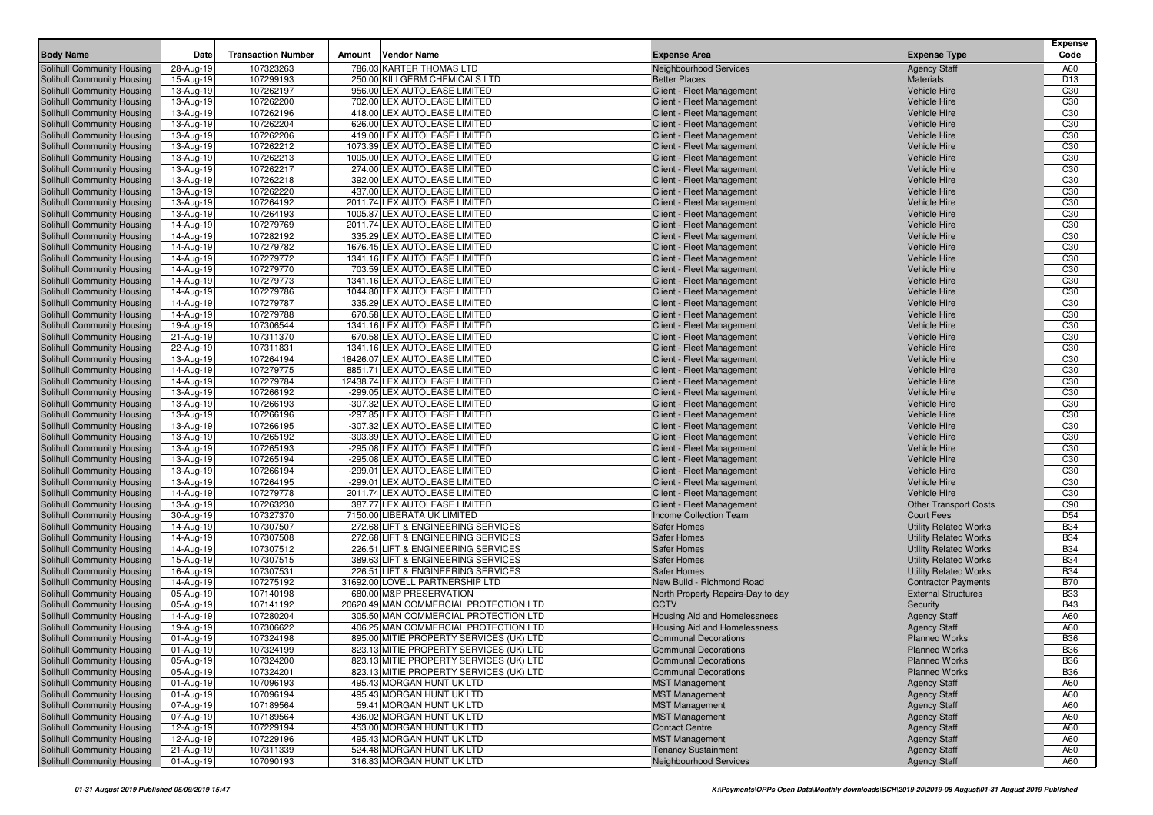| <b>Body Name</b>                                                | Date                   | <b>Transaction Number</b> | Amount | <b>Vendor Name</b>                                                                 | <b>Expense Area</b>                                        | <b>Expense Type</b>                          | <b>Expense</b><br>Code             |
|-----------------------------------------------------------------|------------------------|---------------------------|--------|------------------------------------------------------------------------------------|------------------------------------------------------------|----------------------------------------------|------------------------------------|
|                                                                 |                        | 107323263                 |        | 786.03 KARTER THOMAS LTD                                                           |                                                            |                                              |                                    |
| Solihull Community Housing<br>Solihull Community Housing        | 28-Aug-19<br>15-Aug-19 | 107299193                 |        | 250.00 KILLGERM CHEMICALS LTD                                                      | <b>Neighbourhood Services</b><br><b>Better Places</b>      | <b>Agency Staff</b><br><b>Materials</b>      | A60<br>D <sub>13</sub>             |
| Solihull Community Housing                                      | 13-Aug-19              | 107262197                 |        | 956.00 LEX AUTOLEASE LIMITED                                                       | Client - Fleet Management                                  | <b>Vehicle Hire</b>                          | C <sub>30</sub>                    |
| Solihull Community Housing                                      | 13-Aug-19              | 107262200                 |        | 702.00 LEX AUTOLEASE LIMITED                                                       | Client - Fleet Management                                  | <b>Vehicle Hire</b>                          | C <sub>30</sub>                    |
| Solihull Community Housing                                      | 13-Aug-19              | 107262196                 |        | 418.00 LEX AUTOLEASE LIMITED                                                       | Client - Fleet Management                                  | <b>Vehicle Hire</b>                          | C <sub>30</sub>                    |
| Solihull Community Housing                                      | 13-Aug-19              | 107262204                 |        | 626.00 LEX AUTOLEASE LIMITED                                                       | Client - Fleet Management                                  | <b>Vehicle Hire</b>                          | C <sub>30</sub>                    |
| Solihull Community Housing                                      | 13-Aug-19              | 107262206                 |        | 419.00 LEX AUTOLEASE LIMITED                                                       | Client - Fleet Management                                  | <b>Vehicle Hire</b>                          | C <sub>30</sub>                    |
| Solihull Community Housing                                      | 13-Aug-19              | 107262212                 |        | 1073.39 LEX AUTOLEASE LIMITED                                                      | Client - Fleet Management                                  | <b>Vehicle Hire</b>                          | C <sub>30</sub>                    |
| Solihull Community Housing                                      | 13-Aug-19              | 107262213                 |        | 1005.00 LEX AUTOLEASE LIMITED                                                      | Client - Fleet Management                                  | <b>Vehicle Hire</b>                          | C <sub>30</sub>                    |
| Solihull Community Housing                                      | 13-Aug-19              | 107262217                 |        | 274.00 LEX AUTOLEASE LIMITED                                                       | Client - Fleet Management                                  | <b>Vehicle Hire</b>                          | C <sub>30</sub>                    |
| Solihull Community Housing                                      | 13-Aug-19              | 107262218                 |        | 392.00 LEX AUTOLEASE LIMITED                                                       | Client - Fleet Management                                  | <b>Vehicle Hire</b>                          | C <sub>30</sub>                    |
| Solihull Community Housing                                      | 13-Aug-19              | 107262220                 |        | 437.00 LEX AUTOLEASE LIMITED                                                       | Client - Fleet Management                                  | <b>Vehicle Hire</b>                          | C <sub>30</sub>                    |
| Solihull Community Housing                                      | 13-Aug-19              | 107264192                 |        | 2011.74 LEX AUTOLEASE LIMITED                                                      | Client - Fleet Management                                  | <b>Vehicle Hire</b>                          | C <sub>30</sub>                    |
| Solihull Community Housing                                      | 13-Aug-19              | 107264193                 |        | 1005.87 LEX AUTOLEASE LIMITED                                                      | <b>Client - Fleet Management</b>                           | <b>Vehicle Hire</b>                          | C <sub>30</sub>                    |
| Solihull Community Housing                                      | 14-Aug-19              | 107279769                 |        | 2011.74 LEX AUTOLEASE LIMITED                                                      | Client - Fleet Management                                  | <b>Vehicle Hire</b>                          | C <sub>30</sub>                    |
| Solihull Community Housing                                      | 14-Aug-19              | 107282192                 |        | 335.29 LEX AUTOLEASE LIMITED                                                       | Client - Fleet Management                                  | <b>Vehicle Hire</b>                          | C <sub>30</sub>                    |
| Solihull Community Housing                                      | 14-Aug-19              | 107279782                 |        | 1676.45 LEX AUTOLEASE LIMITED                                                      | Client - Fleet Management                                  | <b>Vehicle Hire</b>                          | C <sub>30</sub>                    |
| Solihull Community Housing                                      | 14-Aug-19              | 107279772                 |        | 1341.16 LEX AUTOLEASE LIMITED                                                      | Client - Fleet Management                                  | <b>Vehicle Hire</b>                          | C <sub>30</sub>                    |
| Solihull Community Housing<br>Solihull Community Housing        | 14-Aug-19<br>14-Aug-19 | 107279770<br>107279773    |        | 703.59 LEX AUTOLEASE LIMITED<br>1341.16 LEX AUTOLEASE LIMITED                      | Client - Fleet Management<br>Client - Fleet Management     | <b>Vehicle Hire</b><br><b>Vehicle Hire</b>   | C <sub>30</sub><br>C <sub>30</sub> |
| Solihull Community Housing                                      |                        | 107279786                 |        | 1044.80 LEX AUTOLEASE LIMITED                                                      | Client - Fleet Management                                  | <b>Vehicle Hire</b>                          | C <sub>30</sub>                    |
| Solihull Community Housing                                      | 14-Aug-19<br>14-Aug-19 | 107279787                 |        | 335.29 LEX AUTOLEASE LIMITED                                                       | Client - Fleet Management                                  | <b>Vehicle Hire</b>                          | C <sub>30</sub>                    |
| Solihull Community Housing                                      | 14-Aug-19              | 107279788                 |        | 670.58 LEX AUTOLEASE LIMITED                                                       | Client - Fleet Management                                  | <b>Vehicle Hire</b>                          | C <sub>30</sub>                    |
| Solihull Community Housing                                      | 19-Aug-19              | 107306544                 |        | 1341.16 LEX AUTOLEASE LIMITED                                                      | Client - Fleet Management                                  | <b>Vehicle Hire</b>                          | C <sub>30</sub>                    |
| Solihull Community Housing                                      | 21-Aug-19              | 107311370                 |        | 670.58 LEX AUTOLEASE LIMITED                                                       | Client - Fleet Management                                  | <b>Vehicle Hire</b>                          | C <sub>30</sub>                    |
| Solihull Community Housing                                      | 22-Aug-19              | 107311831                 |        | 1341.16 LEX AUTOLEASE LIMITED                                                      | Client - Fleet Management                                  | <b>Vehicle Hire</b>                          | C <sub>30</sub>                    |
| Solihull Community Housing                                      | 13-Aug-19              | 107264194                 |        | 18426.07 LEX AUTOLEASE LIMITED                                                     | Client - Fleet Management                                  | <b>Vehicle Hire</b>                          | C <sub>30</sub>                    |
| Solihull Community Housing                                      | 14-Aug-19              | 107279775                 |        | 8851.71 LEX AUTOLEASE LIMITED                                                      | Client - Fleet Management                                  | <b>Vehicle Hire</b>                          | C <sub>30</sub>                    |
| Solihull Community Housing                                      | 14-Aug-19              | 107279784                 |        | 12438.74 LEX AUTOLEASE LIMITED                                                     | Client - Fleet Management                                  | <b>Vehicle Hire</b>                          | C <sub>30</sub>                    |
| Solihull Community Housing                                      | 13-Aug-19              | 107266192                 |        | -299.05 LEX AUTOLEASE LIMITED                                                      | Client - Fleet Management                                  | <b>Vehicle Hire</b>                          | C <sub>30</sub>                    |
| Solihull Community Housing                                      | 13-Aug-19              | 107266193                 |        | -307.32 LEX AUTOLEASE LIMITED                                                      | Client - Fleet Management                                  | <b>Vehicle Hire</b>                          | C <sub>30</sub>                    |
| Solihull Community Housing                                      | 13-Aug-19              | 107266196                 |        | -297.85 LEX AUTOLEASE LIMITED                                                      | Client - Fleet Management                                  | <b>Vehicle Hire</b>                          | C <sub>30</sub>                    |
| Solihull Community Housing                                      | 13-Aug-19              | 107266195                 |        | -307.32 LEX AUTOLEASE LIMITED                                                      | Client - Fleet Management                                  | <b>Vehicle Hire</b>                          | C <sub>30</sub>                    |
| Solihull Community Housing                                      | 13-Aug-19              | 107265192                 |        | -303.39 LEX AUTOLEASE LIMITED                                                      | Client - Fleet Management                                  | <b>Vehicle Hire</b>                          | C <sub>30</sub>                    |
| Solihull Community Housing                                      | 13-Aug-19              | 107265193                 |        | -295.08 LEX AUTOLEASE LIMITED                                                      | Client - Fleet Management                                  | <b>Vehicle Hire</b>                          | C <sub>30</sub>                    |
| Solihull Community Housing                                      | 13-Aug-19              | 107265194                 |        | -295.08 LEX AUTOLEASE LIMITED                                                      | Client - Fleet Management                                  | <b>Vehicle Hire</b>                          | C <sub>30</sub>                    |
| Solihull Community Housing<br>Solihull Community Housing        | 13-Aug-19<br>13-Aug-19 | 107266194<br>107264195    |        | -299.01 LEX AUTOLEASE LIMITED<br>-299.01 LEX AUTOLEASE LIMITED                     | Client - Fleet Management<br>Client - Fleet Management     | <b>Vehicle Hire</b><br><b>Vehicle Hire</b>   | C <sub>30</sub><br>C <sub>30</sub> |
| Solihull Community Housing                                      | 14-Aug-19              | 107279778                 |        | 2011.74 LEX AUTOLEASE LIMITED                                                      | Client - Fleet Management                                  | <b>Vehicle Hire</b>                          | C <sub>30</sub>                    |
| Solihull Community Housing                                      | 13-Aug-19              | 107263230                 |        | 387.77 LEX AUTOLEASE LIMITED                                                       | Client - Fleet Management                                  | <b>Other Transport Costs</b>                 | C90                                |
| Solihull Community Housing                                      | 30-Aug-19              | 107327370                 |        | 7150.00 LIBERATA UK LIMITED                                                        | <b>Income Collection Team</b>                              | <b>Court Fees</b>                            | D <sub>54</sub>                    |
| Solihull Community Housing                                      | 14-Aug-19              | 107307507                 |        | 272.68 LIFT & ENGINEERING SERVICES                                                 | <b>Safer Homes</b>                                         | <b>Utility Related Works</b>                 | <b>B34</b>                         |
| Solihull Community Housing                                      | 14-Aug-19              | 107307508                 |        | 272.68 LIFT & ENGINEERING SERVICES                                                 | <b>Safer Homes</b>                                         | <b>Utility Related Works</b>                 | <b>B34</b>                         |
| Solihull Community Housing                                      | 14-Aug-19              | 107307512                 |        | 226.51 LIFT & ENGINEERING SERVICES                                                 | <b>Safer Homes</b>                                         | <b>Utility Related Works</b>                 | <b>B34</b>                         |
| Solihull Community Housing                                      | 15-Aug-19              | 107307515                 |        | 389.63 LIFT & ENGINEERING SERVICES                                                 | Safer Homes                                                | <b>Utility Related Works</b>                 | <b>B34</b>                         |
| Solihull Community Housing                                      | 16-Aug-19              | 107307531                 |        | 226.51 LIFT & ENGINEERING SERVICES                                                 | <b>Safer Homes</b>                                         | <b>Utility Related Works</b>                 | <b>B34</b>                         |
| Solihull Community Housing                                      | 14-Aug-19              | 107275192                 |        | 31692.00 LOVELL PARTNERSHIP LTD                                                    | New Build - Richmond Road                                  | <b>Contractor Payments</b>                   | <b>B70</b>                         |
| Solihull Community Housing                                      | 05-Aug-19              | 107140198                 |        | 680.00 M&P PRESERVATION                                                            | North Property Repairs-Day to day                          | <b>External Structures</b>                   | <b>B33</b>                         |
| Solihull Community Housing                                      | 05-Aug-19              | 107141192                 |        | 20620.49 MAN COMMERCIAL PROTECTION LTD                                             | <b>CCTV</b>                                                | Security                                     | <b>B43</b>                         |
| Solihull Community Housing                                      | 14-Aug-19              | 107280204                 |        | 305.50 MAN COMMERCIAL PROTECTION LTD                                               | <b>Housing Aid and Homelessness</b>                        | <b>Agency Staff</b>                          | A60                                |
| Solihull Community Housing                                      | 19-Aug-19              | 107306622                 |        | 406.25 MAN COMMERCIAL PROTECTION LTD                                               | Housing Aid and Homelessness                               | <b>Agency Staff</b>                          | A60                                |
| <b>Solihull Community Housing</b>                               | 01-Aug-19              | 107324198                 |        | 895.00 MITIE PROPERTY SERVICES (UK) LTD                                            | <b>Communal Decorations</b>                                | <b>Planned Works</b>                         | <b>B36</b>                         |
| Solihull Community Housing                                      | 01-Aug-19              | 107324199                 |        | 823.13 MITIE PROPERTY SERVICES (UK) LTD                                            | <b>Communal Decorations</b>                                | <b>Planned Works</b>                         | <b>B36</b>                         |
| <b>Solihull Community Housing</b><br>Solihull Community Housing | 05-Aug-19              | 107324200<br>107324201    |        | 823.13 MITIE PROPERTY SERVICES (UK) LTD<br>823.13 MITIE PROPERTY SERVICES (UK) LTD | <b>Communal Decorations</b><br><b>Communal Decorations</b> | <b>Planned Works</b><br><b>Planned Works</b> | <b>B36</b><br><b>B36</b>           |
| Solihull Community Housing                                      | 05-Aug-19<br>01-Aug-19 | 107096193                 |        | 495.43 MORGAN HUNT UK LTD                                                          | <b>MST Management</b>                                      | <b>Agency Staff</b>                          | A60                                |
| Solihull Community Housing                                      | 01-Aug-19              | 107096194                 |        | 495.43 MORGAN HUNT UK LTD                                                          | <b>MST Management</b>                                      | <b>Agency Staff</b>                          | A60                                |
| Solihull Community Housing                                      | 07-Aug-19              | 107189564                 |        | 59.41 MORGAN HUNT UK LTD                                                           | <b>MST Management</b>                                      | <b>Agency Staff</b>                          | A60                                |
| Solihull Community Housing                                      | 07-Aug-19              | 107189564                 |        | 436.02 MORGAN HUNT UK LTD                                                          | <b>MST Management</b>                                      | <b>Agency Staff</b>                          | A60                                |
| Solihull Community Housing                                      | 12-Aug-19              | 107229194                 |        | 453.00 MORGAN HUNT UK LTD                                                          | <b>Contact Centre</b>                                      | <b>Agency Staff</b>                          | A60                                |
| Solihull Community Housing                                      | 12-Aug-19              | 107229196                 |        | 495.43 MORGAN HUNT UK LTD                                                          | <b>MST Management</b>                                      | <b>Agency Staff</b>                          | A60                                |
| Solihull Community Housing                                      | 21-Aug-19              | 107311339                 |        | 524.48 MORGAN HUNT UK LTD                                                          | <b>Tenancy Sustainment</b>                                 | <b>Agency Staff</b>                          | A60                                |
| Solihull Community Housing                                      | 01-Aug-19              | 107090193                 |        | 316.83 MORGAN HUNT UK LTD                                                          | <b>Neighbourhood Services</b>                              | <b>Agency Staff</b>                          | A60                                |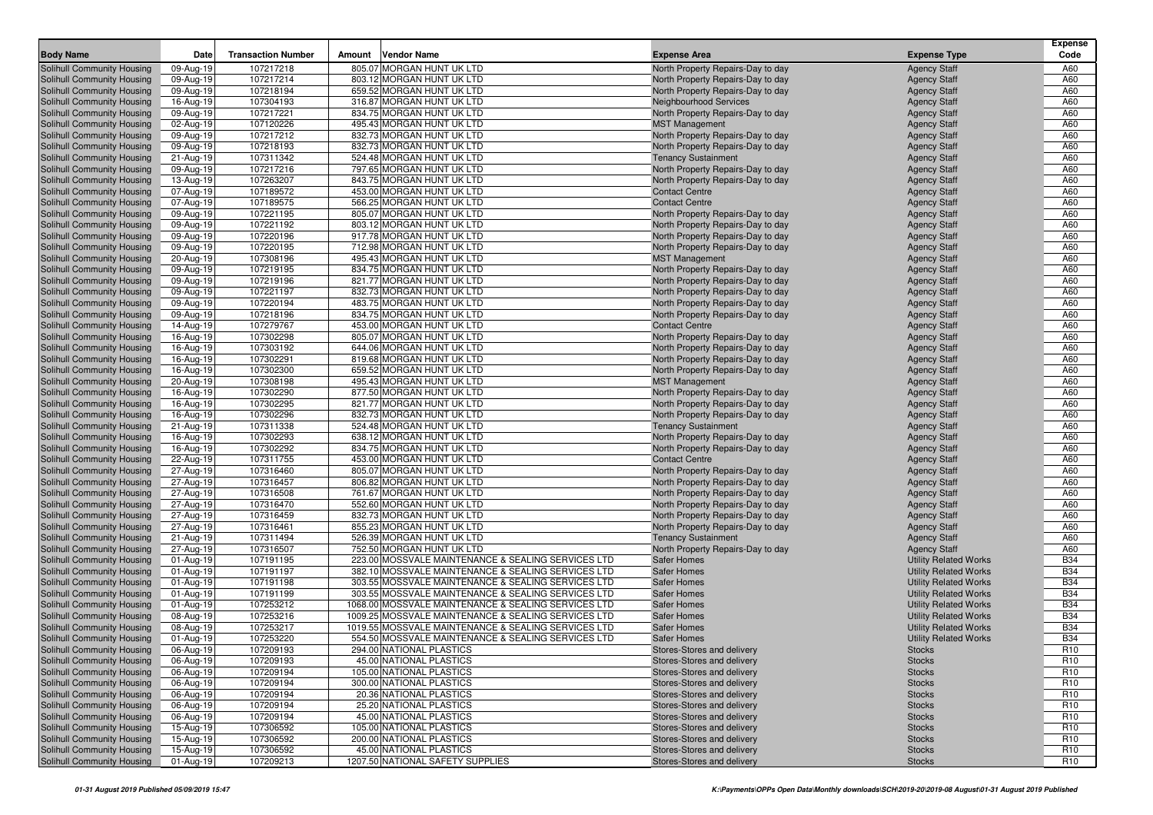|                                                          |                        |                           |        |                                                        |                                                                        |                                            | Expense         |
|----------------------------------------------------------|------------------------|---------------------------|--------|--------------------------------------------------------|------------------------------------------------------------------------|--------------------------------------------|-----------------|
| <b>Body Name</b>                                         | Date                   | <b>Transaction Number</b> | Amount | <b>Vendor Name</b>                                     | <b>Expense Area</b>                                                    | <b>Expense Type</b>                        | Code            |
| Solihull Community Housing                               | 09-Aug-19              | 107217218                 |        | 805.07 MORGAN HUNT UK LTD                              | North Property Repairs-Day to day                                      | <b>Agency Staff</b>                        | A60             |
| Solihull Community Housing                               | 09-Aug-19              | 107217214                 |        | 803.12 MORGAN HUNT UK LTD                              | North Property Repairs-Day to day                                      | <b>Agency Staff</b>                        | A60             |
| Solihull Community Housing                               | 09-Aug-19              | 107218194                 |        | 659.52 MORGAN HUNT UK LTD                              | North Property Repairs-Day to day                                      | <b>Agency Staff</b>                        | A60             |
| Solihull Community Housing                               | 16-Aug-19              | 107304193                 |        | 316.87 MORGAN HUNT UK LTD                              | Neighbourhood Services                                                 | <b>Agency Staff</b>                        | A60             |
| Solihull Community Housing                               | 09-Aug-19              | 107217221                 |        | 834.75 MORGAN HUNT UK LTD                              | North Property Repairs-Day to day                                      | <b>Agency Staff</b>                        | A60             |
| Solihull Community Housing                               | 02-Aug-19              | 107120226                 |        | 495.43 MORGAN HUNT UK LTD                              | <b>MST Management</b>                                                  | <b>Agency Staff</b>                        | A60             |
| Solihull Community Housing                               | 09-Aug-19              | 107217212                 |        | 832.73 MORGAN HUNT UK LTD                              | North Property Repairs-Day to day                                      | <b>Agency Staff</b>                        | A60             |
| Solihull Community Housing                               | 09-Aug-19              | 107218193                 |        | 832.73 MORGAN HUNT UK LTD                              | North Property Repairs-Day to day                                      | <b>Agency Staff</b>                        | A60             |
| Solihull Community Housing                               | 21-Aug-19              | 107311342                 |        | 524.48 MORGAN HUNT UK LTD                              | <b>Tenancy Sustainment</b>                                             | <b>Agency Staff</b>                        | A60             |
| <b>Solihull Community Housing</b>                        | 09-Aug-19              | 107217216                 |        | 797.65 MORGAN HUNT UK LTD                              | North Property Repairs-Day to day                                      | <b>Agency Staff</b>                        | A60             |
| Solihull Community Housing                               | 13-Aug-19              | 107263207                 |        | 843.75 MORGAN HUNT UK LTD                              | North Property Repairs-Day to day                                      | <b>Agency Staff</b>                        | A60             |
| Solihull Community Housing                               | 07-Aug-19              | 107189572                 |        | 453.00 MORGAN HUNT UK LTD                              | <b>Contact Centre</b>                                                  | <b>Agency Staff</b>                        | A60             |
| Solihull Community Housing                               | 07-Aug-19              | 107189575                 |        | 566.25 MORGAN HUNT UK LTD                              | <b>Contact Centre</b>                                                  | <b>Agency Staff</b>                        | A60             |
| Solihull Community Housing                               | 09-Aug-19              | 107221195                 |        | 805.07 MORGAN HUNT UK LTD                              | North Property Repairs-Day to day                                      | <b>Agency Staff</b>                        | A60             |
| Solihull Community Housing                               | 09-Aug-19              | 107221192                 |        | 803.12 MORGAN HUNT UK LTD                              | North Property Repairs-Day to day                                      | <b>Agency Staff</b>                        | A60             |
| Solihull Community Housing                               | 09-Aug-19              | 107220196                 |        | 917.78 MORGAN HUNT UK LTD                              | North Property Repairs-Day to day                                      | <b>Agency Staff</b>                        | A60             |
| Solihull Community Housing                               | 09-Aug-19              | 107220195                 |        | 712.98 MORGAN HUNT UK LTD                              | North Property Repairs-Day to day                                      | <b>Agency Staff</b>                        | A60             |
| Solihull Community Housing                               | 20-Aug-19              | 107308196                 |        | 495.43 MORGAN HUNT UK LTD<br>834.75 MORGAN HUNT UK LTD | <b>MST Management</b>                                                  | <b>Agency Staff</b>                        | A60<br>A60      |
| Solihull Community Housing                               | 09-Aug-19              | 107219195                 |        | 821.77 MORGAN HUNT UK LTD                              | North Property Repairs-Day to day                                      | <b>Agency Staff</b>                        | A60             |
| Solihull Community Housing                               | 09-Aug-19              | 107219196<br>107221197    |        | 832.73 MORGAN HUNT UK LTD                              | North Property Repairs-Day to day                                      | <b>Agency Staff</b>                        | A60             |
| Solihull Community Housing                               | 09-Aug-19              |                           |        | 483.75 MORGAN HUNT UK LTD                              | North Property Repairs-Day to day<br>North Property Repairs-Day to day | <b>Agency Staff</b><br><b>Agency Staff</b> | A60             |
| Solihull Community Housing                               | 09-Aug-19<br>09-Aug-19 | 107220194<br>107218196    |        | 834.75 MORGAN HUNT UK LTD                              |                                                                        |                                            | A60             |
| Solihull Community Housing                               |                        | 107279767                 |        | 453.00 MORGAN HUNT UK LTD                              | North Property Repairs-Day to day<br><b>Contact Centre</b>             | <b>Agency Staff</b>                        | A60             |
| Solihull Community Housing<br>Solihull Community Housing | 14-Aug-19<br>16-Aug-19 | 107302298                 |        | 805.07 MORGAN HUNT UK LTD                              |                                                                        | <b>Agency Staff</b><br><b>Agency Staff</b> | A60             |
| Solihull Community Housing                               | 16-Aug-19              | 107303192                 |        | 644.06 MORGAN HUNT UK LTD                              | North Property Repairs-Day to day<br>North Property Repairs-Day to day |                                            | A60             |
| Solihull Community Housing                               | 16-Aug-19              | 107302291                 |        | 819.68 MORGAN HUNT UK LTD                              | North Property Repairs-Day to day                                      | <b>Agency Staff</b><br><b>Agency Staff</b> | A60             |
| Solihull Community Housing                               | 16-Aug-19              | 107302300                 |        | 659.52 MORGAN HUNT UK LTD                              | North Property Repairs-Day to day                                      | <b>Agency Staff</b>                        | A60             |
| Solihull Community Housing                               | 20-Aug-19              | 107308198                 |        | 495.43 MORGAN HUNT UK LTD                              | <b>MST Management</b>                                                  | <b>Agency Staff</b>                        | A60             |
| Solihull Community Housing                               | 16-Aug-19              | 107302290                 |        | 877.50 MORGAN HUNT UK LTD                              | North Property Repairs-Day to day                                      | <b>Agency Staff</b>                        | A60             |
| Solihull Community Housing                               | 16-Aug-19              | 107302295                 |        | 821.77 MORGAN HUNT UK LTD                              | North Property Repairs-Day to day                                      | <b>Agency Staff</b>                        | A60             |
| Solihull Community Housing                               | 16-Aug-19              | 107302296                 |        | 832.73 MORGAN HUNT UK LTD                              | North Property Repairs-Day to day                                      | <b>Agency Staff</b>                        | A60             |
| Solihull Community Housing                               | 21-Aug-19              | 107311338                 |        | 524.48 MORGAN HUNT UK LTD                              | <b>Tenancy Sustainment</b>                                             | <b>Agency Staff</b>                        | A60             |
| Solihull Community Housing                               | 16-Aug-19              | 107302293                 |        | 638.12 MORGAN HUNT UK LTD                              | North Property Repairs-Day to day                                      | <b>Agency Staff</b>                        | A60             |
| Solihull Community Housing                               | 16-Aug-19              | 107302292                 |        | 834.75 MORGAN HUNT UK LTD                              | North Property Repairs-Day to day                                      | <b>Agency Staff</b>                        | A60             |
| Solihull Community Housing                               | 22-Aug-19              | 107311755                 |        | 453.00 MORGAN HUNT UK LTD                              | <b>Contact Centre</b>                                                  | <b>Agency Staff</b>                        | A60             |
| Solihull Community Housing                               | 27-Aug-19              | 107316460                 |        | 805.07 MORGAN HUNT UK LTD                              | North Property Repairs-Day to day                                      | <b>Agency Staff</b>                        | A60             |
| Solihull Community Housing                               | 27-Aug-19              | 107316457                 |        | 806.82 MORGAN HUNT UK LTD                              | North Property Repairs-Day to day                                      | <b>Agency Staff</b>                        | A60             |
| Solihull Community Housing                               | 27-Aug-19              | 107316508                 |        | 761.67 MORGAN HUNT UK LTD                              | North Property Repairs-Day to day                                      | <b>Agency Staff</b>                        | A60             |
| Solihull Community Housing                               | 27-Aug-19              | 107316470                 |        | 552.60 MORGAN HUNT UK LTD                              | North Property Repairs-Day to day                                      | <b>Agency Staff</b>                        | A60             |
| Solihull Community Housing                               | 27-Aug-19              | 107316459                 |        | 832.73 MORGAN HUNT UK LTD                              | North Property Repairs-Day to day                                      | <b>Agency Staff</b>                        | A60             |
| Solihull Community Housing                               | 27-Aug-19              | 107316461                 |        | 855.23 MORGAN HUNT UK LTD                              | North Property Repairs-Day to day                                      | <b>Agency Staff</b>                        | A60             |
| Solihull Community Housing                               | 21-Aug-19              | 107311494                 |        | 526.39 MORGAN HUNT UK LTD                              | <b>Tenancy Sustainment</b>                                             | <b>Agency Staff</b>                        | A60             |
| Solihull Community Housing                               | 27-Aug-19              | 107316507                 |        | 752.50 MORGAN HUNT UK LTD                              | North Property Repairs-Day to day                                      | <b>Agency Staff</b>                        | A60             |
| Solihull Community Housing                               | 01-Aug-19              | 107191195                 |        | 223.00 MOSSVALE MAINTENANCE & SEALING SERVICES LTD     | <b>Safer Homes</b>                                                     | <b>Utility Related Works</b>               | <b>B34</b>      |
| Solihull Community Housing                               | 01-Aug-19              | 107191197                 |        | 382.10 MOSSVALE MAINTENANCE & SEALING SERVICES LTD     | <b>Safer Homes</b>                                                     | <b>Utility Related Works</b>               | <b>B34</b>      |
| Solihull Community Housing                               | 01-Aug-19              | 107191198                 |        | 303.55 MOSSVALE MAINTENANCE & SEALING SERVICES LTD     | <b>Safer Homes</b>                                                     | <b>Utility Related Works</b>               | <b>B34</b>      |
| Solihull Community Housing                               | 01-Aug-19              | 107191199                 |        | 303.55 MOSSVALE MAINTENANCE & SEALING SERVICES LTD     | <b>Safer Homes</b>                                                     | <b>Utility Related Works</b>               | <b>B34</b>      |
| Solihull Community Housing                               | 01-Aug-19              | 107253212                 |        | 1068.00 MOSSVALE MAINTENANCE & SEALING SERVICES LTD    | Safer Homes                                                            | <b>Utility Related Works</b>               | <b>B34</b>      |
| Solihull Community Housing                               | 08-Aug-19              | 107253216                 |        | 1009.25 MOSSVALE MAINTENANCE & SEALING SERVICES LTD    | Safer Homes                                                            | <b>Utility Related Works</b>               | <b>B34</b>      |
| Solihull Community Housing                               | 08-Aug-19              | 107253217                 |        | 1019.55 MOSSVALE MAINTENANCE & SEALING SERVICES LTD    | <b>Safer Homes</b>                                                     | <b>Utility Related Works</b>               | <b>B34</b>      |
| Solihull Community Housing                               | 01-Aug-19              | 107253220                 |        | 554.50 MOSSVALE MAINTENANCE & SEALING SERVICES LTD     | Safer Homes                                                            | <b>Utility Related Works</b>               | <b>B34</b>      |
| Solihull Community Housing                               | 06-Aug-19              | 107209193                 |        | 294.00 NATIONAL PLASTICS                               | Stores-Stores and delivery                                             | Stocks                                     | R <sub>10</sub> |
| Solihull Community Housing                               | 06-Aug-19              | 107209193                 |        | 45.00 NATIONAL PLASTICS                                | Stores-Stores and delivery                                             | <b>Stocks</b>                              | R <sub>10</sub> |
| Solihull Community Housing                               | 06-Aug-19              | 107209194                 |        | 105.00 NATIONAL PLASTICS                               | Stores-Stores and delivery                                             | <b>Stocks</b>                              | R <sub>10</sub> |
| Solihull Community Housing                               | 06-Aug-19              | 107209194                 |        | 300.00 NATIONAL PLASTICS                               | Stores-Stores and delivery                                             | <b>Stocks</b>                              | R <sub>10</sub> |
| Solihull Community Housing                               | 06-Aug-19              | 107209194                 |        | 20.36 NATIONAL PLASTICS                                | Stores-Stores and delivery                                             | <b>Stocks</b>                              | R <sub>10</sub> |
| Solihull Community Housing                               | 06-Aug-19              | 107209194                 |        | 25.20 NATIONAL PLASTICS                                | Stores-Stores and delivery                                             | <b>Stocks</b>                              | R <sub>10</sub> |
| Solihull Community Housing                               | 06-Aug-19              | 107209194                 |        | 45.00 NATIONAL PLASTICS                                | Stores-Stores and delivery                                             | <b>Stocks</b>                              | R <sub>10</sub> |
| Solihull Community Housing                               | 15-Aug-19              | 107306592                 |        | 105.00 NATIONAL PLASTICS                               | Stores-Stores and delivery                                             | <b>Stocks</b>                              | R <sub>10</sub> |
| Solihull Community Housing                               | 15-Aug-19              | 107306592                 |        | 200.00 NATIONAL PLASTICS                               | Stores-Stores and delivery                                             | <b>Stocks</b>                              | R <sub>10</sub> |
| Solihull Community Housing                               | 15-Aug-19              | 107306592                 |        | 45.00 NATIONAL PLASTICS                                | Stores-Stores and delivery                                             | <b>Stocks</b>                              | R <sub>10</sub> |
| Solihull Community Housing                               | 01-Aug-19              | 107209213                 |        | 1207.50 NATIONAL SAFETY SUPPLIES                       | Stores-Stores and delivery                                             | <b>Stocks</b>                              | R <sub>10</sub> |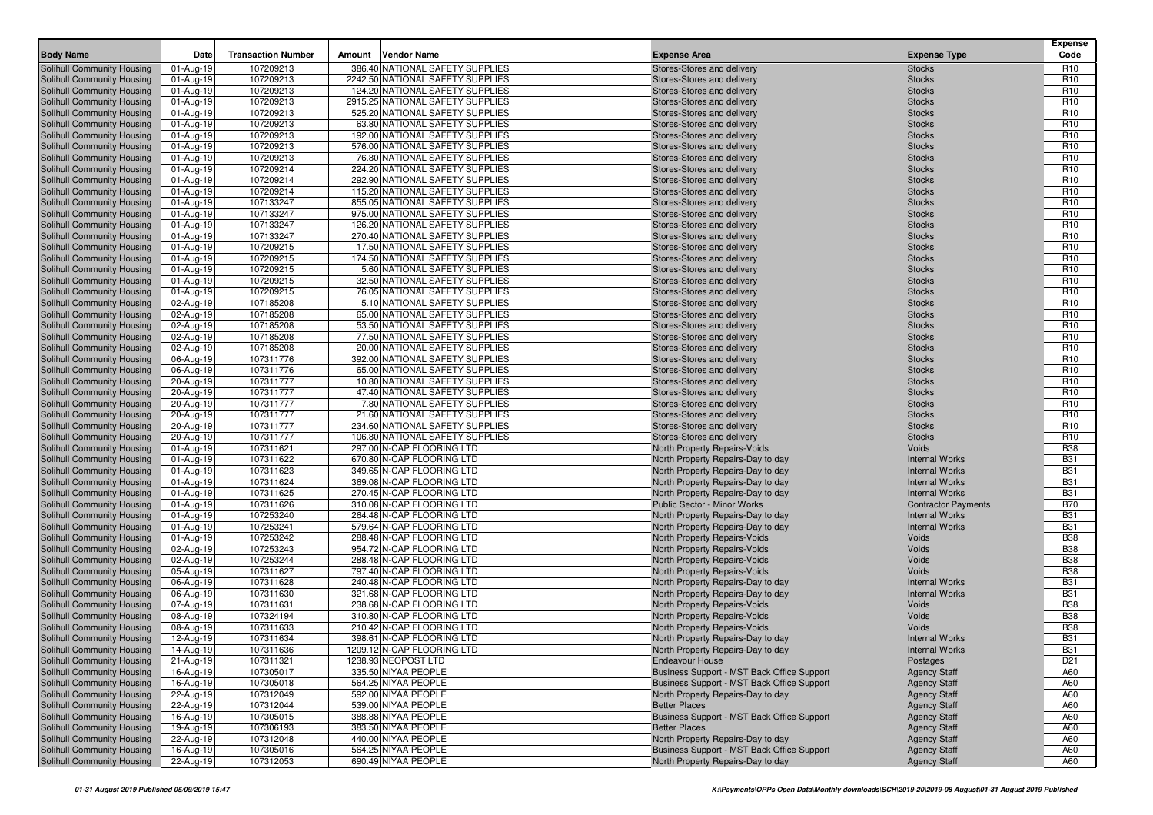| <b>Body Name</b>                                         | Date                   | <b>Transaction Number</b> | <b>Vendor Name</b><br>Amount                                    | <b>Expense Area</b>                                       | <b>Expense Type</b>                        | <b>Expense</b><br>Code             |
|----------------------------------------------------------|------------------------|---------------------------|-----------------------------------------------------------------|-----------------------------------------------------------|--------------------------------------------|------------------------------------|
| Solihull Community Housing                               | 01-Aug-19              | 107209213                 | 386.40 NATIONAL SAFETY SUPPLIES                                 | Stores-Stores and delivery                                | <b>Stocks</b>                              | R <sub>10</sub>                    |
| Solihull Community Housing                               | 01-Aug-19              | 107209213                 | 2242.50 NATIONAL SAFETY SUPPLIES                                | Stores-Stores and delivery                                | <b>Stocks</b>                              | R <sub>10</sub>                    |
| Solihull Community Housing                               | 01-Aug-19              | 107209213                 | 124.20 NATIONAL SAFETY SUPPLIES                                 | Stores-Stores and delivery                                | <b>Stocks</b>                              | R <sub>10</sub>                    |
| Solihull Community Housing                               | 01-Aug-19              | 107209213                 | 2915.25 NATIONAL SAFETY SUPPLIES                                | Stores-Stores and delivery                                | <b>Stocks</b>                              | R <sub>10</sub>                    |
| Solihull Community Housing                               | 01-Aug-19              | 107209213                 | 525.20 NATIONAL SAFETY SUPPLIES                                 | Stores-Stores and delivery                                | <b>Stocks</b>                              | R <sub>10</sub>                    |
| Solihull Community Housing                               | 01-Aug-19              | 107209213                 | 63.80 NATIONAL SAFETY SUPPLIES                                  | Stores-Stores and delivery                                | <b>Stocks</b>                              | R <sub>10</sub>                    |
| Solihull Community Housing                               | 01-Aug-19              | 107209213                 | 192.00 NATIONAL SAFETY SUPPLIES                                 | Stores-Stores and delivery                                | <b>Stocks</b>                              | R <sub>10</sub>                    |
| Solihull Community Housing                               | 01-Aug-19              | 107209213                 | 576.00 NATIONAL SAFETY SUPPLIES                                 | Stores-Stores and delivery                                | <b>Stocks</b>                              | R <sub>10</sub>                    |
| Solihull Community Housing                               | 01-Aug-19              | 107209213                 | 76.80 NATIONAL SAFETY SUPPLIES                                  | Stores-Stores and delivery                                | <b>Stocks</b>                              | R <sub>10</sub>                    |
| Solihull Community Housing                               | 01-Aug-19              | 107209214                 | 224.20 NATIONAL SAFETY SUPPLIES                                 | Stores-Stores and delivery                                | <b>Stocks</b>                              | R <sub>10</sub>                    |
| Solihull Community Housing                               | 01-Aug-19              | 107209214                 | 292.90 NATIONAL SAFETY SUPPLIES                                 | Stores-Stores and delivery                                | <b>Stocks</b>                              | R <sub>10</sub>                    |
| Solihull Community Housing                               | 01-Aug-19              | 107209214                 | 115.20 NATIONAL SAFETY SUPPLIES                                 | Stores-Stores and delivery                                | <b>Stocks</b>                              | R <sub>10</sub>                    |
| Solihull Community Housing                               | 01-Aug-19              | 107133247                 | 855.05 NATIONAL SAFETY SUPPLIES                                 | Stores-Stores and delivery                                | <b>Stocks</b>                              | R <sub>10</sub>                    |
| Solihull Community Housing                               | 01-Aug-19              | 107133247                 | 975.00 NATIONAL SAFETY SUPPLIES                                 | Stores-Stores and delivery                                | <b>Stocks</b>                              | R <sub>10</sub>                    |
| Solihull Community Housing                               | 01-Aug-19              | 107133247                 | 126.20 NATIONAL SAFETY SUPPLIES                                 | Stores-Stores and delivery                                | <b>Stocks</b>                              | R <sub>10</sub>                    |
| Solihull Community Housing                               | 01-Aug-19              | 107133247                 | 270.40 NATIONAL SAFETY SUPPLIES                                 | Stores-Stores and delivery                                | <b>Stocks</b>                              | R <sub>10</sub>                    |
| Solihull Community Housing                               | 01-Aug-19              | 107209215                 | 17.50 NATIONAL SAFETY SUPPLIES                                  | Stores-Stores and delivery                                | <b>Stocks</b>                              | R <sub>10</sub>                    |
| Solihull Community Housing                               | 01-Aug-19              | 107209215                 | 174.50 NATIONAL SAFETY SUPPLIES                                 | Stores-Stores and delivery                                | <b>Stocks</b>                              | R <sub>10</sub>                    |
| Solihull Community Housing                               | 01-Aug-19              | 107209215                 | 5.60 NATIONAL SAFETY SUPPLIES                                   | Stores-Stores and delivery                                | <b>Stocks</b>                              | R <sub>10</sub>                    |
| Solihull Community Housing                               | 01-Aug-19              | 107209215                 | 32.50 NATIONAL SAFETY SUPPLIES                                  | Stores-Stores and delivery                                | <b>Stocks</b>                              | R <sub>10</sub>                    |
| Solihull Community Housing                               | 01-Aug-19              | 107209215                 | 76.05 NATIONAL SAFETY SUPPLIES<br>5.10 NATIONAL SAFETY SUPPLIES | Stores-Stores and delivery                                | <b>Stocks</b>                              | R <sub>10</sub><br>R <sub>10</sub> |
| Solihull Community Housing<br>Solihull Community Housing | 02-Aug-19<br>02-Aug-19 | 107185208<br>107185208    | 65.00 NATIONAL SAFETY SUPPLIES                                  | Stores-Stores and delivery<br>Stores-Stores and delivery  | <b>Stocks</b><br><b>Stocks</b>             | R <sub>10</sub>                    |
| Solihull Community Housing                               | 02-Aug-19              | 107185208                 | 53.50 NATIONAL SAFETY SUPPLIES                                  | Stores-Stores and delivery                                | <b>Stocks</b>                              | R <sub>10</sub>                    |
| Solihull Community Housing                               | 02-Aug-19              | 107185208                 | 77.50 NATIONAL SAFETY SUPPLIES                                  | Stores-Stores and delivery                                | <b>Stocks</b>                              | R <sub>10</sub>                    |
| Solihull Community Housing                               | 02-Aug-19              | 107185208                 | 20.00 NATIONAL SAFETY SUPPLIES                                  | Stores-Stores and delivery                                | <b>Stocks</b>                              | R <sub>10</sub>                    |
| Solihull Community Housing                               | 06-Aug-19              | 107311776                 | 392.00 NATIONAL SAFETY SUPPLIES                                 | Stores-Stores and delivery                                | <b>Stocks</b>                              | R <sub>10</sub>                    |
| Solihull Community Housing                               | 06-Aug-19              | 107311776                 | 65.00 NATIONAL SAFETY SUPPLIES                                  | Stores-Stores and delivery                                | <b>Stocks</b>                              | R <sub>10</sub>                    |
| Solihull Community Housing                               | 20-Aug-19              | 107311777                 | 10.80 NATIONAL SAFETY SUPPLIES                                  | Stores-Stores and delivery                                | <b>Stocks</b>                              | R <sub>10</sub>                    |
| Solihull Community Housing                               | 20-Aug-19              | 107311777                 | 47.40 NATIONAL SAFETY SUPPLIES                                  | Stores-Stores and delivery                                | <b>Stocks</b>                              | R <sub>10</sub>                    |
| Solihull Community Housing                               | 20-Aug-19              | 107311777                 | 7.80 NATIONAL SAFETY SUPPLIES                                   | Stores-Stores and delivery                                | <b>Stocks</b>                              | R <sub>10</sub>                    |
| Solihull Community Housing                               | 20-Aug-19              | 107311777                 | 21.60 NATIONAL SAFETY SUPPLIES                                  | Stores-Stores and delivery                                | <b>Stocks</b>                              | R <sub>10</sub>                    |
| Solihull Community Housing                               | 20-Aug-19              | 107311777                 | 234.60 NATIONAL SAFETY SUPPLIES                                 | Stores-Stores and delivery                                | <b>Stocks</b>                              | R <sub>10</sub>                    |
| Solihull Community Housing                               | 20-Aug-19              | 107311777                 | 106.80 NATIONAL SAFETY SUPPLIES                                 | Stores-Stores and delivery                                | <b>Stocks</b>                              | R <sub>10</sub>                    |
| Solihull Community Housing                               | 01-Aug-19              | 107311621                 | 297.00 N-CAP FLOORING LTD                                       | North Property Repairs-Voids                              | Voids                                      | <b>B38</b>                         |
| Solihull Community Housing                               | 01-Aug-19              | 107311622                 | 670.80 N-CAP FLOORING LTD                                       | North Property Repairs-Day to day                         | <b>Internal Works</b>                      | <b>B31</b>                         |
| Solihull Community Housing                               | 01-Aug-19              | 107311623                 | 349.65 N-CAP FLOORING LTD                                       | North Property Repairs-Day to day                         | <b>Internal Works</b>                      | <b>B31</b>                         |
| Solihull Community Housing                               | 01-Aug-19              | 107311624                 | 369.08 N-CAP FLOORING LTD                                       | North Property Repairs-Day to day                         | <b>Internal Works</b>                      | <b>B31</b>                         |
| Solihull Community Housing                               | 01-Aug-19              | 107311625                 | 270.45 N-CAP FLOORING LTD                                       | North Property Repairs-Day to day                         | <b>Internal Works</b>                      | <b>B31</b>                         |
| Solihull Community Housing                               | 01-Aug-19              | 107311626                 | 310.08 N-CAP FLOORING LTD                                       | Public Sector - Minor Works                               | <b>Contractor Payments</b>                 | <b>B70</b>                         |
| Solihull Community Housing                               | 01-Aug-19              | 107253240                 | 264.48 N-CAP FLOORING LTD                                       | North Property Repairs-Day to day                         | <b>Internal Works</b>                      | <b>B31</b>                         |
| Solihull Community Housing                               | 01-Aug-19              | 107253241                 | 579.64 N-CAP FLOORING LTD                                       | North Property Repairs-Day to day                         | <b>Internal Works</b>                      | <b>B31</b>                         |
| Solihull Community Housing                               | 01-Aug-19              | 107253242                 | 288.48 N-CAP FLOORING LTD                                       | North Property Repairs-Voids                              | Voids                                      | <b>B38</b>                         |
| Solihull Community Housing                               | 02-Aug-19              | 107253243                 | 954.72 N-CAP FLOORING LTD                                       | North Property Repairs-Voids                              | Voids                                      | <b>B38</b>                         |
| Solihull Community Housing                               | 02-Aug-19              | 107253244                 | 288.48 N-CAP FLOORING LTD                                       | North Property Repairs-Voids                              | Voids                                      | <b>B38</b>                         |
| Solihull Community Housing                               | 05-Aug-19              | 107311627                 | 797.40 N-CAP FLOORING LTD                                       | North Property Repairs-Voids                              | Voids                                      | <b>B38</b>                         |
| Solihull Community Housing                               | 06-Aug-19              | 107311628                 | 240.48 N-CAP FLOORING LTD                                       | North Property Repairs-Day to day                         | <b>Internal Works</b>                      | <b>B31</b>                         |
| Solihull Community Housing                               | 06-Aug-19              | 107311630                 | 321.68 N-CAP FLOORING LTD                                       | North Property Repairs-Day to day                         | <b>Internal Works</b>                      | <b>B31</b>                         |
| Solihull Community Housing                               | 07-Aug-19              | 107311631                 | 238.68 N-CAP FLOORING LTD                                       | North Property Repairs-Voids                              | Voids                                      | <b>B38</b>                         |
| Solihull Community Housing                               | 08-Aug-19              | 107324194                 | 310.80 N-CAP FLOORING LTD                                       | North Property Repairs-Voids                              | Voids                                      | <b>B38</b>                         |
| Solihull Community Housing                               | 08-Aug-19              | 107311633                 | 210.42 N-CAP FLOORING LTD                                       | North Property Repairs-Voids                              | Voids                                      | <b>B38</b>                         |
| Solihull Community Housing                               | 12-Aug-19              | 107311634                 | 398.61 N-CAP FLOORING LTD                                       | North Property Repairs-Day to day                         | <b>Internal Works</b>                      | <b>B31</b>                         |
| Solihull Community Housing                               | 14-Aug-19              | 107311636                 | 1209.12 N-CAP FLOORING LTD                                      | North Property Repairs-Day to day                         | <b>Internal Works</b>                      | <b>B31</b>                         |
| Solihull Community Housing                               | 21-Aug-19              | 107311321                 | 1238.93 NEOPOST LTD                                             | <b>Endeavour House</b>                                    | Postages                                   | D <sub>21</sub>                    |
| Solihull Community Housing                               | 16-Aug-19              | 107305017                 | 335.50 NIYAA PEOPLE                                             | Business Support - MST Back Office Support                | <b>Agency Staff</b>                        | A60                                |
| Solihull Community Housing<br>Solihull Community Housing | 16-Aug-19<br>22-Aug-19 | 107305018<br>107312049    | 564.25 NIYAA PEOPLE<br>592.00 NIYAA PEOPLE                      | Business Support - MST Back Office Support                | <b>Agency Staff</b>                        | A60<br>A60                         |
| Solihull Community Housing                               | 22-Aug-19              | 107312044                 | 539.00 NIYAA PEOPLE                                             | North Property Repairs-Day to day<br><b>Better Places</b> | <b>Agency Staff</b><br><b>Agency Staff</b> | A60                                |
| Solihull Community Housing                               | 16-Aug-19              | 107305015                 | 388.88 NIYAA PEOPLE                                             | Business Support - MST Back Office Support                | <b>Agency Staff</b>                        | A60                                |
| Solihull Community Housing                               | 19-Aug-19              | 107306193                 | 383.50 NIYAA PEOPLE                                             | <b>Better Places</b>                                      | <b>Agency Staff</b>                        | A60                                |
| Solihull Community Housing                               | 22-Aug-19              | 107312048                 | 440.00 NIYAA PEOPLE                                             | North Property Repairs-Day to day                         | <b>Agency Staff</b>                        | A60                                |
| Solihull Community Housing                               | 16-Aug-19              | 107305016                 | 564.25 NIYAA PEOPLE                                             | Business Support - MST Back Office Support                | <b>Agency Staff</b>                        | A60                                |
| Solihull Community Housing                               | 22-Aug-19              | 107312053                 | 690.49 NIYAA PEOPLE                                             | North Property Repairs-Day to day                         | <b>Agency Staff</b>                        | A60                                |
|                                                          |                        |                           |                                                                 |                                                           |                                            |                                    |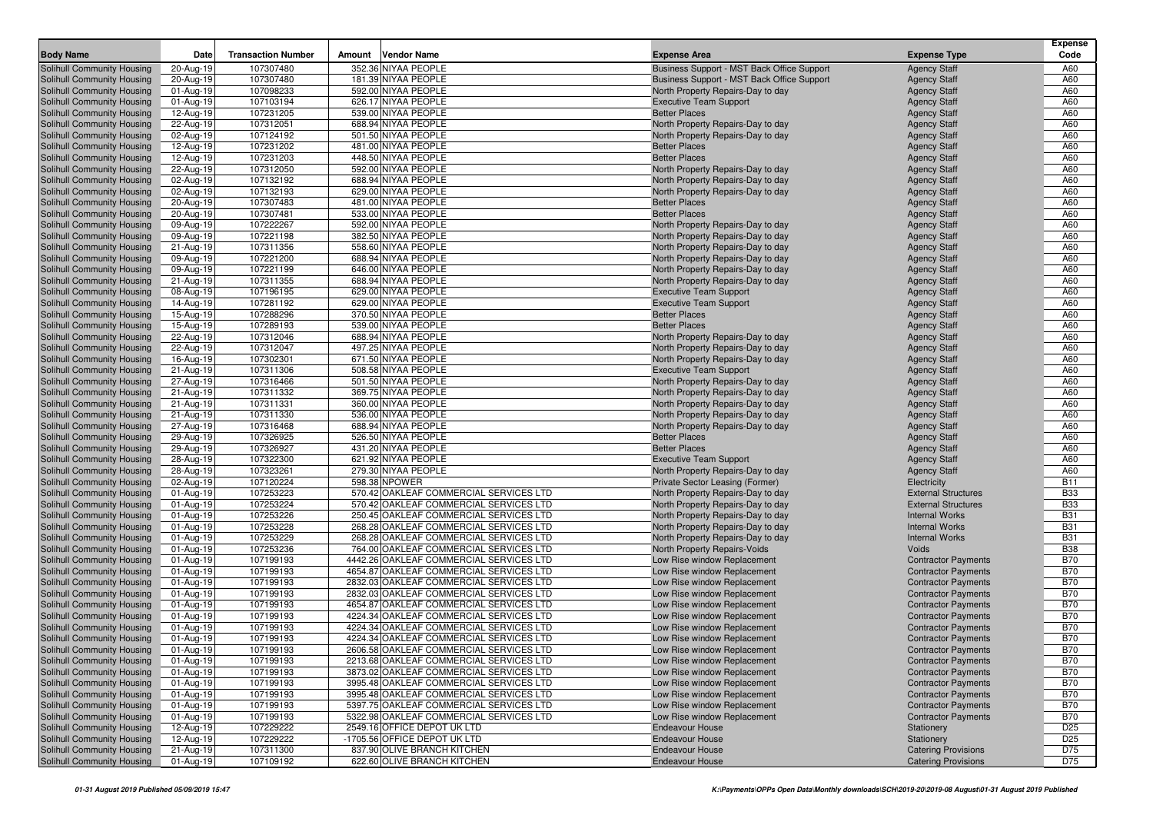| <b>Body Name</b>                                         |                         | <b>Transaction Number</b> |        | <b>Vendor Name</b>                                                                 |                                                                        |                                                          | <b>Expense</b><br>Code   |
|----------------------------------------------------------|-------------------------|---------------------------|--------|------------------------------------------------------------------------------------|------------------------------------------------------------------------|----------------------------------------------------------|--------------------------|
|                                                          | Date                    |                           | Amount |                                                                                    | <b>Expense Area</b>                                                    | <b>Expense Type</b>                                      |                          |
| Solihull Community Housing                               | 20-Aug-19               | 107307480                 |        | 352.36 NIYAA PEOPLE                                                                | Business Support - MST Back Office Support                             | <b>Agency Staff</b>                                      | A60                      |
| Solihull Community Housing                               | 20-Aug-19               | 107307480<br>107098233    |        | 181.39 NIYAA PEOPLE<br>592.00 NIYAA PEOPLE                                         | Business Support - MST Back Office Support                             | <b>Agency Staff</b>                                      | A60<br>A60               |
| Solihull Community Housing<br>Solihull Community Housing | 01-Aug-19<br>01-Aug-19  | 107103194                 |        | 626.17 NIYAA PEOPLE                                                                | North Property Repairs-Day to day<br><b>Executive Team Support</b>     | <b>Agency Staff</b><br><b>Agency Staff</b>               | A60                      |
| Solihull Community Housing                               | 12-Aug-19               | 107231205                 |        | 539.00 NIYAA PEOPLE                                                                | <b>Better Places</b>                                                   | <b>Agency Staff</b>                                      | A60                      |
| Solihull Community Housing                               | 22-Aug-19               | 107312051                 |        | 688.94 NIYAA PEOPLE                                                                | North Property Repairs-Day to day                                      | <b>Agency Staff</b>                                      | A60                      |
| Solihull Community Housing                               | 02-Aug-19               | 107124192                 |        | 501.50 NIYAA PEOPLE                                                                | North Property Repairs-Day to day                                      | <b>Agency Staff</b>                                      | A60                      |
| Solihull Community Housing                               | 12-Aug-19               | 107231202                 |        | 481.00 NIYAA PEOPLE                                                                | <b>Better Places</b>                                                   | <b>Agency Staff</b>                                      | A60                      |
| Solihull Community Housing                               | 12-Aug-19               | 107231203                 |        | 448.50 NIYAA PEOPLE                                                                | <b>Better Places</b>                                                   | <b>Agency Staff</b>                                      | A60                      |
| Solihull Community Housing                               | 22-Aug-19               | 107312050                 |        | 592.00 NIYAA PEOPLE                                                                | North Property Repairs-Day to day                                      | <b>Agency Staff</b>                                      | A60                      |
| Solihull Community Housing                               | 02-Aug-19               | 107132192                 |        | 688.94 NIYAA PEOPLE                                                                | North Property Repairs-Day to day                                      | <b>Agency Staff</b>                                      | A60                      |
| Solihull Community Housing                               | 02-Aug-19               | 107132193                 |        | 629.00 NIYAA PEOPLE                                                                | North Property Repairs-Day to day                                      | <b>Agency Staff</b>                                      | A60                      |
| Solihull Community Housing                               | 20-Aug-19               | 107307483                 |        | 481.00 NIYAA PEOPLE                                                                | <b>Better Places</b>                                                   | <b>Agency Staff</b>                                      | A60                      |
| Solihull Community Housing                               | 20-Aug-19               | 107307481                 |        | 533.00 NIYAA PEOPLE                                                                | <b>Better Places</b>                                                   | <b>Agency Staff</b>                                      | A60                      |
| Solihull Community Housing                               | 09-Aug-19               | 107222267                 |        | 592.00 NIYAA PEOPLE                                                                | North Property Repairs-Day to day                                      | <b>Agency Staff</b>                                      | A60                      |
| Solihull Community Housing                               | 09-Aug-19               | 107221198                 |        | 382.50 NIYAA PEOPLE                                                                | North Property Repairs-Day to day                                      | <b>Agency Staff</b>                                      | A60                      |
| Solihull Community Housing                               | 21-Aug-19               | 107311356                 |        | 558.60 NIYAA PEOPLE                                                                | North Property Repairs-Day to day                                      | <b>Agency Staff</b>                                      | A60                      |
| Solihull Community Housing                               | 09-Aug-19               | 107221200                 |        | 688.94 NIYAA PEOPLE                                                                | North Property Repairs-Day to day                                      | <b>Agency Staff</b>                                      | A60                      |
| Solihull Community Housing                               | 09-Aug-19               | 107221199                 |        | 646.00 NIYAA PEOPLE                                                                | North Property Repairs-Day to day                                      | <b>Agency Staff</b>                                      | A60                      |
| Solihull Community Housing                               | 21-Aug-19               | 107311355                 |        | 688.94 NIYAA PEOPLE                                                                | North Property Repairs-Day to day                                      | <b>Agency Staff</b>                                      | A60                      |
| Solihull Community Housing                               | 08-Aug-19               | 107196195                 |        | 629.00 NIYAA PEOPLE                                                                | <b>Executive Team Support</b>                                          | <b>Agency Staff</b>                                      | A60<br>A60               |
| Solihull Community Housing<br>Solihull Community Housing | 14-Aug-19<br>15-Aug-19  | 107281192<br>107288296    |        | 629.00 NIYAA PEOPLE<br>370.50 NIYAA PEOPLE                                         | <b>Executive Team Support</b><br><b>Better Places</b>                  | <b>Agency Staff</b><br><b>Agency Staff</b>               | A60                      |
| Solihull Community Housing                               | 15-Aug-19               | 107289193                 |        | 539.00 NIYAA PEOPLE                                                                | <b>Better Places</b>                                                   | <b>Agency Staff</b>                                      | A60                      |
| Solihull Community Housing                               | 22-Aug-19               | 107312046                 |        | 688.94 NIYAA PEOPLE                                                                | North Property Repairs-Day to day                                      | <b>Agency Staff</b>                                      | A60                      |
| Solihull Community Housing                               | 22-Aug-19               | 107312047                 |        | 497.25 NIYAA PEOPLE                                                                | North Property Repairs-Day to day                                      | <b>Agency Staff</b>                                      | A60                      |
| Solihull Community Housing                               | 16-Aug-19               | 107302301                 |        | 671.50 NIYAA PEOPLE                                                                | North Property Repairs-Day to day                                      | <b>Agency Staff</b>                                      | A60                      |
| Solihull Community Housing                               | 21-Aug-19               | 107311306                 |        | 508.58 NIYAA PEOPLE                                                                | <b>Executive Team Support</b>                                          | <b>Agency Staff</b>                                      | A60                      |
| Solihull Community Housing                               | 27-Aug-19               | 107316466                 |        | 501.50 NIYAA PEOPLE                                                                | North Property Repairs-Day to day                                      | <b>Agency Staff</b>                                      | A60                      |
| Solihull Community Housing                               | 21-Aug-19               | 107311332                 |        | 369.75 NIYAA PEOPLE                                                                | North Property Repairs-Day to day                                      | <b>Agency Staff</b>                                      | A60                      |
| Solihull Community Housing                               | 21-Aug-19               | 107311331                 |        | 360.00 NIYAA PEOPLE                                                                | North Property Repairs-Day to day                                      | <b>Agency Staff</b>                                      | A60                      |
| Solihull Community Housing                               | 21-Aug-19               | 107311330                 |        | 536.00 NIYAA PEOPLE                                                                | North Property Repairs-Day to day                                      | <b>Agency Staff</b>                                      | A60                      |
| Solihull Community Housing                               | 27-Aug-19               | 107316468                 |        | 688.94 NIYAA PEOPLE                                                                | North Property Repairs-Day to day                                      | <b>Agency Staff</b>                                      | A60                      |
| Solihull Community Housing                               | 29-Aug-19               | 107326925                 |        | 526.50 NIYAA PEOPLE                                                                | <b>Better Places</b>                                                   | <b>Agency Staff</b>                                      | A60                      |
| Solihull Community Housing                               | 29-Aug-19               | 107326927                 |        | 431.20 NIYAA PEOPLE                                                                | <b>Better Places</b>                                                   | <b>Agency Staff</b>                                      | A60                      |
| Solihull Community Housing                               | 28-Aug-19               | 107322300                 |        | 621.92 NIYAA PEOPLE                                                                | <b>Executive Team Support</b>                                          | <b>Agency Staff</b>                                      | A60                      |
| Solihull Community Housing                               | 28-Aug-19               | 107323261                 |        | 279.30 NIYAA PEOPLE                                                                | North Property Repairs-Day to day                                      | <b>Agency Staff</b>                                      | A60                      |
| Solihull Community Housing                               | 02-Aug-19               | 107120224                 |        | 598.38 NPOWER                                                                      | Private Sector Leasing (Former)                                        | Electricity                                              | <b>B11</b><br><b>B33</b> |
| Solihull Community Housing<br>Solihull Community Housing | 01-Aug-19<br>01-Aug-19  | 107253223<br>107253224    |        | 570.42 OAKLEAF COMMERCIAL SERVICES LTD<br>570.42 OAKLEAF COMMERCIAL SERVICES LTD   | North Property Repairs-Day to day<br>North Property Repairs-Day to day | <b>External Structures</b><br><b>External Structures</b> | <b>B33</b>               |
| Solihull Community Housing                               | 01-Aug-19               | 107253226                 |        | 250.45 OAKLEAF COMMERCIAL SERVICES LTD                                             | North Property Repairs-Day to day                                      | <b>Internal Works</b>                                    | <b>B31</b>               |
| Solihull Community Housing                               | 01-Aug-19               | 107253228                 |        | 268.28 OAKLEAF COMMERCIAL SERVICES LTD                                             | North Property Repairs-Day to day                                      | <b>Internal Works</b>                                    | <b>B31</b>               |
| Solihull Community Housing                               | 01-Aug-19               | 107253229                 |        | 268.28 OAKLEAF COMMERCIAL SERVICES LTD                                             | North Property Repairs-Day to day                                      | <b>Internal Works</b>                                    | <b>B31</b>               |
| Solihull Community Housing                               | 01-Aug-19               | 107253236                 |        | 764.00 OAKLEAF COMMERCIAL SERVICES LTD                                             | North Property Repairs-Voids                                           | Voids                                                    | <b>B38</b>               |
| Solihull Community Housing                               | 01-Aug-19               | 107199193                 |        | 4442.26 OAKLEAF COMMERCIAL SERVICES LTD                                            | Low Rise window Replacement                                            | <b>Contractor Payments</b>                               | <b>B70</b>               |
| Solihull Community Housing                               | 01-Aug-19               | 107199193                 |        | 4654.87 OAKLEAF COMMERCIAL SERVICES LTD                                            | Low Rise window Replacement                                            | <b>Contractor Payments</b>                               | <b>B70</b>               |
| Solihull Community Housing                               | 01-Aug-19               | 107199193                 |        | 2832.03 OAKLEAF COMMERCIAL SERVICES LTD                                            | Low Rise window Replacement                                            | <b>Contractor Payments</b>                               | <b>B70</b>               |
| Solihull Community Housing                               | 01-Aug-19               | 107199193                 |        | 2832.03 OAKLEAF COMMERCIAL SERVICES LTD                                            | Low Rise window Replacement                                            | <b>Contractor Payments</b>                               | <b>B70</b>               |
| Solihull Community Housing                               | 01-Aug-19               | 107199193                 |        | 4654.87 OAKLEAF COMMERCIAL SERVICES LTD                                            | Low Rise window Replacement                                            | <b>Contractor Payments</b>                               | <b>B70</b>               |
| Solihull Community Housing                               | 01-Aug-19               | 107199193                 |        | 4224.34 OAKLEAF COMMERCIAL SERVICES LTD                                            | Low Rise window Replacement                                            | <b>Contractor Payments</b>                               | <b>B70</b>               |
| Solihull Community Housing                               | 01-Aug-19               | 107199193                 |        | 4224.34 OAKLEAF COMMERCIAL SERVICES LTD                                            | Low Rise window Replacement                                            | <b>Contractor Payments</b>                               | <b>B70</b>               |
| Solihull Community Housing                               | 01-Aug-19               | 107199193                 |        | 4224.34 OAKLEAF COMMERCIAL SERVICES LTD                                            | Low Rise window Replacement                                            | <b>Contractor Payments</b>                               | <b>B70</b>               |
| <b>Solihull Community Housing</b>                        | $\overline{01-Aug}$ -19 | 107199193                 |        | 2606.58 OAKLEAF COMMERCIAL SERVICES LTD                                            | Low Rise window Replacement                                            | <b>Contractor Payments</b>                               | <b>B70</b>               |
| Solihull Community Housing                               | 01-Aug-19               | 107199193                 |        | 2213.68 OAKLEAF COMMERCIAL SERVICES LTD                                            | Low Rise window Replacement                                            | <b>Contractor Payments</b>                               | <b>B70</b>               |
| Solihull Community Housing                               | 01-Aug-19               | 107199193                 |        | 3873.02 OAKLEAF COMMERCIAL SERVICES LTD                                            | Low Rise window Replacement                                            | <b>Contractor Payments</b>                               | <b>B70</b>               |
| Solihull Community Housing<br>Solihull Community Housing | 01-Aug-19<br>01-Aug-19  | 107199193<br>107199193    |        | 3995.48 OAKLEAF COMMERCIAL SERVICES LTD<br>3995.48 OAKLEAF COMMERCIAL SERVICES LTD | Low Rise window Replacement<br>Low Rise window Replacement             | <b>Contractor Payments</b><br><b>Contractor Payments</b> | <b>B70</b><br><b>B70</b> |
| Solihull Community Housing                               | 01-Aug-19               | 107199193                 |        | 5397.75 OAKLEAF COMMERCIAL SERVICES LTD                                            | Low Rise window Replacement                                            | <b>Contractor Payments</b>                               | <b>B70</b>               |
| Solihull Community Housing                               | 01-Aug-19               | 107199193                 |        | 5322.98 OAKLEAF COMMERCIAL SERVICES LTD                                            | Low Rise window Replacement                                            | <b>Contractor Payments</b>                               | <b>B70</b>               |
| Solihull Community Housing                               | 12-Aug-19               | 107229222                 |        | 2549.16 OFFICE DEPOT UK LTD                                                        | <b>Endeavour House</b>                                                 | Stationery                                               | D <sub>25</sub>          |
| Solihull Community Housing                               | 12-Aug-19               | 107229222                 |        | -1705.56 OFFICE DEPOT UK LTD                                                       | <b>Endeavour House</b>                                                 | Stationery                                               | D <sub>25</sub>          |
| Solihull Community Housing                               | 21-Aug-19               | 107311300                 |        | 837.90 OLIVE BRANCH KITCHEN                                                        | <b>Endeavour House</b>                                                 | <b>Catering Provisions</b>                               | D75                      |
| Solihull Community Housing                               | 01-Aug-19               | 107109192                 |        | 622.60 OLIVE BRANCH KITCHEN                                                        | <b>Endeavour House</b>                                                 | <b>Catering Provisions</b>                               | D75                      |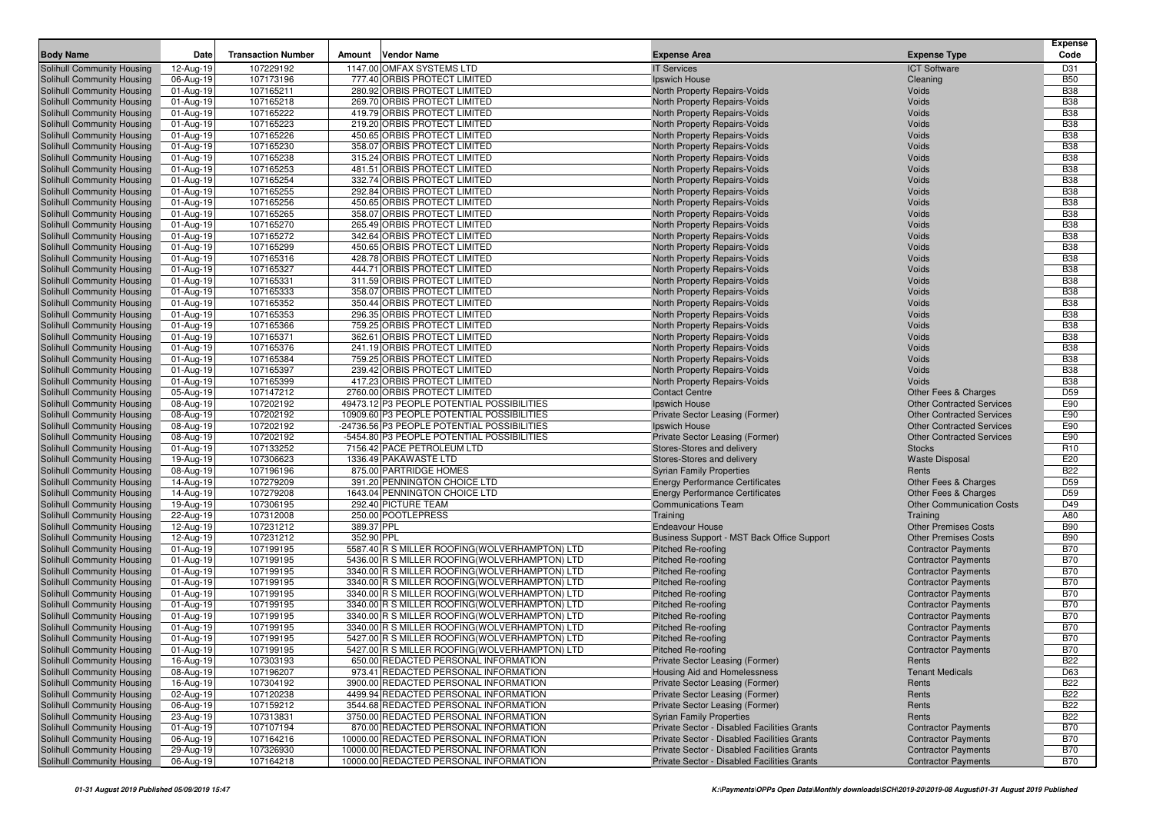|                                                          |                        |                           |            |                                                                                                 |                                                              |                                                          | <b>Expense</b>           |
|----------------------------------------------------------|------------------------|---------------------------|------------|-------------------------------------------------------------------------------------------------|--------------------------------------------------------------|----------------------------------------------------------|--------------------------|
| <b>Body Name</b>                                         | Date                   | <b>Transaction Number</b> | Amount     | <b>Vendor Name</b>                                                                              | <b>Expense Area</b>                                          | <b>Expense Type</b>                                      | Code                     |
| Solihull Community Housing                               | 12-Aug-19              | 107229192                 |            | 1147.00 OMFAX SYSTEMS LTD                                                                       | <b>IT Services</b>                                           | <b>ICT Software</b>                                      | D31                      |
| Solihull Community Housing                               | 06-Aug-19              | 107173196                 |            | 777.40 ORBIS PROTECT LIMITED                                                                    | Ipswich House                                                | Cleaning                                                 | <b>B50</b>               |
| Solihull Community Housing                               | 01-Aug-19              | 107165211                 |            | 280.92 ORBIS PROTECT LIMITED                                                                    | North Property Repairs-Voids                                 | Voids                                                    | <b>B38</b>               |
| Solihull Community Housing                               | 01-Aug-19              | 107165218                 |            | 269.70 ORBIS PROTECT LIMITED                                                                    | North Property Repairs-Voids                                 | Voids                                                    | <b>B38</b>               |
| Solihull Community Housing                               | 01-Aug-19              | 107165222                 |            | 419.79 ORBIS PROTECT LIMITED                                                                    | North Property Repairs-Voids                                 | Voids                                                    | <b>B38</b>               |
| Solihull Community Housing                               | 01-Aug-19              | 107165223                 |            | 219.20 ORBIS PROTECT LIMITED                                                                    | North Property Repairs-Voids                                 | Voids                                                    | <b>B38</b>               |
| Solihull Community Housing                               | 01-Aug-19              | 107165226                 |            | 450.65 ORBIS PROTECT LIMITED                                                                    | North Property Repairs-Voids                                 | Voids                                                    | <b>B38</b>               |
| Solihull Community Housing                               | 01-Aug-19              | 107165230                 |            | 358.07 ORBIS PROTECT LIMITED                                                                    | North Property Repairs-Voids                                 | Voids                                                    | <b>B38</b>               |
| Solihull Community Housing                               | 01-Aug-19              | 107165238                 |            | 315.24 ORBIS PROTECT LIMITED                                                                    | North Property Repairs-Voids                                 | Voids                                                    | <b>B38</b>               |
| Solihull Community Housing                               | 01-Aug-19              | 107165253                 |            | 481.51 ORBIS PROTECT LIMITED                                                                    | North Property Repairs-Voids                                 | Voids                                                    | <b>B38</b>               |
| Solihull Community Housing                               | 01-Aug-19              | 107165254                 |            | 332.74 ORBIS PROTECT LIMITED                                                                    | North Property Repairs-Voids                                 | Voids                                                    | <b>B38</b>               |
| Solihull Community Housing                               | 01-Aug-19              | 107165255                 |            | 292.84 ORBIS PROTECT LIMITED                                                                    | North Property Repairs-Voids                                 | Voids                                                    | <b>B38</b>               |
| Solihull Community Housing                               | 01-Aug-19              | 107165256                 |            | 450.65 ORBIS PROTECT LIMITED                                                                    | North Property Repairs-Voids                                 | Voids                                                    | <b>B38</b>               |
| Solihull Community Housing                               | 01-Aug-19              | 107165265                 |            | 358.07 ORBIS PROTECT LIMITED                                                                    | <b>North Property Repairs-Voids</b>                          | Voids                                                    | <b>B38</b>               |
| Solihull Community Housing                               | 01-Aug-19              | 107165270                 |            | 265.49 ORBIS PROTECT LIMITED                                                                    | North Property Repairs-Voids                                 | Voids                                                    | <b>B38</b>               |
| Solihull Community Housing                               | 01-Aug-19              | 107165272                 |            | 342.64 ORBIS PROTECT LIMITED                                                                    | North Property Repairs-Voids                                 | Voids                                                    | <b>B38</b>               |
| Solihull Community Housing                               | 01-Aug-19              | 107165299                 |            | 450.65 ORBIS PROTECT LIMITED                                                                    | North Property Repairs-Voids                                 | Voids                                                    | <b>B38</b>               |
| Solihull Community Housing                               | 01-Aug-19              | 107165316                 |            | 428.78 ORBIS PROTECT LIMITED                                                                    | North Property Repairs-Voids                                 | Voids                                                    | <b>B38</b>               |
| Solihull Community Housing                               | 01-Aug-19              | 107165327                 |            | 444.71 ORBIS PROTECT LIMITED                                                                    | North Property Repairs-Voids                                 | Voids                                                    | <b>B38</b><br><b>B38</b> |
| Solihull Community Housing                               | 01-Aug-19              | 107165331                 |            | 311.59 ORBIS PROTECT LIMITED                                                                    | North Property Repairs-Voids                                 | Voids                                                    |                          |
| Solihull Community Housing                               | 01-Aug-19              | 107165333                 |            | 358.07 ORBIS PROTECT LIMITED<br>350.44 ORBIS PROTECT LIMITED                                    | North Property Repairs-Voids                                 | Voids                                                    | <b>B38</b>               |
| Solihull Community Housing<br>Solihull Community Housing | 01-Aug-19<br>01-Aug-19 | 107165352<br>107165353    |            | 296.35 ORBIS PROTECT LIMITED                                                                    | North Property Repairs-Voids<br>North Property Repairs-Voids | Voids<br>Voids                                           | <b>B38</b><br><b>B38</b> |
| Solihull Community Housing                               | 01-Aug-19              | 107165366                 |            | 759.25 ORBIS PROTECT LIMITED                                                                    | North Property Repairs-Voids                                 | Voids                                                    | <b>B38</b>               |
| Solihull Community Housing                               | 01-Aug-19              | 107165371                 |            | 362.61 ORBIS PROTECT LIMITED                                                                    | North Property Repairs-Voids                                 | Voids                                                    | <b>B38</b>               |
| Solihull Community Housing                               | 01-Aug-19              | 107165376                 |            | 241.19 ORBIS PROTECT LIMITED                                                                    | North Property Repairs-Voids                                 | Voids                                                    | <b>B38</b>               |
| Solihull Community Housing                               | 01-Aug-19              | 107165384                 |            | 759.25 ORBIS PROTECT LIMITED                                                                    | North Property Repairs-Voids                                 | Voids                                                    | <b>B38</b>               |
| Solihull Community Housing                               | 01-Aug-19              | 107165397                 |            | 239.42 ORBIS PROTECT LIMITED                                                                    | North Property Repairs-Voids                                 | Voids                                                    | <b>B38</b>               |
| Solihull Community Housing                               | 01-Aug-19              | 107165399                 |            | 417.23 ORBIS PROTECT LIMITED                                                                    | North Property Repairs-Voids                                 | Voids                                                    | <b>B38</b>               |
| Solihull Community Housing                               | 05-Aug-19              | 107147212                 |            | 2760.00 ORBIS PROTECT LIMITED                                                                   | <b>Contact Centre</b>                                        | <b>Other Fees &amp; Charges</b>                          | D <sub>59</sub>          |
| Solihull Community Housing                               | 08-Aug-19              | 107202192                 |            | 49473.12 P3 PEOPLE POTENTIAL POSSIBILITIES                                                      | Ipswich House                                                | <b>Other Contracted Services</b>                         | E90                      |
| Solihull Community Housing                               | 08-Aug-19              | 107202192                 |            | 10909.60 P3 PEOPLE POTENTIAL POSSIBILITIES                                                      | Private Sector Leasing (Former)                              | <b>Other Contracted Services</b>                         | E90                      |
| Solihull Community Housing                               | 08-Aug-19              | 107202192                 |            | -24736.56 P3 PEOPLE POTENTIAL POSSIBILITIES                                                     | Ipswich House                                                | <b>Other Contracted Services</b>                         | E90                      |
| Solihull Community Housing                               | 08-Aug-19              | 107202192                 |            | -5454.80 P3 PEOPLE POTENTIAL POSSIBILITIES                                                      | Private Sector Leasing (Former)                              | <b>Other Contracted Services</b>                         | E90                      |
| Solihull Community Housing                               | 01-Aug-19              | 107133252                 |            | 7156.42 PACE PETROLEUM LTD                                                                      | Stores-Stores and delivery                                   | <b>Stocks</b>                                            | R <sub>10</sub>          |
| Solihull Community Housing                               | 19-Aug-19              | 107306623                 |            | 1336.49 PAKAWASTE LTD                                                                           | Stores-Stores and delivery                                   | <b>Waste Disposal</b>                                    | E20                      |
| Solihull Community Housing                               | 08-Aug-19              | 107196196                 |            | 875.00 PARTRIDGE HOMES                                                                          | <b>Syrian Family Properties</b>                              | Rents                                                    | <b>B22</b>               |
| Solihull Community Housing                               | 14-Aug-19              | 107279209                 |            | 391.20 PENNINGTON CHOICE LTD                                                                    | <b>Energy Performance Certificates</b>                       | Other Fees & Charges                                     | D <sub>59</sub>          |
| Solihull Community Housing                               | 14-Aug-19              | 107279208                 |            | 1643.04 PENNINGTON CHOICE LTD                                                                   | <b>Energy Performance Certificates</b>                       | Other Fees & Charges                                     | D <sub>59</sub>          |
| Solihull Community Housing                               | 19-Aug-19              | 107306195                 |            | 292.40 PICTURE TEAM                                                                             | <b>Communications Team</b>                                   | <b>Other Communication Costs</b>                         | D49                      |
| Solihull Community Housing                               | 22-Aug-19              | 107312008                 |            | 250.00 POOTLEPRESS                                                                              | Training                                                     | Training                                                 | A80                      |
| Solihull Community Housing                               | 12-Aug-19              | 107231212                 | 389.37 PPL |                                                                                                 | <b>Endeavour House</b>                                       | <b>Other Premises Costs</b>                              | <b>B90</b>               |
| Solihull Community Housing                               | 12-Aug-19              | 107231212                 | 352.90 PPL |                                                                                                 | Business Support - MST Back Office Support                   | <b>Other Premises Costs</b>                              | <b>B90</b>               |
| Solihull Community Housing                               | 01-Aug-19              | 107199195                 |            | 5587.40 R S MILLER ROOFING (WOLVERHAMPTON) LTD                                                  | <b>Pitched Re-roofing</b>                                    | <b>Contractor Payments</b>                               | <b>B70</b>               |
| Solihull Community Housing                               | 01-Aug-19              | 107199195                 |            | 5436.00 R S MILLER ROOFING (WOLVERHAMPTON) LTD                                                  | <b>Pitched Re-roofing</b>                                    | <b>Contractor Payments</b>                               | <b>B70</b>               |
| Solihull Community Housing                               | 01-Aug-19              | 107199195                 |            | 3340.00 R S MILLER ROOFING (WOLVERHAMPTON) LTD<br>3340.00 R S MILLER ROOFING(WOLVERHAMPTON) LTD | <b>Pitched Re-roofing</b>                                    | <b>Contractor Payments</b>                               | <b>B70</b><br><b>B70</b> |
| Solihull Community Housing<br>Solihull Community Housing | 01-Aug-19<br>01-Aug-19 | 107199195<br>107199195    |            | 3340.00 R S MILLER ROOFING (WOLVERHAMPTON) LTD                                                  | <b>Pitched Re-roofing</b><br><b>Pitched Re-roofing</b>       | <b>Contractor Payments</b><br><b>Contractor Payments</b> | <b>B70</b>               |
| Solihull Community Housing                               | 01-Aug-19              | 107199195                 |            | 3340.00 R S MILLER ROOFING (WOLVERHAMPTON) LTD                                                  | <b>Pitched Re-roofing</b>                                    | <b>Contractor Payments</b>                               | <b>B70</b>               |
| Solihull Community Housing                               | 01-Aug-19              | 107199195                 |            | 3340.00 R S MILLER ROOFING(WOLVERHAMPTON) LTD                                                   | <b>Pitched Re-roofing</b>                                    | <b>Contractor Payments</b>                               | <b>B70</b>               |
| Solihull Community Housing                               | 01-Aug-19              | 107199195                 |            | 3340.00 R S MILLER ROOFING(WOLVERHAMPTON) LTD                                                   | <b>Pitched Re-roofing</b>                                    | <b>Contractor Payments</b>                               | <b>B70</b>               |
| Solihull Community Housing                               | 01-Aug-19              | 107199195                 |            | 5427.00 R S MILLER ROOFING(WOLVERHAMPTON) LTD                                                   | <b>Pitched Re-roofing</b>                                    | <b>Contractor Payments</b>                               | <b>B70</b>               |
| Solihull Community Housing                               | 01-Aug-19              | 107199195                 |            | 5427.00 R S MILLER ROOFING (WOLVERHAMPTON) LTD                                                  | Pitched Re-roofing                                           | <b>Contractor Payments</b>                               | <b>B70</b>               |
| Solihull Community Housing                               | 16-Aug-19              | 107303193                 |            | 650.00 REDACTED PERSONAL INFORMATION                                                            | Private Sector Leasing (Former)                              | Rents                                                    | <b>B22</b>               |
| Solihull Community Housing                               | 08-Aug-19              | 107196207                 |            | 973.41 REDACTED PERSONAL INFORMATION                                                            | Housing Aid and Homelessness                                 | <b>Tenant Medicals</b>                                   | D63                      |
| Solihull Community Housing                               | 16-Aug-19              | 107304192                 |            | 3900.00 REDACTED PERSONAL INFORMATION                                                           | Private Sector Leasing (Former)                              | Rents                                                    | <b>B22</b>               |
| Solihull Community Housing                               | 02-Aug-19              | 107120238                 |            | 4499.94 REDACTED PERSONAL INFORMATION                                                           | Private Sector Leasing (Former)                              | Rents                                                    | <b>B22</b>               |
| Solihull Community Housing                               | 06-Aug-19              | 107159212                 |            | 3544.68 REDACTED PERSONAL INFORMATION                                                           | Private Sector Leasing (Former)                              | Rents                                                    | <b>B22</b>               |
| Solihull Community Housing                               | 23-Aug-19              | 107313831                 |            | 3750.00 REDACTED PERSONAL INFORMATION                                                           | <b>Syrian Family Properties</b>                              | Rents                                                    | <b>B22</b>               |
| Solihull Community Housing                               | 01-Aug-19              | 107107194                 |            | 870.00 REDACTED PERSONAL INFORMATION                                                            | Private Sector - Disabled Facilities Grants                  | <b>Contractor Payments</b>                               | <b>B70</b>               |
| Solihull Community Housing                               | 06-Aug-19              | 107164216                 |            | 10000.00 REDACTED PERSONAL INFORMATION                                                          | Private Sector - Disabled Facilities Grants                  | <b>Contractor Payments</b>                               | <b>B70</b>               |
| Solihull Community Housing                               | 29-Aug-19              | 107326930                 |            | 10000.00 REDACTED PERSONAL INFORMATION                                                          | Private Sector - Disabled Facilities Grants                  | <b>Contractor Payments</b>                               | <b>B70</b>               |
| Solihull Community Housing                               | 06-Aug-19              | 107164218                 |            | 10000.00 REDACTED PERSONAL INFORMATION                                                          | Private Sector - Disabled Facilities Grants                  | <b>Contractor Payments</b>                               | <b>B70</b>               |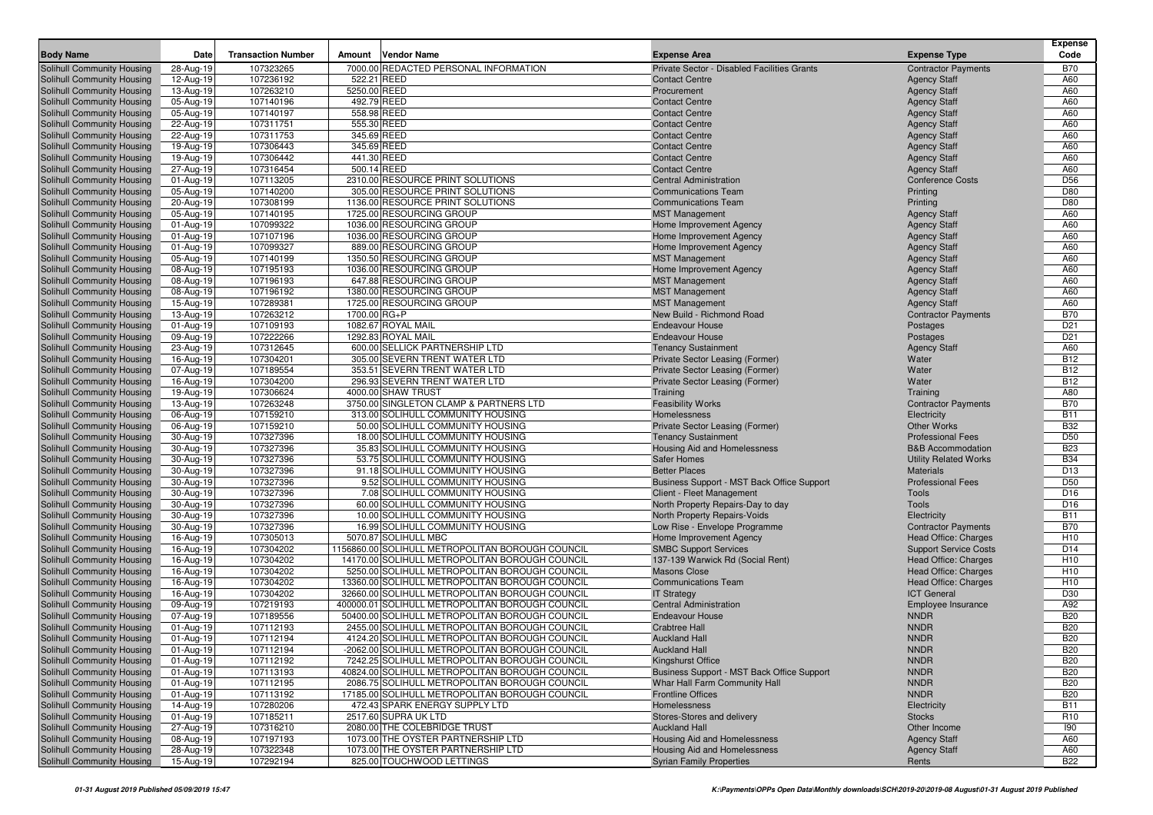|                                                          |                        |                           |                            |                                                                                                  |                                                                    |                                              | Expense                  |
|----------------------------------------------------------|------------------------|---------------------------|----------------------------|--------------------------------------------------------------------------------------------------|--------------------------------------------------------------------|----------------------------------------------|--------------------------|
| <b>Body Name</b>                                         | Date                   | <b>Transaction Number</b> | Amount                     | <b>Vendor Name</b>                                                                               | <b>Expense Area</b>                                                | <b>Expense Type</b>                          | Code                     |
| <b>Solihull Community Housing</b>                        | 28-Aug-19              | 107323265                 |                            | 7000.00 REDACTED PERSONAL INFORMATION                                                            | Private Sector - Disabled Facilities Grants                        | <b>Contractor Payments</b>                   | <b>B70</b>               |
| Solihull Community Housing                               | 12-Aug-19              | 107236192                 | 522.21 REED                |                                                                                                  | <b>Contact Centre</b>                                              | <b>Agency Staff</b>                          | A60                      |
| Solihull Community Housing                               | 13-Aug-19              | 107263210                 | 5250.00 REED               |                                                                                                  | Procurement                                                        | <b>Agency Staff</b>                          | A60<br>A60               |
| Solihull Community Housing<br>Solihull Community Housing | 05-Aug-19<br>05-Aug-19 | 107140196<br>107140197    | 492.79 REED<br>558.98 REED |                                                                                                  | <b>Contact Centre</b><br><b>Contact Centre</b>                     | <b>Agency Staff</b>                          | A60                      |
| Solihull Community Housing                               | 22-Aug-19              | 107311751                 | 555.30 REED                |                                                                                                  | <b>Contact Centre</b>                                              | <b>Agency Staff</b><br><b>Agency Staff</b>   | A60                      |
| Solihull Community Housing                               | 22-Aug-19              | 107311753                 | 345.69 REED                |                                                                                                  | <b>Contact Centre</b>                                              | <b>Agency Staff</b>                          | A60                      |
| Solihull Community Housing                               | 19-Aug-19              | 107306443                 | 345.69 REED                |                                                                                                  | <b>Contact Centre</b>                                              | <b>Agency Staff</b>                          | A60                      |
| Solihull Community Housing                               | 19-Aug-19              | 107306442                 | 441.30 REED                |                                                                                                  | <b>Contact Centre</b>                                              | <b>Agency Staff</b>                          | A60                      |
| Solihull Community Housing                               | 27-Aug-19              | 107316454                 | 500.14 REED                |                                                                                                  | <b>Contact Centre</b>                                              | <b>Agency Staff</b>                          | A60                      |
| Solihull Community Housing                               | 01-Aug-19              | 107113205                 |                            | 2310.00 RESOURCE PRINT SOLUTIONS                                                                 | <b>Central Administration</b>                                      | <b>Conference Costs</b>                      | D <sub>56</sub>          |
| Solihull Community Housing                               | 05-Aug-19              | 107140200                 |                            | 305.00 RESOURCE PRINT SOLUTIONS                                                                  | <b>Communications Team</b>                                         | Printing                                     | D80                      |
| Solihull Community Housing                               | 20-Aug-19              | 107308199                 |                            | 1136.00 RESOURCE PRINT SOLUTIONS                                                                 | <b>Communications Team</b>                                         | Printing                                     | D80                      |
| Solihull Community Housing                               | 05-Aug-19              | 107140195                 |                            | 1725.00 RESOURCING GROUP                                                                         | <b>MST Management</b>                                              | <b>Agency Staff</b>                          | A60                      |
| Solihull Community Housing                               | 01-Aug-19              | 107099322                 |                            | 1036.00 RESOURCING GROUP                                                                         | Home Improvement Agency                                            | <b>Agency Staff</b>                          | A60                      |
| Solihull Community Housing                               | 01-Aug-19              | 107107196                 |                            | 1036.00 RESOURCING GROUP                                                                         | Home Improvement Agency                                            | <b>Agency Staff</b>                          | A60                      |
| Solihull Community Housing                               | 01-Aug-19              | 107099327                 |                            | 889.00 RESOURCING GROUP                                                                          | Home Improvement Agency                                            | <b>Agency Staff</b>                          | A60                      |
| <b>Solihull Community Housing</b>                        | 05-Aug-19              | 107140199                 |                            | 1350.50 RESOURCING GROUP                                                                         | <b>MST Management</b>                                              | <b>Agency Staff</b>                          | A60                      |
| Solihull Community Housing                               | 08-Aug-19              | 107195193                 |                            | 1036.00 RESOURCING GROUP                                                                         | Home Improvement Agency                                            | <b>Agency Staff</b>                          | A60                      |
| Solihull Community Housing                               | 08-Aug-19              | 107196193                 |                            | 647.88 RESOURCING GROUP                                                                          | <b>MST Management</b>                                              | <b>Agency Staff</b>                          | A60                      |
| Solihull Community Housing                               | 08-Aug-19              | 107196192                 |                            | 1380.00 RESOURCING GROUP                                                                         | <b>MST Management</b>                                              | <b>Agency Staff</b>                          | A60                      |
| Solihull Community Housing                               | 15-Aug-19              | 107289381                 |                            | 1725.00 RESOURCING GROUP                                                                         | <b>MST Management</b>                                              | <b>Agency Staff</b>                          | A60                      |
| Solihull Community Housing                               | 13-Aug-19              | 107263212                 | 1700.00 RG+P               |                                                                                                  | New Build - Richmond Road                                          | <b>Contractor Payments</b>                   | <b>B70</b>               |
| Solihull Community Housing                               | 01-Aug-19              | 107109193                 |                            | 1082.67 ROYAL MAIL                                                                               | <b>Endeavour House</b>                                             | Postages                                     | D <sub>21</sub>          |
| Solihull Community Housing                               | 09-Aug-19              | 107222266                 |                            | 1292.83 ROYAL MAIL                                                                               | <b>Endeavour House</b>                                             | Postages                                     | D <sub>21</sub>          |
| Solihull Community Housing                               | 23-Aug-19              | 107312645                 |                            | 600.00 SELLICK PARTNERSHIP LTD                                                                   | <b>Tenancy Sustainment</b>                                         | <b>Agency Staff</b>                          | A60                      |
| Solihull Community Housing<br>Solihull Community Housing | 16-Aug-19              | 107304201<br>107189554    |                            | 305.00 SEVERN TRENT WATER LTD<br>353.51 SEVERN TRENT WATER LTD                                   | Private Sector Leasing (Former)<br>Private Sector Leasing (Former) | Water<br>Water                               | <b>B12</b><br><b>B12</b> |
| Solihull Community Housing                               | 07-Aug-19<br>16-Aug-19 | 107304200                 |                            | 296.93 SEVERN TRENT WATER LTD                                                                    | Private Sector Leasing (Former)                                    | Water                                        | <b>B12</b>               |
| Solihull Community Housing                               | 19-Aug-19              | 107306624                 |                            | 4000.00 SHAW TRUST                                                                               | Training                                                           | Training                                     | A80                      |
| Solihull Community Housing                               | 13-Aug-19              | 107263248                 |                            | 3750.00 SINGLETON CLAMP & PARTNERS LTD                                                           | <b>Feasibility Works</b>                                           | <b>Contractor Payments</b>                   | <b>B70</b>               |
| Solihull Community Housing                               | 06-Aug-19              | 107159210                 |                            | 313.00 SOLIHULL COMMUNITY HOUSING                                                                | Homelessness                                                       | Electricity                                  | <b>B11</b>               |
| Solihull Community Housing                               | 06-Aug-19              | 107159210                 |                            | 50.00 SOLIHULL COMMUNITY HOUSING                                                                 | Private Sector Leasing (Former)                                    | <b>Other Works</b>                           | <b>B32</b>               |
| Solihull Community Housing                               | 30-Aug-19              | 107327396                 |                            | 18.00 SOLIHULL COMMUNITY HOUSING                                                                 | <b>Tenancy Sustainment</b>                                         | <b>Professional Fees</b>                     | D <sub>50</sub>          |
| Solihull Community Housing                               | 30-Aug-19              | 107327396                 |                            | 35.83 SOLIHULL COMMUNITY HOUSING                                                                 | Housing Aid and Homelessness                                       | <b>B&amp;B Accommodation</b>                 | <b>B23</b>               |
| Solihull Community Housing                               | 30-Aug-19              | 107327396                 |                            | 53.75 SOLIHULL COMMUNITY HOUSING                                                                 | <b>Safer Homes</b>                                                 | <b>Utility Related Works</b>                 | <b>B34</b>               |
| Solihull Community Housing                               | 30-Aug-19              | 107327396                 |                            | 91.18 SOLIHULL COMMUNITY HOUSING                                                                 | <b>Better Places</b>                                               | <b>Materials</b>                             | D <sub>13</sub>          |
| Solihull Community Housing                               | 30-Aug-19              | 107327396                 |                            | 9.52 SOLIHULL COMMUNITY HOUSING                                                                  | Business Support - MST Back Office Support                         | <b>Professional Fees</b>                     | D <sub>50</sub>          |
| Solihull Community Housing                               | 30-Aug-19              | 107327396                 |                            | 7.08 SOLIHULL COMMUNITY HOUSING                                                                  | Client - Fleet Management                                          | Tools                                        | D <sub>16</sub>          |
| Solihull Community Housing                               | 30-Aug-19              | 107327396                 |                            | 60.00 SOLIHULL COMMUNITY HOUSING                                                                 | North Property Repairs-Day to day                                  | Tools                                        | D <sub>16</sub>          |
| Solihull Community Housing                               | 30-Aug-19              | 107327396                 |                            | 10.00 SOLIHULL COMMUNITY HOUSING                                                                 | North Property Repairs-Voids                                       | Electricity                                  | <b>B11</b>               |
| Solihull Community Housing                               | 30-Aug-19              | 107327396                 |                            | 16.99 SOLIHULL COMMUNITY HOUSING                                                                 | Low Rise - Envelope Programme                                      | <b>Contractor Payments</b>                   | <b>B70</b>               |
| Solihull Community Housing                               | 16-Aug-19              | 107305013                 |                            | 5070.87 SOLIHULL MBC                                                                             | Home Improvement Agency                                            | Head Office: Charges                         | H <sub>10</sub>          |
| Solihull Community Housing                               | 16-Aug-19              | 107304202                 |                            | 1156860.00 SOLIHULL METROPOLITAN BOROUGH COUNCIL                                                 | <b>SMBC Support Services</b>                                       | <b>Support Service Costs</b>                 | D <sub>14</sub>          |
| Solihull Community Housing                               | 16-Aug-19              | 107304202                 |                            | 14170.00 SOLIHULL METROPOLITAN BOROUGH COUNCIL                                                   | 137-139 Warwick Rd (Social Rent)                                   | Head Office: Charges                         | H <sub>10</sub>          |
| Solihull Community Housing                               | 16-Aug-19              | 107304202                 |                            | 5250.00 SOLIHULL METROPOLITAN BOROUGH COUNCIL                                                    | <b>Masons Close</b>                                                | Head Office: Charges<br>Head Office: Charges | H <sub>10</sub>          |
| Solihull Community Housing<br>Solihull Community Housing | 16-Aug-19<br>16-Aug-19 | 107304202<br>107304202    |                            | 13360.00 SOLIHULL METROPOLITAN BOROUGH COUNCIL<br>32660.00 SOLIHULL METROPOLITAN BOROUGH COUNCIL | <b>Communications Team</b><br><b>IT Strategy</b>                   | <b>ICT General</b>                           | H <sub>10</sub><br>D30   |
| Solihull Community Housing                               | 09-Aug-19              | 107219193                 |                            | 400000.01 SOLIHULL METROPOLITAN BOROUGH COUNCIL                                                  | <b>Central Administration</b>                                      | Employee Insurance                           | A92                      |
| Solihull Community Housing                               | 07-Aug-19              | 107189556                 |                            | 50400.00 SOLIHULL METROPOLITAN BOROUGH COUNCIL                                                   | <b>Endeavour House</b>                                             | <b>NNDR</b>                                  | <b>B20</b>               |
| Solihull Community Housing                               | 01-Aug-19              | 107112193                 |                            | 2455.00 SOLIHULL METROPOLITAN BOROUGH COUNCIL                                                    | <b>Crabtree Hall</b>                                               | <b>NNDR</b>                                  | <b>B20</b>               |
| Solihull Community Housing                               | 01-Aug-19              | 107112194                 |                            | 4124.20 SOLIHULL METROPOLITAN BOROUGH COUNCIL                                                    | <b>Auckland Hall</b>                                               | <b>NNDR</b>                                  | <b>B20</b>               |
| Solihull Community Housing                               | $\overline{01-Aug-19}$ | 107112194                 |                            | -2062.00 SOLIHULL METROPOLITAN BOROUGH COUNCIL                                                   | <b>Auckland Hall</b>                                               | <b>NNDR</b>                                  | <b>B20</b>               |
| <b>Solihull Community Housing</b>                        | 01-Aug-19              | 107112192                 |                            | 7242.25 SOLIHULL METROPOLITAN BOROUGH COUNCIL                                                    | Kingshurst Office                                                  | <b>NNDR</b>                                  | <b>B20</b>               |
| Solihull Community Housing                               | 01-Aug-19              | 107113193                 |                            | 40824.00 SOLIHULL METROPOLITAN BOROUGH COUNCIL                                                   | Business Support - MST Back Office Support                         | <b>NNDR</b>                                  | <b>B20</b>               |
| Solihull Community Housing                               | 01-Aug-19              | 107112195                 |                            | 2086.75 SOLIHULL METROPOLITAN BOROUGH COUNCIL                                                    | Whar Hall Farm Community Hall                                      | <b>NNDR</b>                                  | <b>B20</b>               |
| Solihull Community Housing                               | 01-Aug-19              | 107113192                 |                            | 17185.00 SOLIHULL METROPOLITAN BOROUGH COUNCIL                                                   | <b>Frontline Offices</b>                                           | <b>NNDR</b>                                  | <b>B20</b>               |
| Solihull Community Housing                               | 14-Aug-19              | 107280206                 |                            | 472.43 SPARK ENERGY SUPPLY LTD                                                                   | Homelessness                                                       | Electricity                                  | <b>B11</b>               |
| Solihull Community Housing                               | 01-Aug-19              | 107185211                 |                            | 2517.60 SUPRA UK LTD                                                                             | Stores-Stores and delivery                                         | <b>Stocks</b>                                | R <sub>10</sub>          |
| Solihull Community Housing                               | 27-Aug-19              | 107316210                 |                            | 2080.00 THE COLEBRIDGE TRUST                                                                     | <b>Auckland Hall</b>                                               | Other Income                                 | 190                      |
| Solihull Community Housing                               | 08-Aug-19              | 107197193                 |                            | 1073.00 THE OYSTER PARTNERSHIP LTD                                                               | <b>Housing Aid and Homelessness</b>                                | <b>Agency Staff</b>                          | A60                      |
| Solihull Community Housing                               | 28-Aug-19              | 107322348                 |                            | 1073.00 THE OYSTER PARTNERSHIP LTD                                                               | Housing Aid and Homelessness                                       | <b>Agency Staff</b>                          | A60                      |
| Solihull Community Housing                               | 15-Aug-19              | 107292194                 |                            | 825.00 TOUCHWOOD LETTINGS                                                                        | <b>Syrian Family Properties</b>                                    | Rents                                        | <b>B22</b>               |